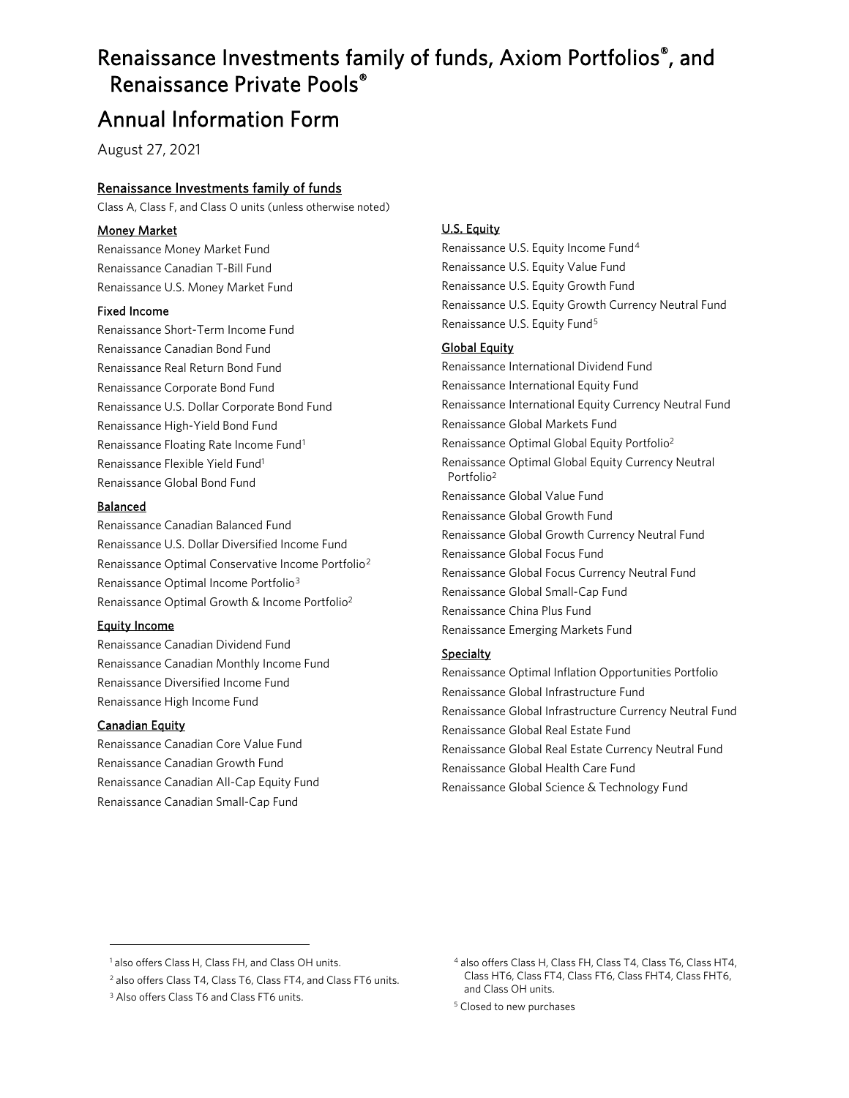# Renaissance Investments family of funds, Axiom Portfolios®, and Renaissance Private Pools®

# Annual Information Form

August 27, 2021

#### Renaissance Investments family of funds

Class A, Class F, and Class O units (unless otherwise noted)

#### Money Market

Renaissance Money Market Fund Renaissance Canadian T-Bill Fund Renaissance U.S. Money Market Fund

#### Fixed Income

Renaissance Short-Term Income Fund Renaissance Canadian Bond Fund Renaissance Real Return Bond Fund Renaissance Corporate Bond Fund Renaissance U.S. Dollar Corporate Bond Fund Renaissance High-Yield Bond Fund Renaissance Floating Rate Income Fund[1](#page-0-2) Renaissance Flexible Yield Fun[d1](#page-0-0) Renaissance Global Bond Fund

#### Balanced

Renaissance Canadian Balanced Fund Renaissance U.S. Dollar Diversified Income Fund Renaissance Optimal Conservative Income Portfolio[2](#page-0-3) Renaissance Optimal Income Portfolio[3](#page-0-4) Renaissance Optimal Growth & Income Portfoli[o2](#page-0-1)

#### Equity Income

Renaissance Canadian Dividend Fund Renaissance Canadian Monthly Income Fund Renaissance Diversified Income Fund Renaissance High Income Fund

#### **Canadian Equity**

Renaissance Canadian Core Value Fund Renaissance Canadian Growth Fund Renaissance Canadian All-Cap Equity Fund Renaissance Canadian Small-Cap Fund

#### U.S. Equity

Renaissance U.S. Equity Income Fund[4](#page-0-2) Renaissance U.S. Equity Value Fund Renaissance U.S. Equity Growth Fund Renaissance U.S. Equity Growth Currency Neutral Fund Renaissance U.S. Equity Fund[5](#page-0-5)

#### Global Equity

<span id="page-0-0"></span>Renaissance International Dividend Fund Renaissance International Equity Fund Renaissance International Equity Currency Neutral Fund Renaissance Global Markets Fund Renaissance Optimal Global Equity Portfoli[o2](#page-0-1) Renaissance Optimal Global Equity Currency Neutral Portfoli[o2](#page-0-1) Renaissance Global Value Fund Renaissance Global Growth Fund Renaissance Global Growth Currency Neutral Fund Renaissance Global Focus Fund Renaissance Global Focus Currency Neutral Fund Renaissance Global Small-Cap Fund Renaissance China Plus Fund Renaissance Emerging Markets Fund

#### <span id="page-0-1"></span>**Specialty**

Renaissance Optimal Inflation Opportunities Portfolio Renaissance Global Infrastructure Fund Renaissance Global Infrastructure Currency Neutral Fund Renaissance Global Real Estate Fund Renaissance Global Real Estate Currency Neutral Fund Renaissance Global Health Care Fund Renaissance Global Science & Technology Fund

<span id="page-0-2"></span><sup>&</sup>lt;sup>1</sup> also offers Class H, Class FH, and Class OH units.

<span id="page-0-3"></span><sup>2</sup> also offers Class T4, Class T6, Class FT4, and Class FT6 units.

<span id="page-0-5"></span><span id="page-0-4"></span><sup>&</sup>lt;sup>3</sup> Also offers Class T6 and Class FT6 units.

<sup>4</sup> also offers Class H, Class FH, Class T4, Class T6, Class HT4, Class HT6, Class FT4, Class FT6, Class FHT4, Class FHT6, and Class OH units.

<sup>5</sup> Closed to new purchases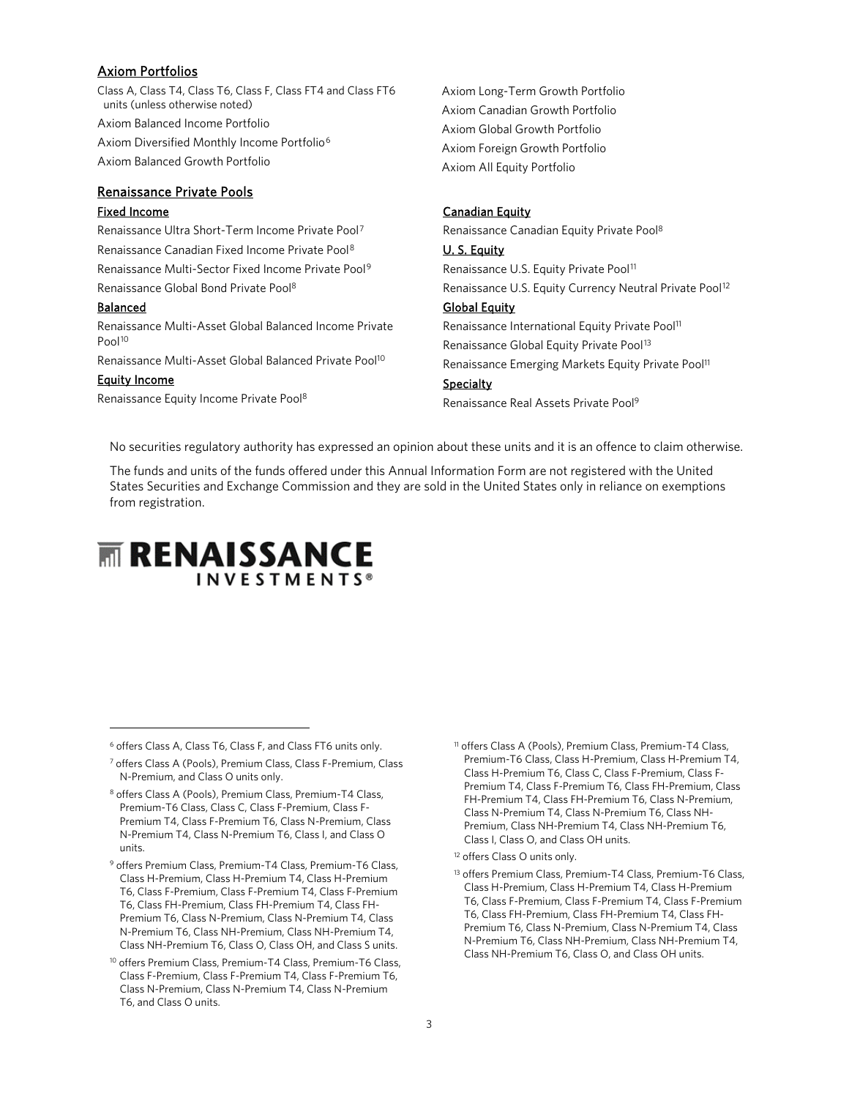#### Axiom Portfolios

Class A, Class T4, Class T6, Class F, Class FT4 and Class FT6 units (unless otherwise noted) Axiom Balanced Income Portfolio Axiom Diversified Monthly Income Portfolio[6](#page-1-4) Axiom Balanced Growth Portfolio

#### Renaissance Private Pools

#### Fixed Income

Renaissance Ultra Short-Term Income Private Pool[7](#page-1-5) Renaissance Canadian Fixed Income Private Pool[8](#page-1-6) Renaissance Multi-Sector Fixed Income Private Pool[9](#page-1-7) Renaissance Global Bond Private Po[ol8](#page-1-0)

#### Balanced

<span id="page-1-1"></span>Renaissance Multi-Asset Global Balanced Income Private Pool<sup>[10](#page-1-8)</sup>

Renaissance Multi-Asset Global Balanced Private Po[ol10](#page-1-1)

#### Equity Income

Renaissance Equity Income Private Po[ol8](#page-1-0)

Axiom Long-Term Growth Portfolio Axiom Canadian Growth Portfolio Axiom Global Growth Portfolio Axiom Foreign Growth Portfolio Axiom All Equity Portfolio

#### **Canadian Equity**

Renaissance Canadian Equity Private Poo[l8](#page-1-0)

#### <span id="page-1-0"></span>U. S. Equity

<span id="page-1-3"></span><span id="page-1-2"></span>Renaissance U.S. Equity Private Pool<sup>[11](#page-1-4)</sup> Renaissance U.S. Equity Currency Neutral Private Pool<sup>[12](#page-1-9)</sup>

#### Global Equity

Renaissance International Equity Private Pool<sup>11</sup> Renaissance Global Equity Private Pool<sup>[13](#page-1-10)</sup> Renaissance Emerging Markets Equity Private Pool<sup>11</sup> **Specialty** Renaissance Real Assets Private Pool<sup>9</sup>

No securities regulatory authority has expressed an opinion about these units and it is an offence to claim otherwise.

The funds and units of the funds offered under this Annual Information Form are not registered with the United States Securities and Exchange Commission and they are sold in the United States only in reliance on exemptions from registration.

# **MIRENAISSANCE INVESTMENTS®**

- <span id="page-1-6"></span><sup>8</sup> offers Class A (Pools), Premium Class, Premium-T4 Class, Premium-T6 Class, Class C, Class F-Premium, Class F-Premium T4, Class F-Premium T6, Class N-Premium, Class N-Premium T4, Class N-Premium T6, Class I, and Class O units.
- <span id="page-1-10"></span><span id="page-1-9"></span><span id="page-1-7"></span><sup>9</sup> offers Premium Class, Premium-T4 Class, Premium-T6 Class, Class H-Premium, Class H-Premium T4, Class H-Premium T6, Class F-Premium, Class F-Premium T4, Class F-Premium T6, Class FH-Premium, Class FH-Premium T4, Class FH-Premium T6, Class N-Premium, Class N-Premium T4, Class N-Premium T6, Class NH-Premium, Class NH-Premium T4, Class NH-Premium T6, Class O, Class OH, and Class S units.
- <span id="page-1-8"></span><sup>10</sup> offers Premium Class, Premium-T4 Class, Premium-T6 Class, Class F-Premium, Class F-Premium T4, Class F-Premium T6, Class N-Premium, Class N-Premium T4, Class N-Premium T6, and Class O units.
- <sup>11</sup> offers Class A (Pools), Premium Class, Premium-T4 Class, Premium-T6 Class, Class H-Premium, Class H-Premium T4, Class H-Premium T6, Class C, Class F-Premium, Class F-Premium T4, Class F-Premium T6, Class FH-Premium, Class FH-Premium T4, Class FH-Premium T6, Class N-Premium, Class N-Premium T4, Class N-Premium T6, Class NH-Premium, Class NH-Premium T4, Class NH-Premium T6, Class I, Class O, and Class OH units.
- <sup>12</sup> offers Class O units only.
- 13 offers Premium Class, Premium-T4 Class, Premium-T6 Class, Class H-Premium, Class H-Premium T4, Class H-Premium T6, Class F-Premium, Class F-Premium T4, Class F-Premium T6, Class FH-Premium, Class FH-Premium T4, Class FH-Premium T6, Class N-Premium, Class N-Premium T4, Class N-Premium T6, Class NH-Premium, Class NH-Premium T4, Class NH-Premium T6, Class O, and Class OH units.

<span id="page-1-4"></span><sup>6</sup> offers Class A, Class T6, Class F, and Class FT6 units only.

<span id="page-1-5"></span><sup>7</sup> offers Class A (Pools), Premium Class, Class F-Premium, Class N-Premium, and Class O units only.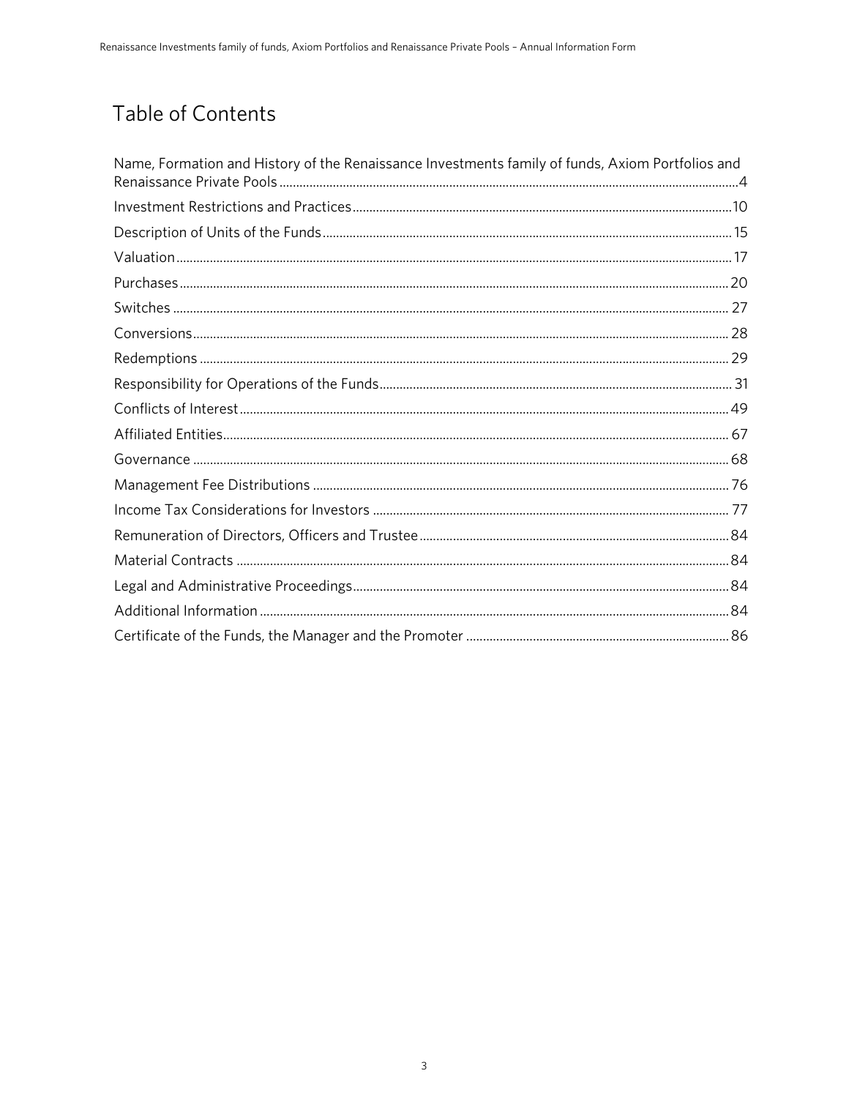# Table of Contents

| Name, Formation and History of the Renaissance Investments family of funds, Axiom Portfolios and |  |
|--------------------------------------------------------------------------------------------------|--|
|                                                                                                  |  |
|                                                                                                  |  |
|                                                                                                  |  |
|                                                                                                  |  |
|                                                                                                  |  |
|                                                                                                  |  |
|                                                                                                  |  |
|                                                                                                  |  |
|                                                                                                  |  |
|                                                                                                  |  |
|                                                                                                  |  |
|                                                                                                  |  |
|                                                                                                  |  |
|                                                                                                  |  |
|                                                                                                  |  |
|                                                                                                  |  |
|                                                                                                  |  |
|                                                                                                  |  |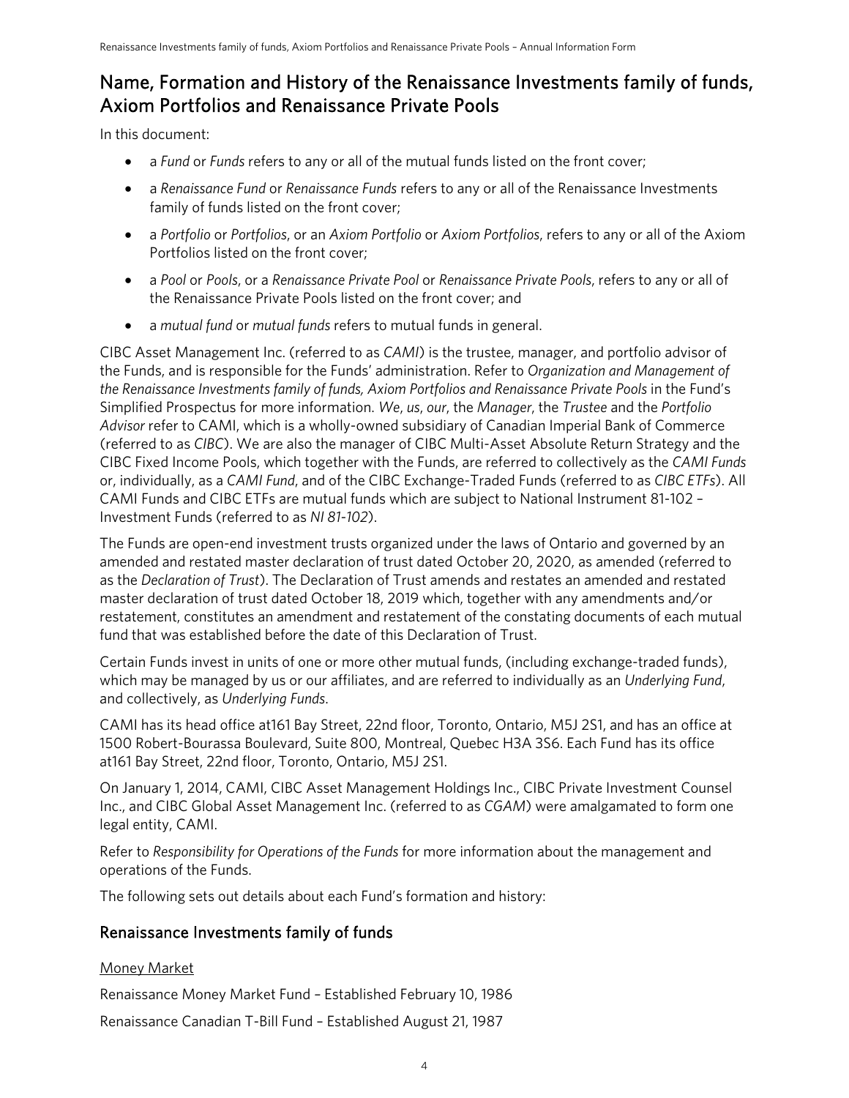## <span id="page-3-0"></span>Name, Formation and History of the Renaissance Investments family of funds, Axiom Portfolios and Renaissance Private Pools

In this document:

- a *Fund* or *Funds* refers to any or all of the mutual funds listed on the front cover;
- a *Renaissance Fund* or *Renaissance Funds* refers to any or all of the Renaissance Investments family of funds listed on the front cover;
- a *Portfolio* or *Portfolios*, or an *Axiom Portfolio* or *Axiom Portfolios*, refers to any or all of the Axiom Portfolios listed on the front cover;
- a *Pool* or *Pools*, or a *Renaissance Private Pool* or *Renaissance Private Pools*, refers to any or all of the Renaissance Private Pools listed on the front cover; and
- a *mutual fund* or *mutual funds* refers to mutual funds in general.

CIBC Asset Management Inc. (referred to as *CAMI*) is the trustee, manager, and portfolio advisor of the Funds, and is responsible for the Funds' administration. Refer to *Organization and Management of the Renaissance Investments family of funds, Axiom Portfolios and Renaissance Private Pools* in the Fund's Simplified Prospectus for more information. *We*, *us*, *our*, the *Manager*, the *Trustee* and the *Portfolio Advisor* refer to CAMI, which is a wholly-owned subsidiary of Canadian Imperial Bank of Commerce (referred to as *CIBC*). We are also the manager of CIBC Multi-Asset Absolute Return Strategy and the CIBC Fixed Income Pools, which together with the Funds, are referred to collectively as the *CAMI Funds* or, individually, as a *CAMI Fund*, and of the CIBC Exchange-Traded Funds (referred to as *CIBC ETFs*). All CAMI Funds and CIBC ETFs are mutual funds which are subject to National Instrument 81-102 – Investment Funds (referred to as *NI 81-102*).

The Funds are open-end investment trusts organized under the laws of Ontario and governed by an amended and restated master declaration of trust dated October 20, 2020, as amended (referred to as the *Declaration of Trust*). The Declaration of Trust amends and restates an amended and restated master declaration of trust dated October 18, 2019 which, together with any amendments and/or restatement, constitutes an amendment and restatement of the constating documents of each mutual fund that was established before the date of this Declaration of Trust.

Certain Funds invest in units of one or more other mutual funds, (including exchange-traded funds), which may be managed by us or our affiliates, and are referred to individually as an *Underlying Fund*, and collectively, as *Underlying Funds*.

CAMI has its head office at161 Bay Street, 22nd floor, Toronto, Ontario, M5J 2S1, and has an office at 1500 Robert-Bourassa Boulevard, Suite 800, Montreal, Quebec H3A 3S6. Each Fund has its office at161 Bay Street, 22nd floor, Toronto, Ontario, M5J 2S1.

On January 1, 2014, CAMI, CIBC Asset Management Holdings Inc., CIBC Private Investment Counsel Inc., and CIBC Global Asset Management Inc. (referred to as *CGAM*) were amalgamated to form one legal entity, CAMI.

Refer to *Responsibility for Operations of the Funds* for more information about the management and operations of the Funds.

The following sets out details about each Fund's formation and history:

### Renaissance Investments family of funds

### Money Market

Renaissance Money Market Fund *–* Established February 10, 1986

Renaissance Canadian T-Bill Fund – Established August 21, 1987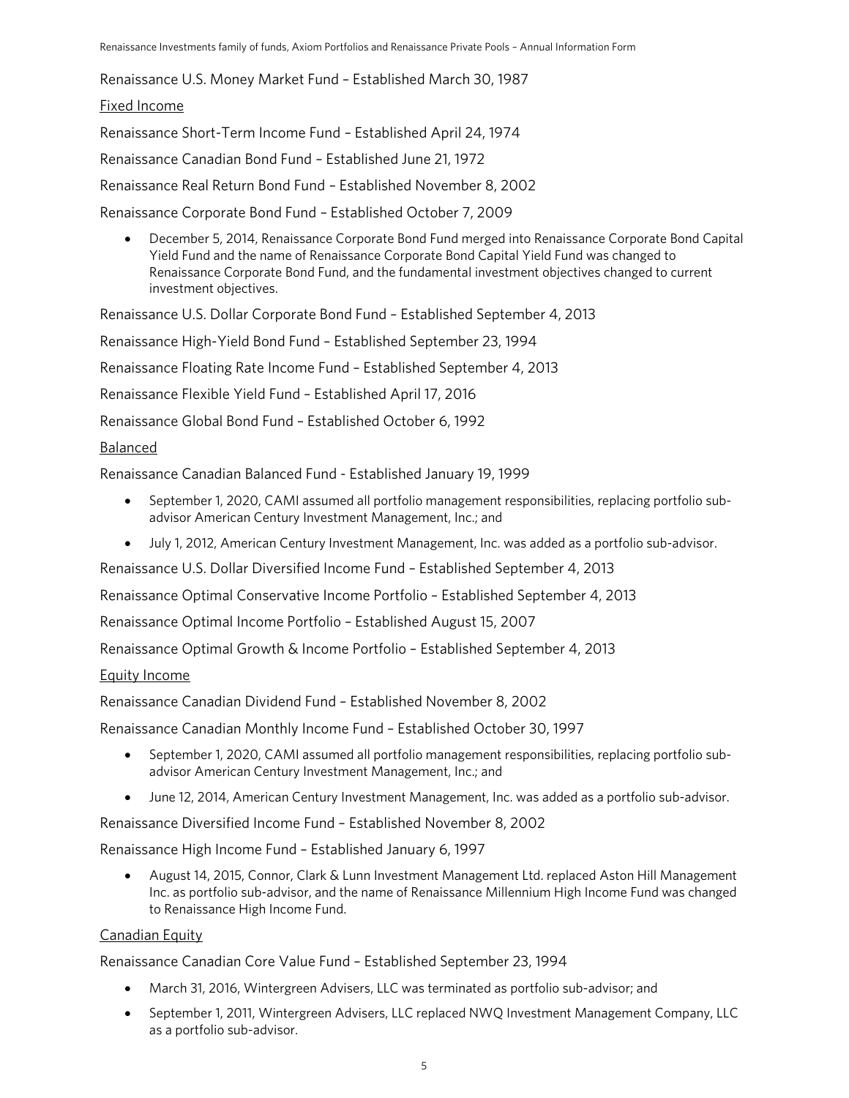Renaissance U.S. Money Market Fund – Established March 30, 1987

#### Fixed Income

Renaissance Short-Term Income Fund – Established April 24, 1974 Renaissance Canadian Bond Fund – Established June 21, 1972 Renaissance Real Return Bond Fund – Established November 8, 2002 Renaissance Corporate Bond Fund – Established October 7, 2009

• December 5, 2014, Renaissance Corporate Bond Fund merged into Renaissance Corporate Bond Capital Yield Fund and the name of Renaissance Corporate Bond Capital Yield Fund was changed to Renaissance Corporate Bond Fund, and the fundamental investment objectives changed to current investment objectives.

Renaissance U.S. Dollar Corporate Bond Fund – Established September 4, 2013

Renaissance High-Yield Bond Fund – Established September 23, 1994

Renaissance Floating Rate Income Fund – Established September 4, 2013

Renaissance Flexible Yield Fund – Established April 17, 2016

Renaissance Global Bond Fund – Established October 6, 1992

#### Balanced

Renaissance Canadian Balanced Fund - Established January 19, 1999

- September 1, 2020, CAMI assumed all portfolio management responsibilities, replacing portfolio subadvisor American Century Investment Management, Inc.; and
- July 1, 2012, American Century Investment Management, Inc. was added as a portfolio sub-advisor.

Renaissance U.S. Dollar Diversified Income Fund – Established September 4, 2013

Renaissance Optimal Conservative Income Portfolio – Established September 4, 2013

Renaissance Optimal Income Portfolio – Established August 15, 2007

Renaissance Optimal Growth & Income Portfolio – Established September 4, 2013

#### Equity Income

Renaissance Canadian Dividend Fund – Established November 8, 2002

Renaissance Canadian Monthly Income Fund – Established October 30, 1997

- September 1, 2020, CAMI assumed all portfolio management responsibilities, replacing portfolio subadvisor American Century Investment Management, Inc.; and
- June 12, 2014, American Century Investment Management, Inc. was added as a portfolio sub-advisor.

Renaissance Diversified Income Fund – Established November 8, 2002

Renaissance High Income Fund – Established January 6, 1997

• August 14, 2015, Connor, Clark & Lunn Investment Management Ltd. replaced Aston Hill Management Inc. as portfolio sub-advisor, and the name of Renaissance Millennium High Income Fund was changed to Renaissance High Income Fund.

#### Canadian Equity

Renaissance Canadian Core Value Fund – Established September 23, 1994

- March 31, 2016, Wintergreen Advisers, LLC was terminated as portfolio sub-advisor; and
- September 1, 2011, Wintergreen Advisers, LLC replaced NWQ Investment Management Company, LLC as a portfolio sub-advisor.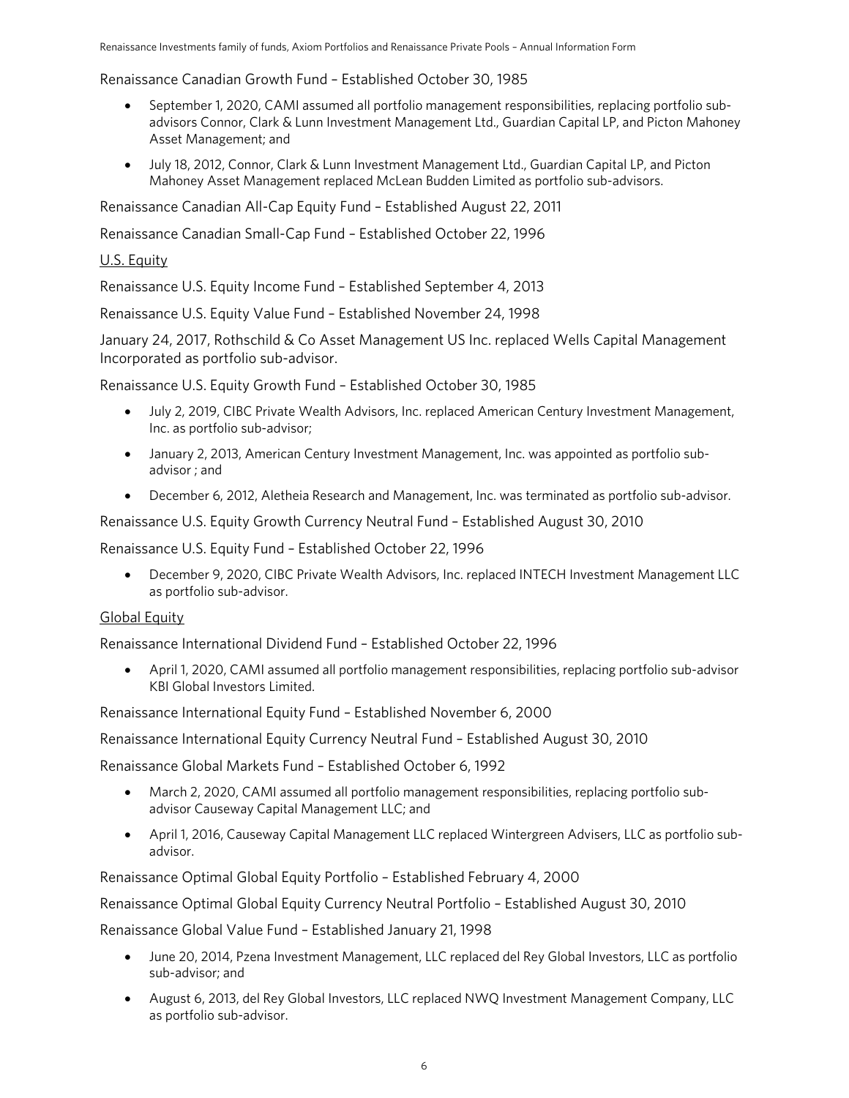Renaissance Canadian Growth Fund – Established October 30, 1985

- September 1, 2020, CAMI assumed all portfolio management responsibilities, replacing portfolio subadvisors Connor, Clark & Lunn Investment Management Ltd., Guardian Capital LP, and Picton Mahoney Asset Management; and
- July 18, 2012, Connor, Clark & Lunn Investment Management Ltd., Guardian Capital LP, and Picton Mahoney Asset Management replaced McLean Budden Limited as portfolio sub-advisors.

Renaissance Canadian All-Cap Equity Fund – Established August 22, 2011

Renaissance Canadian Small-Cap Fund – Established October 22, 1996

### U.S. Equity

Renaissance U.S. Equity Income Fund – Established September 4, 2013

Renaissance U.S. Equity Value Fund – Established November 24, 1998

January 24, 2017, Rothschild & Co Asset Management US Inc. replaced Wells Capital Management Incorporated as portfolio sub-advisor.

Renaissance U.S. Equity Growth Fund – Established October 30, 1985

- July 2, 2019, CIBC Private Wealth Advisors, Inc. replaced American Century Investment Management, Inc. as portfolio sub-advisor;
- January 2, 2013, American Century Investment Management, Inc. was appointed as portfolio subadvisor ; and
- December 6, 2012, Aletheia Research and Management, Inc. was terminated as portfolio sub-advisor.

Renaissance U.S. Equity Growth Currency Neutral Fund – Established August 30, 2010

Renaissance U.S. Equity Fund – Established October 22, 1996

• December 9, 2020, CIBC Private Wealth Advisors, Inc. replaced INTECH Investment Management LLC as portfolio sub-advisor.

#### Global Equity

Renaissance International Dividend Fund – Established October 22, 1996

• April 1, 2020, CAMI assumed all portfolio management responsibilities, replacing portfolio sub-advisor KBI Global Investors Limited.

Renaissance International Equity Fund – Established November 6, 2000

Renaissance International Equity Currency Neutral Fund – Established August 30, 2010

Renaissance Global Markets Fund – Established October 6, 1992

- March 2, 2020, CAMI assumed all portfolio management responsibilities, replacing portfolio subadvisor Causeway Capital Management LLC; and
- April 1, 2016, Causeway Capital Management LLC replaced Wintergreen Advisers, LLC as portfolio subadvisor.

Renaissance Optimal Global Equity Portfolio – Established February 4, 2000

Renaissance Optimal Global Equity Currency Neutral Portfolio – Established August 30, 2010

Renaissance Global Value Fund – Established January 21, 1998

- June 20, 2014, Pzena Investment Management, LLC replaced del Rey Global Investors, LLC as portfolio sub-advisor; and
- August 6, 2013, del Rey Global Investors, LLC replaced NWQ Investment Management Company, LLC as portfolio sub-advisor.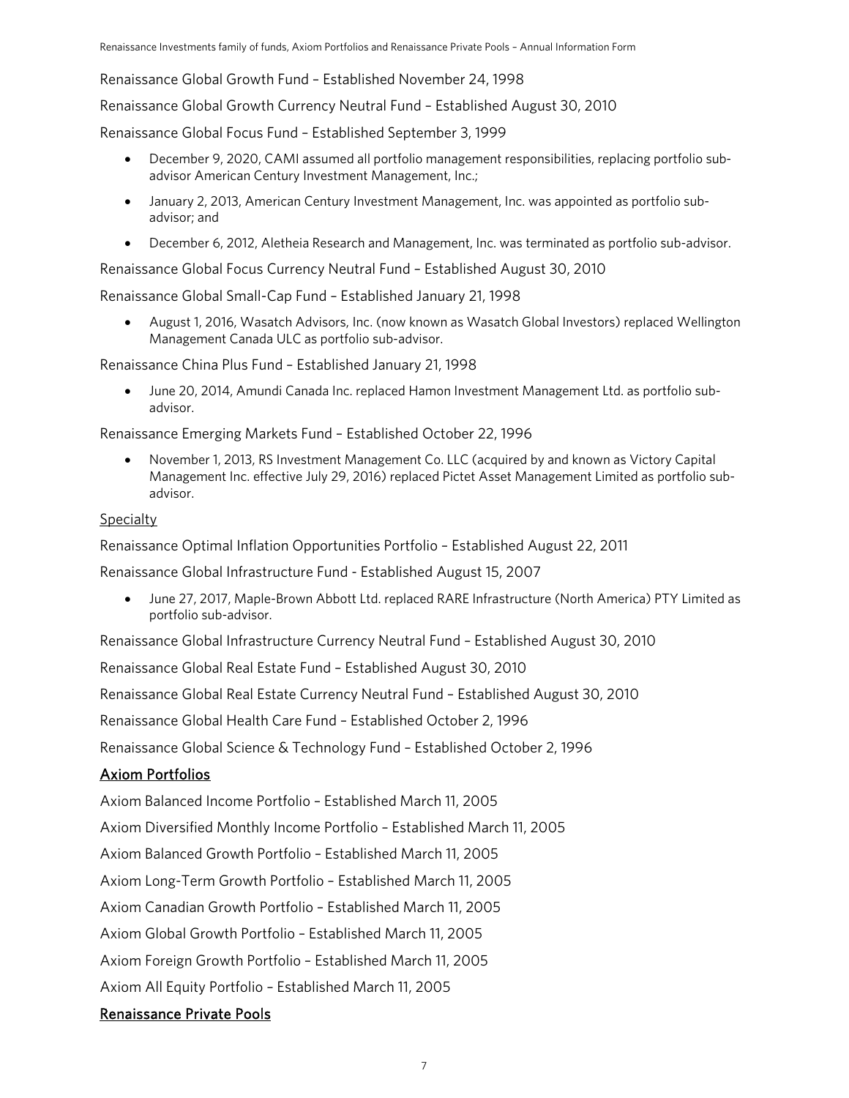Renaissance Global Growth Fund – Established November 24, 1998

Renaissance Global Growth Currency Neutral Fund – Established August 30, 2010

Renaissance Global Focus Fund – Established September 3, 1999

- December 9, 2020, CAMI assumed all portfolio management responsibilities, replacing portfolio subadvisor American Century Investment Management, Inc.;
- January 2, 2013, American Century Investment Management, Inc. was appointed as portfolio subadvisor; and
- December 6, 2012, Aletheia Research and Management, Inc. was terminated as portfolio sub-advisor.

Renaissance Global Focus Currency Neutral Fund – Established August 30, 2010

Renaissance Global Small-Cap Fund – Established January 21, 1998

• August 1, 2016, Wasatch Advisors, Inc. (now known as Wasatch Global Investors) replaced Wellington Management Canada ULC as portfolio sub-advisor.

Renaissance China Plus Fund – Established January 21, 1998

• June 20, 2014, Amundi Canada Inc. replaced Hamon Investment Management Ltd. as portfolio subadvisor.

Renaissance Emerging Markets Fund – Established October 22, 1996

• November 1, 2013, RS Investment Management Co. LLC (acquired by and known as Victory Capital Management Inc. effective July 29, 2016) replaced Pictet Asset Management Limited as portfolio subadvisor.

#### Specialty

Renaissance Optimal Inflation Opportunities Portfolio – Established August 22, 2011

Renaissance Global Infrastructure Fund - Established August 15, 2007

• June 27, 2017, Maple-Brown Abbott Ltd. replaced RARE Infrastructure (North America) PTY Limited as portfolio sub-advisor.

Renaissance Global Infrastructure Currency Neutral Fund – Established August 30, 2010

Renaissance Global Real Estate Fund – Established August 30, 2010

Renaissance Global Real Estate Currency Neutral Fund – Established August 30, 2010

Renaissance Global Health Care Fund – Established October 2, 1996

Renaissance Global Science & Technology Fund – Established October 2, 1996

#### Axiom Portfolios

Axiom Balanced Income Portfolio – Established March 11, 2005

Axiom Diversified Monthly Income Portfolio – Established March 11, 2005

Axiom Balanced Growth Portfolio – Established March 11, 2005

Axiom Long-Term Growth Portfolio – Established March 11, 2005

Axiom Canadian Growth Portfolio – Established March 11, 2005

Axiom Global Growth Portfolio – Established March 11, 2005

Axiom Foreign Growth Portfolio – Established March 11, 2005

Axiom All Equity Portfolio – Established March 11, 2005

#### Renaissance Private Pools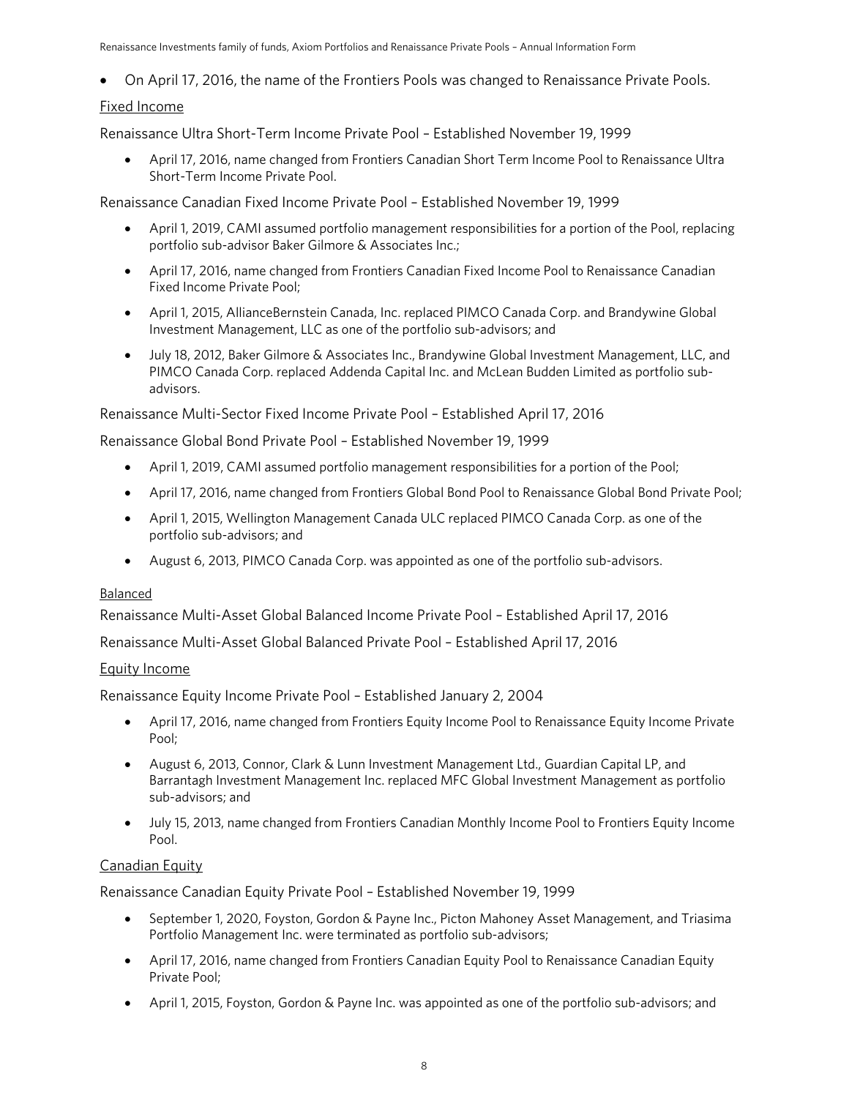Renaissance Investments family of funds, Axiom Portfolios and Renaissance Private Pools – Annual Information Form

• On April 17, 2016, the name of the Frontiers Pools was changed to Renaissance Private Pools.

### Fixed Income

Renaissance Ultra Short-Term Income Private Pool – Established November 19, 1999

• April 17, 2016, name changed from Frontiers Canadian Short Term Income Pool to Renaissance Ultra Short-Term Income Private Pool.

Renaissance Canadian Fixed Income Private Pool – Established November 19, 1999

- April 1, 2019, CAMI assumed portfolio management responsibilities for a portion of the Pool, replacing portfolio sub-advisor Baker Gilmore & Associates Inc.;
- April 17, 2016, name changed from Frontiers Canadian Fixed Income Pool to Renaissance Canadian Fixed Income Private Pool;
- April 1, 2015, AllianceBernstein Canada, Inc. replaced PIMCO Canada Corp. and Brandywine Global Investment Management, LLC as one of the portfolio sub-advisors; and
- July 18, 2012, Baker Gilmore & Associates Inc., Brandywine Global Investment Management, LLC, and PIMCO Canada Corp. replaced Addenda Capital Inc. and McLean Budden Limited as portfolio subadvisors.

Renaissance Multi-Sector Fixed Income Private Pool – Established April 17, 2016

Renaissance Global Bond Private Pool – Established November 19, 1999

- April 1, 2019, CAMI assumed portfolio management responsibilities for a portion of the Pool;
- April 17, 2016, name changed from Frontiers Global Bond Pool to Renaissance Global Bond Private Pool;
- April 1, 2015, Wellington Management Canada ULC replaced PIMCO Canada Corp. as one of the portfolio sub-advisors; and
- August 6, 2013, PIMCO Canada Corp. was appointed as one of the portfolio sub-advisors.

#### **Balanced**

Renaissance Multi-Asset Global Balanced Income Private Pool – Established April 17, 2016

Renaissance Multi-Asset Global Balanced Private Pool – Established April 17, 2016

#### Equity Income

Renaissance Equity Income Private Pool – Established January 2, 2004

- April 17, 2016, name changed from Frontiers Equity Income Pool to Renaissance Equity Income Private Pool;
- August 6, 2013, Connor, Clark & Lunn Investment Management Ltd., Guardian Capital LP, and Barrantagh Investment Management Inc. replaced MFC Global Investment Management as portfolio sub-advisors; and
- July 15, 2013, name changed from Frontiers Canadian Monthly Income Pool to Frontiers Equity Income Pool.

#### Canadian Equity

Renaissance Canadian Equity Private Pool – Established November 19, 1999

- September 1, 2020, Foyston, Gordon & Payne Inc., Picton Mahoney Asset Management, and Triasima Portfolio Management Inc. were terminated as portfolio sub-advisors;
- April 17, 2016, name changed from Frontiers Canadian Equity Pool to Renaissance Canadian Equity Private Pool;
- April 1, 2015, Foyston, Gordon & Payne Inc. was appointed as one of the portfolio sub-advisors; and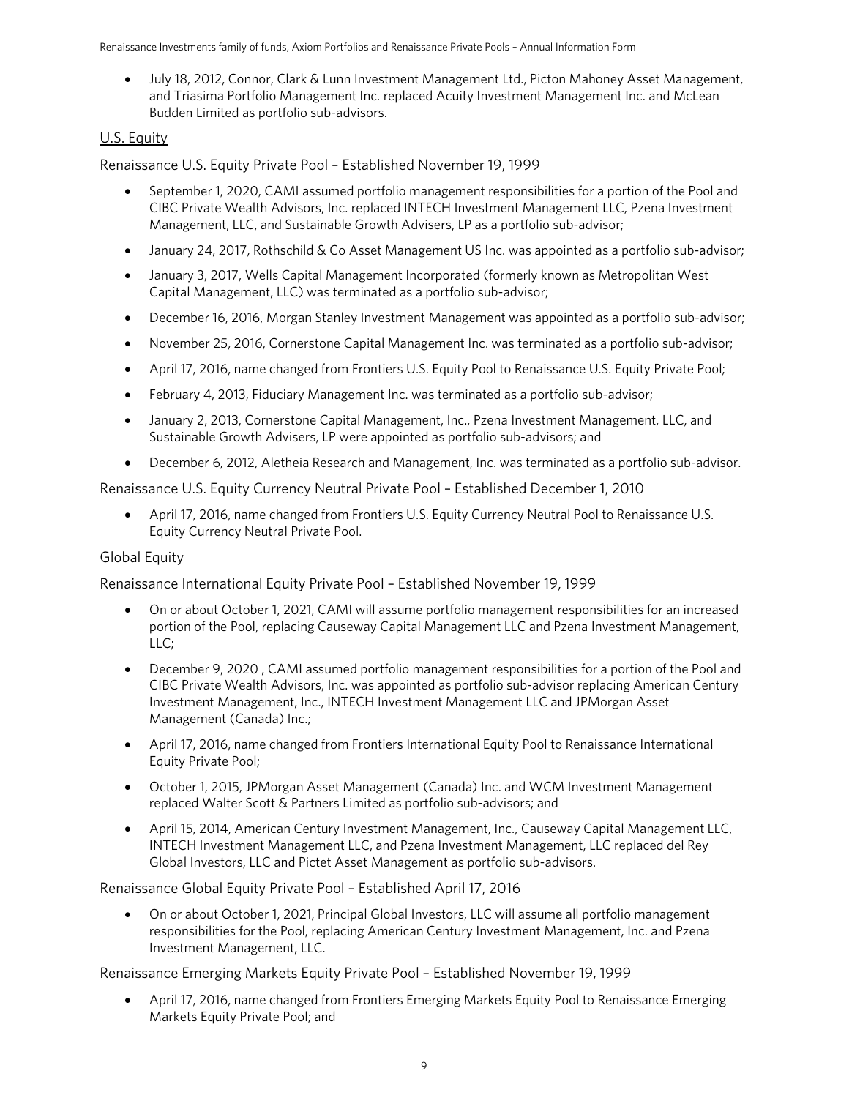• July 18, 2012, Connor, Clark & Lunn Investment Management Ltd., Picton Mahoney Asset Management, and Triasima Portfolio Management Inc. replaced Acuity Investment Management Inc. and McLean Budden Limited as portfolio sub-advisors.

#### U.S. Equity

Renaissance U.S. Equity Private Pool – Established November 19, 1999

- September 1, 2020, CAMI assumed portfolio management responsibilities for a portion of the Pool and CIBC Private Wealth Advisors, Inc. replaced INTECH Investment Management LLC, Pzena Investment Management, LLC, and Sustainable Growth Advisers, LP as a portfolio sub-advisor;
- January 24, 2017, Rothschild & Co Asset Management US Inc. was appointed as a portfolio sub-advisor;
- January 3, 2017, Wells Capital Management Incorporated (formerly known as Metropolitan West Capital Management, LLC) was terminated as a portfolio sub-advisor;
- December 16, 2016, Morgan Stanley Investment Management was appointed as a portfolio sub-advisor;
- November 25, 2016, Cornerstone Capital Management Inc. was terminated as a portfolio sub-advisor;
- April 17, 2016, name changed from Frontiers U.S. Equity Pool to Renaissance U.S. Equity Private Pool;
- February 4, 2013, Fiduciary Management Inc. was terminated as a portfolio sub-advisor;
- January 2, 2013, Cornerstone Capital Management, Inc., Pzena Investment Management, LLC, and Sustainable Growth Advisers, LP were appointed as portfolio sub-advisors; and
- December 6, 2012, Aletheia Research and Management, Inc. was terminated as a portfolio sub-advisor.

Renaissance U.S. Equity Currency Neutral Private Pool – Established December 1, 2010

• April 17, 2016, name changed from Frontiers U.S. Equity Currency Neutral Pool to Renaissance U.S. Equity Currency Neutral Private Pool.

#### Global Equity

Renaissance International Equity Private Pool – Established November 19, 1999

- On or about October 1, 2021, CAMI will assume portfolio management responsibilities for an increased portion of the Pool, replacing Causeway Capital Management LLC and Pzena Investment Management, LLC;
- December 9, 2020 , CAMI assumed portfolio management responsibilities for a portion of the Pool and CIBC Private Wealth Advisors, Inc. was appointed as portfolio sub-advisor replacing American Century Investment Management, Inc., INTECH Investment Management LLC and JPMorgan Asset Management (Canada) Inc.;
- April 17, 2016, name changed from Frontiers International Equity Pool to Renaissance International Equity Private Pool;
- October 1, 2015, JPMorgan Asset Management (Canada) Inc. and WCM Investment Management replaced Walter Scott & Partners Limited as portfolio sub-advisors; and
- April 15, 2014, American Century Investment Management, Inc., Causeway Capital Management LLC, INTECH Investment Management LLC, and Pzena Investment Management, LLC replaced del Rey Global Investors, LLC and Pictet Asset Management as portfolio sub-advisors.

Renaissance Global Equity Private Pool – Established April 17, 2016

• On or about October 1, 2021, Principal Global Investors, LLC will assume all portfolio management responsibilities for the Pool, replacing American Century Investment Management, Inc. and Pzena Investment Management, LLC.

Renaissance Emerging Markets Equity Private Pool – Established November 19, 1999

• April 17, 2016, name changed from Frontiers Emerging Markets Equity Pool to Renaissance Emerging Markets Equity Private Pool; and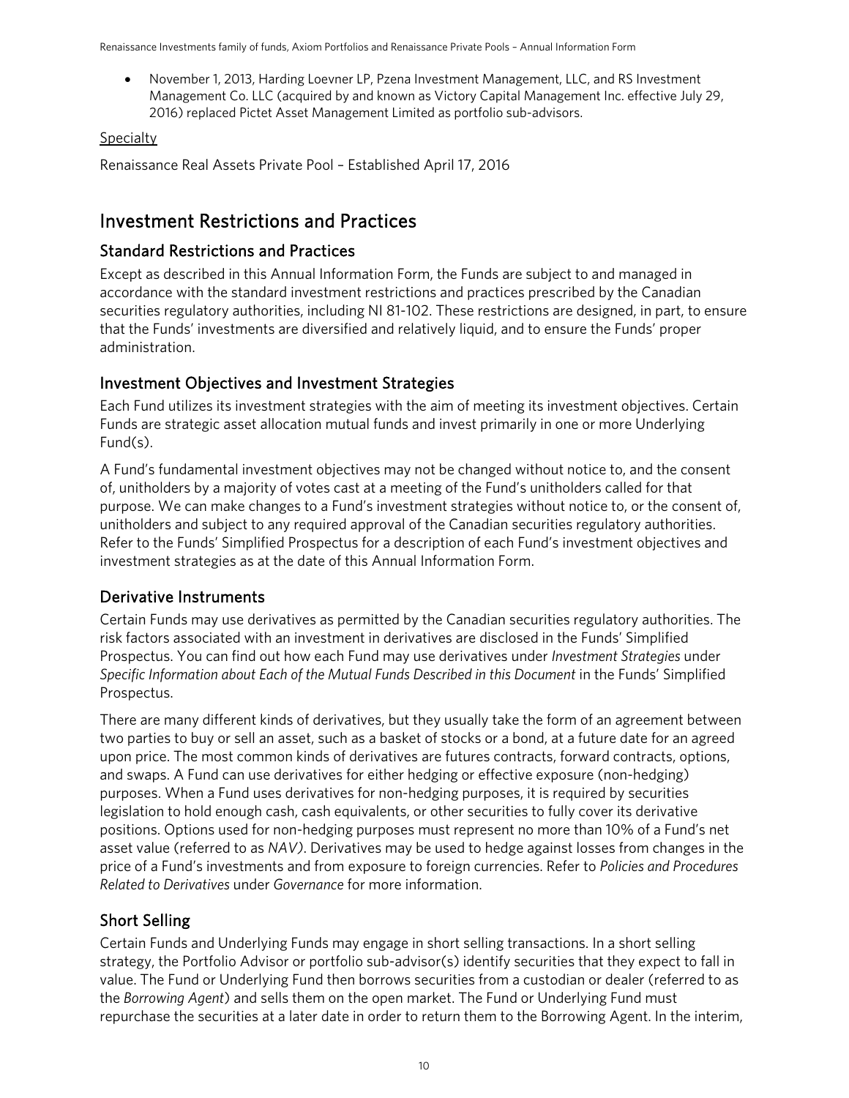• November 1, 2013, Harding Loevner LP, Pzena Investment Management, LLC, and RS Investment Management Co. LLC (acquired by and known as Victory Capital Management Inc. effective July 29, 2016) replaced Pictet Asset Management Limited as portfolio sub-advisors.

#### Specialty

Renaissance Real Assets Private Pool – Established April 17, 2016

## <span id="page-9-0"></span>Investment Restrictions and Practices

### Standard Restrictions and Practices

Except as described in this Annual Information Form, the Funds are subject to and managed in accordance with the standard investment restrictions and practices prescribed by the Canadian securities regulatory authorities, including NI 81-102. These restrictions are designed, in part, to ensure that the Funds' investments are diversified and relatively liquid, and to ensure the Funds' proper administration.

### Investment Objectives and Investment Strategies

Each Fund utilizes its investment strategies with the aim of meeting its investment objectives. Certain Funds are strategic asset allocation mutual funds and invest primarily in one or more Underlying Fund(s).

A Fund's fundamental investment objectives may not be changed without notice to, and the consent of, unitholders by a majority of votes cast at a meeting of the Fund's unitholders called for that purpose. We can make changes to a Fund's investment strategies without notice to, or the consent of, unitholders and subject to any required approval of the Canadian securities regulatory authorities. Refer to the Funds' Simplified Prospectus for a description of each Fund's investment objectives and investment strategies as at the date of this Annual Information Form.

### Derivative Instruments

Certain Funds may use derivatives as permitted by the Canadian securities regulatory authorities. The risk factors associated with an investment in derivatives are disclosed in the Funds' Simplified Prospectus. You can find out how each Fund may use derivatives under *Investment Strategies* under *Specific Information about Each of the Mutual Funds Described in this Document* in the Funds' Simplified Prospectus.

There are many different kinds of derivatives, but they usually take the form of an agreement between two parties to buy or sell an asset, such as a basket of stocks or a bond, at a future date for an agreed upon price. The most common kinds of derivatives are futures contracts, forward contracts, options, and swaps. A Fund can use derivatives for either hedging or effective exposure (non-hedging) purposes. When a Fund uses derivatives for non-hedging purposes, it is required by securities legislation to hold enough cash, cash equivalents, or other securities to fully cover its derivative positions. Options used for non-hedging purposes must represent no more than 10% of a Fund's net asset value (referred to as *NAV)*. Derivatives may be used to hedge against losses from changes in the price of a Fund's investments and from exposure to foreign currencies. Refer to *Policies and Procedures Related to Derivatives* under *Governance* for more information.

### Short Selling

Certain Funds and Underlying Funds may engage in short selling transactions. In a short selling strategy, the Portfolio Advisor or portfolio sub-advisor(s) identify securities that they expect to fall in value. The Fund or Underlying Fund then borrows securities from a custodian or dealer (referred to as the *Borrowing Agent*) and sells them on the open market. The Fund or Underlying Fund must repurchase the securities at a later date in order to return them to the Borrowing Agent. In the interim,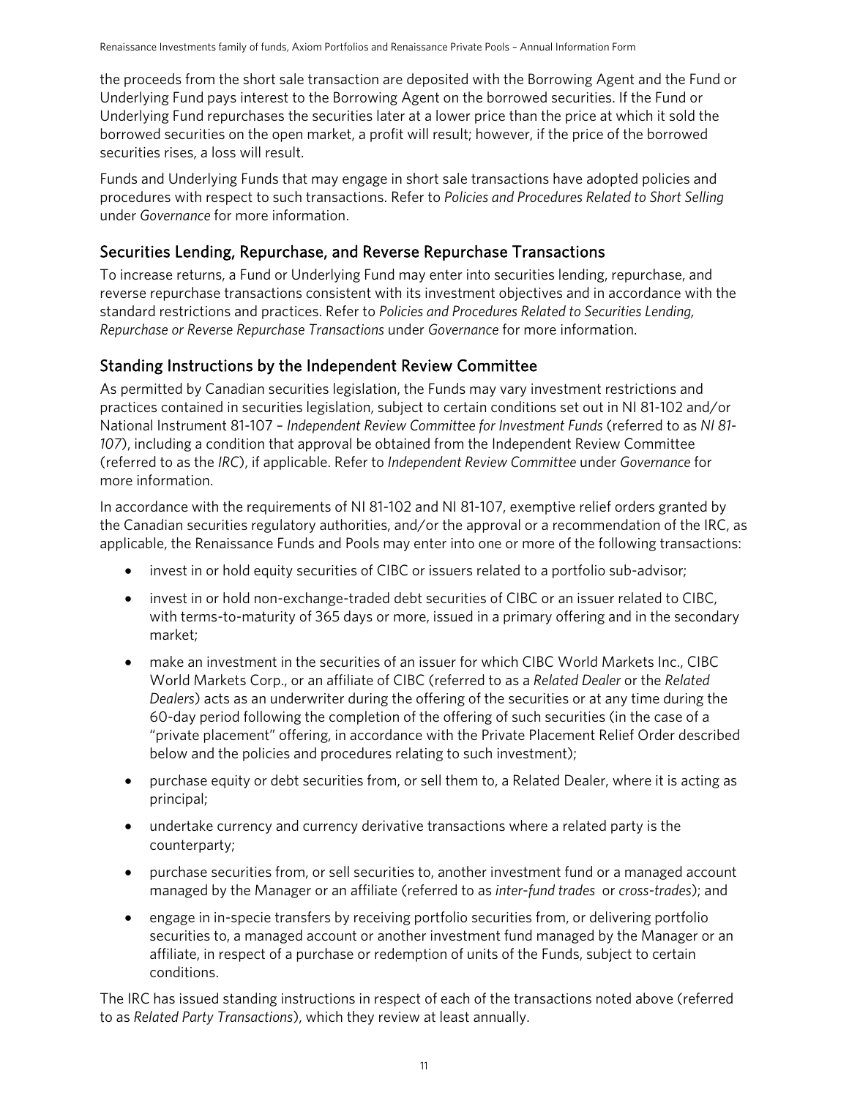the proceeds from the short sale transaction are deposited with the Borrowing Agent and the Fund or Underlying Fund pays interest to the Borrowing Agent on the borrowed securities. If the Fund or Underlying Fund repurchases the securities later at a lower price than the price at which it sold the borrowed securities on the open market, a profit will result; however, if the price of the borrowed securities rises, a loss will result.

Funds and Underlying Funds that may engage in short sale transactions have adopted policies and procedures with respect to such transactions. Refer to *Policies and Procedures Related to Short Selling* under *Governance* for more information.

### Securities Lending, Repurchase, and Reverse Repurchase Transactions

To increase returns, a Fund or Underlying Fund may enter into securities lending, repurchase, and reverse repurchase transactions consistent with its investment objectives and in accordance with the standard restrictions and practices. Refer to *Policies and Procedures Related to Securities Lending, Repurchase or Reverse Repurchase Transactions* under *Governance* for more information.

### Standing Instructions by the Independent Review Committee

As permitted by Canadian securities legislation, the Funds may vary investment restrictions and practices contained in securities legislation, subject to certain conditions set out in NI 81-102 and/or National Instrument 81-107 – *Independent Review Committee for Investment Funds* (referred to as *NI 81- 107*), including a condition that approval be obtained from the Independent Review Committee (referred to as the *IRC*), if applicable. Refer to *Independent Review Committee* under *Governance* for more information.

In accordance with the requirements of NI 81-102 and NI 81-107, exemptive relief orders granted by the Canadian securities regulatory authorities, and/or the approval or a recommendation of the IRC, as applicable, the Renaissance Funds and Pools may enter into one or more of the following transactions:

- invest in or hold equity securities of CIBC or issuers related to a portfolio sub-advisor;
- invest in or hold non-exchange-traded debt securities of CIBC or an issuer related to CIBC, with terms-to-maturity of 365 days or more, issued in a primary offering and in the secondary market;
- make an investment in the securities of an issuer for which CIBC World Markets Inc., CIBC World Markets Corp., or an affiliate of CIBC (referred to as a *Related Dealer* or the *Related Dealers*) acts as an underwriter during the offering of the securities or at any time during the 60-day period following the completion of the offering of such securities (in the case of a "private placement" offering, in accordance with the Private Placement Relief Order described below and the policies and procedures relating to such investment);
- purchase equity or debt securities from, or sell them to, a Related Dealer, where it is acting as principal;
- undertake currency and currency derivative transactions where a related party is the counterparty;
- purchase securities from, or sell securities to, another investment fund or a managed account managed by the Manager or an affiliate (referred to as *inter-fund trades* or *cross-trades*); and
- engage in in-specie transfers by receiving portfolio securities from, or delivering portfolio securities to, a managed account or another investment fund managed by the Manager or an affiliate, in respect of a purchase or redemption of units of the Funds, subject to certain conditions.

The IRC has issued standing instructions in respect of each of the transactions noted above (referred to as *Related Party Transactions*), which they review at least annually.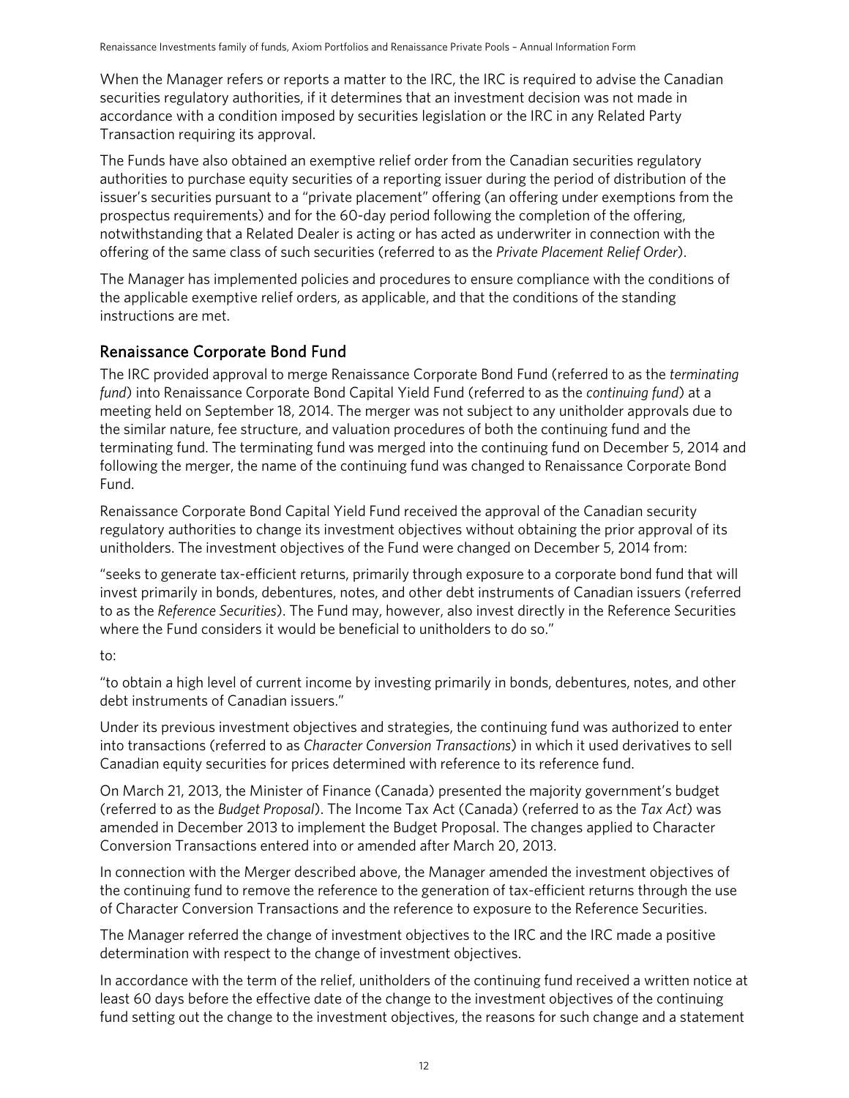When the Manager refers or reports a matter to the IRC, the IRC is required to advise the Canadian securities regulatory authorities, if it determines that an investment decision was not made in accordance with a condition imposed by securities legislation or the IRC in any Related Party Transaction requiring its approval.

The Funds have also obtained an exemptive relief order from the Canadian securities regulatory authorities to purchase equity securities of a reporting issuer during the period of distribution of the issuer's securities pursuant to a "private placement" offering (an offering under exemptions from the prospectus requirements) and for the 60-day period following the completion of the offering, notwithstanding that a Related Dealer is acting or has acted as underwriter in connection with the offering of the same class of such securities (referred to as the *Private Placement Relief Order*).

The Manager has implemented policies and procedures to ensure compliance with the conditions of the applicable exemptive relief orders, as applicable, and that the conditions of the standing instructions are met.

### Renaissance Corporate Bond Fund

The IRC provided approval to merge Renaissance Corporate Bond Fund (referred to as the *terminating fund*) into Renaissance Corporate Bond Capital Yield Fund (referred to as the *continuing fund*) at a meeting held on September 18, 2014. The merger was not subject to any unitholder approvals due to the similar nature, fee structure, and valuation procedures of both the continuing fund and the terminating fund. The terminating fund was merged into the continuing fund on December 5, 2014 and following the merger, the name of the continuing fund was changed to Renaissance Corporate Bond Fund.

Renaissance Corporate Bond Capital Yield Fund received the approval of the Canadian security regulatory authorities to change its investment objectives without obtaining the prior approval of its unitholders. The investment objectives of the Fund were changed on December 5, 2014 from:

"seeks to generate tax-efficient returns, primarily through exposure to a corporate bond fund that will invest primarily in bonds, debentures, notes, and other debt instruments of Canadian issuers (referred to as the *Reference Securities*). The Fund may, however, also invest directly in the Reference Securities where the Fund considers it would be beneficial to unitholders to do so."

### to:

"to obtain a high level of current income by investing primarily in bonds, debentures, notes, and other debt instruments of Canadian issuers."

Under its previous investment objectives and strategies, the continuing fund was authorized to enter into transactions (referred to as *Character Conversion Transactions*) in which it used derivatives to sell Canadian equity securities for prices determined with reference to its reference fund.

On March 21, 2013, the Minister of Finance (Canada) presented the majority government's budget (referred to as the *Budget Proposal*). The Income Tax Act (Canada) (referred to as the *Tax Act*) was amended in December 2013 to implement the Budget Proposal. The changes applied to Character Conversion Transactions entered into or amended after March 20, 2013.

In connection with the Merger described above, the Manager amended the investment objectives of the continuing fund to remove the reference to the generation of tax-efficient returns through the use of Character Conversion Transactions and the reference to exposure to the Reference Securities.

The Manager referred the change of investment objectives to the IRC and the IRC made a positive determination with respect to the change of investment objectives.

In accordance with the term of the relief, unitholders of the continuing fund received a written notice at least 60 days before the effective date of the change to the investment objectives of the continuing fund setting out the change to the investment objectives, the reasons for such change and a statement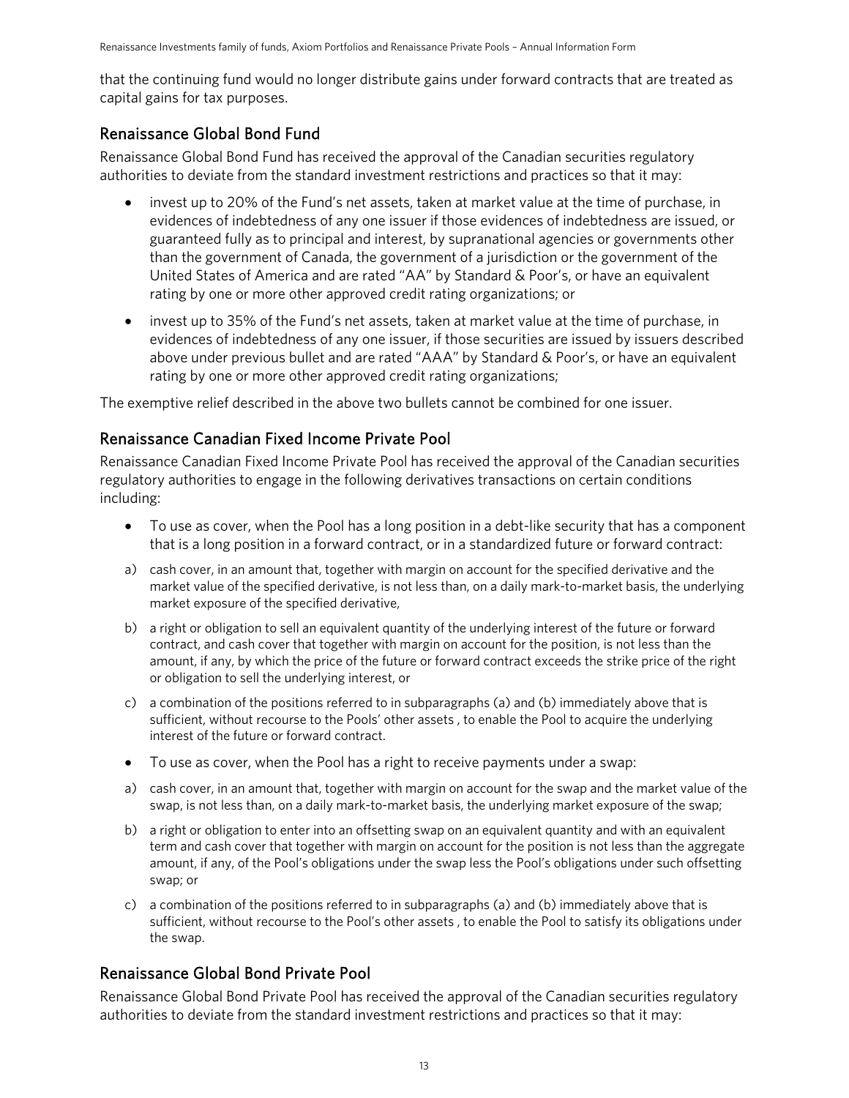that the continuing fund would no longer distribute gains under forward contracts that are treated as capital gains for tax purposes.

### Renaissance Global Bond Fund

Renaissance Global Bond Fund has received the approval of the Canadian securities regulatory authorities to deviate from the standard investment restrictions and practices so that it may:

- invest up to 20% of the Fund's net assets, taken at market value at the time of purchase, in evidences of indebtedness of any one issuer if those evidences of indebtedness are issued, or guaranteed fully as to principal and interest, by supranational agencies or governments other than the government of Canada, the government of a jurisdiction or the government of the United States of America and are rated "AA" by Standard & Poor's, or have an equivalent rating by one or more other approved credit rating organizations; or
- invest up to 35% of the Fund's net assets, taken at market value at the time of purchase, in evidences of indebtedness of any one issuer, if those securities are issued by issuers described above under previous bullet and are rated "AAA" by Standard & Poor's, or have an equivalent rating by one or more other approved credit rating organizations;

The exemptive relief described in the above two bullets cannot be combined for one issuer.

### Renaissance Canadian Fixed Income Private Pool

Renaissance Canadian Fixed Income Private Pool has received the approval of the Canadian securities regulatory authorities to engage in the following derivatives transactions on certain conditions including:

- To use as cover, when the Pool has a long position in a debt-like security that has a component that is a long position in a forward contract, or in a standardized future or forward contract:
- a) cash cover, in an amount that, together with margin on account for the specified derivative and the market value of the specified derivative, is not less than, on a daily mark-to-market basis, the underlying market exposure of the specified derivative,
- b) a right or obligation to sell an equivalent quantity of the underlying interest of the future or forward contract, and cash cover that together with margin on account for the position, is not less than the amount, if any, by which the price of the future or forward contract exceeds the strike price of the right or obligation to sell the underlying interest, or
- c) a combination of the positions referred to in subparagraphs (a) and (b) immediately above that is sufficient, without recourse to the Pools' other assets , to enable the Pool to acquire the underlying interest of the future or forward contract.
- To use as cover, when the Pool has a right to receive payments under a swap:
- a) cash cover, in an amount that, together with margin on account for the swap and the market value of the swap, is not less than, on a daily mark-to-market basis, the underlying market exposure of the swap;
- b) a right or obligation to enter into an offsetting swap on an equivalent quantity and with an equivalent term and cash cover that together with margin on account for the position is not less than the aggregate amount, if any, of the Pool's obligations under the swap less the Pool's obligations under such offsetting swap; or
- c) a combination of the positions referred to in subparagraphs (a) and (b) immediately above that is sufficient, without recourse to the Pool's other assets , to enable the Pool to satisfy its obligations under the swap.

### Renaissance Global Bond Private Pool

Renaissance Global Bond Private Pool has received the approval of the Canadian securities regulatory authorities to deviate from the standard investment restrictions and practices so that it may: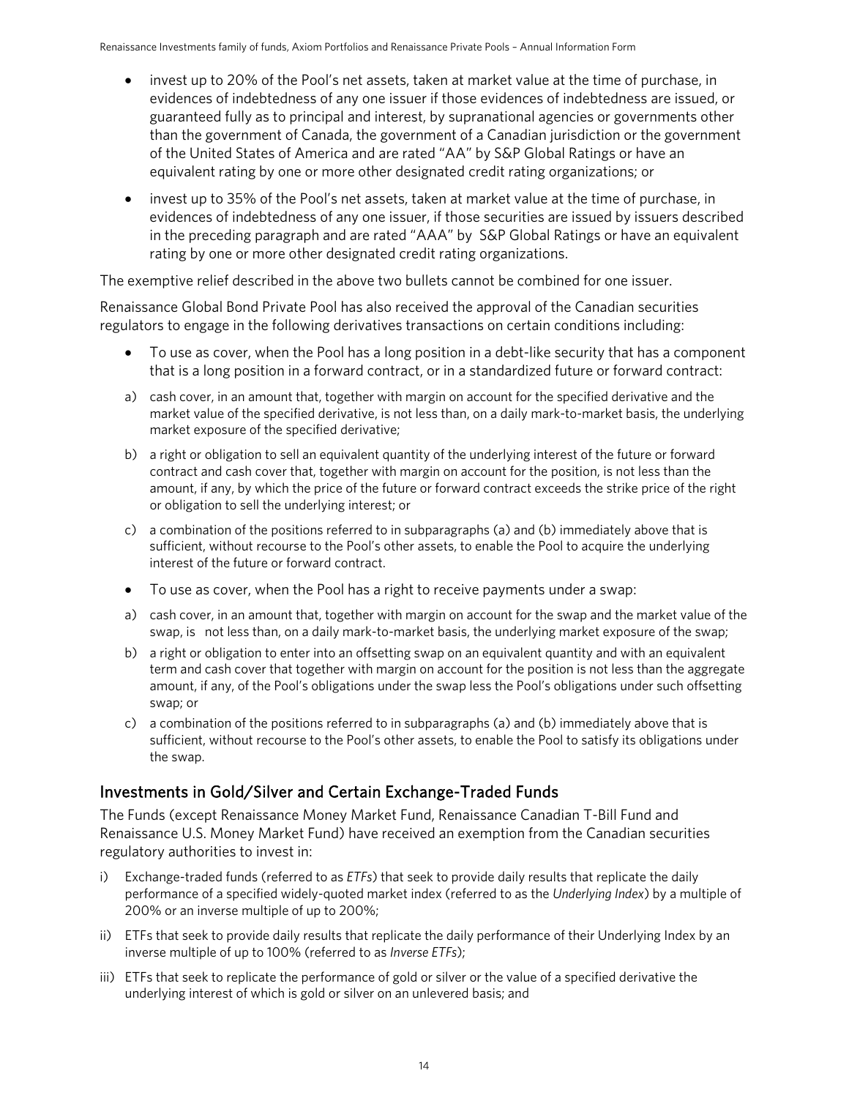- invest up to 20% of the Pool's net assets, taken at market value at the time of purchase, in evidences of indebtedness of any one issuer if those evidences of indebtedness are issued, or guaranteed fully as to principal and interest, by supranational agencies or governments other than the government of Canada, the government of a Canadian jurisdiction or the government of the United States of America and are rated "AA" by S&P Global Ratings or have an equivalent rating by one or more other designated credit rating organizations; or
- invest up to 35% of the Pool's net assets, taken at market value at the time of purchase, in evidences of indebtedness of any one issuer, if those securities are issued by issuers described in the preceding paragraph and are rated "AAA" by S&P Global Ratings or have an equivalent rating by one or more other designated credit rating organizations.

The exemptive relief described in the above two bullets cannot be combined for one issuer.

Renaissance Global Bond Private Pool has also received the approval of the Canadian securities regulators to engage in the following derivatives transactions on certain conditions including:

- To use as cover, when the Pool has a long position in a debt-like security that has a component that is a long position in a forward contract, or in a standardized future or forward contract:
- a) cash cover, in an amount that, together with margin on account for the specified derivative and the market value of the specified derivative, is not less than, on a daily mark-to-market basis, the underlying market exposure of the specified derivative;
- b) a right or obligation to sell an equivalent quantity of the underlying interest of the future or forward contract and cash cover that, together with margin on account for the position, is not less than the amount, if any, by which the price of the future or forward contract exceeds the strike price of the right or obligation to sell the underlying interest; or
- c) a combination of the positions referred to in subparagraphs (a) and (b) immediately above that is sufficient, without recourse to the Pool's other assets, to enable the Pool to acquire the underlying interest of the future or forward contract.
- To use as cover, when the Pool has a right to receive payments under a swap:
- a) cash cover, in an amount that, together with margin on account for the swap and the market value of the swap, is not less than, on a daily mark-to-market basis, the underlying market exposure of the swap;
- b) a right or obligation to enter into an offsetting swap on an equivalent quantity and with an equivalent term and cash cover that together with margin on account for the position is not less than the aggregate amount, if any, of the Pool's obligations under the swap less the Pool's obligations under such offsetting swap; or
- c) a combination of the positions referred to in subparagraphs (a) and (b) immediately above that is sufficient, without recourse to the Pool's other assets, to enable the Pool to satisfy its obligations under the swap.

### Investments in Gold/Silver and Certain Exchange-Traded Funds

The Funds (except Renaissance Money Market Fund, Renaissance Canadian T-Bill Fund and Renaissance U.S. Money Market Fund) have received an exemption from the Canadian securities regulatory authorities to invest in:

- i) Exchange-traded funds (referred to as *ETFs*) that seek to provide daily results that replicate the daily performance of a specified widely-quoted market index (referred to as the *Underlying Index*) by a multiple of 200% or an inverse multiple of up to 200%;
- ii) ETFs that seek to provide daily results that replicate the daily performance of their Underlying Index by an inverse multiple of up to 100% (referred to as *Inverse ETFs*);
- iii) ETFs that seek to replicate the performance of gold or silver or the value of a specified derivative the underlying interest of which is gold or silver on an unlevered basis; and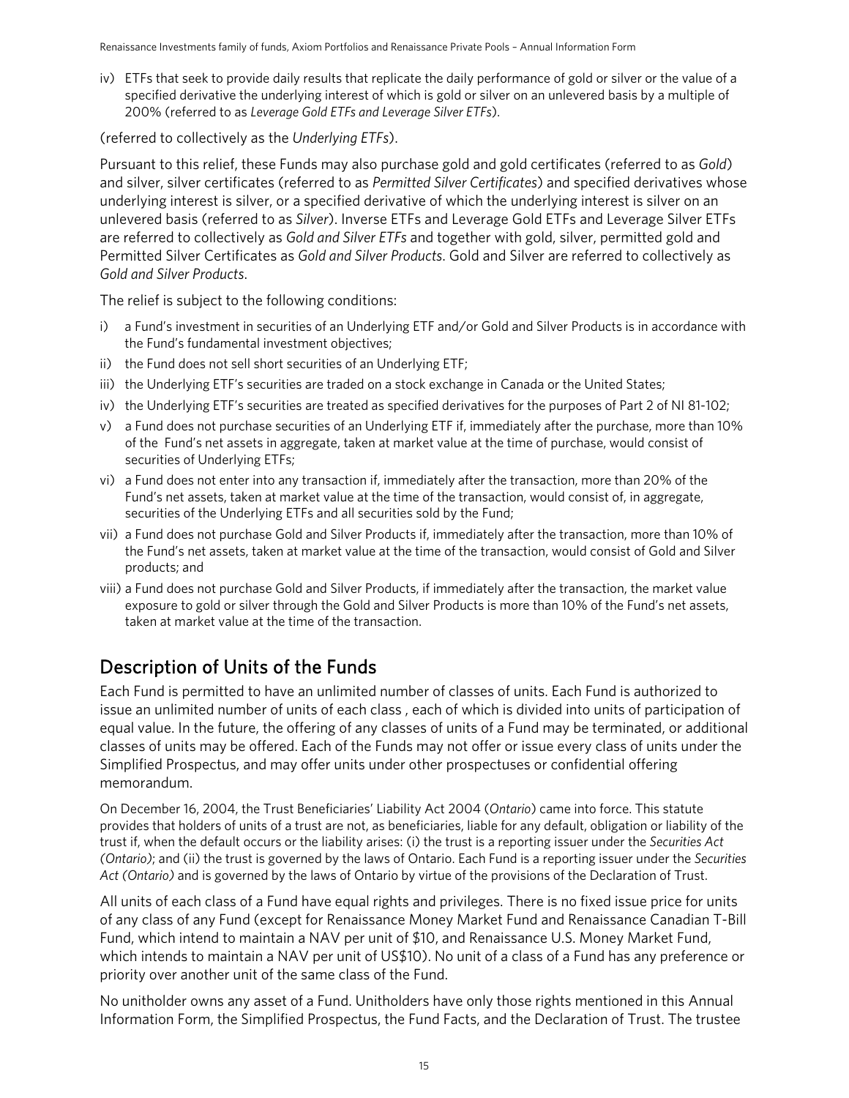iv) ETFs that seek to provide daily results that replicate the daily performance of gold or silver or the value of a specified derivative the underlying interest of which is gold or silver on an unlevered basis by a multiple of 200% (referred to as *Leverage Gold ETFs and Leverage Silver ETFs*).

(referred to collectively as the *Underlying ETFs*).

Pursuant to this relief, these Funds may also purchase gold and gold certificates (referred to as *Gold*) and silver, silver certificates (referred to as *Permitted Silver Certificates*) and specified derivatives whose underlying interest is silver, or a specified derivative of which the underlying interest is silver on an unlevered basis (referred to as *Silver*). Inverse ETFs and Leverage Gold ETFs and Leverage Silver ETFs are referred to collectively as *Gold and Silver ETFs* and together with gold, silver, permitted gold and Permitted Silver Certificates as *Gold and Silver Products*. Gold and Silver are referred to collectively as *Gold and Silver Products*.

The relief is subject to the following conditions:

- i) a Fund's investment in securities of an Underlying ETF and/or Gold and Silver Products is in accordance with the Fund's fundamental investment objectives;
- ii) the Fund does not sell short securities of an Underlying ETF;
- iii) the Underlying ETF's securities are traded on a stock exchange in Canada or the United States;
- iv) the Underlying ETF's securities are treated as specified derivatives for the purposes of Part 2 of NI 81-102;
- v) a Fund does not purchase securities of an Underlying ETF if, immediately after the purchase, more than 10% of the Fund's net assets in aggregate, taken at market value at the time of purchase, would consist of securities of Underlying ETFs;
- vi) a Fund does not enter into any transaction if, immediately after the transaction, more than 20% of the Fund's net assets, taken at market value at the time of the transaction, would consist of, in aggregate, securities of the Underlying ETFs and all securities sold by the Fund;
- vii) a Fund does not purchase Gold and Silver Products if, immediately after the transaction, more than 10% of the Fund's net assets, taken at market value at the time of the transaction, would consist of Gold and Silver products; and
- viii) a Fund does not purchase Gold and Silver Products, if immediately after the transaction, the market value exposure to gold or silver through the Gold and Silver Products is more than 10% of the Fund's net assets, taken at market value at the time of the transaction.

## <span id="page-14-0"></span>Description of Units of the Funds

Each Fund is permitted to have an unlimited number of classes of units. Each Fund is authorized to issue an unlimited number of units of each class , each of which is divided into units of participation of equal value. In the future, the offering of any classes of units of a Fund may be terminated, or additional classes of units may be offered. Each of the Funds may not offer or issue every class of units under the Simplified Prospectus, and may offer units under other prospectuses or confidential offering memorandum.

On December 16, 2004, the Trust Beneficiaries' Liability Act 2004 (*Ontario*) came into force. This statute provides that holders of units of a trust are not, as beneficiaries, liable for any default, obligation or liability of the trust if, when the default occurs or the liability arises: (i) the trust is a reporting issuer under the *Securities Act (Ontario)*; and (ii) the trust is governed by the laws of Ontario. Each Fund is a reporting issuer under the *Securities Act (Ontario)* and is governed by the laws of Ontario by virtue of the provisions of the Declaration of Trust.

All units of each class of a Fund have equal rights and privileges. There is no fixed issue price for units of any class of any Fund (except for Renaissance Money Market Fund and Renaissance Canadian T-Bill Fund, which intend to maintain a NAV per unit of \$10, and Renaissance U.S. Money Market Fund, which intends to maintain a NAV per unit of US\$10). No unit of a class of a Fund has any preference or priority over another unit of the same class of the Fund.

No unitholder owns any asset of a Fund. Unitholders have only those rights mentioned in this Annual Information Form, the Simplified Prospectus, the Fund Facts, and the Declaration of Trust. The trustee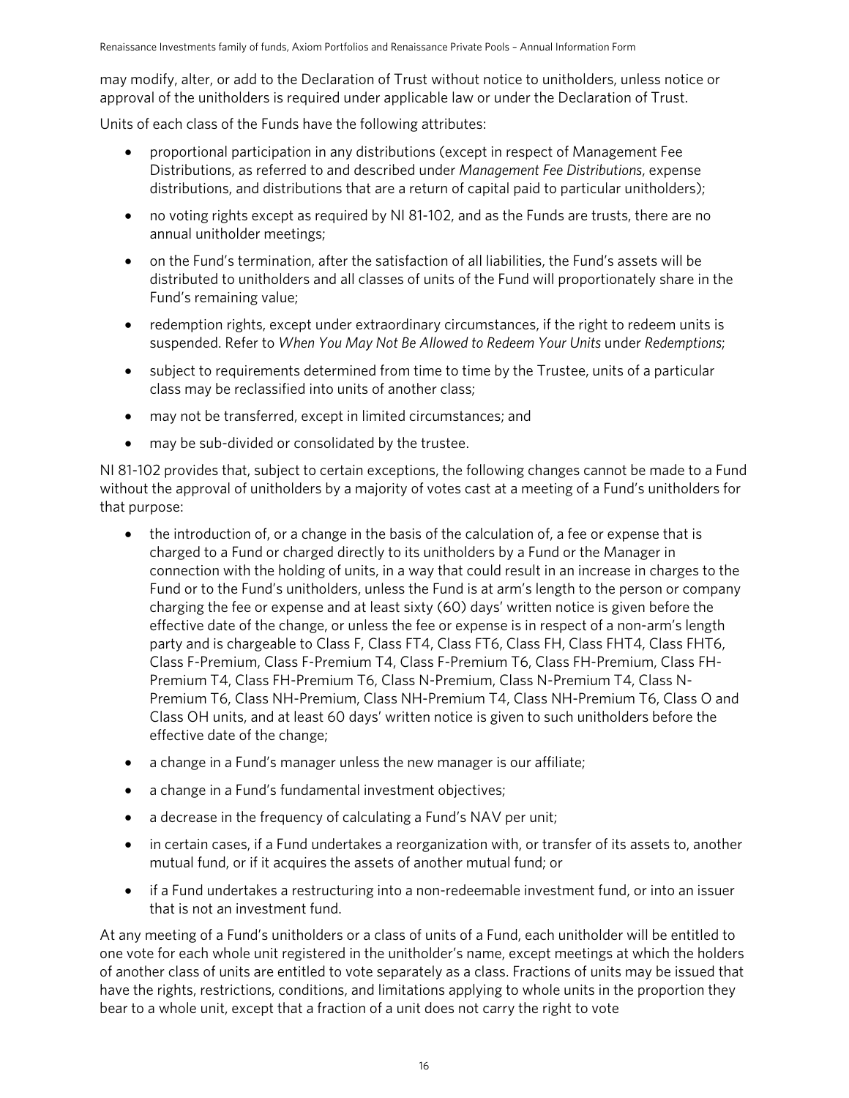may modify, alter, or add to the Declaration of Trust without notice to unitholders, unless notice or approval of the unitholders is required under applicable law or under the Declaration of Trust.

Units of each class of the Funds have the following attributes:

- proportional participation in any distributions (except in respect of Management Fee Distributions, as referred to and described under *Management Fee Distributions*, expense distributions, and distributions that are a return of capital paid to particular unitholders);
- no voting rights except as required by NI 81-102, and as the Funds are trusts, there are no annual unitholder meetings;
- on the Fund's termination, after the satisfaction of all liabilities, the Fund's assets will be distributed to unitholders and all classes of units of the Fund will proportionately share in the Fund's remaining value;
- redemption rights, except under extraordinary circumstances, if the right to redeem units is suspended. Refer to *When You May Not Be Allowed to Redeem Your Units* under *Redemptions*;
- subject to requirements determined from time to time by the Trustee, units of a particular class may be reclassified into units of another class;
- may not be transferred, except in limited circumstances; and
- may be sub-divided or consolidated by the trustee.

NI 81-102 provides that, subject to certain exceptions, the following changes cannot be made to a Fund without the approval of unitholders by a majority of votes cast at a meeting of a Fund's unitholders for that purpose:

- the introduction of, or a change in the basis of the calculation of, a fee or expense that is charged to a Fund or charged directly to its unitholders by a Fund or the Manager in connection with the holding of units, in a way that could result in an increase in charges to the Fund or to the Fund's unitholders, unless the Fund is at arm's length to the person or company charging the fee or expense and at least sixty (60) days' written notice is given before the effective date of the change, or unless the fee or expense is in respect of a non-arm's length party and is chargeable to Class F, Class FT4, Class FT6, Class FH, Class FHT4, Class FHT6, Class F-Premium, Class F-Premium T4, Class F-Premium T6, Class FH-Premium, Class FH-Premium T4, Class FH-Premium T6, Class N-Premium, Class N-Premium T4, Class N-Premium T6, Class NH-Premium, Class NH-Premium T4, Class NH-Premium T6, Class O and Class OH units, and at least 60 days' written notice is given to such unitholders before the effective date of the change;
- a change in a Fund's manager unless the new manager is our affiliate;
- a change in a Fund's fundamental investment objectives;
- a decrease in the frequency of calculating a Fund's NAV per unit;
- in certain cases, if a Fund undertakes a reorganization with, or transfer of its assets to, another mutual fund, or if it acquires the assets of another mutual fund; or
- if a Fund undertakes a restructuring into a non-redeemable investment fund, or into an issuer that is not an investment fund.

At any meeting of a Fund's unitholders or a class of units of a Fund, each unitholder will be entitled to one vote for each whole unit registered in the unitholder's name, except meetings at which the holders of another class of units are entitled to vote separately as a class. Fractions of units may be issued that have the rights, restrictions, conditions, and limitations applying to whole units in the proportion they bear to a whole unit, except that a fraction of a unit does not carry the right to vote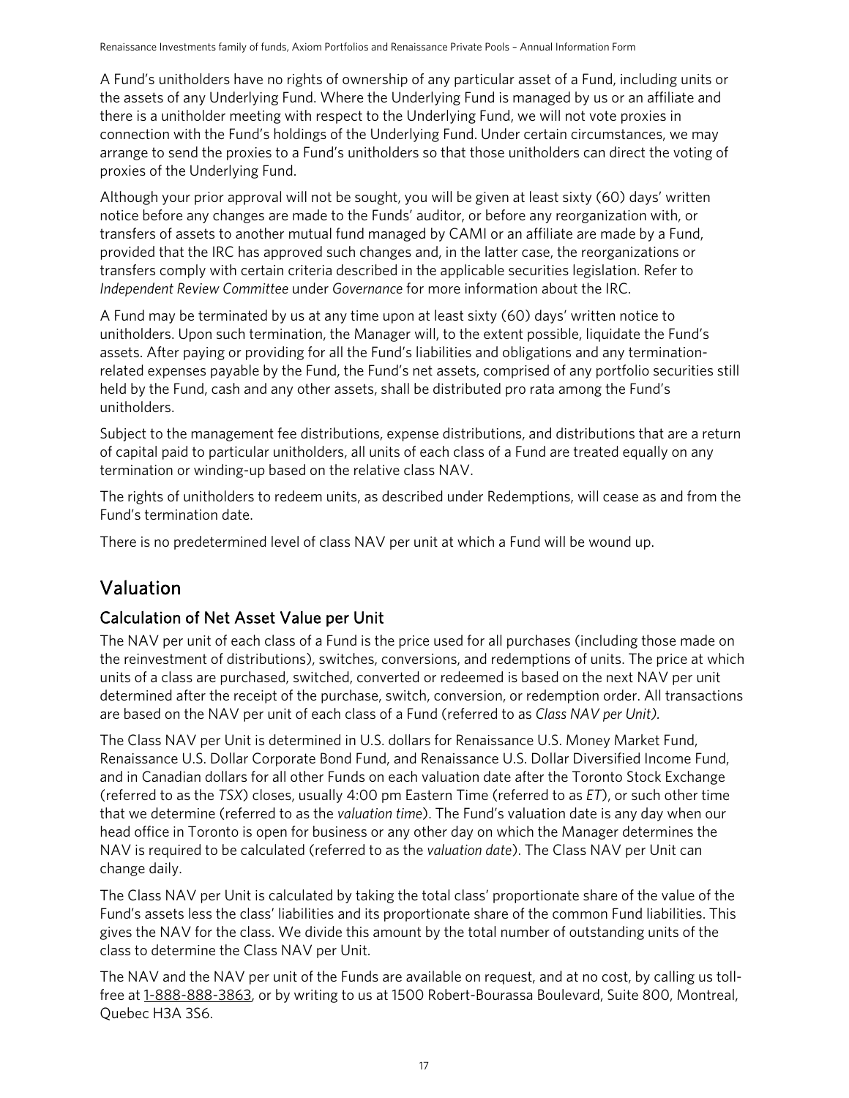A Fund's unitholders have no rights of ownership of any particular asset of a Fund, including units or the assets of any Underlying Fund. Where the Underlying Fund is managed by us or an affiliate and there is a unitholder meeting with respect to the Underlying Fund, we will not vote proxies in connection with the Fund's holdings of the Underlying Fund. Under certain circumstances, we may arrange to send the proxies to a Fund's unitholders so that those unitholders can direct the voting of proxies of the Underlying Fund.

Although your prior approval will not be sought, you will be given at least sixty (60) days' written notice before any changes are made to the Funds' auditor, or before any reorganization with, or transfers of assets to another mutual fund managed by CAMI or an affiliate are made by a Fund, provided that the IRC has approved such changes and, in the latter case, the reorganizations or transfers comply with certain criteria described in the applicable securities legislation. Refer to *Independent Review Committee* under *Governance* for more information about the IRC.

A Fund may be terminated by us at any time upon at least sixty (60) days' written notice to unitholders. Upon such termination, the Manager will, to the extent possible, liquidate the Fund's assets. After paying or providing for all the Fund's liabilities and obligations and any terminationrelated expenses payable by the Fund, the Fund's net assets, comprised of any portfolio securities still held by the Fund, cash and any other assets, shall be distributed pro rata among the Fund's unitholders.

Subject to the management fee distributions, expense distributions, and distributions that are a return of capital paid to particular unitholders, all units of each class of a Fund are treated equally on any termination or winding-up based on the relative class NAV.

The rights of unitholders to redeem units, as described under Redemptions, will cease as and from the Fund's termination date.

There is no predetermined level of class NAV per unit at which a Fund will be wound up.

## <span id="page-16-0"></span>Valuation

### Calculation of Net Asset Value per Unit

The NAV per unit of each class of a Fund is the price used for all purchases (including those made on the reinvestment of distributions), switches, conversions, and redemptions of units. The price at which units of a class are purchased, switched, converted or redeemed is based on the next NAV per unit determined after the receipt of the purchase, switch, conversion, or redemption order. All transactions are based on the NAV per unit of each class of a Fund (referred to as *Class NAV per Unit).*

The Class NAV per Unit is determined in U.S. dollars for Renaissance U.S. Money Market Fund, Renaissance U.S. Dollar Corporate Bond Fund, and Renaissance U.S. Dollar Diversified Income Fund, and in Canadian dollars for all other Funds on each valuation date after the Toronto Stock Exchange (referred to as the *TSX*) closes, usually 4:00 pm Eastern Time (referred to as *ET*), or such other time that we determine (referred to as the *valuation time*). The Fund's valuation date is any day when our head office in Toronto is open for business or any other day on which the Manager determines the NAV is required to be calculated (referred to as the *valuation date*). The Class NAV per Unit can change daily.

The Class NAV per Unit is calculated by taking the total class' proportionate share of the value of the Fund's assets less the class' liabilities and its proportionate share of the common Fund liabilities. This gives the NAV for the class. We divide this amount by the total number of outstanding units of the class to determine the Class NAV per Unit.

The NAV and the NAV per unit of the Funds are available on request, and at no cost, by calling us toll-free at [1-888-888-3863,](tel:1-888-888-3863) or by writing to us at 1500 Robert-Bourassa Boulevard, Suite 800, Montreal, Quebec H3A 3S6.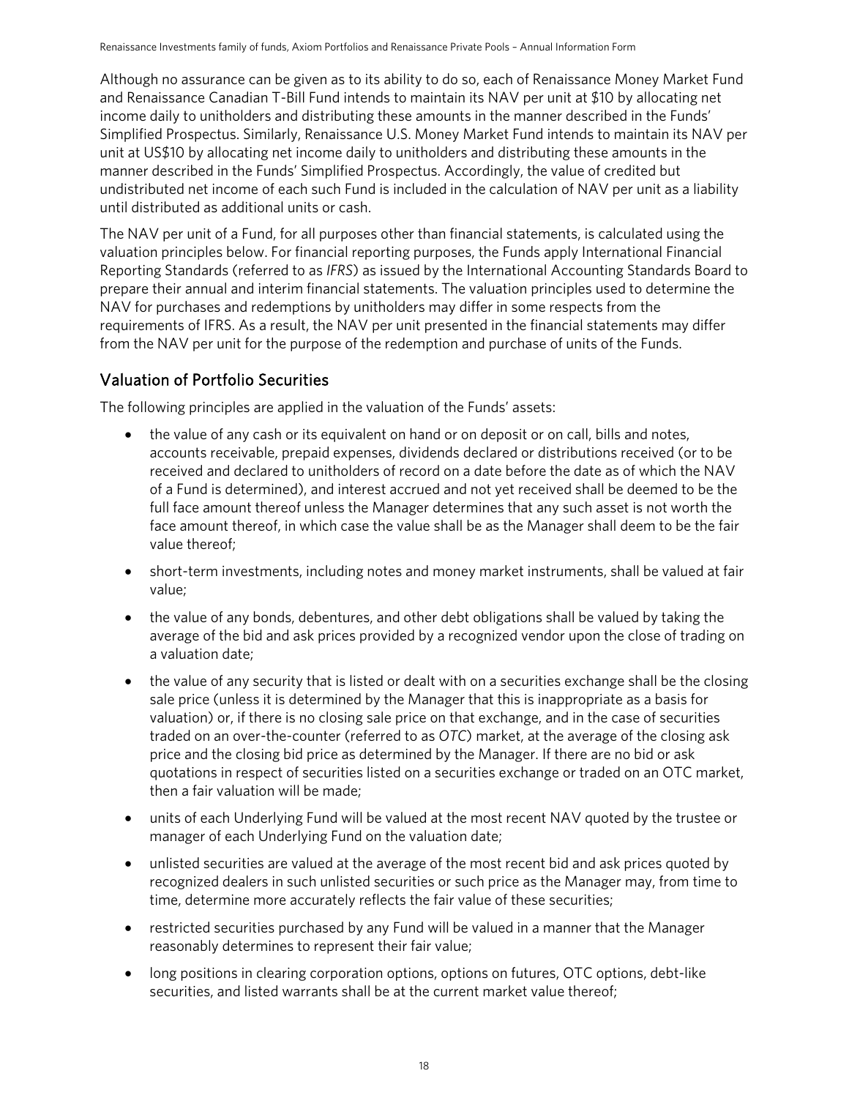Although no assurance can be given as to its ability to do so, each of Renaissance Money Market Fund and Renaissance Canadian T-Bill Fund intends to maintain its NAV per unit at \$10 by allocating net income daily to unitholders and distributing these amounts in the manner described in the Funds' Simplified Prospectus. Similarly, Renaissance U.S. Money Market Fund intends to maintain its NAV per unit at US\$10 by allocating net income daily to unitholders and distributing these amounts in the manner described in the Funds' Simplified Prospectus. Accordingly, the value of credited but undistributed net income of each such Fund is included in the calculation of NAV per unit as a liability until distributed as additional units or cash.

The NAV per unit of a Fund, for all purposes other than financial statements, is calculated using the valuation principles below. For financial reporting purposes, the Funds apply International Financial Reporting Standards (referred to as *IFRS*) as issued by the International Accounting Standards Board to prepare their annual and interim financial statements. The valuation principles used to determine the NAV for purchases and redemptions by unitholders may differ in some respects from the requirements of IFRS. As a result, the NAV per unit presented in the financial statements may differ from the NAV per unit for the purpose of the redemption and purchase of units of the Funds.

### Valuation of Portfolio Securities

The following principles are applied in the valuation of the Funds' assets:

- the value of any cash or its equivalent on hand or on deposit or on call, bills and notes, accounts receivable, prepaid expenses, dividends declared or distributions received (or to be received and declared to unitholders of record on a date before the date as of which the NAV of a Fund is determined), and interest accrued and not yet received shall be deemed to be the full face amount thereof unless the Manager determines that any such asset is not worth the face amount thereof, in which case the value shall be as the Manager shall deem to be the fair value thereof;
- short-term investments, including notes and money market instruments, shall be valued at fair value;
- the value of any bonds, debentures, and other debt obligations shall be valued by taking the average of the bid and ask prices provided by a recognized vendor upon the close of trading on a valuation date;
- the value of any security that is listed or dealt with on a securities exchange shall be the closing sale price (unless it is determined by the Manager that this is inappropriate as a basis for valuation) or, if there is no closing sale price on that exchange, and in the case of securities traded on an over-the-counter (referred to as *OTC*) market, at the average of the closing ask price and the closing bid price as determined by the Manager. If there are no bid or ask quotations in respect of securities listed on a securities exchange or traded on an OTC market, then a fair valuation will be made;
- units of each Underlying Fund will be valued at the most recent NAV quoted by the trustee or manager of each Underlying Fund on the valuation date;
- unlisted securities are valued at the average of the most recent bid and ask prices quoted by recognized dealers in such unlisted securities or such price as the Manager may, from time to time, determine more accurately reflects the fair value of these securities;
- restricted securities purchased by any Fund will be valued in a manner that the Manager reasonably determines to represent their fair value;
- long positions in clearing corporation options, options on futures, OTC options, debt-like securities, and listed warrants shall be at the current market value thereof;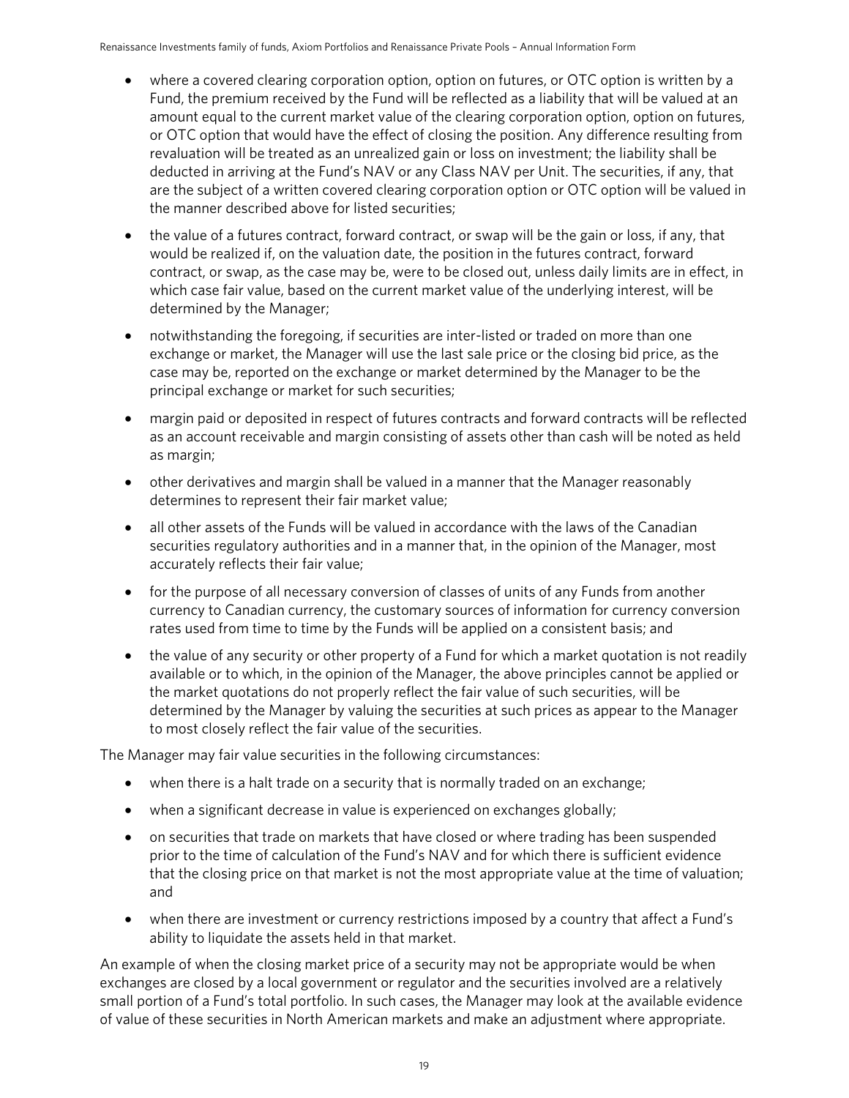- where a covered clearing corporation option, option on futures, or OTC option is written by a Fund, the premium received by the Fund will be reflected as a liability that will be valued at an amount equal to the current market value of the clearing corporation option, option on futures, or OTC option that would have the effect of closing the position. Any difference resulting from revaluation will be treated as an unrealized gain or loss on investment; the liability shall be deducted in arriving at the Fund's NAV or any Class NAV per Unit. The securities, if any, that are the subject of a written covered clearing corporation option or OTC option will be valued in the manner described above for listed securities;
- the value of a futures contract, forward contract, or swap will be the gain or loss, if any, that would be realized if, on the valuation date, the position in the futures contract, forward contract, or swap, as the case may be, were to be closed out, unless daily limits are in effect, in which case fair value, based on the current market value of the underlying interest, will be determined by the Manager;
- notwithstanding the foregoing, if securities are inter-listed or traded on more than one exchange or market, the Manager will use the last sale price or the closing bid price, as the case may be, reported on the exchange or market determined by the Manager to be the principal exchange or market for such securities;
- margin paid or deposited in respect of futures contracts and forward contracts will be reflected as an account receivable and margin consisting of assets other than cash will be noted as held as margin;
- other derivatives and margin shall be valued in a manner that the Manager reasonably determines to represent their fair market value;
- all other assets of the Funds will be valued in accordance with the laws of the Canadian securities regulatory authorities and in a manner that, in the opinion of the Manager, most accurately reflects their fair value;
- for the purpose of all necessary conversion of classes of units of any Funds from another currency to Canadian currency, the customary sources of information for currency conversion rates used from time to time by the Funds will be applied on a consistent basis; and
- the value of any security or other property of a Fund for which a market quotation is not readily available or to which, in the opinion of the Manager, the above principles cannot be applied or the market quotations do not properly reflect the fair value of such securities, will be determined by the Manager by valuing the securities at such prices as appear to the Manager to most closely reflect the fair value of the securities.

The Manager may fair value securities in the following circumstances:

- when there is a halt trade on a security that is normally traded on an exchange;
- when a significant decrease in value is experienced on exchanges globally;
- on securities that trade on markets that have closed or where trading has been suspended prior to the time of calculation of the Fund's NAV and for which there is sufficient evidence that the closing price on that market is not the most appropriate value at the time of valuation; and
- when there are investment or currency restrictions imposed by a country that affect a Fund's ability to liquidate the assets held in that market.

An example of when the closing market price of a security may not be appropriate would be when exchanges are closed by a local government or regulator and the securities involved are a relatively small portion of a Fund's total portfolio. In such cases, the Manager may look at the available evidence of value of these securities in North American markets and make an adjustment where appropriate.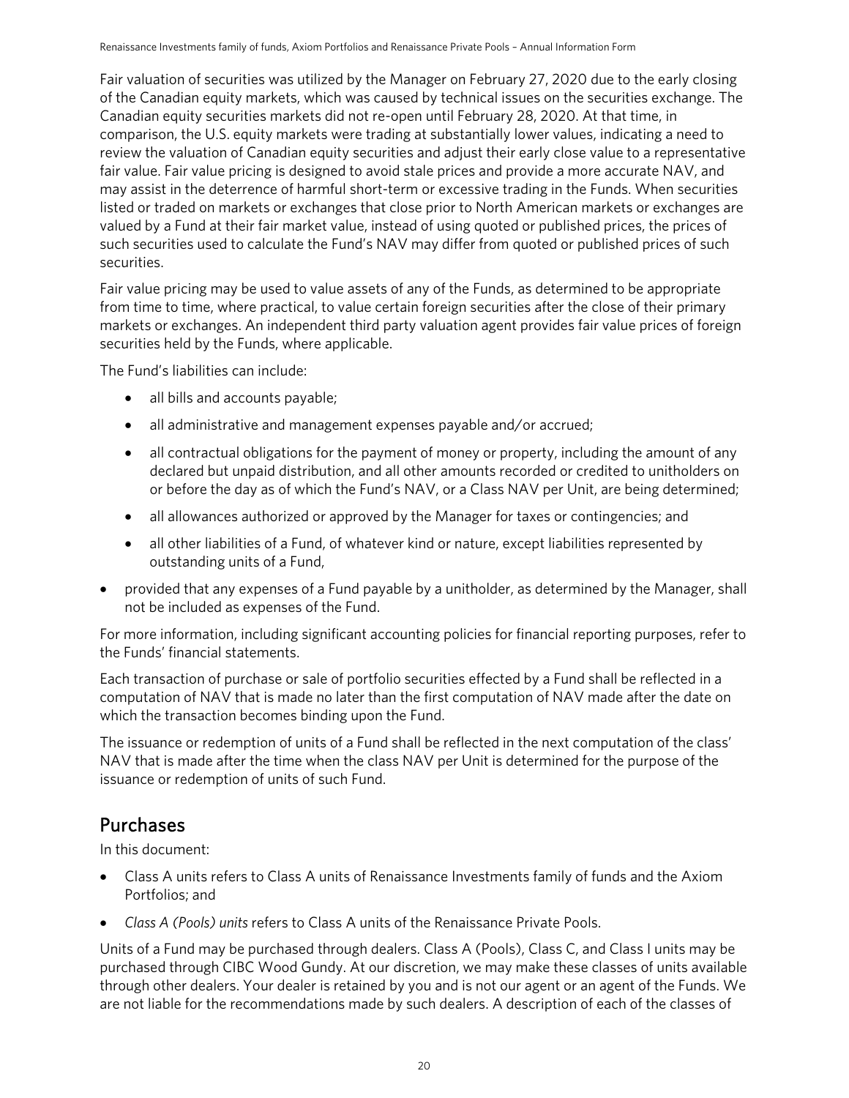Fair valuation of securities was utilized by the Manager on February 27, 2020 due to the early closing of the Canadian equity markets, which was caused by technical issues on the securities exchange. The Canadian equity securities markets did not re-open until February 28, 2020. At that time, in comparison, the U.S. equity markets were trading at substantially lower values, indicating a need to review the valuation of Canadian equity securities and adjust their early close value to a representative fair value. Fair value pricing is designed to avoid stale prices and provide a more accurate NAV, and may assist in the deterrence of harmful short-term or excessive trading in the Funds. When securities listed or traded on markets or exchanges that close prior to North American markets or exchanges are valued by a Fund at their fair market value, instead of using quoted or published prices, the prices of such securities used to calculate the Fund's NAV may differ from quoted or published prices of such securities.

Fair value pricing may be used to value assets of any of the Funds, as determined to be appropriate from time to time, where practical, to value certain foreign securities after the close of their primary markets or exchanges. An independent third party valuation agent provides fair value prices of foreign securities held by the Funds, where applicable.

The Fund's liabilities can include:

- all bills and accounts payable;
- all administrative and management expenses payable and/or accrued;
- all contractual obligations for the payment of money or property, including the amount of any declared but unpaid distribution, and all other amounts recorded or credited to unitholders on or before the day as of which the Fund's NAV, or a Class NAV per Unit, are being determined;
- all allowances authorized or approved by the Manager for taxes or contingencies; and
- all other liabilities of a Fund, of whatever kind or nature, except liabilities represented by outstanding units of a Fund,
- provided that any expenses of a Fund payable by a unitholder, as determined by the Manager, shall not be included as expenses of the Fund.

For more information, including significant accounting policies for financial reporting purposes, refer to the Funds' financial statements.

Each transaction of purchase or sale of portfolio securities effected by a Fund shall be reflected in a computation of NAV that is made no later than the first computation of NAV made after the date on which the transaction becomes binding upon the Fund.

The issuance or redemption of units of a Fund shall be reflected in the next computation of the class' NAV that is made after the time when the class NAV per Unit is determined for the purpose of the issuance or redemption of units of such Fund.

## <span id="page-19-0"></span>Purchases

In this document:

- Class A units refers to Class A units of Renaissance Investments family of funds and the Axiom Portfolios; and
- *Class A (Pools) units* refers to Class A units of the Renaissance Private Pools.

Units of a Fund may be purchased through dealers. Class A (Pools), Class C, and Class I units may be purchased through CIBC Wood Gundy. At our discretion, we may make these classes of units available through other dealers. Your dealer is retained by you and is not our agent or an agent of the Funds. We are not liable for the recommendations made by such dealers. A description of each of the classes of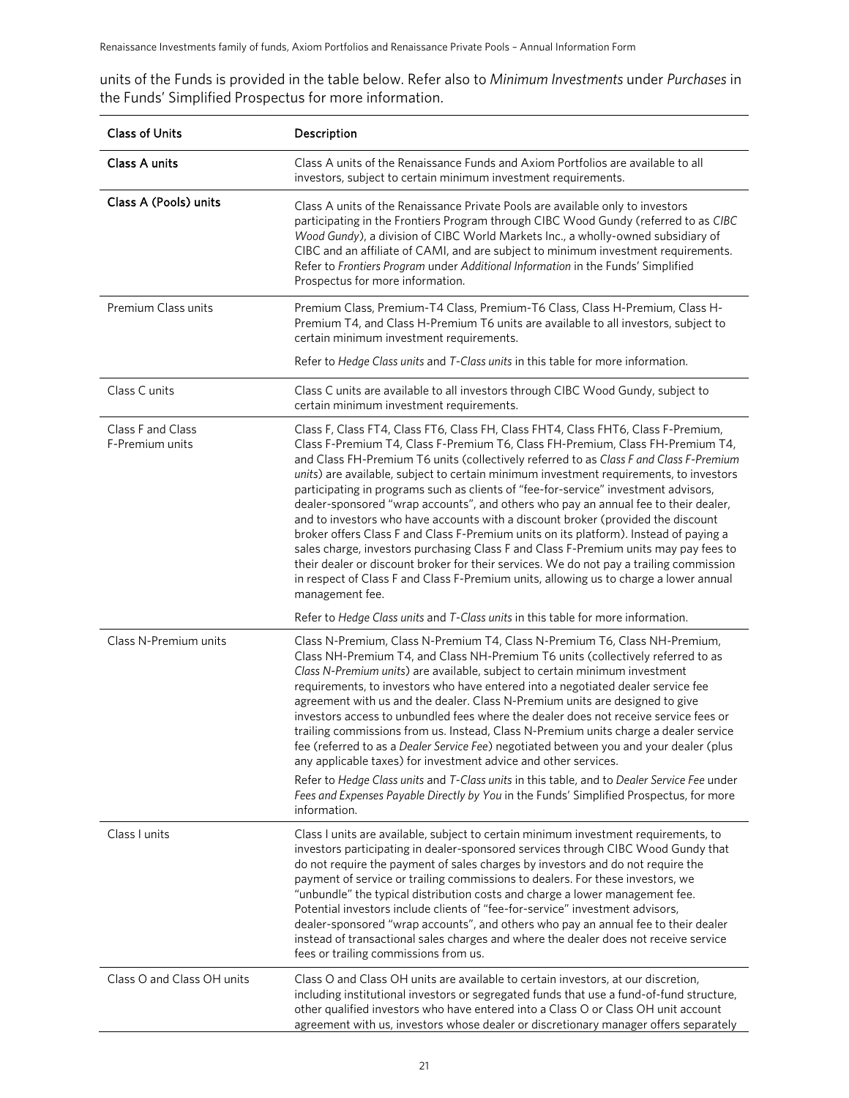units of the Funds is provided in the table below. Refer also to *Minimum Investments* under *Purchases* in the Funds' Simplified Prospectus for more information.

| <b>Class of Units</b>                | Description                                                                                                                                                                                                                                                                                                                                                                                                                                                                                                                                                                                                                                                                                                                                                                                                                                                                                                                                                                                                       |  |
|--------------------------------------|-------------------------------------------------------------------------------------------------------------------------------------------------------------------------------------------------------------------------------------------------------------------------------------------------------------------------------------------------------------------------------------------------------------------------------------------------------------------------------------------------------------------------------------------------------------------------------------------------------------------------------------------------------------------------------------------------------------------------------------------------------------------------------------------------------------------------------------------------------------------------------------------------------------------------------------------------------------------------------------------------------------------|--|
| Class A units                        | Class A units of the Renaissance Funds and Axiom Portfolios are available to all<br>investors, subject to certain minimum investment requirements.                                                                                                                                                                                                                                                                                                                                                                                                                                                                                                                                                                                                                                                                                                                                                                                                                                                                |  |
| Class A (Pools) units                | Class A units of the Renaissance Private Pools are available only to investors<br>participating in the Frontiers Program through CIBC Wood Gundy (referred to as CIBC<br>Wood Gundy), a division of CIBC World Markets Inc., a wholly-owned subsidiary of<br>CIBC and an affiliate of CAMI, and are subject to minimum investment requirements.<br>Refer to Frontiers Program under Additional Information in the Funds' Simplified<br>Prospectus for more information.                                                                                                                                                                                                                                                                                                                                                                                                                                                                                                                                           |  |
| Premium Class units                  | Premium Class, Premium-T4 Class, Premium-T6 Class, Class H-Premium, Class H-<br>Premium T4, and Class H-Premium T6 units are available to all investors, subject to<br>certain minimum investment requirements.                                                                                                                                                                                                                                                                                                                                                                                                                                                                                                                                                                                                                                                                                                                                                                                                   |  |
|                                      | Refer to Hedge Class units and T-Class units in this table for more information.                                                                                                                                                                                                                                                                                                                                                                                                                                                                                                                                                                                                                                                                                                                                                                                                                                                                                                                                  |  |
| Class C units                        | Class C units are available to all investors through CIBC Wood Gundy, subject to<br>certain minimum investment requirements.                                                                                                                                                                                                                                                                                                                                                                                                                                                                                                                                                                                                                                                                                                                                                                                                                                                                                      |  |
| Class F and Class<br>F-Premium units | Class F, Class FT4, Class FT6, Class FH, Class FHT4, Class FHT6, Class F-Premium,<br>Class F-Premium T4, Class F-Premium T6, Class FH-Premium, Class FH-Premium T4,<br>and Class FH-Premium T6 units (collectively referred to as Class F and Class F-Premium<br>units) are available, subject to certain minimum investment requirements, to investors<br>participating in programs such as clients of "fee-for-service" investment advisors,<br>dealer-sponsored "wrap accounts", and others who pay an annual fee to their dealer,<br>and to investors who have accounts with a discount broker (provided the discount<br>broker offers Class F and Class F-Premium units on its platform). Instead of paying a<br>sales charge, investors purchasing Class F and Class F-Premium units may pay fees to<br>their dealer or discount broker for their services. We do not pay a trailing commission<br>in respect of Class F and Class F-Premium units, allowing us to charge a lower annual<br>management fee. |  |
|                                      | Refer to Hedge Class units and T-Class units in this table for more information.                                                                                                                                                                                                                                                                                                                                                                                                                                                                                                                                                                                                                                                                                                                                                                                                                                                                                                                                  |  |
| Class N-Premium units                | Class N-Premium, Class N-Premium T4, Class N-Premium T6, Class NH-Premium,<br>Class NH-Premium T4, and Class NH-Premium T6 units (collectively referred to as<br>Class N-Premium units) are available, subject to certain minimum investment<br>requirements, to investors who have entered into a negotiated dealer service fee<br>agreement with us and the dealer. Class N-Premium units are designed to give<br>investors access to unbundled fees where the dealer does not receive service fees or<br>trailing commissions from us. Instead, Class N-Premium units charge a dealer service<br>fee (referred to as a Dealer Service Fee) negotiated between you and your dealer (plus<br>any applicable taxes) for investment advice and other services.                                                                                                                                                                                                                                                     |  |
|                                      | Refer to Hedge Class units and T-Class units in this table, and to Dealer Service Fee under<br>Fees and Expenses Payable Directly by You in the Funds' Simplified Prospectus, for more<br>information.                                                                                                                                                                                                                                                                                                                                                                                                                                                                                                                                                                                                                                                                                                                                                                                                            |  |
| Class I units                        | Class I units are available, subject to certain minimum investment requirements, to<br>investors participating in dealer-sponsored services through CIBC Wood Gundy that<br>do not require the payment of sales charges by investors and do not require the<br>payment of service or trailing commissions to dealers. For these investors, we<br>"unbundle" the typical distribution costs and charge a lower management fee.<br>Potential investors include clients of "fee-for-service" investment advisors,<br>dealer-sponsored "wrap accounts", and others who pay an annual fee to their dealer<br>instead of transactional sales charges and where the dealer does not receive service<br>fees or trailing commissions from us.                                                                                                                                                                                                                                                                             |  |
| Class O and Class OH units           | Class O and Class OH units are available to certain investors, at our discretion,<br>including institutional investors or segregated funds that use a fund-of-fund structure,<br>other qualified investors who have entered into a Class O or Class OH unit account<br>agreement with us, investors whose dealer or discretionary manager offers separately                                                                                                                                                                                                                                                                                                                                                                                                                                                                                                                                                                                                                                                       |  |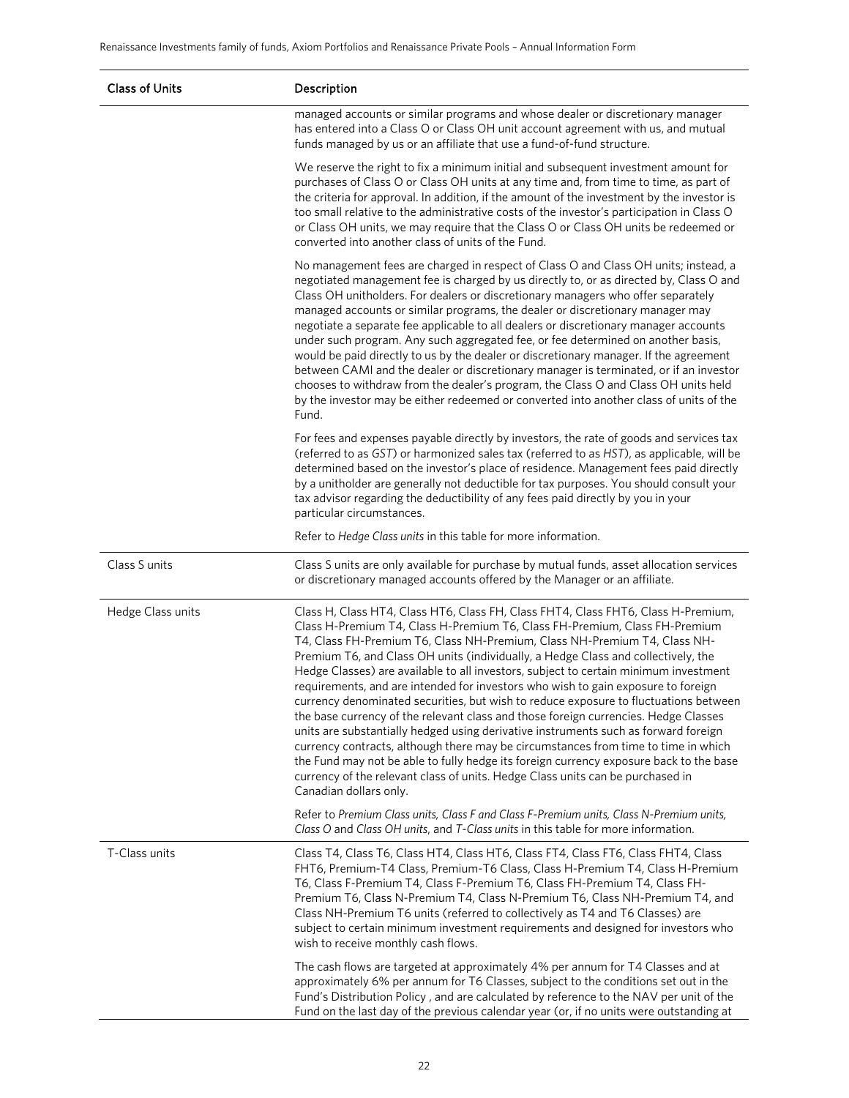| <b>Class of Units</b> | Description                                                                                                                                                                                                                                                                                                                                                                                                                                                                                                                                                                                                                                                                                                                                                                                                                                                                                                                                                                                                                                                                      |  |  |
|-----------------------|----------------------------------------------------------------------------------------------------------------------------------------------------------------------------------------------------------------------------------------------------------------------------------------------------------------------------------------------------------------------------------------------------------------------------------------------------------------------------------------------------------------------------------------------------------------------------------------------------------------------------------------------------------------------------------------------------------------------------------------------------------------------------------------------------------------------------------------------------------------------------------------------------------------------------------------------------------------------------------------------------------------------------------------------------------------------------------|--|--|
|                       | managed accounts or similar programs and whose dealer or discretionary manager<br>has entered into a Class O or Class OH unit account agreement with us, and mutual<br>funds managed by us or an affiliate that use a fund-of-fund structure.                                                                                                                                                                                                                                                                                                                                                                                                                                                                                                                                                                                                                                                                                                                                                                                                                                    |  |  |
|                       | We reserve the right to fix a minimum initial and subsequent investment amount for<br>purchases of Class O or Class OH units at any time and, from time to time, as part of<br>the criteria for approval. In addition, if the amount of the investment by the investor is<br>too small relative to the administrative costs of the investor's participation in Class O<br>or Class OH units, we may require that the Class O or Class OH units be redeemed or<br>converted into another class of units of the Fund.                                                                                                                                                                                                                                                                                                                                                                                                                                                                                                                                                              |  |  |
|                       | No management fees are charged in respect of Class O and Class OH units; instead, a<br>negotiated management fee is charged by us directly to, or as directed by, Class O and<br>Class OH unitholders. For dealers or discretionary managers who offer separately<br>managed accounts or similar programs, the dealer or discretionary manager may<br>negotiate a separate fee applicable to all dealers or discretionary manager accounts<br>under such program. Any such aggregated fee, or fee determined on another basis,<br>would be paid directly to us by the dealer or discretionary manager. If the agreement<br>between CAMI and the dealer or discretionary manager is terminated, or if an investor<br>chooses to withdraw from the dealer's program, the Class O and Class OH units held<br>by the investor may be either redeemed or converted into another class of units of the<br>Fund.                                                                                                                                                                        |  |  |
|                       | For fees and expenses payable directly by investors, the rate of goods and services tax<br>(referred to as GST) or harmonized sales tax (referred to as HST), as applicable, will be<br>determined based on the investor's place of residence. Management fees paid directly<br>by a unitholder are generally not deductible for tax purposes. You should consult your<br>tax advisor regarding the deductibility of any fees paid directly by you in your<br>particular circumstances.                                                                                                                                                                                                                                                                                                                                                                                                                                                                                                                                                                                          |  |  |
|                       | Refer to Hedge Class units in this table for more information.                                                                                                                                                                                                                                                                                                                                                                                                                                                                                                                                                                                                                                                                                                                                                                                                                                                                                                                                                                                                                   |  |  |
| Class S units         | Class S units are only available for purchase by mutual funds, asset allocation services<br>or discretionary managed accounts offered by the Manager or an affiliate.                                                                                                                                                                                                                                                                                                                                                                                                                                                                                                                                                                                                                                                                                                                                                                                                                                                                                                            |  |  |
| Hedge Class units     | Class H, Class HT4, Class HT6, Class FH, Class FHT4, Class FHT6, Class H-Premium,<br>Class H-Premium T4, Class H-Premium T6, Class FH-Premium, Class FH-Premium<br>T4, Class FH-Premium T6, Class NH-Premium, Class NH-Premium T4, Class NH-<br>Premium T6, and Class OH units (individually, a Hedge Class and collectively, the<br>Hedge Classes) are available to all investors, subject to certain minimum investment<br>requirements, and are intended for investors who wish to gain exposure to foreign<br>currency denominated securities, but wish to reduce exposure to fluctuations between<br>the base currency of the relevant class and those foreign currencies. Hedge Classes<br>units are substantially hedged using derivative instruments such as forward foreign<br>currency contracts, although there may be circumstances from time to time in which<br>the Fund may not be able to fully hedge its foreign currency exposure back to the base<br>currency of the relevant class of units. Hedge Class units can be purchased in<br>Canadian dollars only. |  |  |
|                       | Refer to Premium Class units, Class F and Class F-Premium units, Class N-Premium units,<br>Class O and Class OH units, and T-Class units in this table for more information.                                                                                                                                                                                                                                                                                                                                                                                                                                                                                                                                                                                                                                                                                                                                                                                                                                                                                                     |  |  |
| T-Class units         | Class T4, Class T6, Class HT4, Class HT6, Class FT4, Class FT6, Class FHT4, Class<br>FHT6, Premium-T4 Class, Premium-T6 Class, Class H-Premium T4, Class H-Premium<br>T6, Class F-Premium T4, Class F-Premium T6, Class FH-Premium T4, Class FH-<br>Premium T6, Class N-Premium T4, Class N-Premium T6, Class NH-Premium T4, and<br>Class NH-Premium T6 units (referred to collectively as T4 and T6 Classes) are<br>subject to certain minimum investment requirements and designed for investors who<br>wish to receive monthly cash flows.                                                                                                                                                                                                                                                                                                                                                                                                                                                                                                                                    |  |  |
|                       | The cash flows are targeted at approximately 4% per annum for T4 Classes and at<br>approximately 6% per annum for T6 Classes, subject to the conditions set out in the<br>Fund's Distribution Policy, and are calculated by reference to the NAV per unit of the<br>Fund on the last day of the previous calendar year (or, if no units were outstanding at                                                                                                                                                                                                                                                                                                                                                                                                                                                                                                                                                                                                                                                                                                                      |  |  |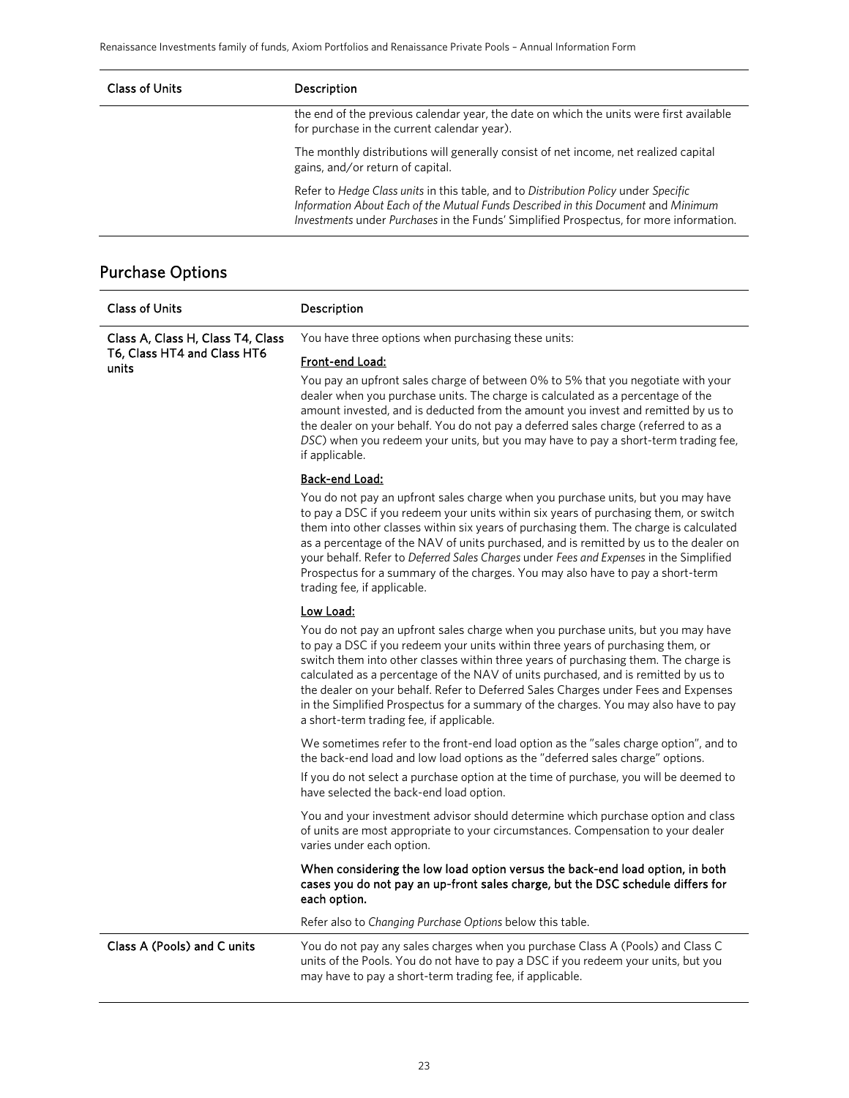| <b>Class of Units</b> | <b>Description</b>                                                                                                                                                                                                                                                 |
|-----------------------|--------------------------------------------------------------------------------------------------------------------------------------------------------------------------------------------------------------------------------------------------------------------|
|                       | the end of the previous calendar year, the date on which the units were first available<br>for purchase in the current calendar year).                                                                                                                             |
|                       | The monthly distributions will generally consist of net income, net realized capital<br>gains, and/or return of capital.                                                                                                                                           |
|                       | Refer to Hedge Class units in this table, and to Distribution Policy under Specific<br>Information About Each of the Mutual Funds Described in this Document and Minimum<br>Investments under Purchases in the Funds' Simplified Prospectus, for more information. |

## Purchase Options

| <b>Class of Units</b>                | Description                                                                                                                                                                                                                                                                                                                                                                                                                                                                                                                                                               |  |
|--------------------------------------|---------------------------------------------------------------------------------------------------------------------------------------------------------------------------------------------------------------------------------------------------------------------------------------------------------------------------------------------------------------------------------------------------------------------------------------------------------------------------------------------------------------------------------------------------------------------------|--|
| Class A, Class H, Class T4, Class    | You have three options when purchasing these units:                                                                                                                                                                                                                                                                                                                                                                                                                                                                                                                       |  |
| T6, Class HT4 and Class HT6<br>units | Front-end Load:                                                                                                                                                                                                                                                                                                                                                                                                                                                                                                                                                           |  |
|                                      | You pay an upfront sales charge of between 0% to 5% that you negotiate with your<br>dealer when you purchase units. The charge is calculated as a percentage of the<br>amount invested, and is deducted from the amount you invest and remitted by us to<br>the dealer on your behalf. You do not pay a deferred sales charge (referred to as a<br>DSC) when you redeem your units, but you may have to pay a short-term trading fee,<br>if applicable.                                                                                                                   |  |
|                                      | Back-end Load:                                                                                                                                                                                                                                                                                                                                                                                                                                                                                                                                                            |  |
|                                      | You do not pay an upfront sales charge when you purchase units, but you may have<br>to pay a DSC if you redeem your units within six years of purchasing them, or switch<br>them into other classes within six years of purchasing them. The charge is calculated<br>as a percentage of the NAV of units purchased, and is remitted by us to the dealer on<br>your behalf. Refer to Deferred Sales Charges under Fees and Expenses in the Simplified<br>Prospectus for a summary of the charges. You may also have to pay a short-term<br>trading fee, if applicable.     |  |
|                                      | <u>Low Load:</u>                                                                                                                                                                                                                                                                                                                                                                                                                                                                                                                                                          |  |
|                                      | You do not pay an upfront sales charge when you purchase units, but you may have<br>to pay a DSC if you redeem your units within three years of purchasing them, or<br>switch them into other classes within three years of purchasing them. The charge is<br>calculated as a percentage of the NAV of units purchased, and is remitted by us to<br>the dealer on your behalf. Refer to Deferred Sales Charges under Fees and Expenses<br>in the Simplified Prospectus for a summary of the charges. You may also have to pay<br>a short-term trading fee, if applicable. |  |
|                                      | We sometimes refer to the front-end load option as the "sales charge option", and to<br>the back-end load and low load options as the "deferred sales charge" options.<br>If you do not select a purchase option at the time of purchase, you will be deemed to<br>have selected the back-end load option.                                                                                                                                                                                                                                                                |  |
|                                      | You and your investment advisor should determine which purchase option and class<br>of units are most appropriate to your circumstances. Compensation to your dealer<br>varies under each option.                                                                                                                                                                                                                                                                                                                                                                         |  |
|                                      | When considering the low load option versus the back-end load option, in both<br>cases you do not pay an up-front sales charge, but the DSC schedule differs for<br>each option.                                                                                                                                                                                                                                                                                                                                                                                          |  |
|                                      | Refer also to Changing Purchase Options below this table.                                                                                                                                                                                                                                                                                                                                                                                                                                                                                                                 |  |
| Class A (Pools) and C units          | You do not pay any sales charges when you purchase Class A (Pools) and Class C<br>units of the Pools. You do not have to pay a DSC if you redeem your units, but you<br>may have to pay a short-term trading fee, if applicable.                                                                                                                                                                                                                                                                                                                                          |  |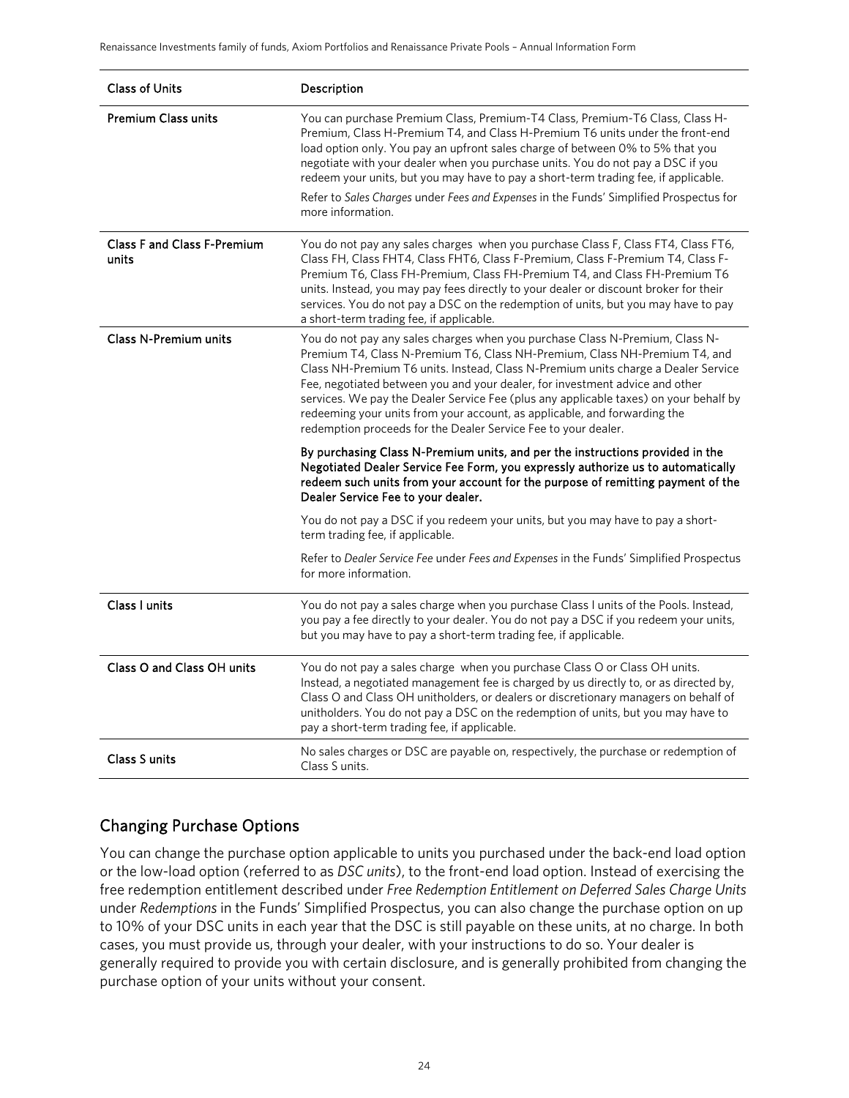| <b>Class of Units</b>                       | Description                                                                                                                                                                                                                                                                                                                                                                                                                                                                                                                                                             |
|---------------------------------------------|-------------------------------------------------------------------------------------------------------------------------------------------------------------------------------------------------------------------------------------------------------------------------------------------------------------------------------------------------------------------------------------------------------------------------------------------------------------------------------------------------------------------------------------------------------------------------|
| <b>Premium Class units</b>                  | You can purchase Premium Class, Premium-T4 Class, Premium-T6 Class, Class H-<br>Premium, Class H-Premium T4, and Class H-Premium T6 units under the front-end<br>load option only. You pay an upfront sales charge of between 0% to 5% that you<br>negotiate with your dealer when you purchase units. You do not pay a DSC if you<br>redeem your units, but you may have to pay a short-term trading fee, if applicable.<br>Refer to Sales Charges under Fees and Expenses in the Funds' Simplified Prospectus for<br>more information.                                |
| <b>Class F and Class F-Premium</b><br>units | You do not pay any sales charges when you purchase Class F, Class FT4, Class FT6,<br>Class FH, Class FHT4, Class FHT6, Class F-Premium, Class F-Premium T4, Class F-<br>Premium T6, Class FH-Premium, Class FH-Premium T4, and Class FH-Premium T6<br>units. Instead, you may pay fees directly to your dealer or discount broker for their<br>services. You do not pay a DSC on the redemption of units, but you may have to pay<br>a short-term trading fee, if applicable.                                                                                           |
| <b>Class N-Premium units</b>                | You do not pay any sales charges when you purchase Class N-Premium, Class N-<br>Premium T4, Class N-Premium T6, Class NH-Premium, Class NH-Premium T4, and<br>Class NH-Premium T6 units. Instead, Class N-Premium units charge a Dealer Service<br>Fee, negotiated between you and your dealer, for investment advice and other<br>services. We pay the Dealer Service Fee (plus any applicable taxes) on your behalf by<br>redeeming your units from your account, as applicable, and forwarding the<br>redemption proceeds for the Dealer Service Fee to your dealer. |
|                                             | By purchasing Class N-Premium units, and per the instructions provided in the<br>Negotiated Dealer Service Fee Form, you expressly authorize us to automatically<br>redeem such units from your account for the purpose of remitting payment of the<br>Dealer Service Fee to your dealer.                                                                                                                                                                                                                                                                               |
|                                             | You do not pay a DSC if you redeem your units, but you may have to pay a short-<br>term trading fee, if applicable.                                                                                                                                                                                                                                                                                                                                                                                                                                                     |
|                                             | Refer to Dealer Service Fee under Fees and Expenses in the Funds' Simplified Prospectus<br>for more information.                                                                                                                                                                                                                                                                                                                                                                                                                                                        |
| Class I units                               | You do not pay a sales charge when you purchase Class I units of the Pools. Instead,<br>you pay a fee directly to your dealer. You do not pay a DSC if you redeem your units,<br>but you may have to pay a short-term trading fee, if applicable.                                                                                                                                                                                                                                                                                                                       |
| Class O and Class OH units                  | You do not pay a sales charge when you purchase Class O or Class OH units.<br>Instead, a negotiated management fee is charged by us directly to, or as directed by,<br>Class O and Class OH unitholders, or dealers or discretionary managers on behalf of<br>unitholders. You do not pay a DSC on the redemption of units, but you may have to<br>pay a short-term trading fee, if applicable.                                                                                                                                                                         |
| Class S units                               | No sales charges or DSC are payable on, respectively, the purchase or redemption of<br>Class S units.                                                                                                                                                                                                                                                                                                                                                                                                                                                                   |

### Changing Purchase Options

You can change the purchase option applicable to units you purchased under the back-end load option or the low-load option (referred to as *DSC units*), to the front-end load option. Instead of exercising the free redemption entitlement described under *Free Redemption Entitlement on Deferred Sales Charge Units* under *Redemptions* in the Funds' Simplified Prospectus, you can also change the purchase option on up to 10% of your DSC units in each year that the DSC is still payable on these units, at no charge. In both cases, you must provide us, through your dealer, with your instructions to do so. Your dealer is generally required to provide you with certain disclosure, and is generally prohibited from changing the purchase option of your units without your consent.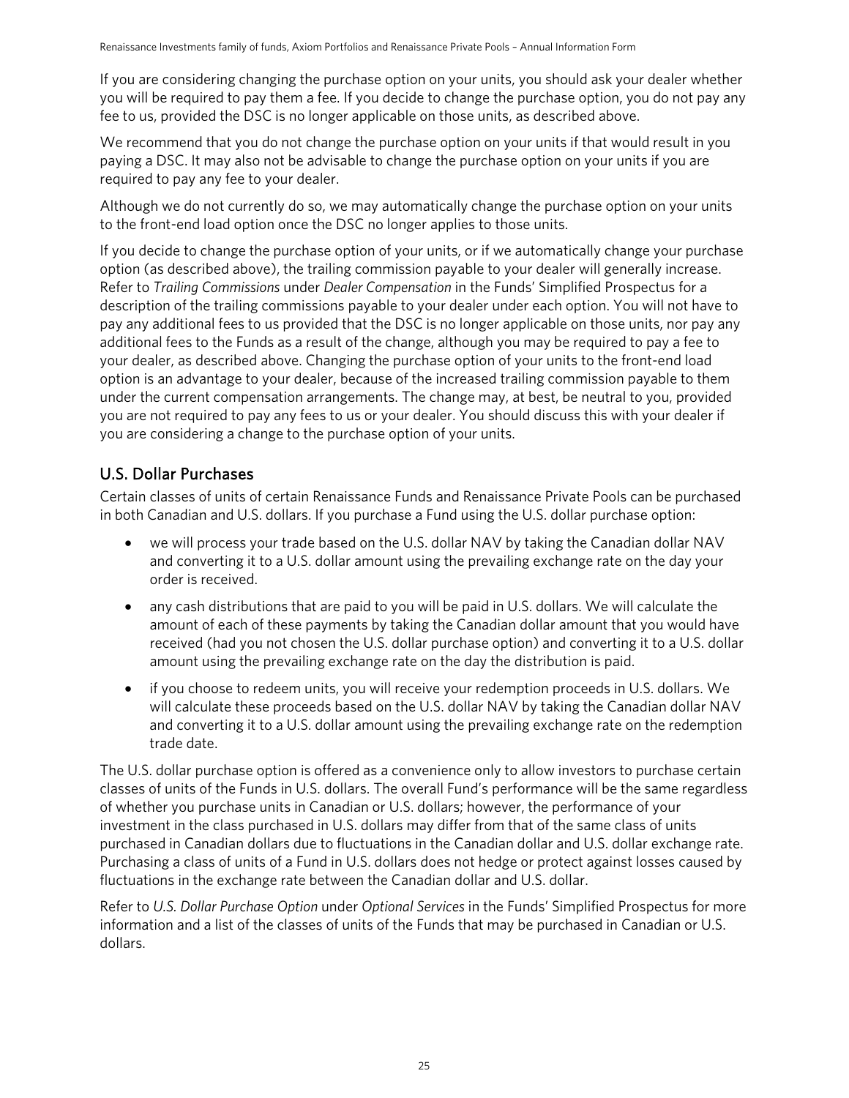If you are considering changing the purchase option on your units, you should ask your dealer whether you will be required to pay them a fee. If you decide to change the purchase option, you do not pay any fee to us, provided the DSC is no longer applicable on those units, as described above.

We recommend that you do not change the purchase option on your units if that would result in you paying a DSC. It may also not be advisable to change the purchase option on your units if you are required to pay any fee to your dealer.

Although we do not currently do so, we may automatically change the purchase option on your units to the front-end load option once the DSC no longer applies to those units.

If you decide to change the purchase option of your units, or if we automatically change your purchase option (as described above), the trailing commission payable to your dealer will generally increase. Refer to *Trailing Commissions* under *Dealer Compensation* in the Funds' Simplified Prospectus for a description of the trailing commissions payable to your dealer under each option. You will not have to pay any additional fees to us provided that the DSC is no longer applicable on those units, nor pay any additional fees to the Funds as a result of the change, although you may be required to pay a fee to your dealer, as described above. Changing the purchase option of your units to the front-end load option is an advantage to your dealer, because of the increased trailing commission payable to them under the current compensation arrangements. The change may, at best, be neutral to you, provided you are not required to pay any fees to us or your dealer. You should discuss this with your dealer if you are considering a change to the purchase option of your units.

### U.S. Dollar Purchases

Certain classes of units of certain Renaissance Funds and Renaissance Private Pools can be purchased in both Canadian and U.S. dollars. If you purchase a Fund using the U.S. dollar purchase option:

- we will process your trade based on the U.S. dollar NAV by taking the Canadian dollar NAV and converting it to a U.S. dollar amount using the prevailing exchange rate on the day your order is received.
- any cash distributions that are paid to you will be paid in U.S. dollars. We will calculate the amount of each of these payments by taking the Canadian dollar amount that you would have received (had you not chosen the U.S. dollar purchase option) and converting it to a U.S. dollar amount using the prevailing exchange rate on the day the distribution is paid.
- if you choose to redeem units, you will receive your redemption proceeds in U.S. dollars. We will calculate these proceeds based on the U.S. dollar NAV by taking the Canadian dollar NAV and converting it to a U.S. dollar amount using the prevailing exchange rate on the redemption trade date.

The U.S. dollar purchase option is offered as a convenience only to allow investors to purchase certain classes of units of the Funds in U.S. dollars. The overall Fund's performance will be the same regardless of whether you purchase units in Canadian or U.S. dollars; however, the performance of your investment in the class purchased in U.S. dollars may differ from that of the same class of units purchased in Canadian dollars due to fluctuations in the Canadian dollar and U.S. dollar exchange rate. Purchasing a class of units of a Fund in U.S. dollars does not hedge or protect against losses caused by fluctuations in the exchange rate between the Canadian dollar and U.S. dollar.

Refer to *U.S. Dollar Purchase Option* under *Optional Services* in the Funds' Simplified Prospectus for more information and a list of the classes of units of the Funds that may be purchased in Canadian or U.S. dollars.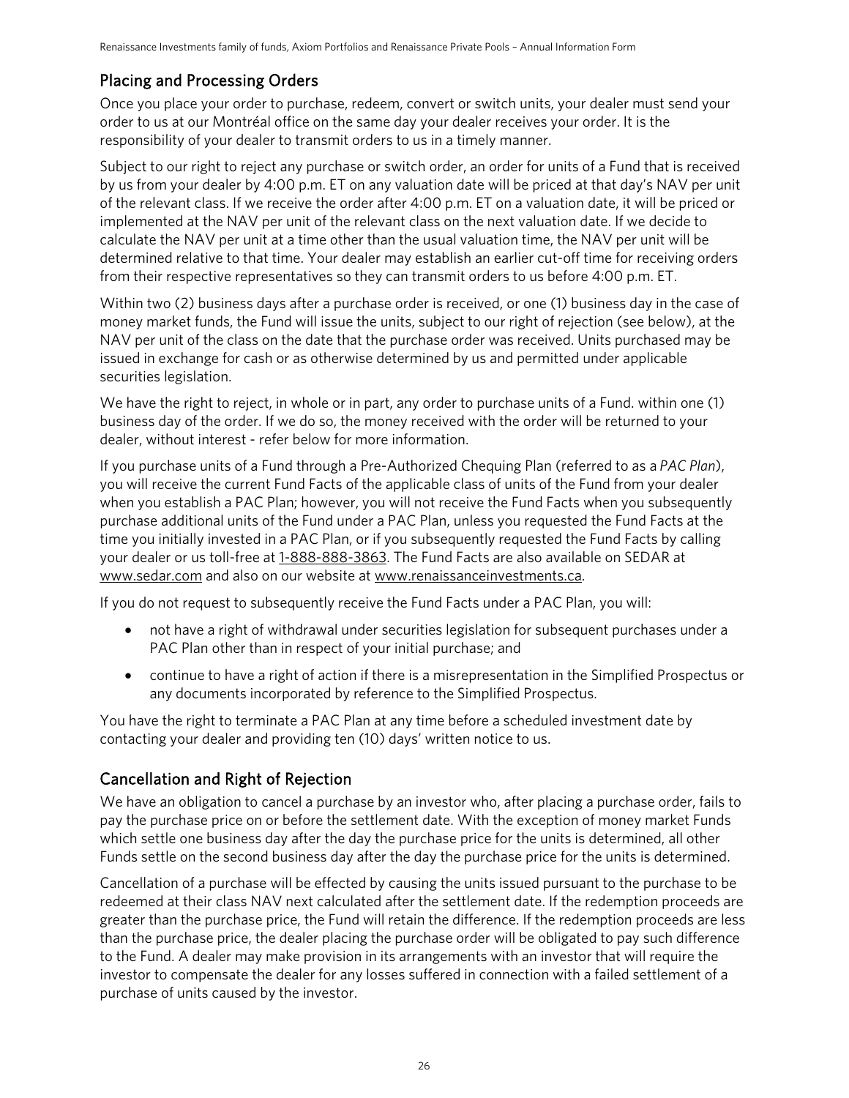### Placing and Processing Orders

Once you place your order to purchase, redeem, convert or switch units, your dealer must send your order to us at our Montréal office on the same day your dealer receives your order. It is the responsibility of your dealer to transmit orders to us in a timely manner.

Subject to our right to reject any purchase or switch order, an order for units of a Fund that is received by us from your dealer by 4:00 p.m. ET on any valuation date will be priced at that day's NAV per unit of the relevant class. If we receive the order after 4:00 p.m. ET on a valuation date, it will be priced or implemented at the NAV per unit of the relevant class on the next valuation date. If we decide to calculate the NAV per unit at a time other than the usual valuation time, the NAV per unit will be determined relative to that time. Your dealer may establish an earlier cut-off time for receiving orders from their respective representatives so they can transmit orders to us before 4:00 p.m. ET.

Within two (2) business days after a purchase order is received, or one (1) business day in the case of money market funds, the Fund will issue the units, subject to our right of rejection (see below), at the NAV per unit of the class on the date that the purchase order was received. Units purchased may be issued in exchange for cash or as otherwise determined by us and permitted under applicable securities legislation.

We have the right to reject, in whole or in part, any order to purchase units of a Fund. within one (1) business day of the order. If we do so, the money received with the order will be returned to your dealer, without interest - refer below for more information.

If you purchase units of a Fund through a Pre-Authorized Chequing Plan (referred to as a *PAC Plan*), you will receive the current Fund Facts of the applicable class of units of the Fund from your dealer when you establish a PAC Plan; however, you will not receive the Fund Facts when you subsequently purchase additional units of the Fund under a PAC Plan, unless you requested the Fund Facts at the time you initially invested in a PAC Plan, or if you subsequently requested the Fund Facts by calling your dealer or us toll-free at [1-888-888-3863.](tel:1-888-888-3863) The Fund Facts are also available on SEDAR at www[.sedar.com](http://sedar.com/) and also on our website at ww[w.renaissanceinvestments.ca.](http://www.renaissanceinvestments.ca/en)

If you do not request to subsequently receive the Fund Facts under a PAC Plan, you will:

- not have a right of withdrawal under securities legislation for subsequent purchases under a PAC Plan other than in respect of your initial purchase; and
- continue to have a right of action if there is a misrepresentation in the Simplified Prospectus or any documents incorporated by reference to the Simplified Prospectus.

You have the right to terminate a PAC Plan at any time before a scheduled investment date by contacting your dealer and providing ten (10) days' written notice to us.

### Cancellation and Right of Rejection

We have an obligation to cancel a purchase by an investor who, after placing a purchase order, fails to pay the purchase price on or before the settlement date. With the exception of money market Funds which settle one business day after the day the purchase price for the units is determined, all other Funds settle on the second business day after the day the purchase price for the units is determined.

Cancellation of a purchase will be effected by causing the units issued pursuant to the purchase to be redeemed at their class NAV next calculated after the settlement date. If the redemption proceeds are greater than the purchase price, the Fund will retain the difference. If the redemption proceeds are less than the purchase price, the dealer placing the purchase order will be obligated to pay such difference to the Fund. A dealer may make provision in its arrangements with an investor that will require the investor to compensate the dealer for any losses suffered in connection with a failed settlement of a purchase of units caused by the investor.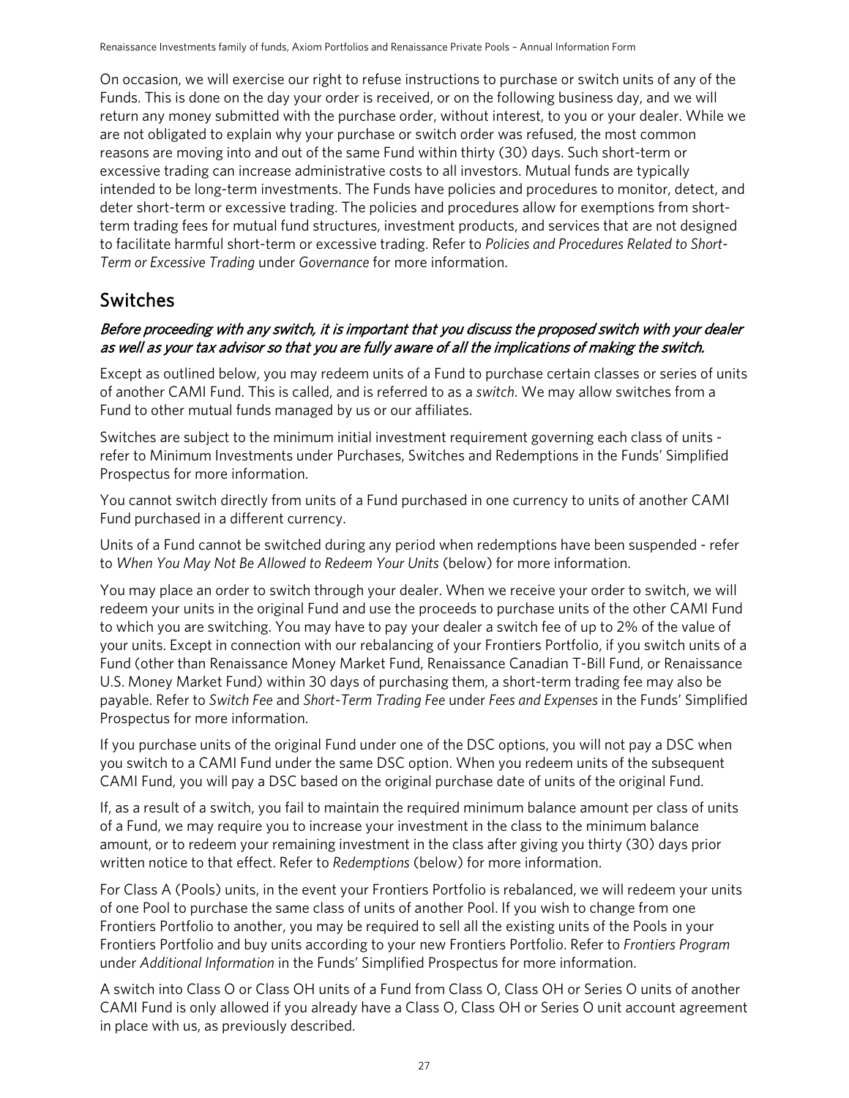On occasion, we will exercise our right to refuse instructions to purchase or switch units of any of the Funds. This is done on the day your order is received, or on the following business day, and we will return any money submitted with the purchase order, without interest, to you or your dealer. While we are not obligated to explain why your purchase or switch order was refused, the most common reasons are moving into and out of the same Fund within thirty (30) days. Such short-term or excessive trading can increase administrative costs to all investors. Mutual funds are typically intended to be long-term investments. The Funds have policies and procedures to monitor, detect, and deter short-term or excessive trading. The policies and procedures allow for exemptions from shortterm trading fees for mutual fund structures, investment products, and services that are not designed to facilitate harmful short-term or excessive trading. Refer to *Policies and Procedures Related to Short-Term or Excessive Trading* under *Governance* for more information.

## <span id="page-26-0"></span>Switches

### Before proceeding with any switch, it is important that you discuss the proposed switch with your dealer as well as your tax advisor so that you are fully aware of all the implications of making the switch.

Except as outlined below, you may redeem units of a Fund to purchase certain classes or series of units of another CAMI Fund. This is called, and is referred to as a *switch*. We may allow switches from a Fund to other mutual funds managed by us or our affiliates.

Switches are subject to the minimum initial investment requirement governing each class of units refer to Minimum Investments under Purchases, Switches and Redemptions in the Funds' Simplified Prospectus for more information.

You cannot switch directly from units of a Fund purchased in one currency to units of another CAMI Fund purchased in a different currency.

Units of a Fund cannot be switched during any period when redemptions have been suspended - refer to *When You May Not Be Allowed to Redeem Your Units* (below) for more information.

You may place an order to switch through your dealer. When we receive your order to switch, we will redeem your units in the original Fund and use the proceeds to purchase units of the other CAMI Fund to which you are switching. You may have to pay your dealer a switch fee of up to 2% of the value of your units. Except in connection with our rebalancing of your Frontiers Portfolio, if you switch units of a Fund (other than Renaissance Money Market Fund, Renaissance Canadian T-Bill Fund, or Renaissance U.S. Money Market Fund) within 30 days of purchasing them, a short-term trading fee may also be payable. Refer to *Switch Fee* and *Short-Term Trading Fee* under *Fees and Expenses* in the Funds' Simplified Prospectus for more information.

If you purchase units of the original Fund under one of the DSC options, you will not pay a DSC when you switch to a CAMI Fund under the same DSC option. When you redeem units of the subsequent CAMI Fund, you will pay a DSC based on the original purchase date of units of the original Fund.

If, as a result of a switch, you fail to maintain the required minimum balance amount per class of units of a Fund, we may require you to increase your investment in the class to the minimum balance amount, or to redeem your remaining investment in the class after giving you thirty (30) days prior written notice to that effect. Refer to *Redemptions* (below) for more information.

For Class A (Pools) units, in the event your Frontiers Portfolio is rebalanced, we will redeem your units of one Pool to purchase the same class of units of another Pool. If you wish to change from one Frontiers Portfolio to another, you may be required to sell all the existing units of the Pools in your Frontiers Portfolio and buy units according to your new Frontiers Portfolio. Refer to *Frontiers Program* under *Additional Information* in the Funds' Simplified Prospectus for more information.

A switch into Class O or Class OH units of a Fund from Class O, Class OH or Series O units of another CAMI Fund is only allowed if you already have a Class O, Class OH or Series O unit account agreement in place with us, as previously described.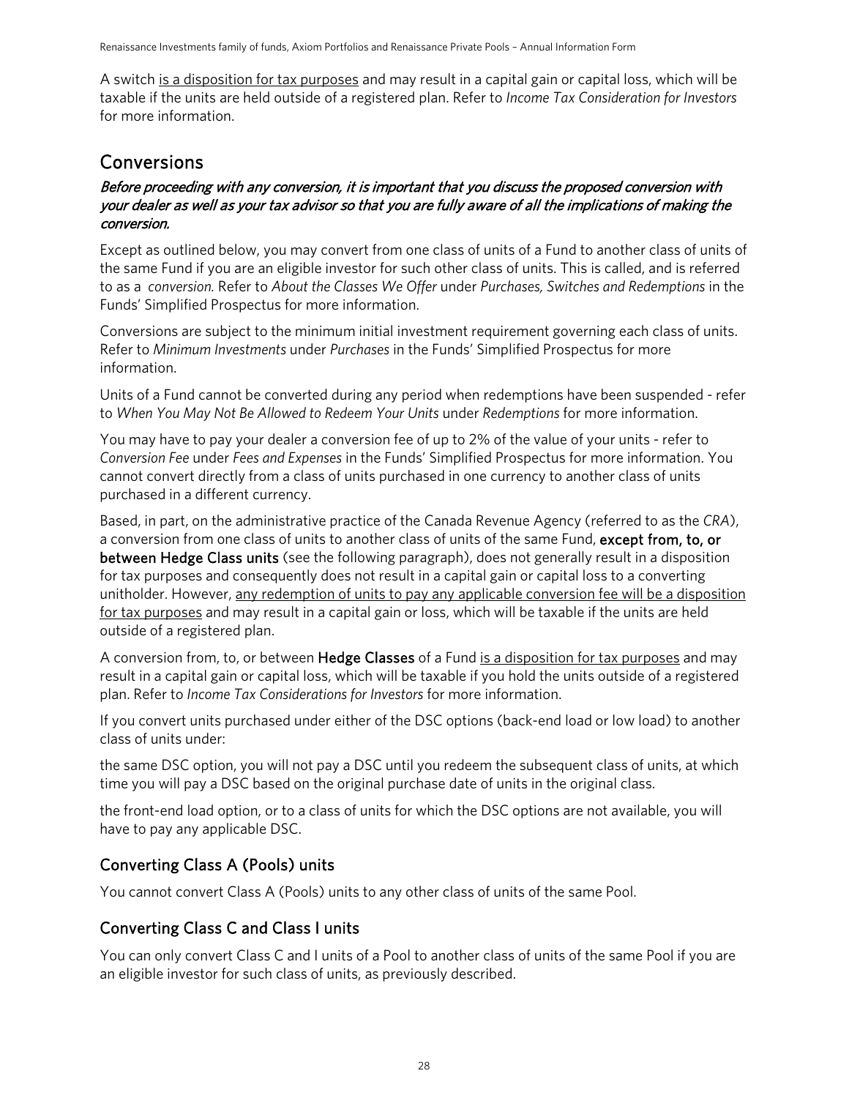A switch is a disposition for tax purposes and may result in a capital gain or capital loss, which will be taxable if the units are held outside of a registered plan. Refer to *Income Tax Consideration for Investors* for more information.

## <span id="page-27-0"></span>Conversions

### Before proceeding with any conversion, it is important that you discuss the proposed conversion with your dealer as well as your tax advisor so that you are fully aware of all the implications of making the conversion.

Except as outlined below, you may convert from one class of units of a Fund to another class of units of the same Fund if you are an eligible investor for such other class of units. This is called, and is referred to as a *conversion.* Refer to *About the Classes We Offer* under *Purchases, Switches and Redemptions* in the Funds' Simplified Prospectus for more information.

Conversions are subject to the minimum initial investment requirement governing each class of units. Refer to *Minimum Investments* under *Purchases* in the Funds' Simplified Prospectus for more information.

Units of a Fund cannot be converted during any period when redemptions have been suspended - refer to *When You May Not Be Allowed to Redeem Your Units* under *Redemptions* for more information.

You may have to pay your dealer a conversion fee of up to 2% of the value of your units - refer to *Conversion Fee* under *Fees and Expenses* in the Funds' Simplified Prospectus for more information. You cannot convert directly from a class of units purchased in one currency to another class of units purchased in a different currency.

Based, in part, on the administrative practice of the Canada Revenue Agency (referred to as the *CRA*), a conversion from one class of units to another class of units of the same Fund, except from, to, or between Hedge Class units (see the following paragraph), does not generally result in a disposition for tax purposes and consequently does not result in a capital gain or capital loss to a converting unitholder. However, any redemption of units to pay any applicable conversion fee will be a disposition for tax purposes and may result in a capital gain or loss, which will be taxable if the units are held outside of a registered plan.

A conversion from, to, or between **Hedge Classes** of a Fund is a disposition for tax purposes and may result in a capital gain or capital loss, which will be taxable if you hold the units outside of a registered plan. Refer to *Income Tax Considerations for Investors* for more information.

If you convert units purchased under either of the DSC options (back-end load or low load) to another class of units under:

the same DSC option, you will not pay a DSC until you redeem the subsequent class of units, at which time you will pay a DSC based on the original purchase date of units in the original class.

the front-end load option, or to a class of units for which the DSC options are not available, you will have to pay any applicable DSC.

### Converting Class A (Pools) units

You cannot convert Class A (Pools) units to any other class of units of the same Pool.

### Converting Class C and Class I units

You can only convert Class C and I units of a Pool to another class of units of the same Pool if you are an eligible investor for such class of units, as previously described.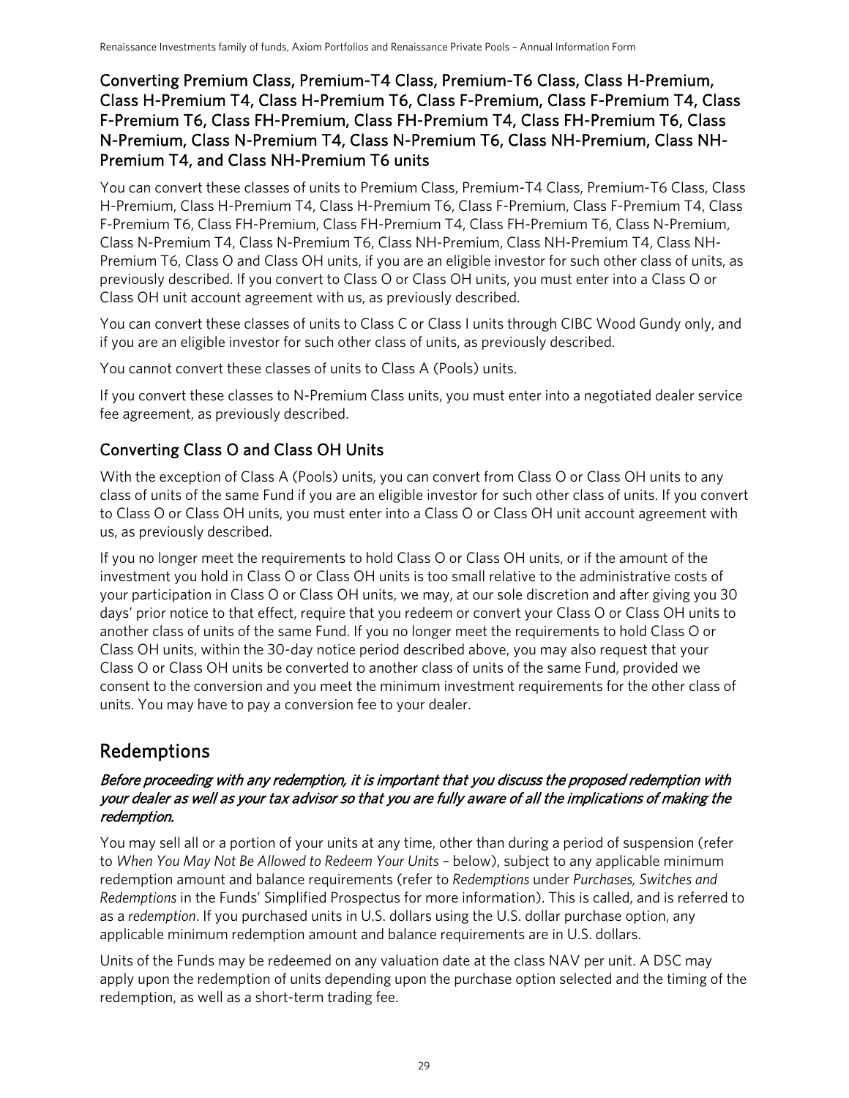### Converting Premium Class, Premium-T4 Class, Premium-T6 Class, Class H-Premium, Class H-Premium T4, Class H-Premium T6, Class F-Premium, Class F-Premium T4, Class F-Premium T6, Class FH-Premium, Class FH-Premium T4, Class FH-Premium T6, Class N-Premium, Class N-Premium T4, Class N-Premium T6, Class NH-Premium, Class NH-Premium T4, and Class NH-Premium T6 units

You can convert these classes of units to Premium Class, Premium-T4 Class, Premium-T6 Class, Class H-Premium, Class H-Premium T4, Class H-Premium T6, Class F-Premium, Class F-Premium T4, Class F-Premium T6, Class FH-Premium, Class FH-Premium T4, Class FH-Premium T6, Class N-Premium, Class N-Premium T4, Class N-Premium T6, Class NH-Premium, Class NH-Premium T4, Class NH-Premium T6, Class O and Class OH units, if you are an eligible investor for such other class of units, as previously described. If you convert to Class O or Class OH units, you must enter into a Class O or Class OH unit account agreement with us, as previously described.

You can convert these classes of units to Class C or Class I units through CIBC Wood Gundy only, and if you are an eligible investor for such other class of units, as previously described.

You cannot convert these classes of units to Class A (Pools) units.

If you convert these classes to N-Premium Class units, you must enter into a negotiated dealer service fee agreement, as previously described.

### Converting Class O and Class OH Units

With the exception of Class A (Pools) units, you can convert from Class O or Class OH units to any class of units of the same Fund if you are an eligible investor for such other class of units. If you convert to Class O or Class OH units, you must enter into a Class O or Class OH unit account agreement with us, as previously described.

If you no longer meet the requirements to hold Class O or Class OH units, or if the amount of the investment you hold in Class O or Class OH units is too small relative to the administrative costs of your participation in Class O or Class OH units, we may, at our sole discretion and after giving you 30 days' prior notice to that effect, require that you redeem or convert your Class O or Class OH units to another class of units of the same Fund. If you no longer meet the requirements to hold Class O or Class OH units, within the 30-day notice period described above, you may also request that your Class O or Class OH units be converted to another class of units of the same Fund, provided we consent to the conversion and you meet the minimum investment requirements for the other class of units. You may have to pay a conversion fee to your dealer.

## <span id="page-28-0"></span>Redemptions

### Before proceeding with any redemption, it is important that you discuss the proposed redemption with your dealer as well as your tax advisor so that you are fully aware of all the implications of making the redemption.

You may sell all or a portion of your units at any time, other than during a period of suspension (refer to *When You May Not Be Allowed to Redeem Your Units* – below), subject to any applicable minimum redemption amount and balance requirements (refer to *Redemptions* under *Purchases, Switches and Redemptions* in the Funds' Simplified Prospectus for more information). This is called, and is referred to as a *redemption*. If you purchased units in U.S. dollars using the U.S. dollar purchase option, any applicable minimum redemption amount and balance requirements are in U.S. dollars.

Units of the Funds may be redeemed on any valuation date at the class NAV per unit. A DSC may apply upon the redemption of units depending upon the purchase option selected and the timing of the redemption, as well as a short-term trading fee.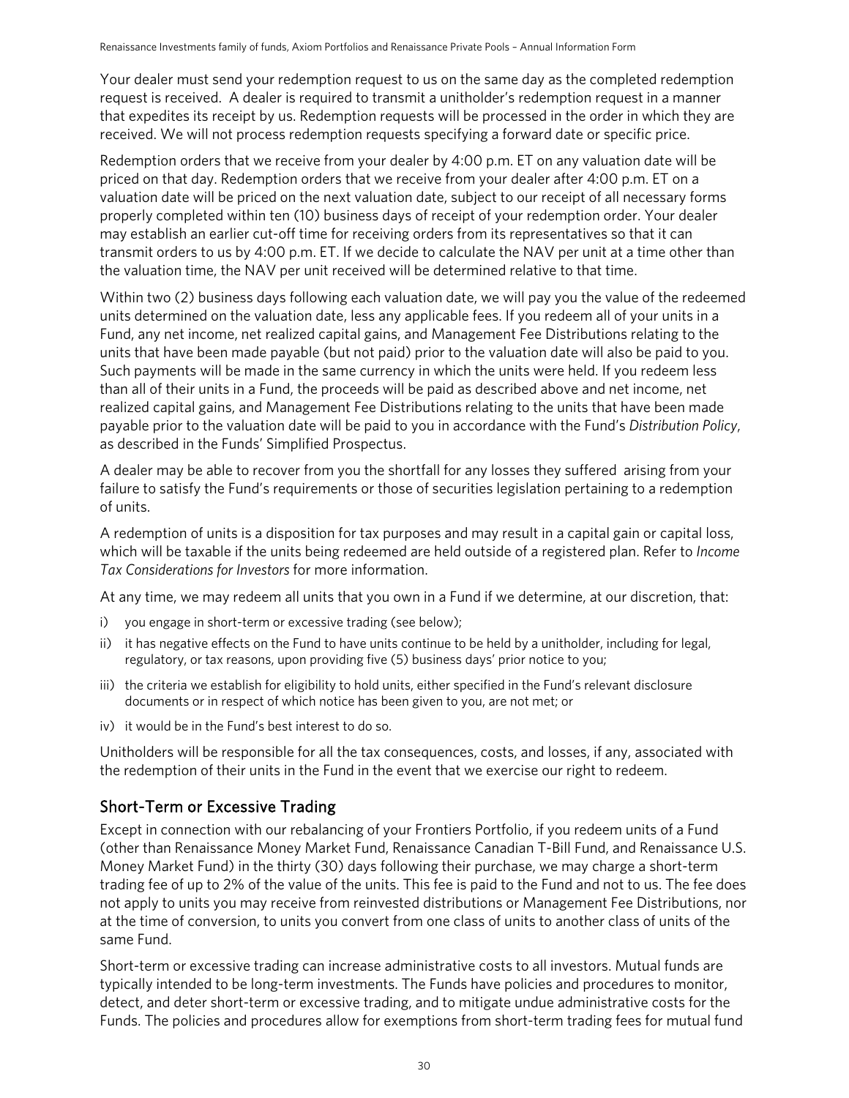Your dealer must send your redemption request to us on the same day as the completed redemption request is received. A dealer is required to transmit a unitholder's redemption request in a manner that expedites its receipt by us. Redemption requests will be processed in the order in which they are received. We will not process redemption requests specifying a forward date or specific price.

Redemption orders that we receive from your dealer by 4:00 p.m. ET on any valuation date will be priced on that day. Redemption orders that we receive from your dealer after 4:00 p.m. ET on a valuation date will be priced on the next valuation date, subject to our receipt of all necessary forms properly completed within ten (10) business days of receipt of your redemption order. Your dealer may establish an earlier cut-off time for receiving orders from its representatives so that it can transmit orders to us by 4:00 p.m. ET. If we decide to calculate the NAV per unit at a time other than the valuation time, the NAV per unit received will be determined relative to that time.

Within two (2) business days following each valuation date, we will pay you the value of the redeemed units determined on the valuation date, less any applicable fees. If you redeem all of your units in a Fund, any net income, net realized capital gains, and Management Fee Distributions relating to the units that have been made payable (but not paid) prior to the valuation date will also be paid to you. Such payments will be made in the same currency in which the units were held. If you redeem less than all of their units in a Fund, the proceeds will be paid as described above and net income, net realized capital gains, and Management Fee Distributions relating to the units that have been made payable prior to the valuation date will be paid to you in accordance with the Fund's *Distribution Policy*, as described in the Funds' Simplified Prospectus.

A dealer may be able to recover from you the shortfall for any losses they suffered arising from your failure to satisfy the Fund's requirements or those of securities legislation pertaining to a redemption of units.

A redemption of units is a disposition for tax purposes and may result in a capital gain or capital loss, which will be taxable if the units being redeemed are held outside of a registered plan. Refer to *Income Tax Considerations for Investors* for more information.

At any time, we may redeem all units that you own in a Fund if we determine, at our discretion, that:

- i) you engage in short-term or excessive trading (see below);
- ii) it has negative effects on the Fund to have units continue to be held by a unitholder, including for legal, regulatory, or tax reasons, upon providing five (5) business days' prior notice to you;
- iii) the criteria we establish for eligibility to hold units, either specified in the Fund's relevant disclosure documents or in respect of which notice has been given to you, are not met; or
- iv) it would be in the Fund's best interest to do so.

Unitholders will be responsible for all the tax consequences, costs, and losses, if any, associated with the redemption of their units in the Fund in the event that we exercise our right to redeem.

### Short-Term or Excessive Trading

Except in connection with our rebalancing of your Frontiers Portfolio, if you redeem units of a Fund (other than Renaissance Money Market Fund, Renaissance Canadian T-Bill Fund, and Renaissance U.S. Money Market Fund) in the thirty (30) days following their purchase, we may charge a short-term trading fee of up to 2% of the value of the units. This fee is paid to the Fund and not to us. The fee does not apply to units you may receive from reinvested distributions or Management Fee Distributions, nor at the time of conversion, to units you convert from one class of units to another class of units of the same Fund.

Short-term or excessive trading can increase administrative costs to all investors. Mutual funds are typically intended to be long-term investments. The Funds have policies and procedures to monitor, detect, and deter short-term or excessive trading, and to mitigate undue administrative costs for the Funds. The policies and procedures allow for exemptions from short-term trading fees for mutual fund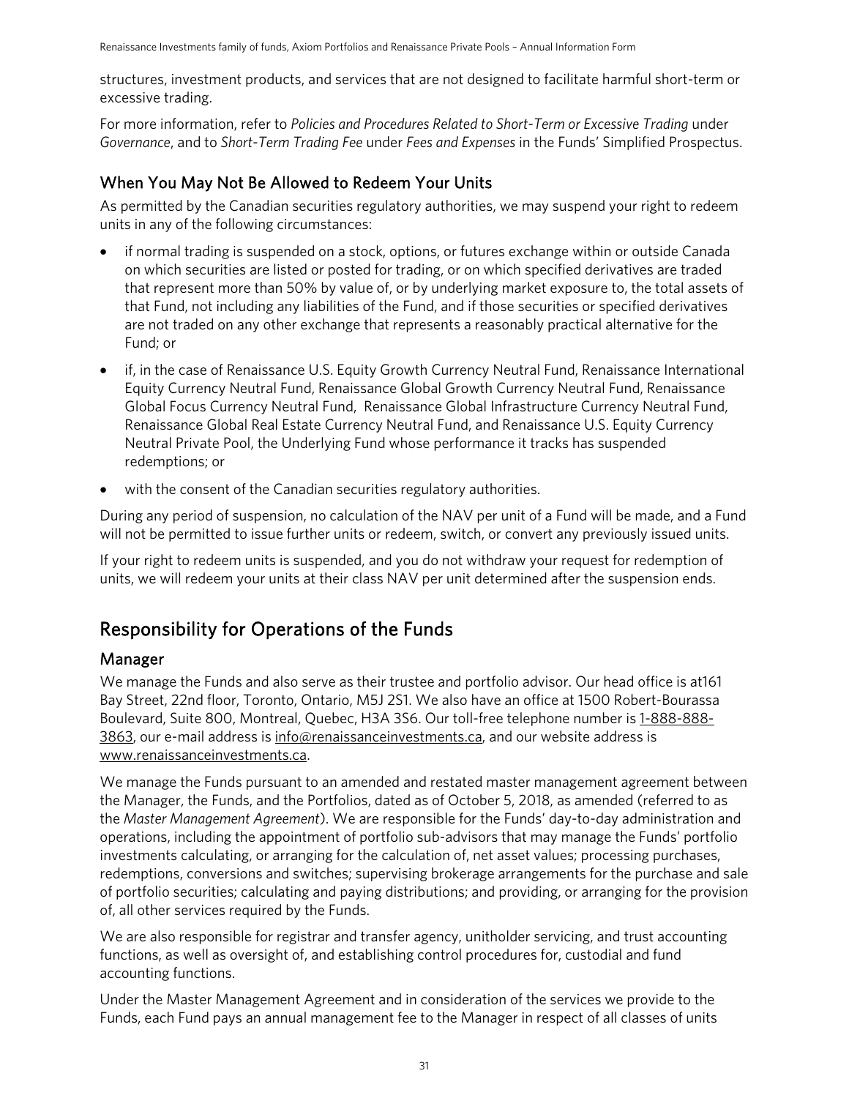structures, investment products, and services that are not designed to facilitate harmful short-term or excessive trading.

For more information, refer to *Policies and Procedures Related to Short-Term or Excessive Trading* under *Governance*, and to *Short-Term Trading Fee* under *Fees and Expenses* in the Funds' Simplified Prospectus.

### When You May Not Be Allowed to Redeem Your Units

As permitted by the Canadian securities regulatory authorities, we may suspend your right to redeem units in any of the following circumstances:

- if normal trading is suspended on a stock, options, or futures exchange within or outside Canada on which securities are listed or posted for trading, or on which specified derivatives are traded that represent more than 50% by value of, or by underlying market exposure to, the total assets of that Fund, not including any liabilities of the Fund, and if those securities or specified derivatives are not traded on any other exchange that represents a reasonably practical alternative for the Fund; or
- if, in the case of Renaissance U.S. Equity Growth Currency Neutral Fund, Renaissance International Equity Currency Neutral Fund, Renaissance Global Growth Currency Neutral Fund, Renaissance Global Focus Currency Neutral Fund, Renaissance Global Infrastructure Currency Neutral Fund, Renaissance Global Real Estate Currency Neutral Fund, and Renaissance U.S. Equity Currency Neutral Private Pool, the Underlying Fund whose performance it tracks has suspended redemptions; or
- with the consent of the Canadian securities regulatory authorities.

During any period of suspension, no calculation of the NAV per unit of a Fund will be made, and a Fund will not be permitted to issue further units or redeem, switch, or convert any previously issued units.

If your right to redeem units is suspended, and you do not withdraw your request for redemption of units, we will redeem your units at their class NAV per unit determined after the suspension ends.

## <span id="page-30-0"></span>Responsibility for Operations of the Funds

### Manager

We manage the Funds and also serve as their trustee and portfolio advisor. Our head office is at161 Bay Street, 22nd floor, Toronto, Ontario, M5J 2S1. We also have an office at 1500 Robert-Bourassa Boulevard, Suite 800, Montreal, Quebec, H3A 3S6. Our toll-free telephone number i[s 1-888-888-](tel:1-888-888-3863) [3863,](tel:1-888-888-3863) our e-mail address is info@renaissanceinvestments.ca, and our website address is www[.renaissanceinvestments.ca.](http://www.renaissanceinvestments.ca/)

We manage the Funds pursuant to an amended and restated master management agreement between the Manager, the Funds, and the Portfolios, dated as of October 5, 2018, as amended (referred to as the *Master Management Agreement*). We are responsible for the Funds' day-to-day administration and operations, including the appointment of portfolio sub-advisors that may manage the Funds' portfolio investments calculating, or arranging for the calculation of, net asset values; processing purchases, redemptions, conversions and switches; supervising brokerage arrangements for the purchase and sale of portfolio securities; calculating and paying distributions; and providing, or arranging for the provision of, all other services required by the Funds.

We are also responsible for registrar and transfer agency, unitholder servicing, and trust accounting functions, as well as oversight of, and establishing control procedures for, custodial and fund accounting functions.

Under the Master Management Agreement and in consideration of the services we provide to the Funds, each Fund pays an annual management fee to the Manager in respect of all classes of units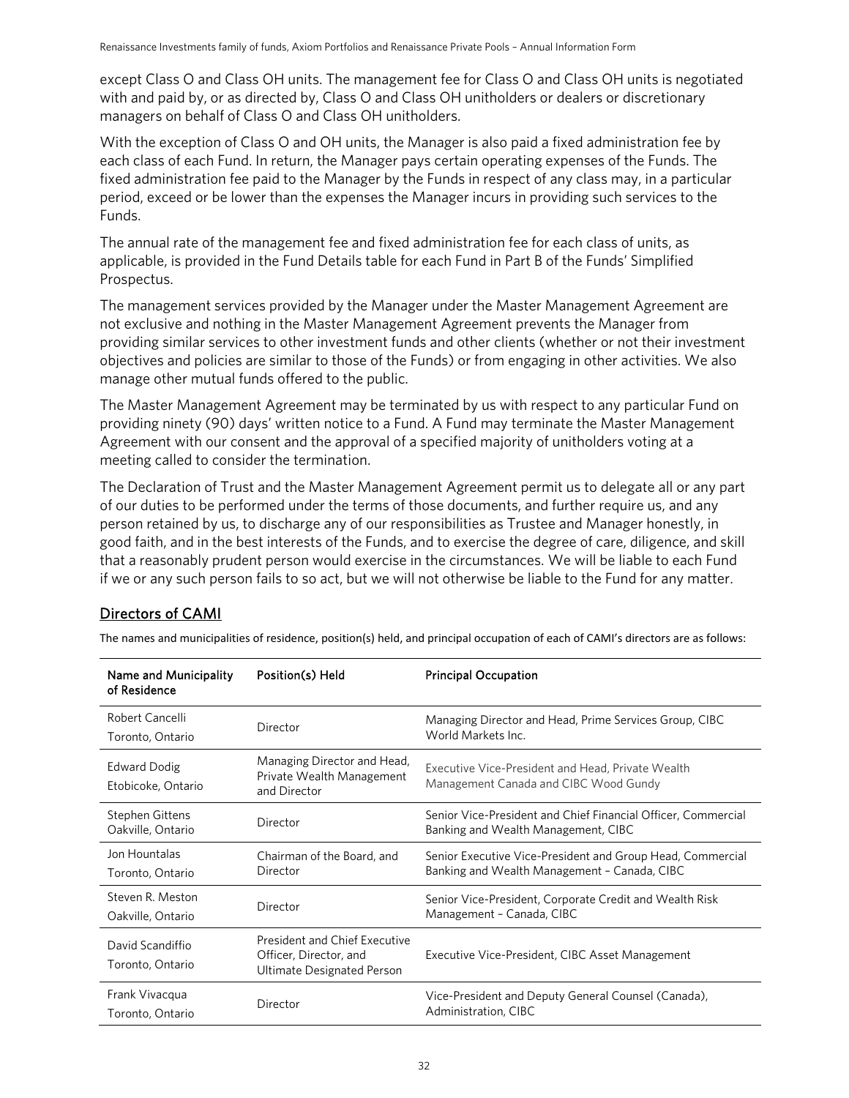except Class O and Class OH units. The management fee for Class O and Class OH units is negotiated with and paid by, or as directed by, Class O and Class OH unitholders or dealers or discretionary managers on behalf of Class O and Class OH unitholders.

With the exception of Class O and OH units, the Manager is also paid a fixed administration fee by each class of each Fund. In return, the Manager pays certain operating expenses of the Funds. The fixed administration fee paid to the Manager by the Funds in respect of any class may, in a particular period, exceed or be lower than the expenses the Manager incurs in providing such services to the Funds.

The annual rate of the management fee and fixed administration fee for each class of units, as applicable, is provided in the Fund Details table for each Fund in Part B of the Funds' Simplified Prospectus.

The management services provided by the Manager under the Master Management Agreement are not exclusive and nothing in the Master Management Agreement prevents the Manager from providing similar services to other investment funds and other clients (whether or not their investment objectives and policies are similar to those of the Funds) or from engaging in other activities. We also manage other mutual funds offered to the public.

The Master Management Agreement may be terminated by us with respect to any particular Fund on providing ninety (90) days' written notice to a Fund. A Fund may terminate the Master Management Agreement with our consent and the approval of a specified majority of unitholders voting at a meeting called to consider the termination.

The Declaration of Trust and the Master Management Agreement permit us to delegate all or any part of our duties to be performed under the terms of those documents, and further require us, and any person retained by us, to discharge any of our responsibilities as Trustee and Manager honestly, in good faith, and in the best interests of the Funds, and to exercise the degree of care, diligence, and skill that a reasonably prudent person would exercise in the circumstances. We will be liable to each Fund if we or any such person fails to so act, but we will not otherwise be liable to the Fund for any matter.

### Directors of CAMI

| Name and Municipality<br>of Residence       | Position(s) Held                                                                             | <b>Principal Occupation</b>                                                                                |
|---------------------------------------------|----------------------------------------------------------------------------------------------|------------------------------------------------------------------------------------------------------------|
| Robert Cancelli<br>Toronto, Ontario         | Director                                                                                     | Managing Director and Head, Prime Services Group, CIBC<br>World Markets Inc.                               |
| Edward Dodig<br>Etobicoke, Ontario          | Managing Director and Head,<br>Private Wealth Management<br>and Director                     | Executive Vice-President and Head, Private Wealth<br>Management Canada and CIBC Wood Gundy                 |
| <b>Stephen Gittens</b><br>Oakville, Ontario | Director                                                                                     | Senior Vice-President and Chief Financial Officer, Commercial<br>Banking and Wealth Management, CIBC       |
| Jon Hountalas<br>Toronto, Ontario           | Chairman of the Board, and<br>Director                                                       | Senior Executive Vice-President and Group Head, Commercial<br>Banking and Wealth Management - Canada, CIBC |
| Steven R. Meston<br>Oakville, Ontario       | Director                                                                                     | Senior Vice-President, Corporate Credit and Wealth Risk<br>Management - Canada, CIBC                       |
| David Scandiffio<br>Toronto, Ontario        | <b>President and Chief Executive</b><br>Officer, Director, and<br>Ultimate Designated Person | Executive Vice-President, CIBC Asset Management                                                            |
| Frank Vivacqua<br>Toronto, Ontario          | Director                                                                                     | Vice-President and Deputy General Counsel (Canada),<br>Administration, CIBC                                |

The names and municipalities of residence, position(s) held, and principal occupation of each of CAMI's directors are as follows: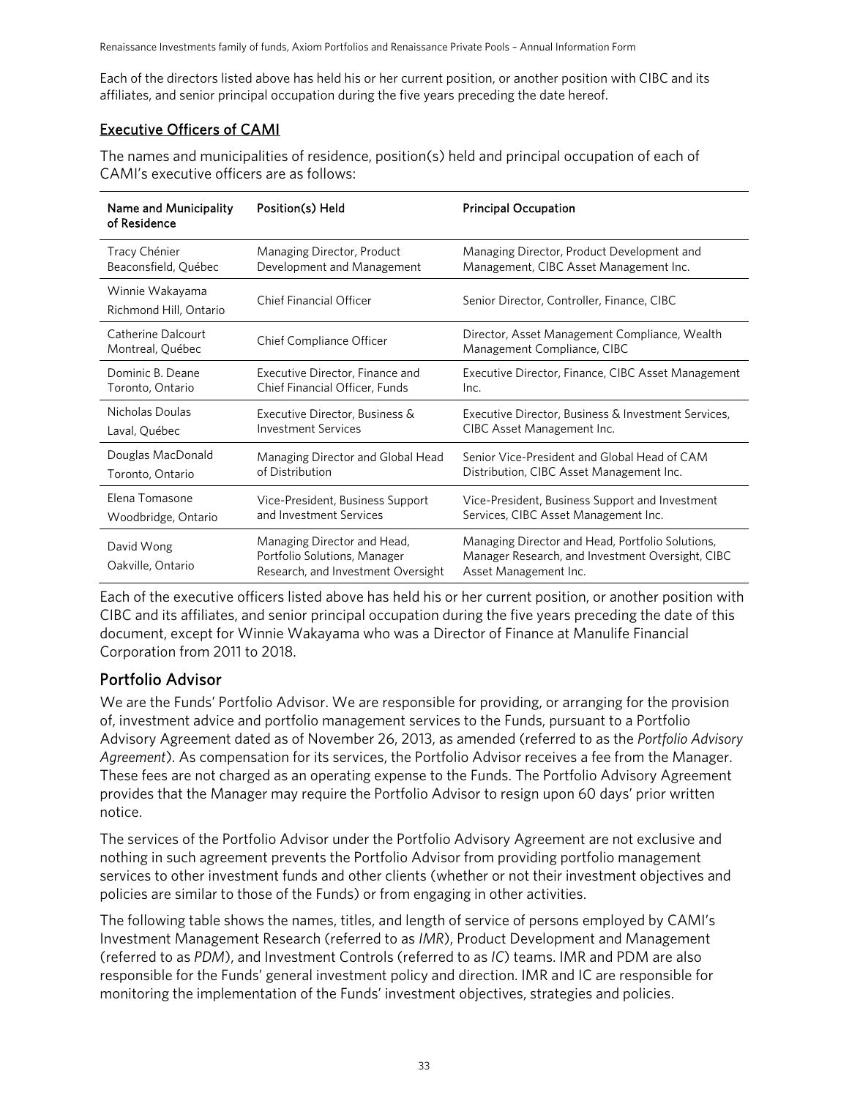Renaissance Investments family of funds, Axiom Portfolios and Renaissance Private Pools – Annual Information Form

Each of the directors listed above has held his or her current position, or another position with CIBC and its affiliates, and senior principal occupation during the five years preceding the date hereof.

### Executive Officers of CAMI

The names and municipalities of residence, position(s) held and principal occupation of each of CAMI's executive officers are as follows:

| Name and Municipality<br>of Residence     | Position(s) Held                                                                                  | <b>Principal Occupation</b>                                                                                                   |
|-------------------------------------------|---------------------------------------------------------------------------------------------------|-------------------------------------------------------------------------------------------------------------------------------|
| Tracy Chénier                             | Managing Director, Product                                                                        | Managing Director, Product Development and                                                                                    |
| Beaconsfield, Québec                      | Development and Management                                                                        | Management, CIBC Asset Management Inc.                                                                                        |
| Winnie Wakayama<br>Richmond Hill, Ontario | Chief Financial Officer                                                                           | Senior Director, Controller, Finance, CIBC                                                                                    |
| Catherine Dalcourt<br>Montreal, Québec    | <b>Chief Compliance Officer</b>                                                                   | Director, Asset Management Compliance, Wealth<br>Management Compliance, CIBC                                                  |
| Dominic B. Deane                          | Executive Director, Finance and                                                                   | Executive Director, Finance, CIBC Asset Management                                                                            |
| Toronto, Ontario                          | Chief Financial Officer, Funds                                                                    | Inc.                                                                                                                          |
| Nicholas Doulas                           | Executive Director, Business &                                                                    | Executive Director, Business & Investment Services,                                                                           |
| Laval, Québec                             | <b>Investment Services</b>                                                                        | CIBC Asset Management Inc.                                                                                                    |
| Douglas MacDonald                         | Managing Director and Global Head                                                                 | Senior Vice-President and Global Head of CAM                                                                                  |
| Toronto, Ontario                          | of Distribution                                                                                   | Distribution, CIBC Asset Management Inc.                                                                                      |
| Elena Tomasone                            | Vice-President, Business Support                                                                  | Vice-President, Business Support and Investment                                                                               |
| Woodbridge, Ontario                       | and Investment Services                                                                           | Services, CIBC Asset Management Inc.                                                                                          |
| David Wong<br>Oakville, Ontario           | Managing Director and Head,<br>Portfolio Solutions, Manager<br>Research, and Investment Oversight | Managing Director and Head, Portfolio Solutions,<br>Manager Research, and Investment Oversight, CIBC<br>Asset Management Inc. |

Each of the executive officers listed above has held his or her current position, or another position with CIBC and its affiliates, and senior principal occupation during the five years preceding the date of this document, except for Winnie Wakayama who was a Director of Finance at Manulife Financial Corporation from 2011 to 2018.

### Portfolio Advisor

We are the Funds' Portfolio Advisor. We are responsible for providing, or arranging for the provision of, investment advice and portfolio management services to the Funds, pursuant to a Portfolio Advisory Agreement dated as of November 26, 2013, as amended (referred to as the *Portfolio Advisory Agreement*). As compensation for its services, the Portfolio Advisor receives a fee from the Manager. These fees are not charged as an operating expense to the Funds. The Portfolio Advisory Agreement provides that the Manager may require the Portfolio Advisor to resign upon 60 days' prior written notice.

The services of the Portfolio Advisor under the Portfolio Advisory Agreement are not exclusive and nothing in such agreement prevents the Portfolio Advisor from providing portfolio management services to other investment funds and other clients (whether or not their investment objectives and policies are similar to those of the Funds) or from engaging in other activities.

The following table shows the names, titles, and length of service of persons employed by CAMI's Investment Management Research (referred to as *IMR*), Product Development and Management (referred to as *PDM*), and Investment Controls (referred to as *IC*) teams. IMR and PDM are also responsible for the Funds' general investment policy and direction. IMR and IC are responsible for monitoring the implementation of the Funds' investment objectives, strategies and policies.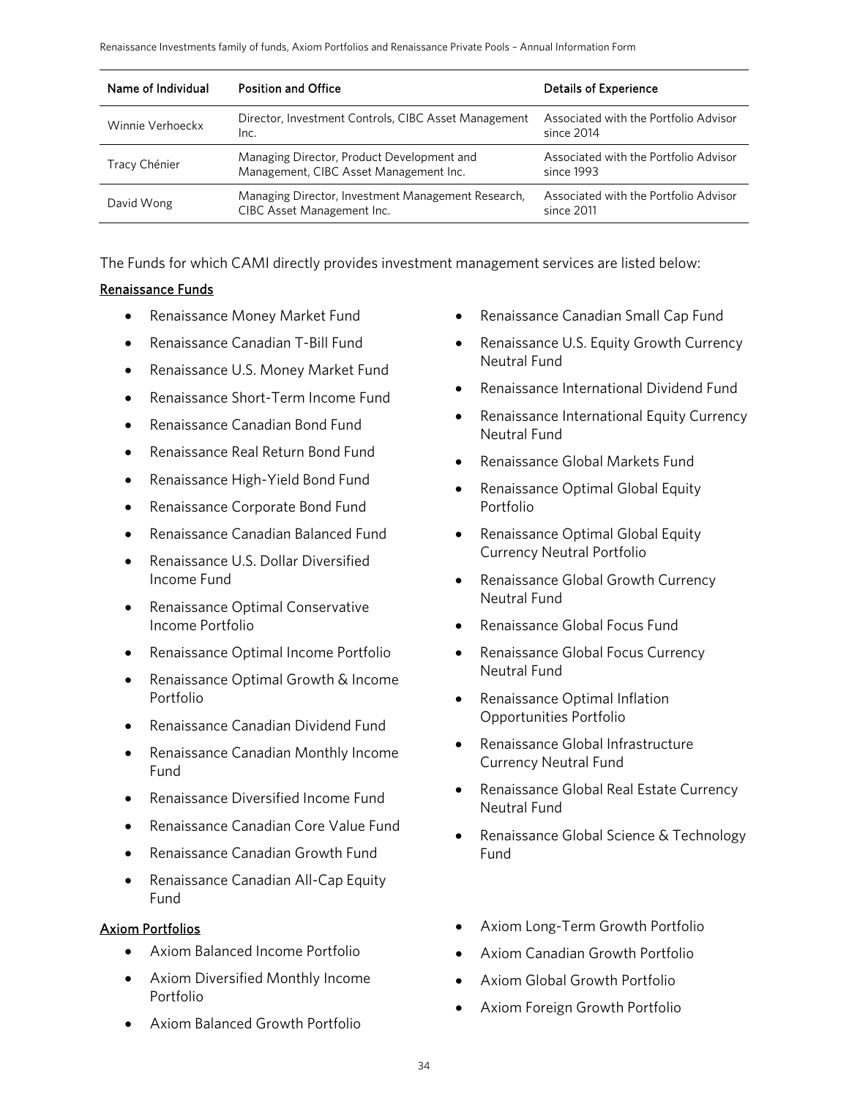| Name of Individual | <b>Position and Office</b>                                                           | <b>Details of Experience</b>                        |
|--------------------|--------------------------------------------------------------------------------------|-----------------------------------------------------|
| Winnie Verhoeckx   | Director, Investment Controls, CIBC Asset Management<br>Inc.                         | Associated with the Portfolio Advisor<br>since 2014 |
| Tracy Chénier      | Managing Director, Product Development and<br>Management, CIBC Asset Management Inc. | Associated with the Portfolio Advisor<br>since 1993 |
| David Wong         | Managing Director, Investment Management Research,<br>CIBC Asset Management Inc.     | Associated with the Portfolio Advisor<br>since 2011 |

The Funds for which CAMI directly provides investment management services are listed below:

#### Renaissance Funds

- Renaissance Money Market Fund
- Renaissance Canadian T-Bill Fund
- Renaissance U.S. Money Market Fund
- Renaissance Short-Term Income Fund
- Renaissance Canadian Bond Fund
- Renaissance Real Return Bond Fund
- Renaissance High-Yield Bond Fund
- Renaissance Corporate Bond Fund
- Renaissance Canadian Balanced Fund
- Renaissance U.S. Dollar Diversified Income Fund
- Renaissance Optimal Conservative Income Portfolio
- Renaissance Optimal Income Portfolio
- Renaissance Optimal Growth & Income Portfolio
- Renaissance Canadian Dividend Fund
- Renaissance Canadian Monthly Income Fund
- Renaissance Diversified Income Fund
- Renaissance Canadian Core Value Fund
- Renaissance Canadian Growth Fund
- Renaissance Canadian All-Cap Equity Fund

#### Axiom Portfolios

- Axiom Balanced Income Portfolio
- Axiom Diversified Monthly Income Portfolio
- Axiom Balanced Growth Portfolio
- Renaissance Canadian Small Cap Fund
- Renaissance U.S. Equity Growth Currency Neutral Fund
- Renaissance International Dividend Fund
- Renaissance International Equity Currency Neutral Fund
- Renaissance Global Markets Fund
- Renaissance Optimal Global Equity Portfolio
- Renaissance Optimal Global Equity Currency Neutral Portfolio
- Renaissance Global Growth Currency Neutral Fund
- Renaissance Global Focus Fund
- Renaissance Global Focus Currency Neutral Fund
- Renaissance Optimal Inflation Opportunities Portfolio
- Renaissance Global Infrastructure Currency Neutral Fund
- Renaissance Global Real Estate Currency Neutral Fund
- Renaissance Global Science & Technology Fund
- Axiom Long-Term Growth Portfolio
- Axiom Canadian Growth Portfolio
- Axiom Global Growth Portfolio
- Axiom Foreign Growth Portfolio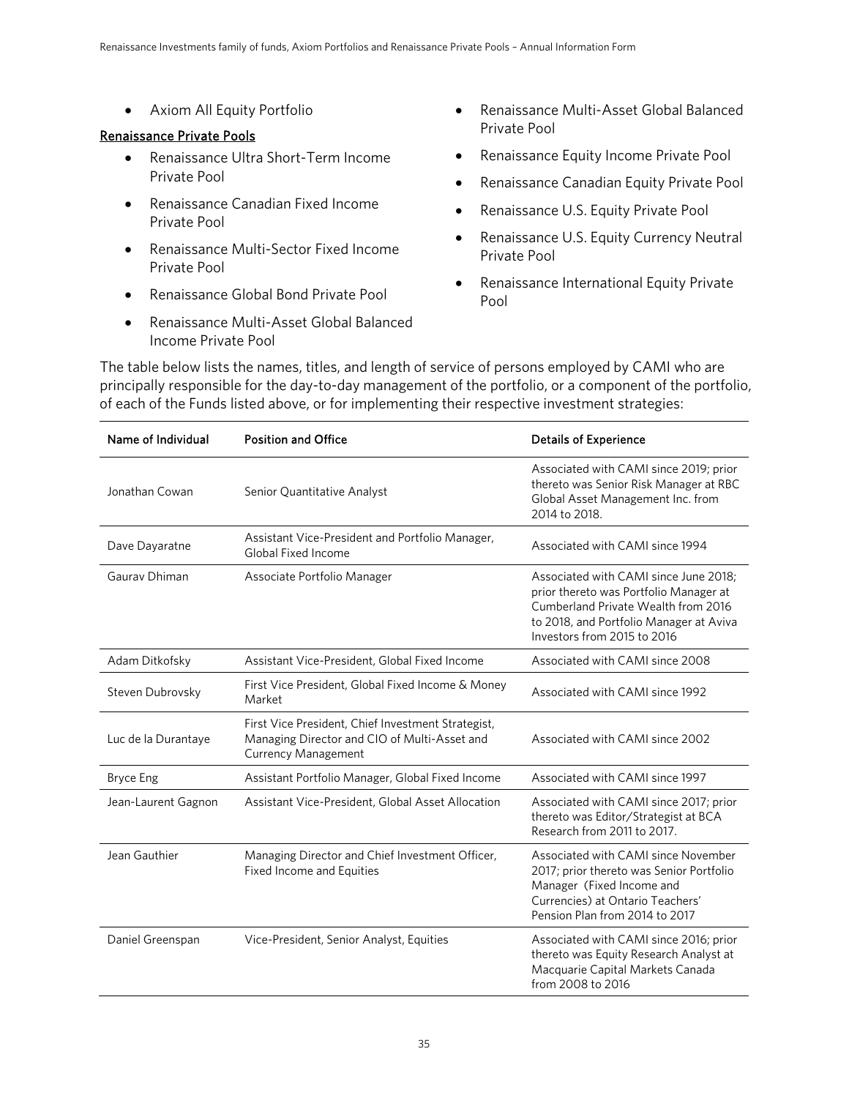• Axiom All Equity Portfolio

### Renaissance Private Pools

- Renaissance Ultra Short-Term Income Private Pool
- Renaissance Canadian Fixed Income Private Pool
- Renaissance Multi-Sector Fixed Income Private Pool
- Renaissance Global Bond Private Pool
- Renaissance Multi-Asset Global Balanced Income Private Pool
- Renaissance Multi-Asset Global Balanced Private Pool
- Renaissance Equity Income Private Pool
- Renaissance Canadian Equity Private Pool
- Renaissance U.S. Equity Private Pool
- Renaissance U.S. Equity Currency Neutral Private Pool
- Renaissance International Equity Private Pool

The table below lists the names, titles, and length of service of persons employed by CAMI who are principally responsible for the day-to-day management of the portfolio, or a component of the portfolio, of each of the Funds listed above, or for implementing their respective investment strategies:

| Name of Individual  | <b>Position and Office</b>                                                                                                       | <b>Details of Experience</b>                                                                                                                                                                     |
|---------------------|----------------------------------------------------------------------------------------------------------------------------------|--------------------------------------------------------------------------------------------------------------------------------------------------------------------------------------------------|
| Jonathan Cowan      | Senior Quantitative Analyst                                                                                                      | Associated with CAMI since 2019; prior<br>thereto was Senior Risk Manager at RBC<br>Global Asset Management Inc. from<br>2014 to 2018.                                                           |
| Dave Dayaratne      | Assistant Vice-President and Portfolio Manager,<br>Global Fixed Income                                                           | Associated with CAMI since 1994                                                                                                                                                                  |
| Gauray Dhiman       | Associate Portfolio Manager                                                                                                      | Associated with CAMI since June 2018;<br>prior thereto was Portfolio Manager at<br>Cumberland Private Wealth from 2016<br>to 2018, and Portfolio Manager at Aviva<br>Investors from 2015 to 2016 |
| Adam Ditkofsky      | Assistant Vice-President, Global Fixed Income                                                                                    | Associated with CAMI since 2008                                                                                                                                                                  |
| Steven Dubrovsky    | First Vice President, Global Fixed Income & Money<br>Market                                                                      | Associated with CAMI since 1992                                                                                                                                                                  |
| Luc de la Durantaye | First Vice President, Chief Investment Strategist,<br>Managing Director and CIO of Multi-Asset and<br><b>Currency Management</b> | Associated with CAMI since 2002                                                                                                                                                                  |
| <b>Bryce Eng</b>    | Assistant Portfolio Manager, Global Fixed Income                                                                                 | Associated with CAMI since 1997                                                                                                                                                                  |
| Jean-Laurent Gagnon | Assistant Vice-President, Global Asset Allocation                                                                                | Associated with CAMI since 2017; prior<br>thereto was Editor/Strategist at BCA<br>Research from 2011 to 2017.                                                                                    |
| Jean Gauthier       | Managing Director and Chief Investment Officer,<br>Fixed Income and Equities                                                     | Associated with CAMI since November<br>2017; prior thereto was Senior Portfolio<br>Manager (Fixed Income and<br>Currencies) at Ontario Teachers'<br>Pension Plan from 2014 to 2017               |
| Daniel Greenspan    | Vice-President, Senior Analyst, Equities                                                                                         | Associated with CAMI since 2016; prior<br>thereto was Equity Research Analyst at<br>Macquarie Capital Markets Canada<br>from 2008 to 2016                                                        |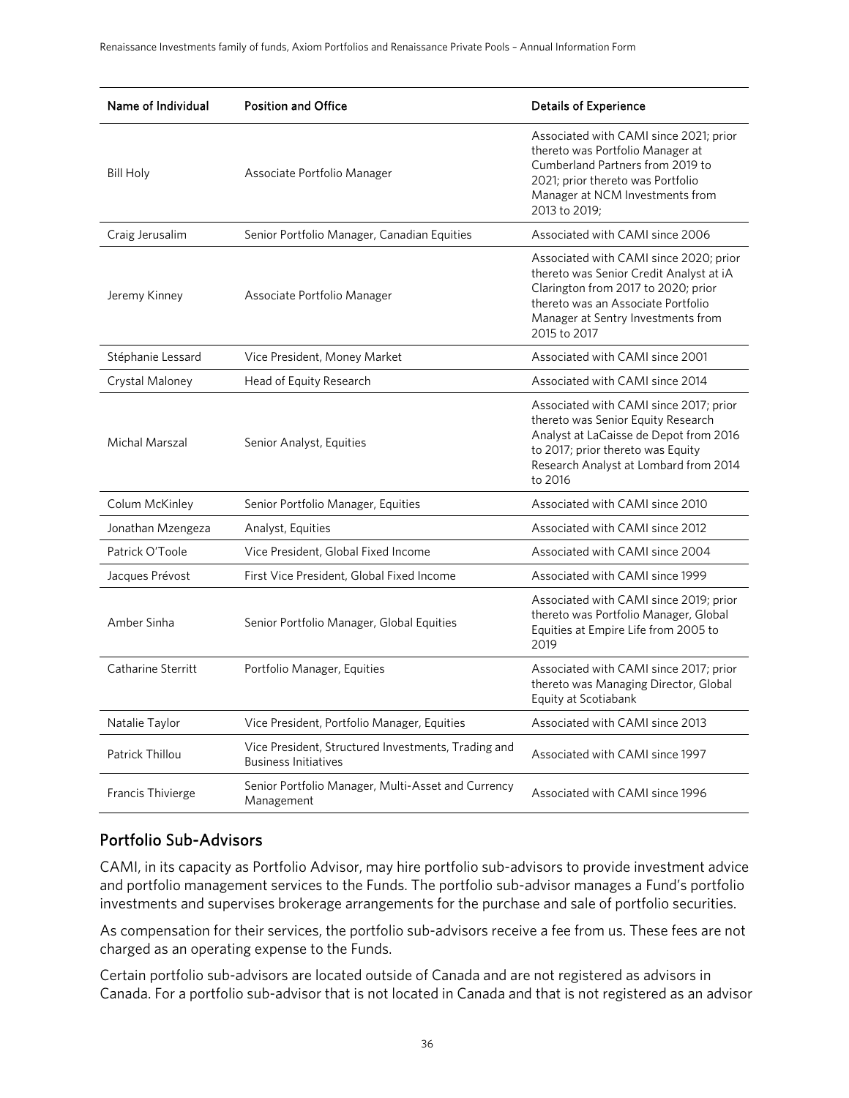| Name of Individual | <b>Position and Office</b>                                                         | <b>Details of Experience</b>                                                                                                                                                                                         |
|--------------------|------------------------------------------------------------------------------------|----------------------------------------------------------------------------------------------------------------------------------------------------------------------------------------------------------------------|
| <b>Bill Holy</b>   | Associate Portfolio Manager                                                        | Associated with CAMI since 2021; prior<br>thereto was Portfolio Manager at<br>Cumberland Partners from 2019 to<br>2021; prior thereto was Portfolio<br>Manager at NCM Investments from<br>2013 to 2019:              |
| Craig Jerusalim    | Senior Portfolio Manager, Canadian Equities                                        | Associated with CAMI since 2006                                                                                                                                                                                      |
| Jeremy Kinney      | Associate Portfolio Manager                                                        | Associated with CAMI since 2020; prior<br>thereto was Senior Credit Analyst at iA<br>Clarington from 2017 to 2020; prior<br>thereto was an Associate Portfolio<br>Manager at Sentry Investments from<br>2015 to 2017 |
| Stéphanie Lessard  | Vice President, Money Market                                                       | Associated with CAMI since 2001                                                                                                                                                                                      |
| Crystal Maloney    | Head of Equity Research                                                            | Associated with CAMI since 2014                                                                                                                                                                                      |
| Michal Marszal     | Senior Analyst, Equities                                                           | Associated with CAMI since 2017; prior<br>thereto was Senior Equity Research<br>Analyst at LaCaisse de Depot from 2016<br>to 2017; prior thereto was Equity<br>Research Analyst at Lombard from 2014<br>to 2016      |
| Colum McKinley     | Senior Portfolio Manager, Equities                                                 | Associated with CAMI since 2010                                                                                                                                                                                      |
| Jonathan Mzengeza  | Analyst, Equities                                                                  | Associated with CAMI since 2012                                                                                                                                                                                      |
| Patrick O'Toole    | Vice President, Global Fixed Income                                                | Associated with CAMI since 2004                                                                                                                                                                                      |
| Jacques Prévost    | First Vice President, Global Fixed Income                                          | Associated with CAMI since 1999                                                                                                                                                                                      |
| Amber Sinha        | Senior Portfolio Manager, Global Equities                                          | Associated with CAMI since 2019; prior<br>thereto was Portfolio Manager, Global<br>Equities at Empire Life from 2005 to<br>2019                                                                                      |
| Catharine Sterritt | Portfolio Manager, Equities                                                        | Associated with CAMI since 2017; prior<br>thereto was Managing Director, Global<br>Equity at Scotiabank                                                                                                              |
| Natalie Taylor     | Vice President, Portfolio Manager, Equities                                        | Associated with CAMI since 2013                                                                                                                                                                                      |
| Patrick Thillou    | Vice President, Structured Investments, Trading and<br><b>Business Initiatives</b> | Associated with CAMI since 1997                                                                                                                                                                                      |
| Francis Thivierge  | Senior Portfolio Manager, Multi-Asset and Currency<br>Management                   | Associated with CAMI since 1996                                                                                                                                                                                      |

### Portfolio Sub-Advisors

CAMI, in its capacity as Portfolio Advisor, may hire portfolio sub-advisors to provide investment advice and portfolio management services to the Funds. The portfolio sub-advisor manages a Fund's portfolio investments and supervises brokerage arrangements for the purchase and sale of portfolio securities.

As compensation for their services, the portfolio sub-advisors receive a fee from us. These fees are not charged as an operating expense to the Funds.

Certain portfolio sub-advisors are located outside of Canada and are not registered as advisors in Canada. For a portfolio sub-advisor that is not located in Canada and that is not registered as an advisor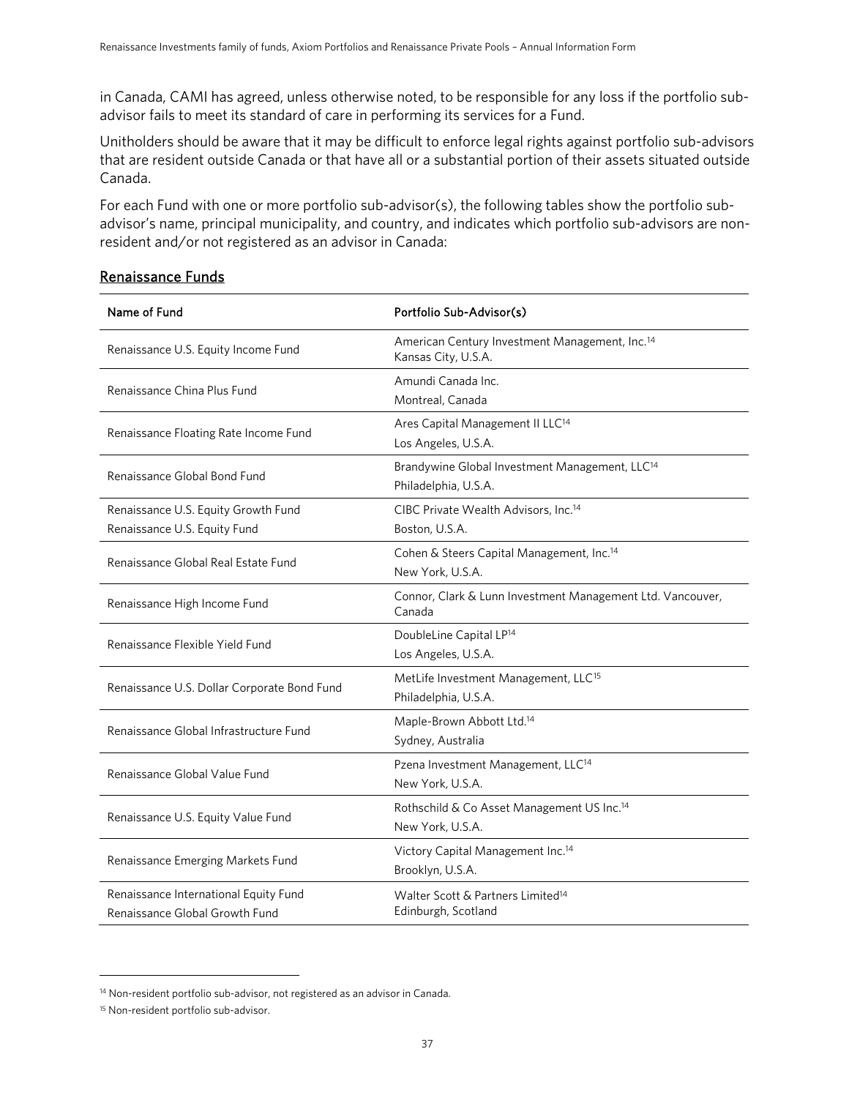in Canada, CAMI has agreed, unless otherwise noted, to be responsible for any loss if the portfolio subadvisor fails to meet its standard of care in performing its services for a Fund.

Unitholders should be aware that it may be difficult to enforce legal rights against portfolio sub-advisors that are resident outside Canada or that have all or a substantial portion of their assets situated outside Canada.

For each Fund with one or more portfolio sub-advisor(s), the following tables show the portfolio subadvisor's name, principal municipality, and country, and indicates which portfolio sub-advisors are nonresident and/or not registered as an advisor in Canada:

<span id="page-36-0"></span>

| Name of Fund                                                            | Portfolio Sub-Advisor(s)                                                           |
|-------------------------------------------------------------------------|------------------------------------------------------------------------------------|
| Renaissance U.S. Equity Income Fund                                     | American Century Investment Management, Inc. <sup>14</sup><br>Kansas City, U.S.A.  |
| Renaissance China Plus Fund                                             | Amundi Canada Inc.<br>Montreal, Canada                                             |
| Renaissance Floating Rate Income Fund                                   | Ares Capital Management II LLC <sup>14</sup><br>Los Angeles, U.S.A.                |
| Renaissance Global Bond Fund                                            | Brandywine Global Investment Management, LLC <sup>14</sup><br>Philadelphia, U.S.A. |
| Renaissance U.S. Equity Growth Fund<br>Renaissance U.S. Equity Fund     | CIBC Private Wealth Advisors, Inc. <sup>14</sup><br>Boston, U.S.A.                 |
| Renaissance Global Real Estate Fund                                     | Cohen & Steers Capital Management, Inc. <sup>14</sup><br>New York, U.S.A.          |
| Renaissance High Income Fund                                            | Connor, Clark & Lunn Investment Management Ltd. Vancouver,<br>Canada               |
| Renaissance Flexible Yield Fund                                         | DoubleLine Capital LP <sup>14</sup><br>Los Angeles, U.S.A.                         |
| Renaissance U.S. Dollar Corporate Bond Fund                             | MetLife Investment Management, LLC <sup>15</sup><br>Philadelphia, U.S.A.           |
| Renaissance Global Infrastructure Fund                                  | Maple-Brown Abbott Ltd. <sup>14</sup><br>Sydney, Australia                         |
| Renaissance Global Value Fund                                           | Pzena Investment Management, LLC <sup>14</sup><br>New York, U.S.A.                 |
| Renaissance U.S. Equity Value Fund                                      | Rothschild & Co Asset Management US Inc. <sup>14</sup><br>New York, U.S.A.         |
| Renaissance Emerging Markets Fund                                       | Victory Capital Management Inc. <sup>14</sup><br>Brooklyn, U.S.A.                  |
| Renaissance International Equity Fund<br>Renaissance Global Growth Fund | Walter Scott & Partners Limited <sup>14</sup><br>Edinburgh, Scotland               |

### Renaissance Funds

<span id="page-36-3"></span><span id="page-36-1"></span><sup>&</sup>lt;sup>14</sup> Non-resident portfolio sub-advisor, not registered as an advisor in Canada.

<span id="page-36-2"></span><sup>15</sup> Non-resident portfolio sub-advisor.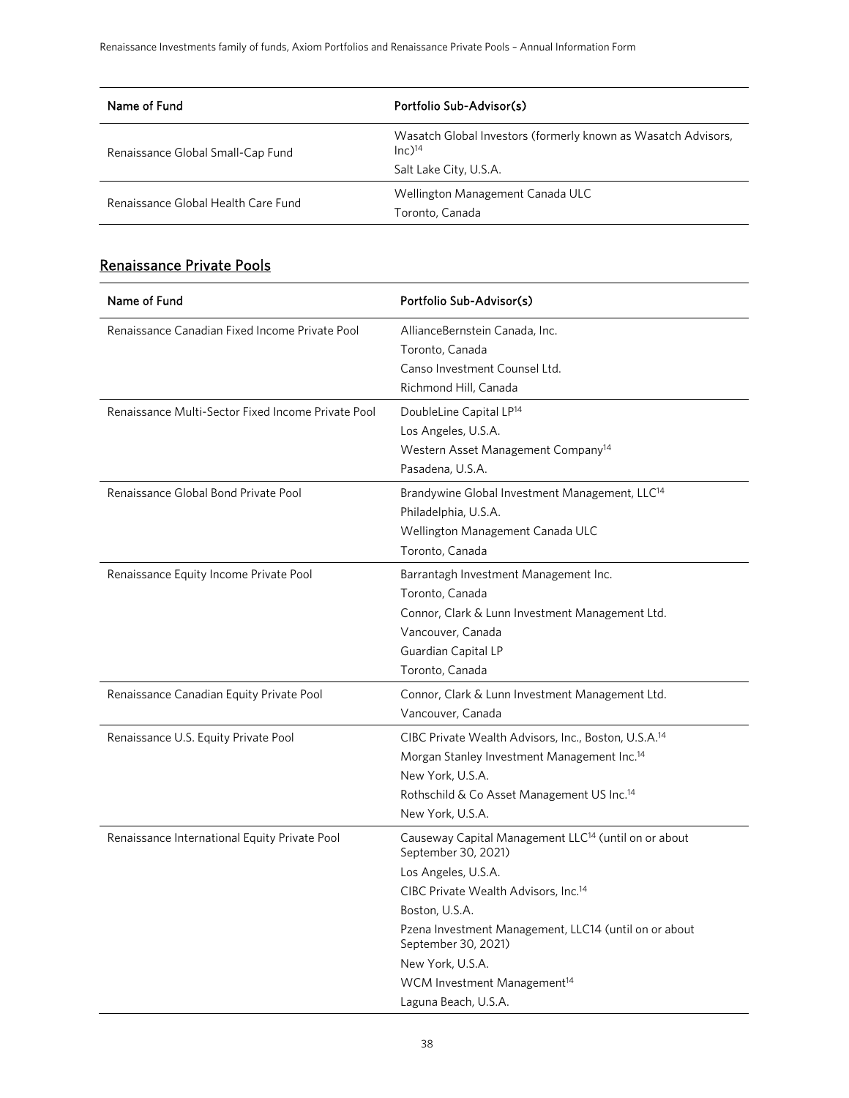| Name of Fund                        | Portfolio Sub-Advisor(s)                                                                                       |
|-------------------------------------|----------------------------------------------------------------------------------------------------------------|
| Renaissance Global Small-Cap Fund   | Wasatch Global Investors (formerly known as Wasatch Advisors,<br>$Inc$ <sup>14</sup><br>Salt Lake City, U.S.A. |
| Renaissance Global Health Care Fund | Wellington Management Canada ULC<br>Toronto, Canada                                                            |

# Renaissance Private Pools

| Name of Fund                                       | Portfolio Sub-Advisor(s)                                                                                                                                                                                                                                                                                                                                    |
|----------------------------------------------------|-------------------------------------------------------------------------------------------------------------------------------------------------------------------------------------------------------------------------------------------------------------------------------------------------------------------------------------------------------------|
| Renaissance Canadian Fixed Income Private Pool     | AllianceBernstein Canada, Inc.<br>Toronto, Canada<br>Canso Investment Counsel Ltd.<br>Richmond Hill, Canada                                                                                                                                                                                                                                                 |
| Renaissance Multi-Sector Fixed Income Private Pool | DoubleLine Capital LP <sup>14</sup><br>Los Angeles, U.S.A.<br>Western Asset Management Company <sup>14</sup><br>Pasadena, U.S.A.                                                                                                                                                                                                                            |
| Renaissance Global Bond Private Pool               | Brandywine Global Investment Management, LLC <sup>14</sup><br>Philadelphia, U.S.A.<br>Wellington Management Canada ULC<br>Toronto, Canada                                                                                                                                                                                                                   |
| Renaissance Equity Income Private Pool             | Barrantagh Investment Management Inc.<br>Toronto, Canada<br>Connor, Clark & Lunn Investment Management Ltd.<br>Vancouver, Canada<br>Guardian Capital LP<br>Toronto, Canada                                                                                                                                                                                  |
| Renaissance Canadian Equity Private Pool           | Connor, Clark & Lunn Investment Management Ltd.<br>Vancouver, Canada                                                                                                                                                                                                                                                                                        |
| Renaissance U.S. Equity Private Pool               | CIBC Private Wealth Advisors, Inc., Boston, U.S.A. <sup>14</sup><br>Morgan Stanley Investment Management Inc. <sup>14</sup><br>New York, U.S.A.<br>Rothschild & Co Asset Management US Inc. <sup>14</sup><br>New York, U.S.A.                                                                                                                               |
| Renaissance International Equity Private Pool      | Causeway Capital Management LLC <sup>14</sup> (until on or about<br>September 30, 2021)<br>Los Angeles, U.S.A.<br>CIBC Private Wealth Advisors, Inc. <sup>14</sup><br>Boston, U.S.A.<br>Pzena Investment Management, LLC14 (until on or about<br>September 30, 2021)<br>New York, U.S.A.<br>WCM Investment Management <sup>14</sup><br>Laguna Beach, U.S.A. |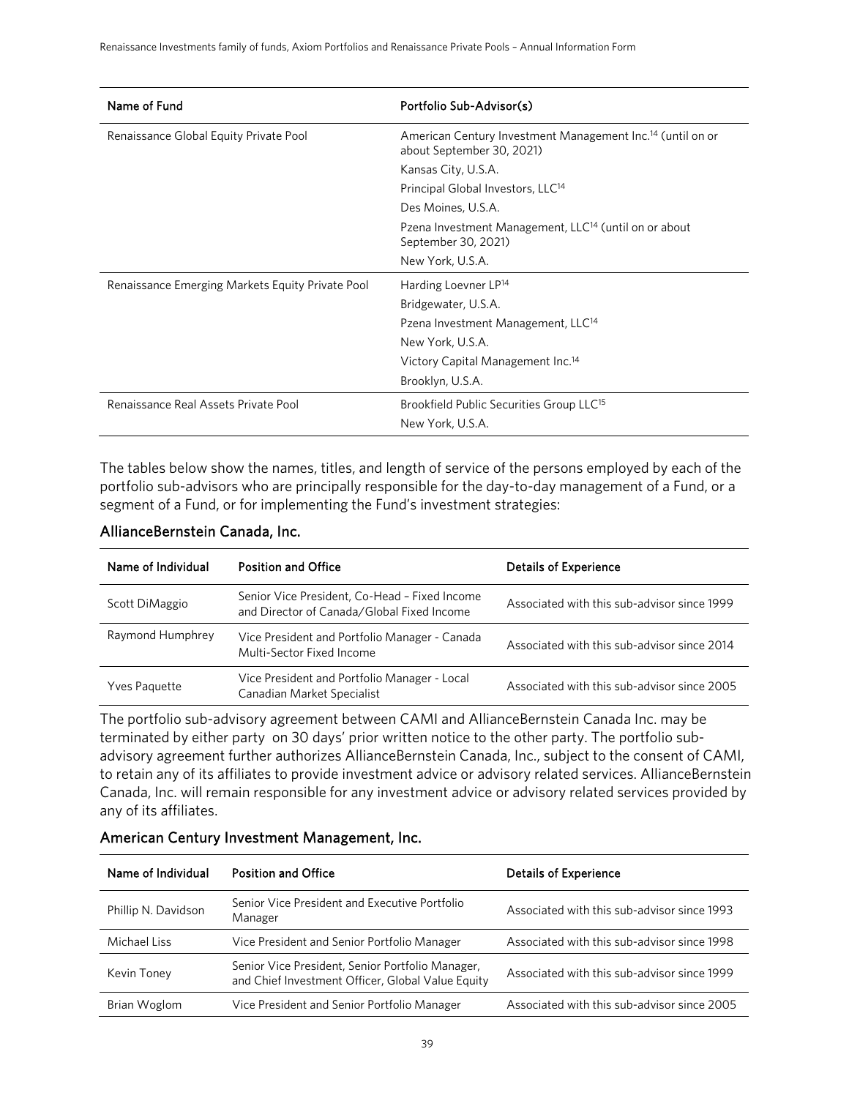| Name of Fund                                     | Portfolio Sub-Advisor(s)                                                                            |
|--------------------------------------------------|-----------------------------------------------------------------------------------------------------|
| Renaissance Global Equity Private Pool           | American Century Investment Management Inc. <sup>14</sup> (until on or<br>about September 30, 2021) |
|                                                  | Kansas City, U.S.A.                                                                                 |
|                                                  | Principal Global Investors, LLC <sup>14</sup>                                                       |
|                                                  | Des Moines, U.S.A.                                                                                  |
|                                                  | Pzena Investment Management, LLC <sup>14</sup> (until on or about<br>September 30, 2021)            |
|                                                  | New York, U.S.A.                                                                                    |
| Renaissance Emerging Markets Equity Private Pool | Harding Loevner LP <sup>14</sup>                                                                    |
|                                                  | Bridgewater, U.S.A.                                                                                 |
|                                                  | Pzena Investment Management, LLC <sup>14</sup>                                                      |
|                                                  | New York, U.S.A.                                                                                    |
|                                                  | Victory Capital Management Inc. <sup>14</sup>                                                       |
|                                                  | Brooklyn, U.S.A.                                                                                    |
| Renaissance Real Assets Private Pool             | Brookfield Public Securities Group LLC <sup>15</sup>                                                |
|                                                  | New York, U.S.A.                                                                                    |

The tables below show the names, titles, and length of service of the persons employed by each of the portfolio sub-advisors who are principally responsible for the day-to-day management of a Fund, or a segment of a Fund, or for implementing the Fund's investment strategies:

#### AllianceBernstein Canada, Inc.

| Name of Individual   | <b>Position and Office</b>                                                                  | <b>Details of Experience</b>                |
|----------------------|---------------------------------------------------------------------------------------------|---------------------------------------------|
| Scott DiMaggio       | Senior Vice President, Co-Head - Fixed Income<br>and Director of Canada/Global Fixed Income | Associated with this sub-advisor since 1999 |
| Raymond Humphrey     | Vice President and Portfolio Manager - Canada<br>Multi-Sector Fixed Income                  | Associated with this sub-advisor since 2014 |
| <b>Yves Paquette</b> | Vice President and Portfolio Manager - Local<br>Canadian Market Specialist                  | Associated with this sub-advisor since 2005 |

The portfolio sub-advisory agreement between CAMI and AllianceBernstein Canada Inc. may be terminated by either party on 30 days' prior written notice to the other party. The portfolio subadvisory agreement further authorizes AllianceBernstein Canada, Inc., subject to the consent of CAMI, to retain any of its affiliates to provide investment advice or advisory related services. AllianceBernstein Canada, Inc. will remain responsible for any investment advice or advisory related services provided by any of its affiliates.

| Name of Individual  | <b>Position and Office</b>                                                                            | <b>Details of Experience</b>                |
|---------------------|-------------------------------------------------------------------------------------------------------|---------------------------------------------|
| Phillip N. Davidson | Senior Vice President and Executive Portfolio<br>Manager                                              | Associated with this sub-advisor since 1993 |
| Michael Liss        | Vice President and Senior Portfolio Manager                                                           | Associated with this sub-advisor since 1998 |
| Kevin Toney         | Senior Vice President, Senior Portfolio Manager,<br>and Chief Investment Officer, Global Value Equity | Associated with this sub-advisor since 1999 |
| Brian Woglom        | Vice President and Senior Portfolio Manager                                                           | Associated with this sub-advisor since 2005 |

#### American Century Investment Management, Inc.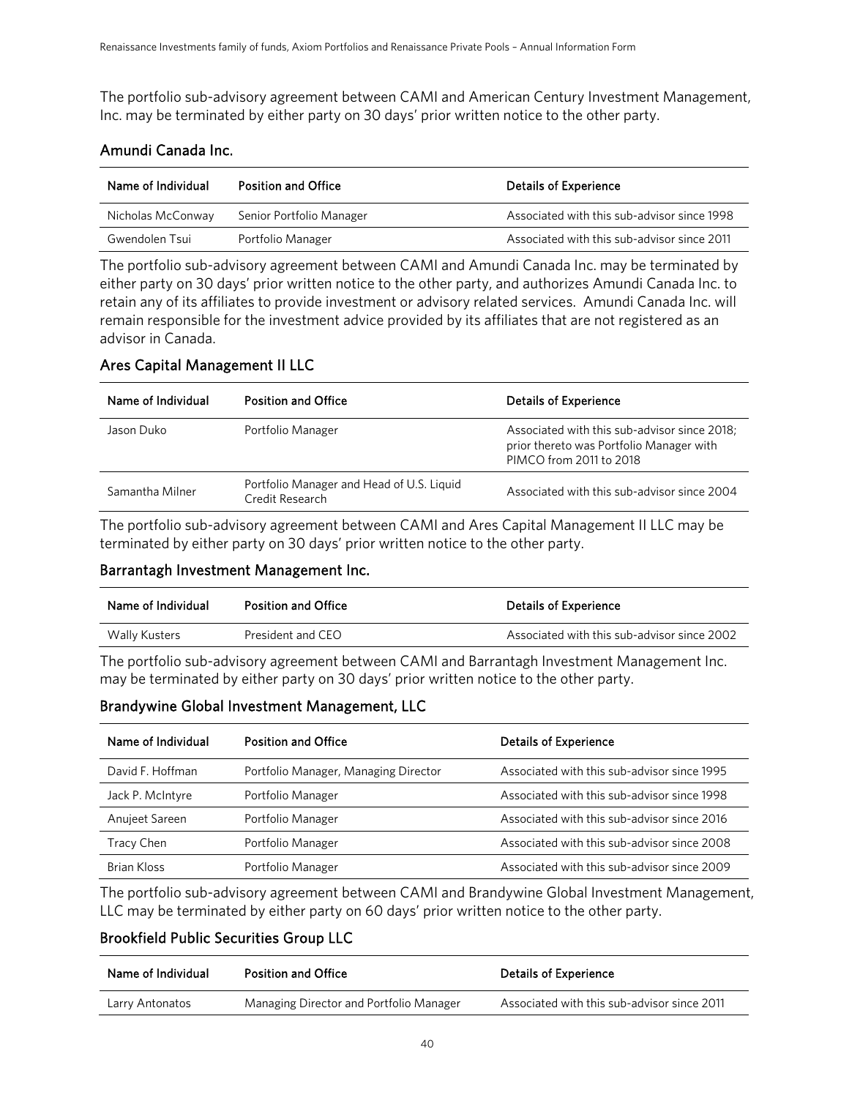The portfolio sub-advisory agreement between CAMI and American Century Investment Management, Inc. may be terminated by either party on 30 days' prior written notice to the other party.

#### Amundi Canada Inc.

| Name of Individual | <b>Position and Office</b> | <b>Details of Experience</b>                |
|--------------------|----------------------------|---------------------------------------------|
| Nicholas McConway  | Senior Portfolio Manager   | Associated with this sub-advisor since 1998 |
| Gwendolen Tsui     | Portfolio Manager          | Associated with this sub-advisor since 2011 |

The portfolio sub-advisory agreement between CAMI and Amundi Canada Inc. may be terminated by either party on 30 days' prior written notice to the other party, and authorizes Amundi Canada Inc. to retain any of its affiliates to provide investment or advisory related services. Amundi Canada Inc. will remain responsible for the investment advice provided by its affiliates that are not registered as an advisor in Canada.

#### Ares Capital Management II LLC

| Name of Individual | <b>Position and Office</b>                                   | <b>Details of Experience</b>                                                                                        |
|--------------------|--------------------------------------------------------------|---------------------------------------------------------------------------------------------------------------------|
| Jason Duko         | Portfolio Manager                                            | Associated with this sub-advisor since 2018;<br>prior thereto was Portfolio Manager with<br>PIMCO from 2011 to 2018 |
| Samantha Milner    | Portfolio Manager and Head of U.S. Liquid<br>Credit Research | Associated with this sub-advisor since 2004                                                                         |

The portfolio sub-advisory agreement between CAMI and Ares Capital Management II LLC may be terminated by either party on 30 days' prior written notice to the other party.

#### Barrantagh Investment Management Inc.

| Name of Individual | <b>Position and Office</b> | <b>Details of Experience</b>                |
|--------------------|----------------------------|---------------------------------------------|
| Wally Kusters      | President and CEO          | Associated with this sub-advisor since 2002 |

The portfolio sub-advisory agreement between CAMI and Barrantagh Investment Management Inc. may be terminated by either party on 30 days' prior written notice to the other party.

#### Brandywine Global Investment Management, LLC

| Name of Individual | <b>Position and Office</b>           | <b>Details of Experience</b>                |
|--------------------|--------------------------------------|---------------------------------------------|
| David F. Hoffman   | Portfolio Manager, Managing Director | Associated with this sub-advisor since 1995 |
| Jack P. McIntyre   | Portfolio Manager                    | Associated with this sub-advisor since 1998 |
| Anujeet Sareen     | Portfolio Manager                    | Associated with this sub-advisor since 2016 |
| <b>Tracy Chen</b>  | Portfolio Manager                    | Associated with this sub-advisor since 2008 |
| <b>Brian Kloss</b> | Portfolio Manager                    | Associated with this sub-advisor since 2009 |

The portfolio sub-advisory agreement between CAMI and Brandywine Global Investment Management, LLC may be terminated by either party on 60 days' prior written notice to the other party.

#### Brookfield Public Securities Group LLC

| Name of Individual | <b>Position and Office</b>              | <b>Details of Experience</b>                |
|--------------------|-----------------------------------------|---------------------------------------------|
| Larry Antonatos    | Managing Director and Portfolio Manager | Associated with this sub-advisor since 2011 |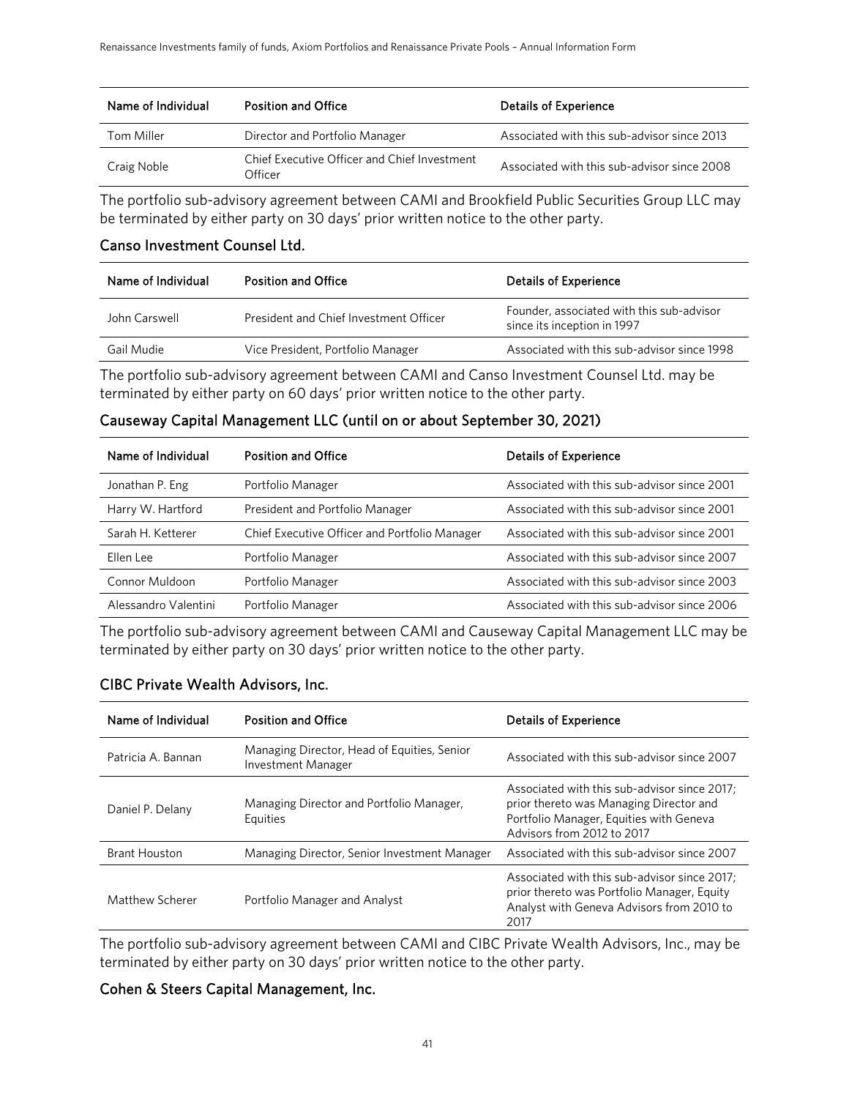| Name of Individual | <b>Position and Office</b>                              | <b>Details of Experience</b>                |
|--------------------|---------------------------------------------------------|---------------------------------------------|
| Tom Miller         | Director and Portfolio Manager                          | Associated with this sub-advisor since 2013 |
| Craig Noble        | Chief Executive Officer and Chief Investment<br>Officer | Associated with this sub-advisor since 2008 |

The portfolio sub-advisory agreement between CAMI and Brookfield Public Securities Group LLC may be terminated by either party on 30 days' prior written notice to the other party.

#### Canso Investment Counsel Ltd.

| Name of Individual | <b>Position and Office</b>             | <b>Details of Experience</b>                                             |
|--------------------|----------------------------------------|--------------------------------------------------------------------------|
| John Carswell      | President and Chief Investment Officer | Founder, associated with this sub-advisor<br>since its inception in 1997 |
| Gail Mudie         | Vice President, Portfolio Manager      | Associated with this sub-advisor since 1998                              |

The portfolio sub-advisory agreement between CAMI and Canso Investment Counsel Ltd. may be terminated by either party on 60 days' prior written notice to the other party.

### Causeway Capital Management LLC (until on or about September 30, 2021)

| Name of Individual   | <b>Position and Office</b>                    | <b>Details of Experience</b>                |
|----------------------|-----------------------------------------------|---------------------------------------------|
| Jonathan P. Eng      | Portfolio Manager                             | Associated with this sub-advisor since 2001 |
| Harry W. Hartford    | President and Portfolio Manager               | Associated with this sub-advisor since 2001 |
| Sarah H. Ketterer    | Chief Executive Officer and Portfolio Manager | Associated with this sub-advisor since 2001 |
| Fllen Lee            | Portfolio Manager                             | Associated with this sub-advisor since 2007 |
| Connor Muldoon       | Portfolio Manager                             | Associated with this sub-advisor since 2003 |
| Alessandro Valentini | Portfolio Manager                             | Associated with this sub-advisor since 2006 |

The portfolio sub-advisory agreement between CAMI and Causeway Capital Management LLC may be terminated by either party on 30 days' prior written notice to the other party.

#### CIBC Private Wealth Advisors, Inc.

| Name of Individual   | <b>Position and Office</b>                                               | <b>Details of Experience</b>                                                                                                                                     |
|----------------------|--------------------------------------------------------------------------|------------------------------------------------------------------------------------------------------------------------------------------------------------------|
| Patricia A. Bannan   | Managing Director, Head of Equities, Senior<br><b>Investment Manager</b> | Associated with this sub-advisor since 2007                                                                                                                      |
| Daniel P. Delany     | Managing Director and Portfolio Manager,<br>Equities                     | Associated with this sub-advisor since 2017;<br>prior thereto was Managing Director and<br>Portfolio Manager, Equities with Geneva<br>Advisors from 2012 to 2017 |
| <b>Brant Houston</b> | Managing Director, Senior Investment Manager                             | Associated with this sub-advisor since 2007                                                                                                                      |
| Matthew Scherer      | Portfolio Manager and Analyst                                            | Associated with this sub-advisor since 2017:<br>prior thereto was Portfolio Manager, Equity<br>Analyst with Geneva Advisors from 2010 to<br>2017                 |

The portfolio sub-advisory agreement between CAMI and CIBC Private Wealth Advisors, Inc., may be terminated by either party on 30 days' prior written notice to the other party.

#### Cohen & Steers Capital Management, Inc.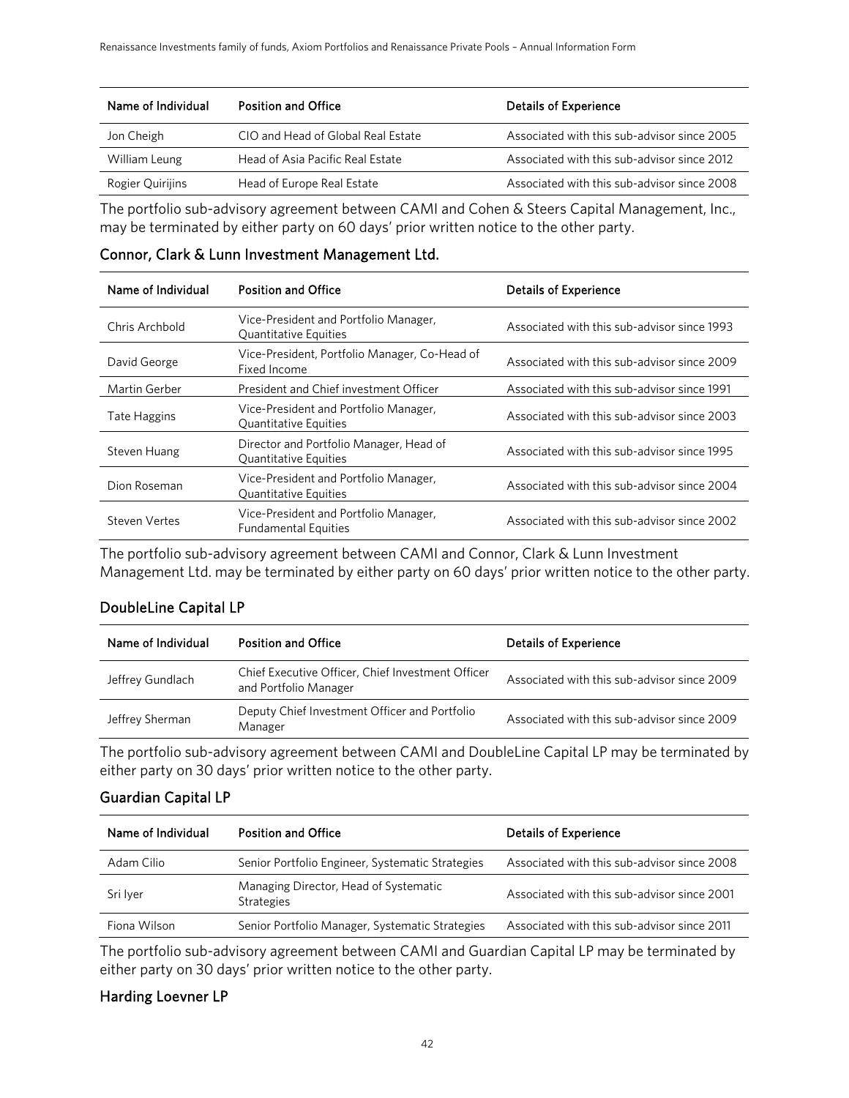| Name of Individual | <b>Position and Office</b>         | <b>Details of Experience</b>                |
|--------------------|------------------------------------|---------------------------------------------|
| Jon Cheigh         | CIO and Head of Global Real Estate | Associated with this sub-advisor since 2005 |
| William Leung      | Head of Asia Pacific Real Estate   | Associated with this sub-advisor since 2012 |
| Rogier Quirijins   | Head of Europe Real Estate         | Associated with this sub-advisor since 2008 |

The portfolio sub-advisory agreement between CAMI and Cohen & Steers Capital Management, Inc., may be terminated by either party on 60 days' prior written notice to the other party.

| Name of Individual | <b>Position and Office</b>                                              | <b>Details of Experience</b>                |
|--------------------|-------------------------------------------------------------------------|---------------------------------------------|
| Chris Archbold     | Vice-President and Portfolio Manager,<br><b>Quantitative Equities</b>   | Associated with this sub-advisor since 1993 |
| David George       | Vice-President, Portfolio Manager, Co-Head of<br>Fixed Income           | Associated with this sub-advisor since 2009 |
| Martin Gerber      | President and Chief investment Officer                                  | Associated with this sub-advisor since 1991 |
| Tate Haggins       | Vice-President and Portfolio Manager,<br><b>Quantitative Equities</b>   | Associated with this sub-advisor since 2003 |
| Steven Huang       | Director and Portfolio Manager, Head of<br><b>Quantitative Equities</b> | Associated with this sub-advisor since 1995 |
| Dion Roseman       | Vice-President and Portfolio Manager,<br><b>Quantitative Equities</b>   | Associated with this sub-advisor since 2004 |
| Steven Vertes      | Vice-President and Portfolio Manager,<br><b>Fundamental Equities</b>    | Associated with this sub-advisor since 2002 |

Connor, Clark & Lunn Investment Management Ltd.

The portfolio sub-advisory agreement between CAMI and Connor, Clark & Lunn Investment Management Ltd. may be terminated by either party on 60 days' prior written notice to the other party.

#### DoubleLine Capital LP

| Name of Individual | <b>Position and Office</b>                                                 | <b>Details of Experience</b>                |
|--------------------|----------------------------------------------------------------------------|---------------------------------------------|
| Jeffrey Gundlach   | Chief Executive Officer, Chief Investment Officer<br>and Portfolio Manager | Associated with this sub-advisor since 2009 |
| Jeffrey Sherman    | Deputy Chief Investment Officer and Portfolio<br>Manager                   | Associated with this sub-advisor since 2009 |

The portfolio sub-advisory agreement between CAMI and DoubleLine Capital LP may be terminated by either party on 30 days' prior written notice to the other party.

#### Guardian Capital LP

| Name of Individual | <b>Position and Office</b>                                 | <b>Details of Experience</b>                |
|--------------------|------------------------------------------------------------|---------------------------------------------|
| Adam Cilio         | Senior Portfolio Engineer, Systematic Strategies           | Associated with this sub-advisor since 2008 |
| Sri Iver           | Managing Director, Head of Systematic<br><b>Strategies</b> | Associated with this sub-advisor since 2001 |
| Fiona Wilson       | Senior Portfolio Manager, Systematic Strategies            | Associated with this sub-advisor since 2011 |

The portfolio sub-advisory agreement between CAMI and Guardian Capital LP may be terminated by either party on 30 days' prior written notice to the other party.

#### Harding Loevner LP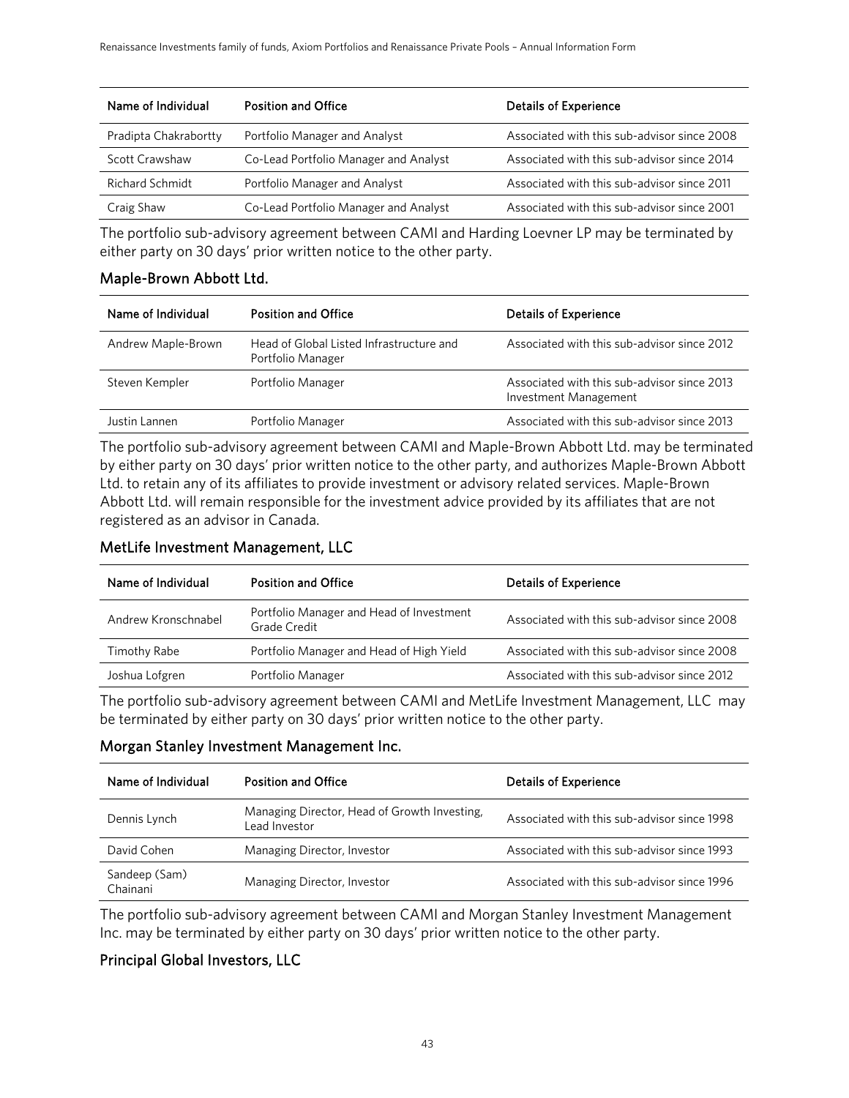| Name of Individual     | <b>Position and Office</b>            | <b>Details of Experience</b>                |
|------------------------|---------------------------------------|---------------------------------------------|
| Pradipta Chakrabortty  | Portfolio Manager and Analyst         | Associated with this sub-advisor since 2008 |
| <b>Scott Crawshaw</b>  | Co-Lead Portfolio Manager and Analyst | Associated with this sub-advisor since 2014 |
| <b>Richard Schmidt</b> | Portfolio Manager and Analyst         | Associated with this sub-advisor since 2011 |
| Craig Shaw             | Co-Lead Portfolio Manager and Analyst | Associated with this sub-advisor since 2001 |

The portfolio sub-advisory agreement between CAMI and Harding Loevner LP may be terminated by either party on 30 days' prior written notice to the other party.

#### Maple-Brown Abbott Ltd.

| Name of Individual | <b>Position and Office</b>                                    | <b>Details of Experience</b>                                         |
|--------------------|---------------------------------------------------------------|----------------------------------------------------------------------|
| Andrew Maple-Brown | Head of Global Listed Infrastructure and<br>Portfolio Manager | Associated with this sub-advisor since 2012                          |
| Steven Kempler     | Portfolio Manager                                             | Associated with this sub-advisor since 2013<br>Investment Management |
| Justin Lannen      | Portfolio Manager                                             | Associated with this sub-advisor since 2013                          |

The portfolio sub-advisory agreement between CAMI and Maple-Brown Abbott Ltd. may be terminated by either party on 30 days' prior written notice to the other party, and authorizes Maple-Brown Abbott Ltd. to retain any of its affiliates to provide investment or advisory related services. Maple-Brown Abbott Ltd. will remain responsible for the investment advice provided by its affiliates that are not registered as an advisor in Canada.

#### MetLife Investment Management, LLC

| Name of Individual  | <b>Position and Office</b>                               | <b>Details of Experience</b>                |
|---------------------|----------------------------------------------------------|---------------------------------------------|
| Andrew Kronschnabel | Portfolio Manager and Head of Investment<br>Grade Credit | Associated with this sub-advisor since 2008 |
| Timothy Rabe        | Portfolio Manager and Head of High Yield                 | Associated with this sub-advisor since 2008 |
| Joshua Lofgren      | Portfolio Manager                                        | Associated with this sub-advisor since 2012 |
|                     |                                                          |                                             |

The portfolio sub-advisory agreement between CAMI and MetLife Investment Management, LLC may be terminated by either party on 30 days' prior written notice to the other party.

#### Morgan Stanley Investment Management Inc.

| Name of Individual        | <b>Position and Office</b>                                    | <b>Details of Experience</b>                |
|---------------------------|---------------------------------------------------------------|---------------------------------------------|
| Dennis Lynch              | Managing Director, Head of Growth Investing,<br>Lead Investor | Associated with this sub-advisor since 1998 |
| David Cohen               | Managing Director, Investor                                   | Associated with this sub-advisor since 1993 |
| Sandeep (Sam)<br>Chainani | Managing Director, Investor                                   | Associated with this sub-advisor since 1996 |

The portfolio sub-advisory agreement between CAMI and Morgan Stanley Investment Management Inc. may be terminated by either party on 30 days' prior written notice to the other party.

### Principal Global Investors, LLC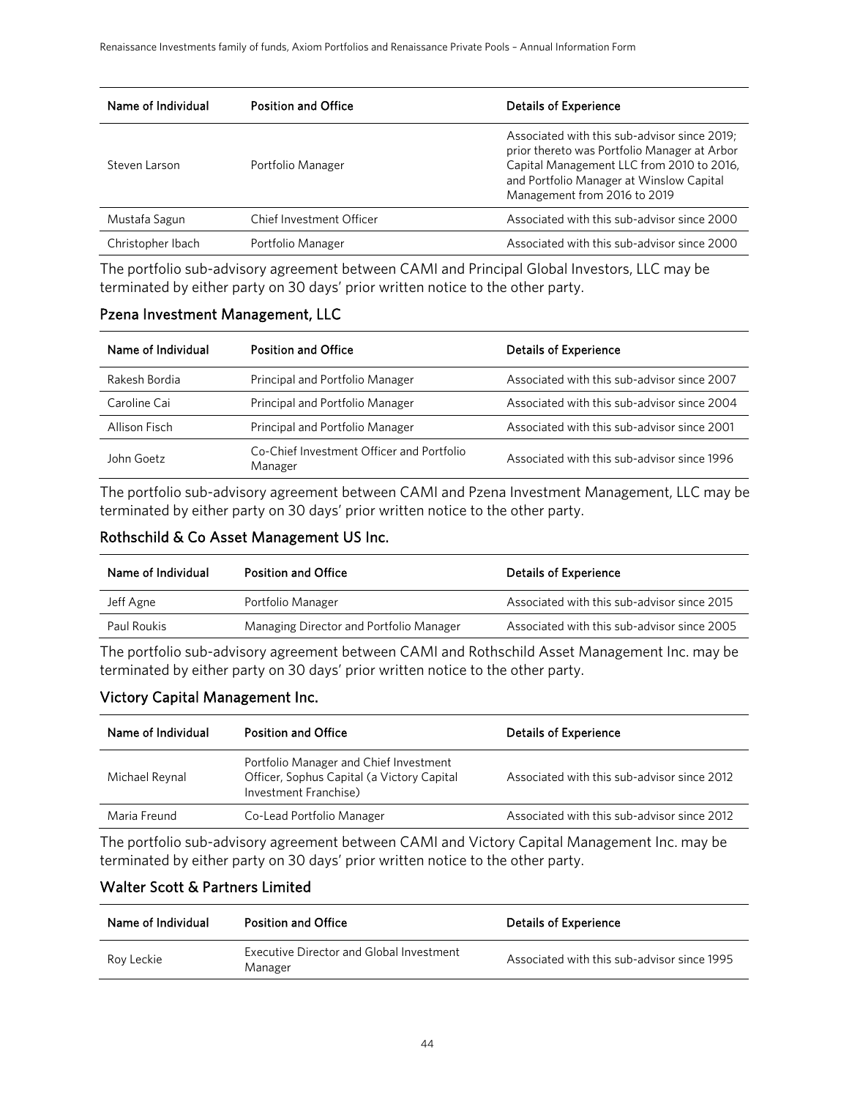| Name of Individual | <b>Position and Office</b> | <b>Details of Experience</b>                                                                                                                                                                                          |
|--------------------|----------------------------|-----------------------------------------------------------------------------------------------------------------------------------------------------------------------------------------------------------------------|
| Steven Larson      | Portfolio Manager          | Associated with this sub-advisor since 2019;<br>prior thereto was Portfolio Manager at Arbor<br>Capital Management LLC from 2010 to 2016,<br>and Portfolio Manager at Winslow Capital<br>Management from 2016 to 2019 |
| Mustafa Sagun      | Chief Investment Officer   | Associated with this sub-advisor since 2000                                                                                                                                                                           |
| Christopher Ibach  | Portfolio Manager          | Associated with this sub-advisor since 2000                                                                                                                                                                           |

The portfolio sub-advisory agreement between CAMI and Principal Global Investors, LLC may be terminated by either party on 30 days' prior written notice to the other party.

#### Pzena Investment Management, LLC

| Name of Individual | <b>Position and Office</b>                           | <b>Details of Experience</b>                |  |  |
|--------------------|------------------------------------------------------|---------------------------------------------|--|--|
| Rakesh Bordia      | Principal and Portfolio Manager                      | Associated with this sub-advisor since 2007 |  |  |
| Caroline Cai       | Principal and Portfolio Manager                      | Associated with this sub-advisor since 2004 |  |  |
| Allison Fisch      | Principal and Portfolio Manager                      | Associated with this sub-advisor since 2001 |  |  |
| John Goetz         | Co-Chief Investment Officer and Portfolio<br>Manager | Associated with this sub-advisor since 1996 |  |  |

The portfolio sub-advisory agreement between CAMI and Pzena Investment Management, LLC may be terminated by either party on 30 days' prior written notice to the other party.

### Rothschild & Co Asset Management US Inc.

| Name of Individual | <b>Position and Office</b>              | <b>Details of Experience</b>                |  |  |
|--------------------|-----------------------------------------|---------------------------------------------|--|--|
| Jeff Agne          | Portfolio Manager                       | Associated with this sub-advisor since 2015 |  |  |
| Paul Roukis        | Managing Director and Portfolio Manager | Associated with this sub-advisor since 2005 |  |  |

The portfolio sub-advisory agreement between CAMI and Rothschild Asset Management Inc. may be terminated by either party on 30 days' prior written notice to the other party.

#### Victory Capital Management Inc.

| Name of Individual                        | <b>Position and Office</b>                                                                                    | <b>Details of Experience</b>                |  |  |
|-------------------------------------------|---------------------------------------------------------------------------------------------------------------|---------------------------------------------|--|--|
| Michael Reynal                            | Portfolio Manager and Chief Investment<br>Officer, Sophus Capital (a Victory Capital<br>Investment Franchise) | Associated with this sub-advisor since 2012 |  |  |
| Maria Freund<br>Co-Lead Portfolio Manager |                                                                                                               | Associated with this sub-advisor since 2012 |  |  |
|                                           |                                                                                                               |                                             |  |  |

The portfolio sub-advisory agreement between CAMI and Victory Capital Management Inc. may be terminated by either party on 30 days' prior written notice to the other party.

#### Walter Scott & Partners Limited

| Name of Individual | <b>Position and Office</b>                          | <b>Details of Experience</b>                |  |  |
|--------------------|-----------------------------------------------------|---------------------------------------------|--|--|
| Rov Leckie         | Executive Director and Global Investment<br>Manager | Associated with this sub-advisor since 1995 |  |  |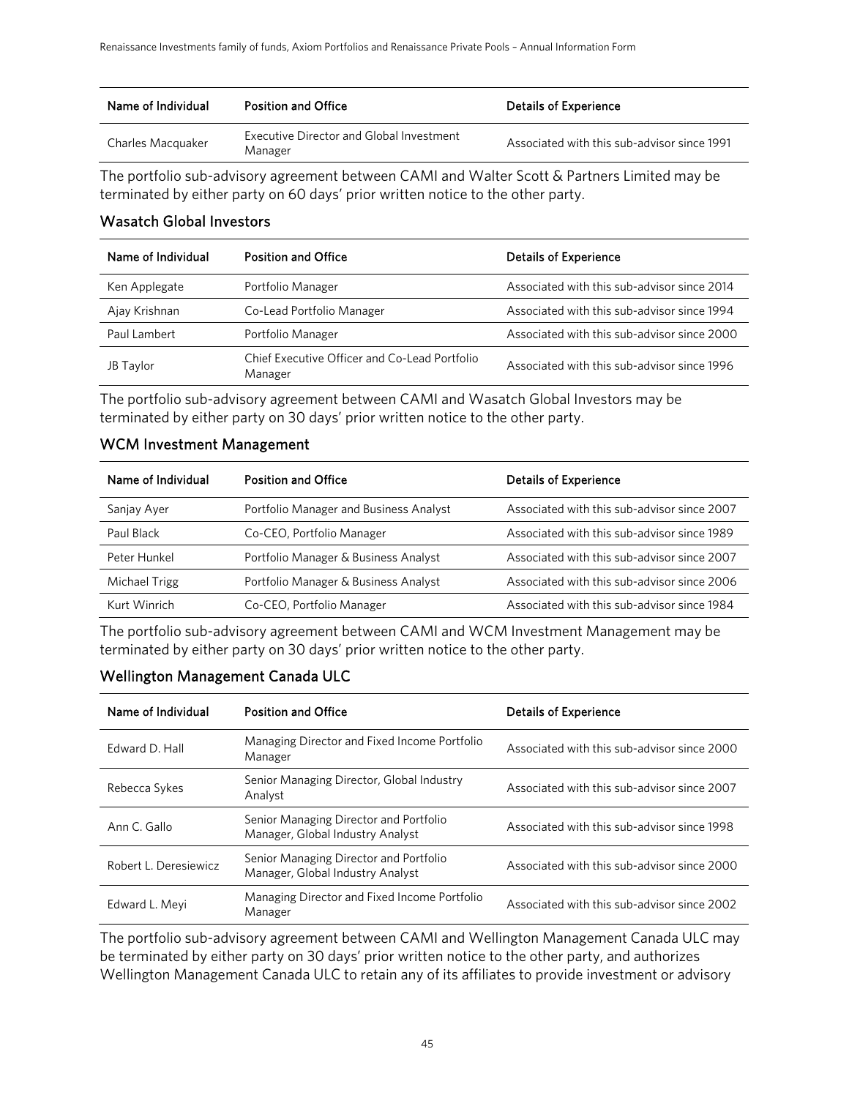| Name of Individual | <b>Position and Office</b>                                 | <b>Details of Experience</b>                |  |
|--------------------|------------------------------------------------------------|---------------------------------------------|--|
| Charles Macquaker  | <b>Executive Director and Global Investment</b><br>Manager | Associated with this sub-advisor since 1991 |  |

The portfolio sub-advisory agreement between CAMI and Walter Scott & Partners Limited may be terminated by either party on 60 days' prior written notice to the other party.

### Wasatch Global Investors

| Name of Individual | <b>Position and Office</b>                                       | <b>Details of Experience</b>                |  |  |
|--------------------|------------------------------------------------------------------|---------------------------------------------|--|--|
| Ken Applegate      | Portfolio Manager                                                | Associated with this sub-advisor since 2014 |  |  |
| Ajay Krishnan      | Co-Lead Portfolio Manager                                        | Associated with this sub-advisor since 1994 |  |  |
| Paul Lambert       | Associated with this sub-advisor since 2000<br>Portfolio Manager |                                             |  |  |
| JB Taylor          | Chief Executive Officer and Co-Lead Portfolio<br>Manager         | Associated with this sub-advisor since 1996 |  |  |

The portfolio sub-advisory agreement between CAMI and Wasatch Global Investors may be terminated by either party on 30 days' prior written notice to the other party.

### WCM Investment Management

| Name of Individual | <b>Position and Office</b><br><b>Details of Experience</b> |                                             |  |  |
|--------------------|------------------------------------------------------------|---------------------------------------------|--|--|
| Sanjay Ayer        | Portfolio Manager and Business Analyst                     | Associated with this sub-advisor since 2007 |  |  |
| Paul Black         | Co-CEO, Portfolio Manager                                  | Associated with this sub-advisor since 1989 |  |  |
| Peter Hunkel       | Portfolio Manager & Business Analyst                       | Associated with this sub-advisor since 2007 |  |  |
| Michael Trigg      | Portfolio Manager & Business Analyst                       | Associated with this sub-advisor since 2006 |  |  |
| Kurt Winrich       | Co-CEO, Portfolio Manager                                  | Associated with this sub-advisor since 1984 |  |  |

The portfolio sub-advisory agreement between CAMI and WCM Investment Management may be terminated by either party on 30 days' prior written notice to the other party.

### Wellington Management Canada ULC

| Name of Individual    | <b>Position and Office</b>                                                 | <b>Details of Experience</b>                |  |  |
|-----------------------|----------------------------------------------------------------------------|---------------------------------------------|--|--|
| Edward D. Hall        | Managing Director and Fixed Income Portfolio<br>Manager                    | Associated with this sub-advisor since 2000 |  |  |
| Rebecca Sykes         | Senior Managing Director, Global Industry<br>Analyst                       | Associated with this sub-advisor since 2007 |  |  |
| Ann C. Gallo          | Senior Managing Director and Portfolio<br>Manager, Global Industry Analyst | Associated with this sub-advisor since 1998 |  |  |
| Robert L. Deresiewicz | Senior Managing Director and Portfolio<br>Manager, Global Industry Analyst | Associated with this sub-advisor since 2000 |  |  |
| Edward L. Meyi        | Managing Director and Fixed Income Portfolio<br>Manager                    | Associated with this sub-advisor since 2002 |  |  |

The portfolio sub-advisory agreement between CAMI and Wellington Management Canada ULC may be terminated by either party on 30 days' prior written notice to the other party, and authorizes Wellington Management Canada ULC to retain any of its affiliates to provide investment or advisory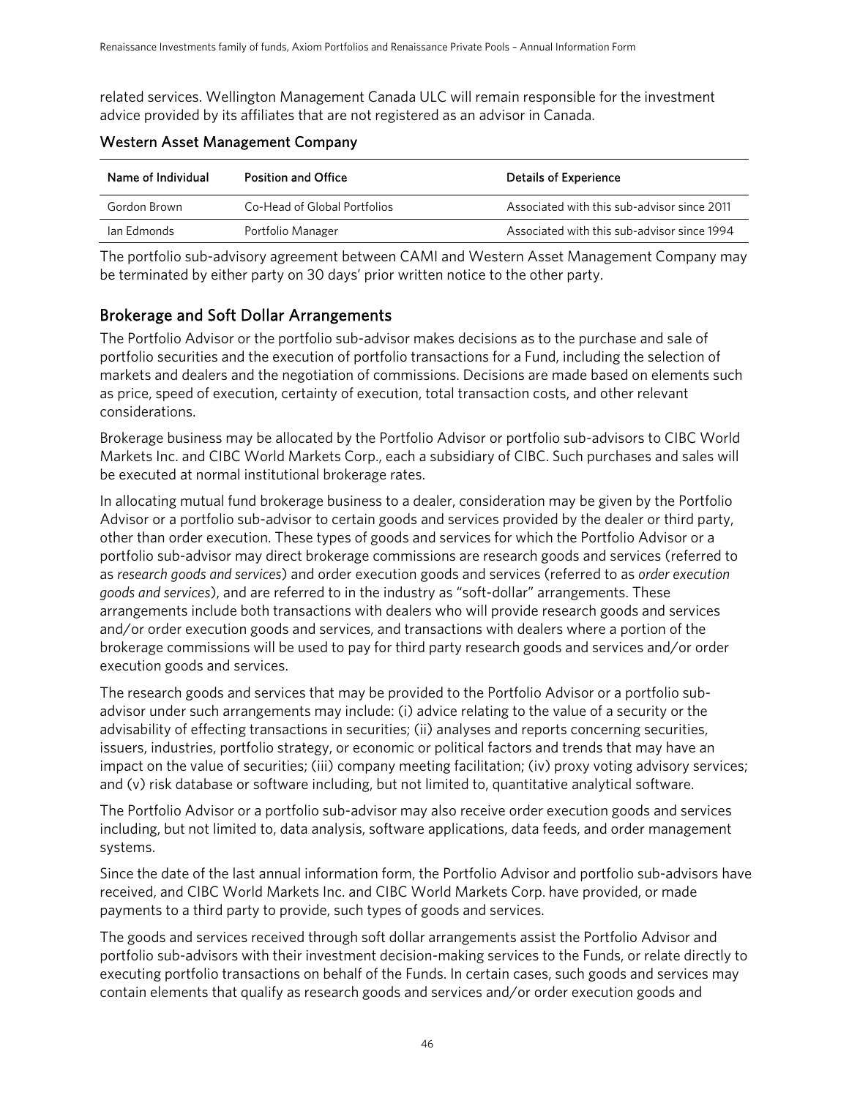related services. Wellington Management Canada ULC will remain responsible for the investment advice provided by its affiliates that are not registered as an advisor in Canada.

| Name of Individual | <b>Position and Office</b>   | <b>Details of Experience</b>                |  |  |
|--------------------|------------------------------|---------------------------------------------|--|--|
| Gordon Brown       | Co-Head of Global Portfolios | Associated with this sub-advisor since 2011 |  |  |
| lan Edmonds        | Portfolio Manager            | Associated with this sub-advisor since 1994 |  |  |

### Western Asset Management Company

The portfolio sub-advisory agreement between CAMI and Western Asset Management Company may be terminated by either party on 30 days' prior written notice to the other party.

# Brokerage and Soft Dollar Arrangements

The Portfolio Advisor or the portfolio sub-advisor makes decisions as to the purchase and sale of portfolio securities and the execution of portfolio transactions for a Fund, including the selection of markets and dealers and the negotiation of commissions. Decisions are made based on elements such as price, speed of execution, certainty of execution, total transaction costs, and other relevant considerations.

Brokerage business may be allocated by the Portfolio Advisor or portfolio sub-advisors to CIBC World Markets Inc. and CIBC World Markets Corp., each a subsidiary of CIBC. Such purchases and sales will be executed at normal institutional brokerage rates.

In allocating mutual fund brokerage business to a dealer, consideration may be given by the Portfolio Advisor or a portfolio sub-advisor to certain goods and services provided by the dealer or third party, other than order execution. These types of goods and services for which the Portfolio Advisor or a portfolio sub-advisor may direct brokerage commissions are research goods and services (referred to as *research goods and services*) and order execution goods and services (referred to as *order execution goods and services*), and are referred to in the industry as "soft-dollar" arrangements. These arrangements include both transactions with dealers who will provide research goods and services and/or order execution goods and services, and transactions with dealers where a portion of the brokerage commissions will be used to pay for third party research goods and services and/or order execution goods and services.

The research goods and services that may be provided to the Portfolio Advisor or a portfolio subadvisor under such arrangements may include: (i) advice relating to the value of a security or the advisability of effecting transactions in securities; (ii) analyses and reports concerning securities, issuers, industries, portfolio strategy, or economic or political factors and trends that may have an impact on the value of securities; (iii) company meeting facilitation; (iv) proxy voting advisory services; and (v) risk database or software including, but not limited to, quantitative analytical software.

The Portfolio Advisor or a portfolio sub-advisor may also receive order execution goods and services including, but not limited to, data analysis, software applications, data feeds, and order management systems.

Since the date of the last annual information form, the Portfolio Advisor and portfolio sub-advisors have received, and CIBC World Markets Inc. and CIBC World Markets Corp. have provided, or made payments to a third party to provide, such types of goods and services.

The goods and services received through soft dollar arrangements assist the Portfolio Advisor and portfolio sub-advisors with their investment decision-making services to the Funds, or relate directly to executing portfolio transactions on behalf of the Funds. In certain cases, such goods and services may contain elements that qualify as research goods and services and/or order execution goods and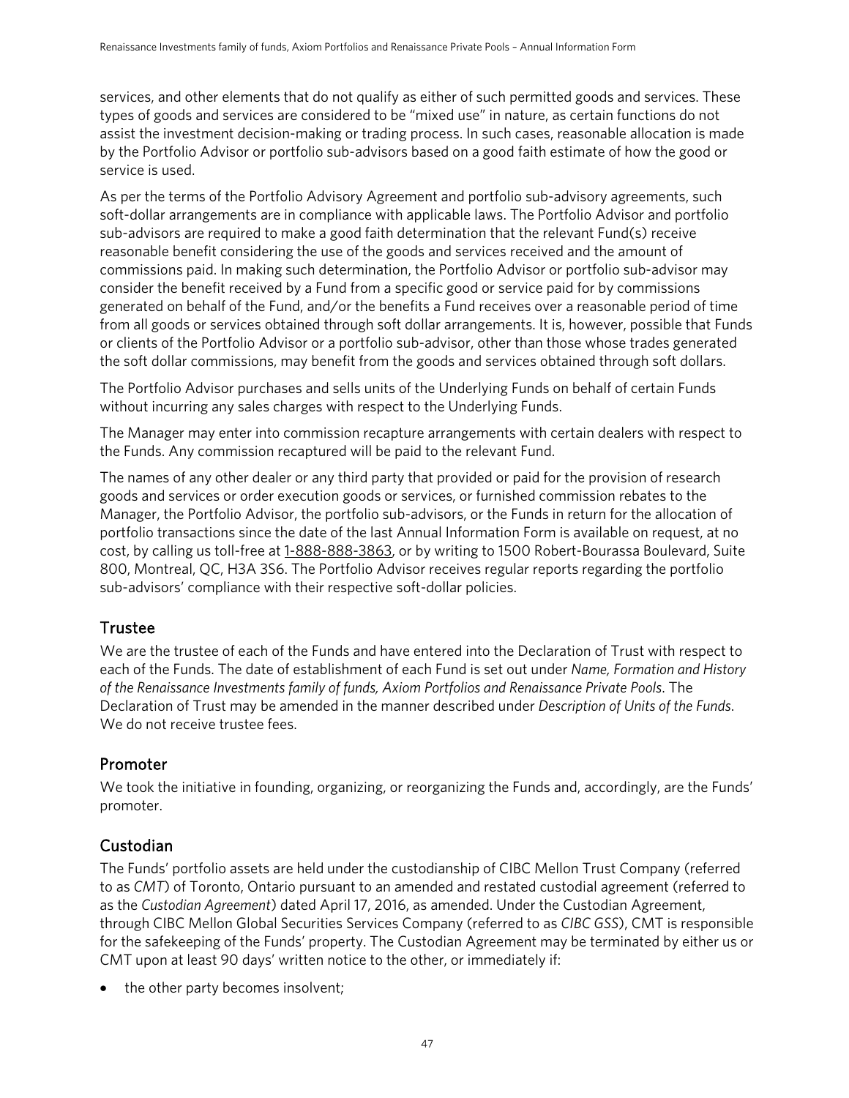services, and other elements that do not qualify as either of such permitted goods and services. These types of goods and services are considered to be "mixed use" in nature, as certain functions do not assist the investment decision-making or trading process. In such cases, reasonable allocation is made by the Portfolio Advisor or portfolio sub-advisors based on a good faith estimate of how the good or service is used.

As per the terms of the Portfolio Advisory Agreement and portfolio sub-advisory agreements, such soft-dollar arrangements are in compliance with applicable laws. The Portfolio Advisor and portfolio sub-advisors are required to make a good faith determination that the relevant Fund(s) receive reasonable benefit considering the use of the goods and services received and the amount of commissions paid. In making such determination, the Portfolio Advisor or portfolio sub-advisor may consider the benefit received by a Fund from a specific good or service paid for by commissions generated on behalf of the Fund, and/or the benefits a Fund receives over a reasonable period of time from all goods or services obtained through soft dollar arrangements. It is, however, possible that Funds or clients of the Portfolio Advisor or a portfolio sub-advisor, other than those whose trades generated the soft dollar commissions, may benefit from the goods and services obtained through soft dollars.

The Portfolio Advisor purchases and sells units of the Underlying Funds on behalf of certain Funds without incurring any sales charges with respect to the Underlying Funds.

The Manager may enter into commission recapture arrangements with certain dealers with respect to the Funds. Any commission recaptured will be paid to the relevant Fund.

The names of any other dealer or any third party that provided or paid for the provision of research goods and services or order execution goods or services, or furnished commission rebates to the Manager, the Portfolio Advisor, the portfolio sub-advisors, or the Funds in return for the allocation of portfolio transactions since the date of the last Annual Information Form is available on request, at no cost, by calling us toll-free at [1-888-888-3863,](tel:1-888-888-3863) or by writing to 1500 Robert-Bourassa Boulevard, Suite 800, Montreal, QC, H3A 3S6. The Portfolio Advisor receives regular reports regarding the portfolio sub-advisors' compliance with their respective soft-dollar policies.

# Trustee

We are the trustee of each of the Funds and have entered into the Declaration of Trust with respect to each of the Funds. The date of establishment of each Fund is set out under *Name, Formation and History of the Renaissance Investments family of funds, Axiom Portfolios and Renaissance Private Pools*. The Declaration of Trust may be amended in the manner described under *Description of Units of the Funds*. We do not receive trustee fees.

# Promoter

We took the initiative in founding, organizing, or reorganizing the Funds and, accordingly, are the Funds' promoter.

# Custodian

The Funds' portfolio assets are held under the custodianship of CIBC Mellon Trust Company (referred to as *CMT*) of Toronto, Ontario pursuant to an amended and restated custodial agreement (referred to as the *Custodian Agreement*) dated April 17, 2016, as amended. Under the Custodian Agreement, through CIBC Mellon Global Securities Services Company (referred to as *CIBC GSS*), CMT is responsible for the safekeeping of the Funds' property. The Custodian Agreement may be terminated by either us or CMT upon at least 90 days' written notice to the other, or immediately if:

• the other party becomes insolvent;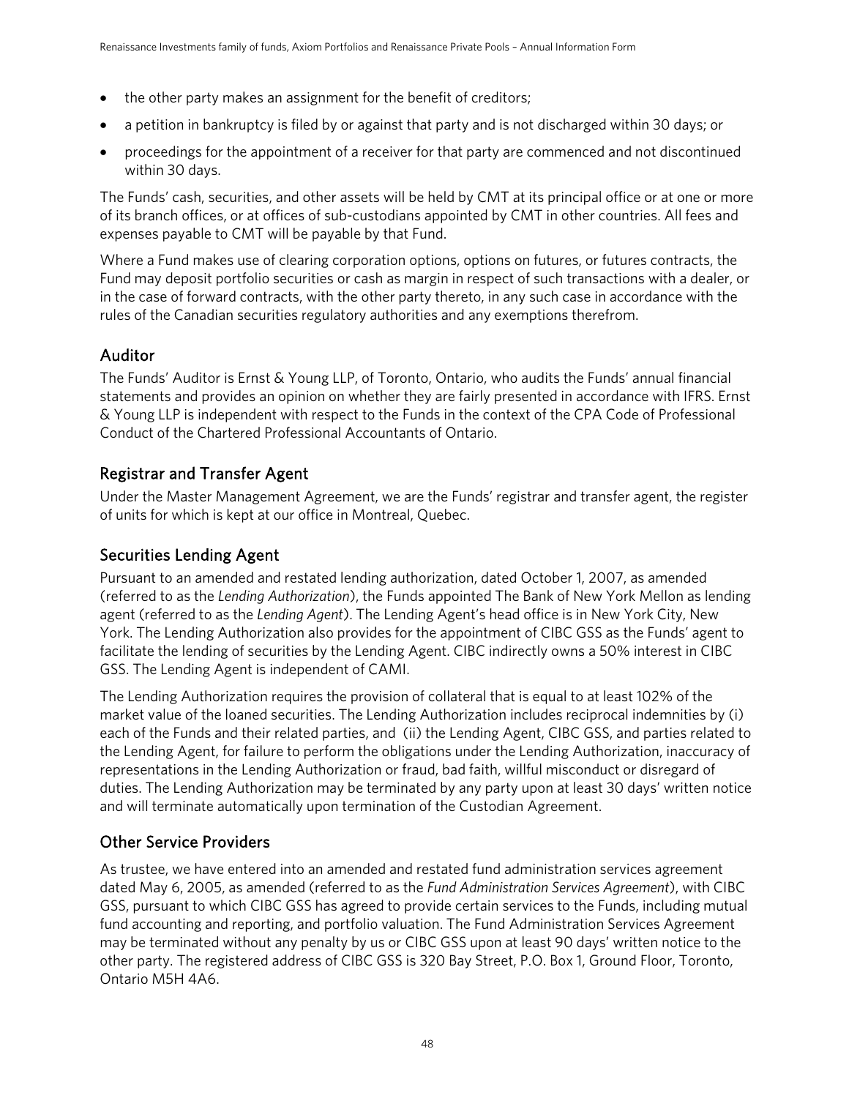- the other party makes an assignment for the benefit of creditors;
- a petition in bankruptcy is filed by or against that party and is not discharged within 30 days; or
- proceedings for the appointment of a receiver for that party are commenced and not discontinued within 30 days.

The Funds' cash, securities, and other assets will be held by CMT at its principal office or at one or more of its branch offices, or at offices of sub-custodians appointed by CMT in other countries. All fees and expenses payable to CMT will be payable by that Fund.

Where a Fund makes use of clearing corporation options, options on futures, or futures contracts, the Fund may deposit portfolio securities or cash as margin in respect of such transactions with a dealer, or in the case of forward contracts, with the other party thereto, in any such case in accordance with the rules of the Canadian securities regulatory authorities and any exemptions therefrom.

# Auditor

The Funds' Auditor is Ernst & Young LLP, of Toronto, Ontario, who audits the Funds' annual financial statements and provides an opinion on whether they are fairly presented in accordance with IFRS. Ernst & Young LLP is independent with respect to the Funds in the context of the CPA Code of Professional Conduct of the Chartered Professional Accountants of Ontario.

# Registrar and Transfer Agent

Under the Master Management Agreement, we are the Funds' registrar and transfer agent, the register of units for which is kept at our office in Montreal, Quebec.

# Securities Lending Agent

Pursuant to an amended and restated lending authorization, dated October 1, 2007, as amended (referred to as the *Lending Authorization*), the Funds appointed The Bank of New York Mellon as lending agent (referred to as the *Lending Agent*). The Lending Agent's head office is in New York City, New York. The Lending Authorization also provides for the appointment of CIBC GSS as the Funds' agent to facilitate the lending of securities by the Lending Agent. CIBC indirectly owns a 50% interest in CIBC GSS. The Lending Agent is independent of CAMI.

The Lending Authorization requires the provision of collateral that is equal to at least 102% of the market value of the loaned securities. The Lending Authorization includes reciprocal indemnities by (i) each of the Funds and their related parties, and (ii) the Lending Agent, CIBC GSS, and parties related to the Lending Agent, for failure to perform the obligations under the Lending Authorization, inaccuracy of representations in the Lending Authorization or fraud, bad faith, willful misconduct or disregard of duties. The Lending Authorization may be terminated by any party upon at least 30 days' written notice and will terminate automatically upon termination of the Custodian Agreement.

# Other Service Providers

As trustee, we have entered into an amended and restated fund administration services agreement dated May 6, 2005, as amended (referred to as the *Fund Administration Services Agreement*), with CIBC GSS, pursuant to which CIBC GSS has agreed to provide certain services to the Funds, including mutual fund accounting and reporting, and portfolio valuation. The Fund Administration Services Agreement may be terminated without any penalty by us or CIBC GSS upon at least 90 days' written notice to the other party. The registered address of CIBC GSS is 320 Bay Street, P.O. Box 1, Ground Floor, Toronto, Ontario M5H 4A6.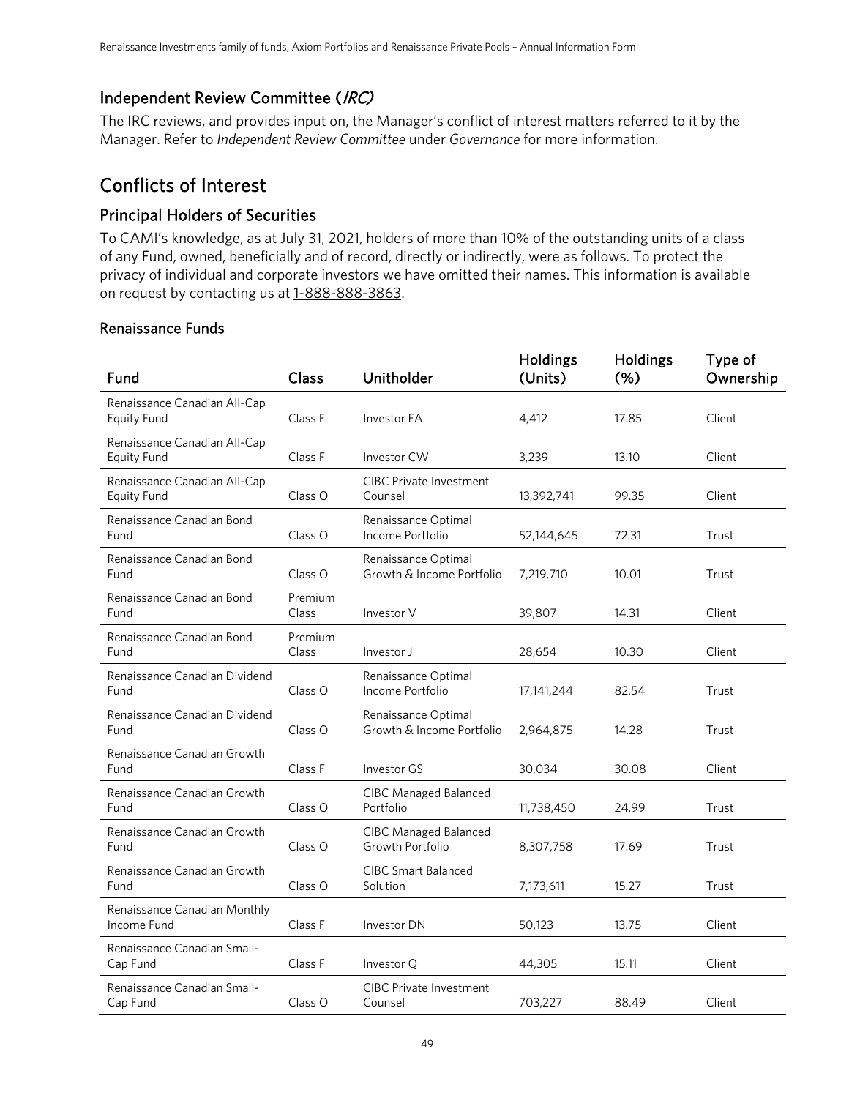# Independent Review Committee (IRC)

The IRC reviews, and provides input on, the Manager's conflict of interest matters referred to it by the Manager. Refer to *Independent Review Committee* under *Governance* for more information.

# Conflicts of Interest

# Principal Holders of Securities

To CAMI's knowledge, as at July 31, 2021, holders of more than 10% of the outstanding units of a class of any Fund, owned, beneficially and of record, directly or indirectly, were as follows. To protect the privacy of individual and corporate investors we have omitted their names. This information is available on request by contacting us at [1-888-888-3863.](tel:1-888-888-3863)

### Renaissance Funds

| Fund                                               | Class              | Unitholder                                       | Holdings<br>(Units) | Holdings<br>(% ) | Type of<br>Ownership |
|----------------------------------------------------|--------------------|--------------------------------------------------|---------------------|------------------|----------------------|
| Renaissance Canadian All-Cap<br><b>Equity Fund</b> | Class F            | Investor FA                                      | 4,412               | 17.85            | Client               |
| Renaissance Canadian All-Cap<br><b>Equity Fund</b> | Class F            | Investor CW                                      | 3,239               | 13.10            | Client               |
| Renaissance Canadian All-Cap<br>Equity Fund        | Class O            | <b>CIBC Private Investment</b><br>Counsel        | 13,392,741          | 99.35            | Client               |
| Renaissance Canadian Bond<br>Fund                  | Class <sub>O</sub> | Renaissance Optimal<br>Income Portfolio          | 52,144,645          | 72.31            | Trust                |
| Renaissance Canadian Bond<br>Fund                  | Class O            | Renaissance Optimal<br>Growth & Income Portfolio | 7,219,710           | 10.01            | Trust                |
| Renaissance Canadian Bond<br>Fund                  | Premium<br>Class   | Investor V                                       | 39,807              | 14.31            | Client               |
| Renaissance Canadian Bond<br>Fund                  | Premium<br>Class   | Investor J                                       | 28,654              | 10.30            | Client               |
| Renaissance Canadian Dividend<br>Fund              | Class O            | Renaissance Optimal<br>Income Portfolio          | 17,141,244          | 82.54            | Trust                |
| Renaissance Canadian Dividend<br>Fund              | Class O            | Renaissance Optimal<br>Growth & Income Portfolio | 2,964,875           | 14.28            | Trust                |
| Renaissance Canadian Growth<br>Fund                | Class F            | Investor GS                                      | 30,034              | 30.08            | Client               |
| Renaissance Canadian Growth<br>Fund                | Class O            | <b>CIBC Managed Balanced</b><br>Portfolio        | 11,738,450          | 24.99            | Trust                |
| Renaissance Canadian Growth<br>Fund                | Class O            | <b>CIBC Managed Balanced</b><br>Growth Portfolio | 8,307,758           | 17.69            | Trust                |
| Renaissance Canadian Growth<br>Fund                | Class O            | <b>CIBC Smart Balanced</b><br>Solution           | 7,173,611           | 15.27            | Trust                |
| Renaissance Canadian Monthly<br>Income Fund        | Class F            | Investor DN                                      | 50,123              | 13.75            | Client               |
| Renaissance Canadian Small-<br>Cap Fund            | Class F            | Investor Q                                       | 44,305              | 15.11            | Client               |
| Renaissance Canadian Small-<br>Cap Fund            | Class O            | <b>CIBC Private Investment</b><br>Counsel        | 703,227             | 88.49            | Client               |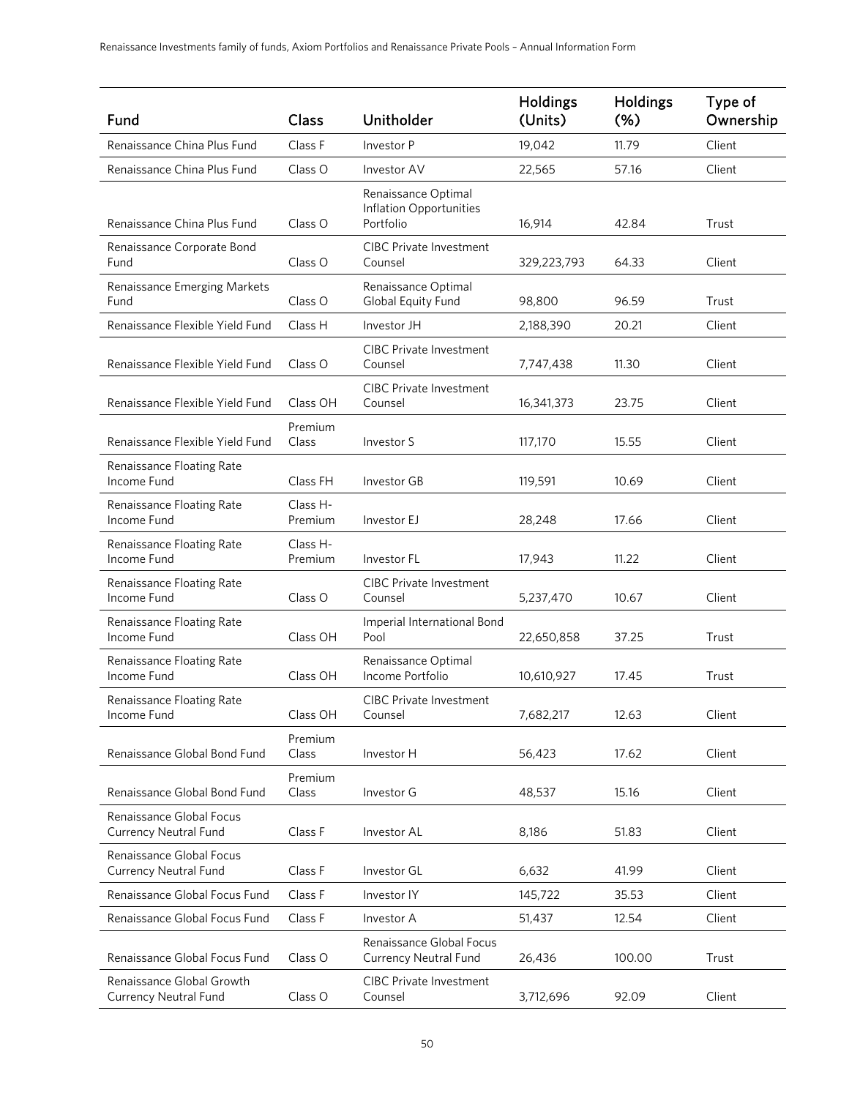| Fund                                                      | Class               | Unitholder                                                  | Holdings<br>(Units) | Holdings<br>(% ) | Type of<br>Ownership |
|-----------------------------------------------------------|---------------------|-------------------------------------------------------------|---------------------|------------------|----------------------|
| Renaissance China Plus Fund                               | Class F             | Investor P                                                  | 19,042              | 11.79            | Client               |
| Renaissance China Plus Fund                               | Class <sub>O</sub>  | Investor AV                                                 | 22,565              | 57.16            | Client               |
| Renaissance China Plus Fund                               | Class O             | Renaissance Optimal<br>Inflation Opportunities<br>Portfolio | 16,914              | 42.84            | Trust                |
| Renaissance Corporate Bond<br>Fund                        | Class <sub>O</sub>  | <b>CIBC Private Investment</b><br>Counsel                   | 329,223,793         | 64.33            | Client               |
| Renaissance Emerging Markets<br>Fund                      | Class O             | Renaissance Optimal<br>Global Equity Fund                   | 98,800              | 96.59            | Trust                |
| Renaissance Flexible Yield Fund                           | Class H             | Investor JH                                                 | 2,188,390           | 20.21            | Client               |
| Renaissance Flexible Yield Fund                           | Class O             | <b>CIBC Private Investment</b><br>Counsel                   | 7,747,438           | 11.30            | Client               |
| Renaissance Flexible Yield Fund                           | Class OH            | <b>CIBC Private Investment</b><br>Counsel                   | 16,341,373          | 23.75            | Client               |
| Renaissance Flexible Yield Fund                           | Premium<br>Class    | Investor S                                                  | 117,170             | 15.55            | Client               |
| Renaissance Floating Rate<br>Income Fund                  | Class FH            | Investor GB                                                 | 119,591             | 10.69            | Client               |
| Renaissance Floating Rate<br>Income Fund                  | Class H-<br>Premium | Investor EJ                                                 | 28,248              | 17.66            | Client               |
| Renaissance Floating Rate<br>Income Fund                  | Class H-<br>Premium | Investor FL                                                 | 17,943              | 11.22            | Client               |
| Renaissance Floating Rate<br>Income Fund                  | Class O             | <b>CIBC Private Investment</b><br>Counsel                   | 5,237,470           | 10.67            | Client               |
| Renaissance Floating Rate<br>Income Fund                  | Class OH            | Imperial International Bond<br>Pool                         | 22,650,858          | 37.25            | Trust                |
| Renaissance Floating Rate<br>Income Fund                  | Class OH            | Renaissance Optimal<br>Income Portfolio                     | 10,610,927          | 17.45            | Trust                |
| Renaissance Floating Rate<br>Income Fund                  | Class OH            | <b>CIBC Private Investment</b><br>Counsel                   | 7,682,217           | 12.63            | Client               |
| Renaissance Global Bond Fund                              | Premium<br>Class    | Investor H                                                  | 56,423              | 17.62            | Client               |
| Renaissance Global Bond Fund                              | Premium<br>Class    | Investor G                                                  | 48,537              | 15.16            | Client               |
| Renaissance Global Focus<br><b>Currency Neutral Fund</b>  | Class F             | Investor AL                                                 | 8,186               | 51.83            | Client               |
| Renaissance Global Focus<br>Currency Neutral Fund         | Class F             | Investor GL                                                 | 6,632               | 41.99            | Client               |
| Renaissance Global Focus Fund                             | Class F             | Investor IY                                                 | 145,722             | 35.53            | Client               |
| Renaissance Global Focus Fund                             | Class F             | Investor A                                                  | 51,437              | 12.54            | Client               |
| Renaissance Global Focus Fund                             | Class O             | Renaissance Global Focus<br><b>Currency Neutral Fund</b>    | 26,436              | 100.00           | Trust                |
| Renaissance Global Growth<br><b>Currency Neutral Fund</b> | Class O             | <b>CIBC Private Investment</b><br>Counsel                   | 3,712,696           | 92.09            | Client               |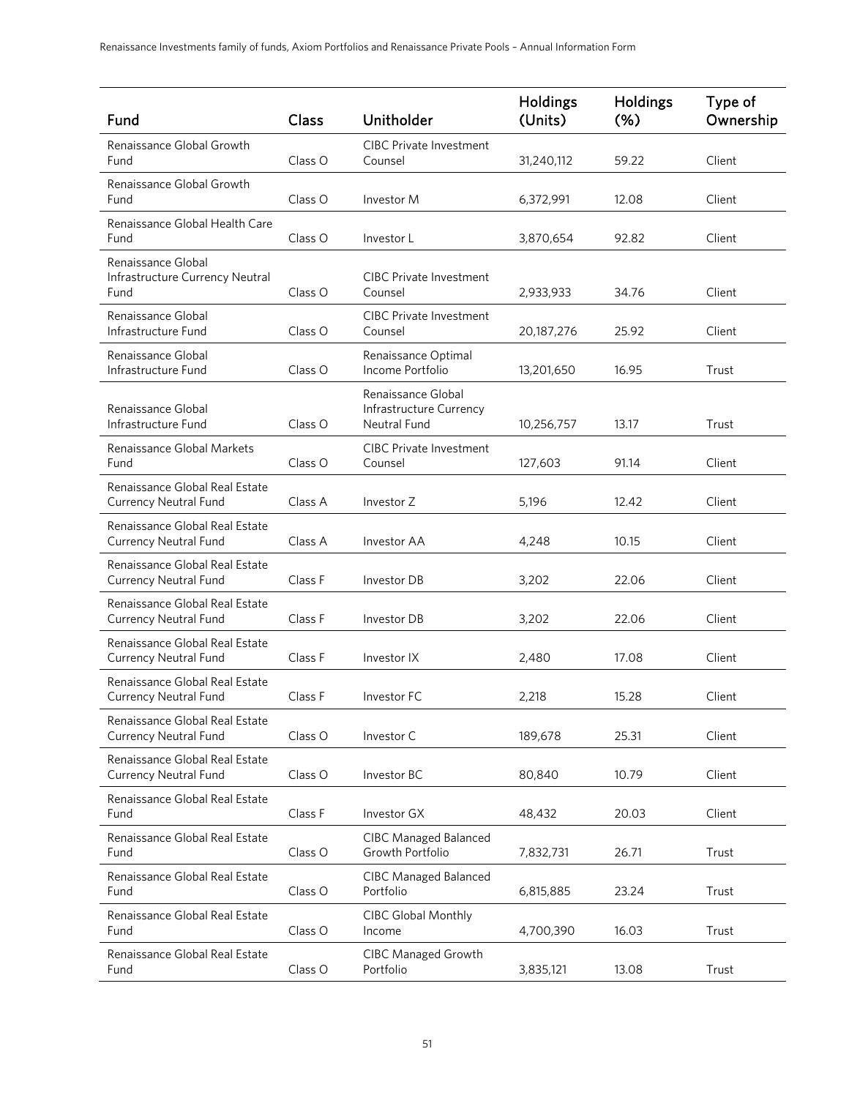| Fund                                                           | Class   | Unitholder                                                    | <b>Holdings</b><br>(Units) | Holdings<br>$(\% )$ | Type of<br>Ownership |
|----------------------------------------------------------------|---------|---------------------------------------------------------------|----------------------------|---------------------|----------------------|
| Renaissance Global Growth<br>Fund                              | Class O | <b>CIBC Private Investment</b><br>Counsel                     | 31,240,112                 | 59.22               | Client               |
| Renaissance Global Growth<br>Fund                              | Class O | Investor M                                                    | 6,372,991                  | 12.08               | Client               |
| Renaissance Global Health Care<br>Fund                         | Class O | Investor L                                                    | 3,870,654                  | 92.82               | Client               |
| Renaissance Global<br>Infrastructure Currency Neutral<br>Fund  | Class O | <b>CIBC Private Investment</b><br>Counsel                     | 2,933,933                  | 34.76               | Client               |
| Renaissance Global<br>Infrastructure Fund                      | Class O | <b>CIBC Private Investment</b><br>Counsel                     | 20,187,276                 | 25.92               | Client               |
| Renaissance Global<br>Infrastructure Fund                      | Class O | Renaissance Optimal<br>Income Portfolio                       | 13,201,650                 | 16.95               | Trust                |
| Renaissance Global<br>Infrastructure Fund                      | Class O | Renaissance Global<br>Infrastructure Currency<br>Neutral Fund | 10,256,757                 | 13.17               | Trust                |
| Renaissance Global Markets<br>Fund                             | Class O | <b>CIBC Private Investment</b><br>Counsel                     | 127,603                    | 91.14               | Client               |
| Renaissance Global Real Estate<br><b>Currency Neutral Fund</b> | Class A | Investor Z                                                    | 5,196                      | 12.42               | Client               |
| Renaissance Global Real Estate<br><b>Currency Neutral Fund</b> | Class A | Investor AA                                                   | 4,248                      | 10.15               | Client               |
| Renaissance Global Real Estate<br><b>Currency Neutral Fund</b> | Class F | Investor DB                                                   | 3,202                      | 22.06               | Client               |
| Renaissance Global Real Estate<br><b>Currency Neutral Fund</b> | Class F | Investor DB                                                   | 3,202                      | 22.06               | Client               |
| Renaissance Global Real Estate<br><b>Currency Neutral Fund</b> | Class F | Investor IX                                                   | 2,480                      | 17.08               | Client               |
| Renaissance Global Real Estate<br><b>Currency Neutral Fund</b> | Class F | Investor FC                                                   | 2,218                      | 15.28               | Client               |
| Renaissance Global Real Estate<br><b>Currency Neutral Fund</b> | Class O | Investor C                                                    | 189,678                    | 25.31               | Client               |
| Renaissance Global Real Estate<br><b>Currency Neutral Fund</b> | Class O | Investor BC                                                   | 80,840                     | 10.79               | Client               |
| Renaissance Global Real Estate<br>Fund                         | Class F | Investor GX                                                   | 48,432                     | 20.03               | Client               |
| Renaissance Global Real Estate<br>Fund                         | Class O | <b>CIBC Managed Balanced</b><br>Growth Portfolio              | 7,832,731                  | 26.71               | Trust                |
| Renaissance Global Real Estate<br>Fund                         | Class O | <b>CIBC Managed Balanced</b><br>Portfolio                     | 6,815,885                  | 23.24               | Trust                |
| Renaissance Global Real Estate<br>Fund                         | Class O | CIBC Global Monthly<br>Income                                 | 4,700,390                  | 16.03               | Trust                |
| Renaissance Global Real Estate<br>Fund                         | Class O | <b>CIBC Managed Growth</b><br>Portfolio                       | 3,835,121                  | 13.08               | Trust                |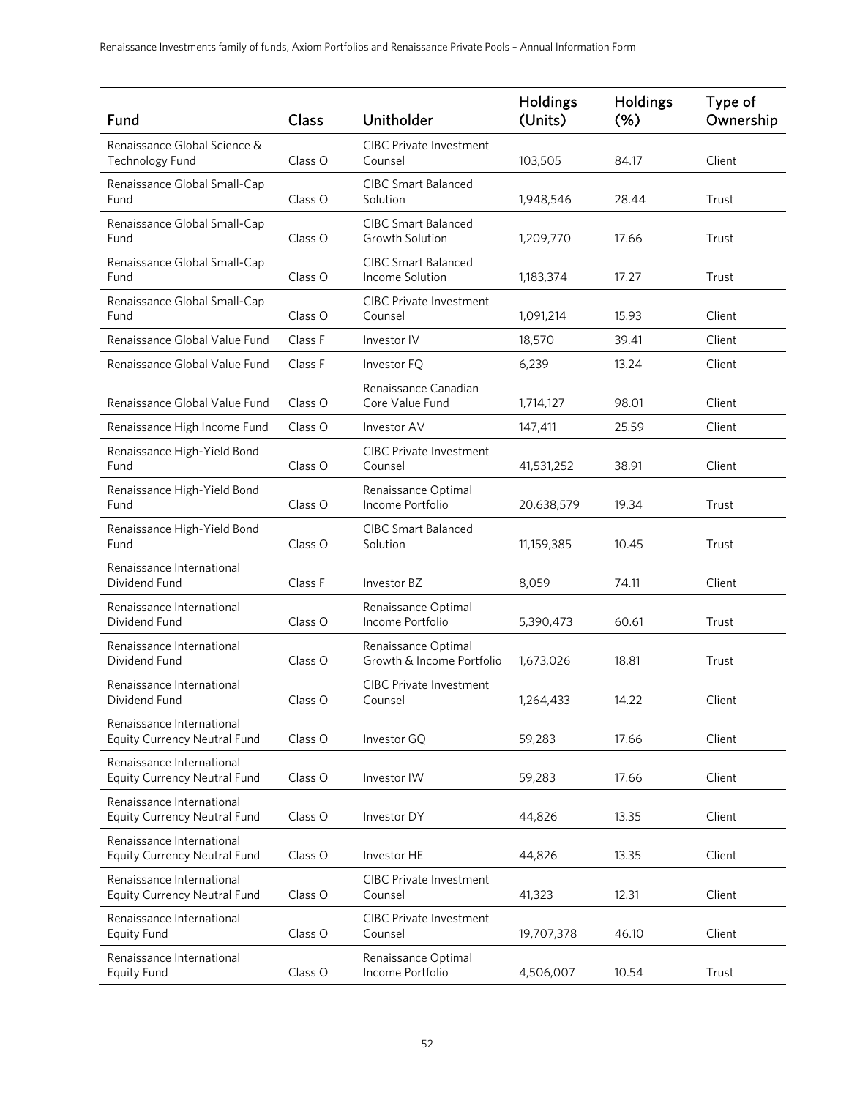| Fund                                                             | Class   | Unitholder                                       | <b>Holdings</b><br>(Units) | Holdings<br>$(\%)$ | Type of<br>Ownership |
|------------------------------------------------------------------|---------|--------------------------------------------------|----------------------------|--------------------|----------------------|
| Renaissance Global Science &<br>Technology Fund                  | Class O | <b>CIBC Private Investment</b><br>Counsel        | 103,505                    | 84.17              | Client               |
| Renaissance Global Small-Cap<br>Fund                             | Class O | <b>CIBC Smart Balanced</b><br>Solution           | 1,948,546                  | 28.44              | Trust                |
| Renaissance Global Small-Cap<br>Fund                             | Class O | <b>CIBC Smart Balanced</b><br>Growth Solution    | 1,209,770                  | 17.66              | Trust                |
| Renaissance Global Small-Cap<br>Fund                             | Class O | <b>CIBC Smart Balanced</b><br>Income Solution    | 1,183,374                  | 17.27              | Trust                |
| Renaissance Global Small-Cap<br>Fund                             | Class O | <b>CIBC Private Investment</b><br>Counsel        | 1,091,214                  | 15.93              | Client               |
| Renaissance Global Value Fund                                    | Class F | Investor IV                                      | 18,570                     | 39.41              | Client               |
| Renaissance Global Value Fund                                    | Class F | Investor FQ                                      | 6,239                      | 13.24              | Client               |
| Renaissance Global Value Fund                                    | Class O | Renaissance Canadian<br>Core Value Fund          | 1,714,127                  | 98.01              | Client               |
| Renaissance High Income Fund                                     | Class O | Investor AV                                      | 147,411                    | 25.59              | Client               |
| Renaissance High-Yield Bond<br>Fund                              | Class O | <b>CIBC Private Investment</b><br>Counsel        | 41,531,252                 | 38.91              | Client               |
| Renaissance High-Yield Bond<br>Fund                              | Class O | Renaissance Optimal<br>Income Portfolio          | 20,638,579                 | 19.34              | Trust                |
| Renaissance High-Yield Bond<br>Fund                              | Class O | <b>CIBC Smart Balanced</b><br>Solution           | 11,159,385                 | 10.45              | Trust                |
| Renaissance International<br>Dividend Fund                       | Class F | Investor BZ                                      | 8,059                      | 74.11              | Client               |
| Renaissance International<br>Dividend Fund                       | Class O | Renaissance Optimal<br>Income Portfolio          | 5,390,473                  | 60.61              | Trust                |
| Renaissance International<br>Dividend Fund                       | Class O | Renaissance Optimal<br>Growth & Income Portfolio | 1,673,026                  | 18.81              | Trust                |
| Renaissance International<br>Dividend Fund                       | Class O | <b>CIBC Private Investment</b><br>Counsel        | 1,264,433                  | 14.22              | Client               |
| Renaissance International<br><b>Equity Currency Neutral Fund</b> | Class O | Investor GQ                                      | 59,283                     | 17.66              | Client               |
| Renaissance International<br><b>Equity Currency Neutral Fund</b> | Class O | Investor IW                                      | 59,283                     | 17.66              | Client               |
| Renaissance International<br><b>Equity Currency Neutral Fund</b> | Class O | Investor DY                                      | 44,826                     | 13.35              | Client               |
| Renaissance International<br><b>Equity Currency Neutral Fund</b> | Class O | Investor HE                                      | 44,826                     | 13.35              | Client               |
| Renaissance International<br>Equity Currency Neutral Fund        | Class O | <b>CIBC Private Investment</b><br>Counsel        | 41,323                     | 12.31              | Client               |
| Renaissance International<br><b>Equity Fund</b>                  | Class O | <b>CIBC Private Investment</b><br>Counsel        | 19,707,378                 | 46.10              | Client               |
| Renaissance International<br><b>Equity Fund</b>                  | Class O | Renaissance Optimal<br>Income Portfolio          | 4,506,007                  | 10.54              | Trust                |
|                                                                  |         |                                                  |                            |                    |                      |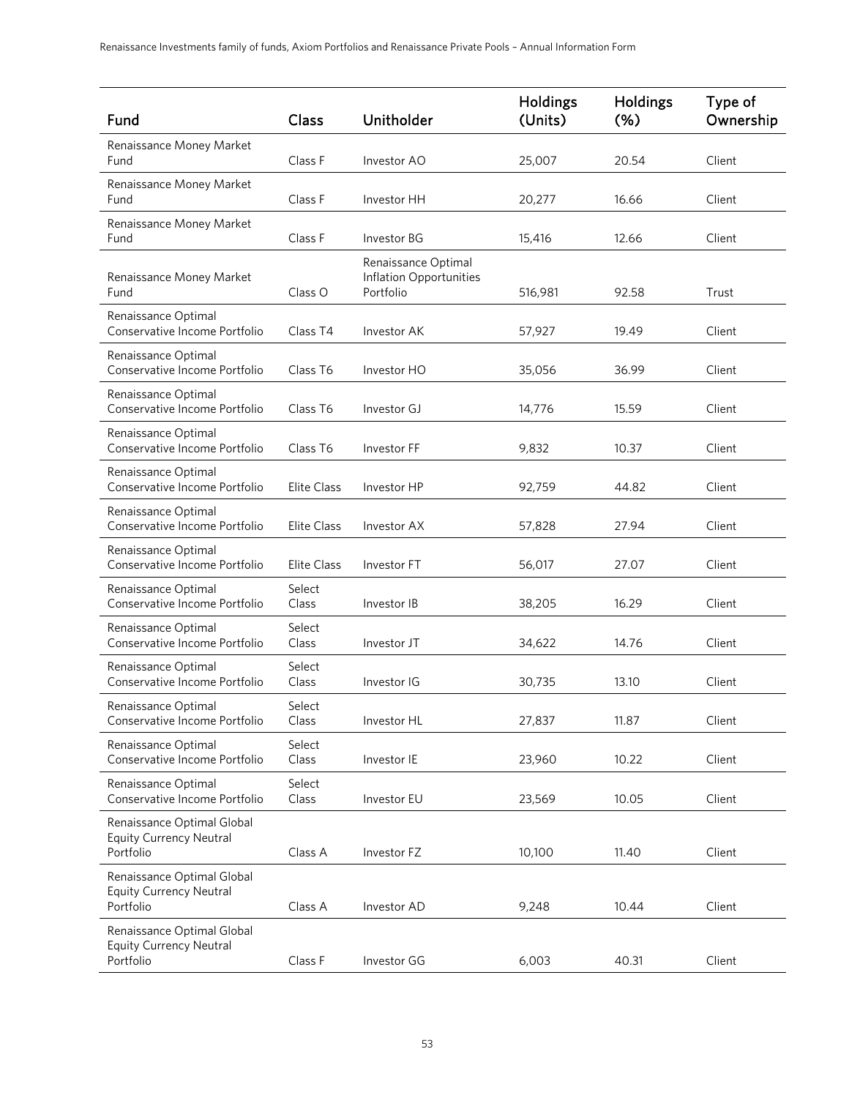| Fund                                                                      | Class           | Unitholder                                                  | <b>Holdings</b><br>(Units) | Holdings<br>(%) | Type of<br>Ownership |
|---------------------------------------------------------------------------|-----------------|-------------------------------------------------------------|----------------------------|-----------------|----------------------|
| Renaissance Money Market<br>Fund                                          | Class F         | Investor AO                                                 | 25,007                     | 20.54           | Client               |
| Renaissance Money Market<br>Fund                                          | Class F         | Investor HH                                                 | 20,277                     | 16.66           | Client               |
| Renaissance Money Market<br>Fund                                          | Class F         | Investor BG                                                 | 15,416                     | 12.66           | Client               |
| Renaissance Money Market<br>Fund                                          | Class O         | Renaissance Optimal<br>Inflation Opportunities<br>Portfolio | 516,981                    | 92.58           | Trust                |
| Renaissance Optimal<br>Conservative Income Portfolio                      | Class T4        | Investor AK                                                 | 57,927                     | 19.49           | Client               |
| Renaissance Optimal<br>Conservative Income Portfolio                      | Class T6        | Investor HO                                                 | 35,056                     | 36.99           | Client               |
| Renaissance Optimal<br>Conservative Income Portfolio                      | Class T6        | Investor GJ                                                 | 14,776                     | 15.59           | Client               |
| Renaissance Optimal<br>Conservative Income Portfolio                      | Class T6        | Investor FF                                                 | 9,832                      | 10.37           | Client               |
| Renaissance Optimal<br>Conservative Income Portfolio                      | Elite Class     | Investor HP                                                 | 92,759                     | 44.82           | Client               |
| Renaissance Optimal<br>Conservative Income Portfolio                      | Elite Class     | Investor AX                                                 | 57,828                     | 27.94           | Client               |
| Renaissance Optimal<br>Conservative Income Portfolio                      | Elite Class     | Investor FT                                                 | 56,017                     | 27.07           | Client               |
| Renaissance Optimal<br>Conservative Income Portfolio                      | Select<br>Class | Investor IB                                                 | 38,205                     | 16.29           | Client               |
| Renaissance Optimal<br>Conservative Income Portfolio                      | Select<br>Class | Investor JT                                                 | 34,622                     | 14.76           | Client               |
| Renaissance Optimal<br>Conservative Income Portfolio                      | Select<br>Class | Investor IG                                                 | 30,735                     | 13.10           | Client               |
| Renaissance Optimal<br>Conservative Income Portfolio                      | Select<br>Class | Investor HL                                                 | 27,837                     | 11.87           | Client               |
| Renaissance Optimal<br>Conservative Income Portfolio                      | Select<br>Class | Investor IE                                                 | 23,960                     | 10.22           | Client               |
| Renaissance Optimal<br>Conservative Income Portfolio                      | Select<br>Class | Investor EU                                                 | 23,569                     | 10.05           | Client               |
| Renaissance Optimal Global<br><b>Equity Currency Neutral</b><br>Portfolio | Class A         | Investor FZ                                                 | 10,100                     | 11.40           | Client               |
| Renaissance Optimal Global<br><b>Equity Currency Neutral</b><br>Portfolio | Class A         | Investor AD                                                 | 9,248                      | 10.44           | Client               |
| Renaissance Optimal Global<br><b>Equity Currency Neutral</b><br>Portfolio | Class F         | Investor GG                                                 | 6,003                      | 40.31           | Client               |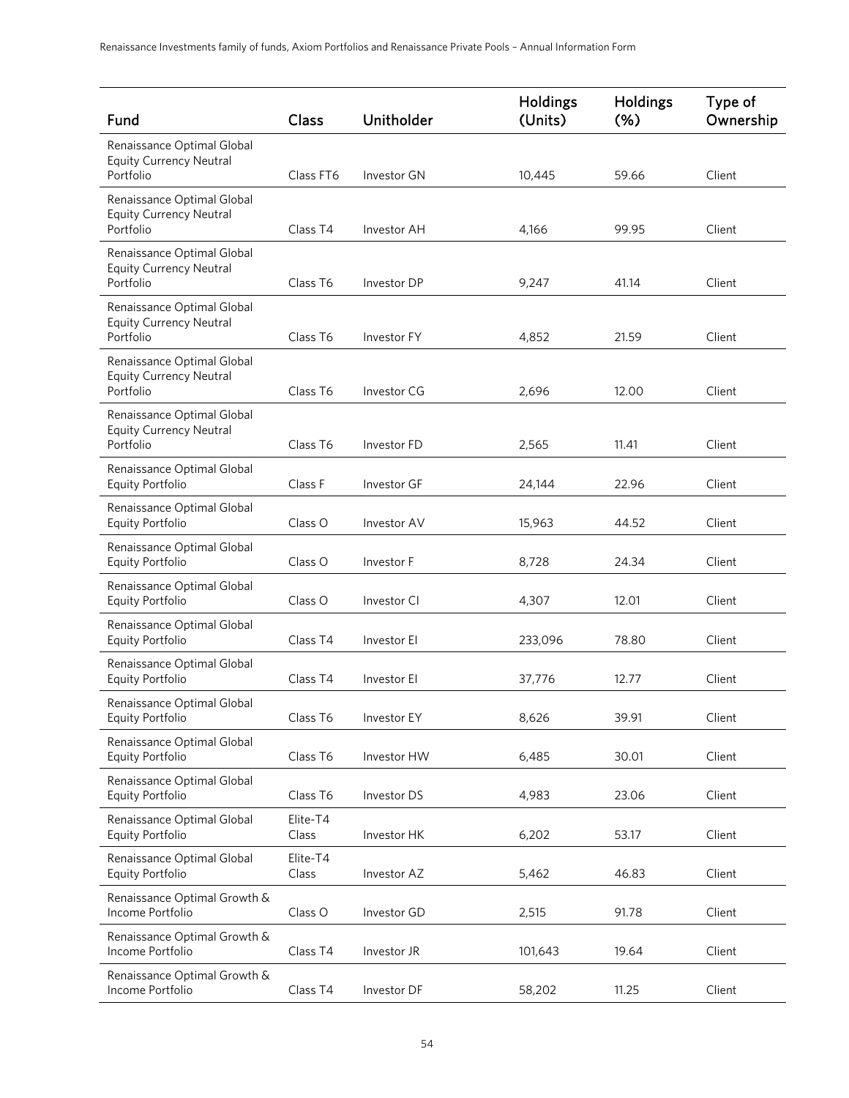| Fund                                                                      | Class             | Unitholder  | Holdings<br>(Units) | Holdings<br>(% ) | Type of<br>Ownership |
|---------------------------------------------------------------------------|-------------------|-------------|---------------------|------------------|----------------------|
| Renaissance Optimal Global<br><b>Equity Currency Neutral</b>              |                   |             |                     |                  |                      |
| Portfolio                                                                 | Class FT6         | Investor GN | 10,445              | 59.66            | Client               |
| Renaissance Optimal Global<br><b>Equity Currency Neutral</b><br>Portfolio | Class T4          | Investor AH | 4,166               | 99.95            | Client               |
| Renaissance Optimal Global<br><b>Equity Currency Neutral</b><br>Portfolio | Class T6          | Investor DP | 9,247               | 41.14            | Client               |
| Renaissance Optimal Global<br><b>Equity Currency Neutral</b><br>Portfolio | Class T6          | Investor FY | 4,852               | 21.59            | Client               |
| Renaissance Optimal Global<br><b>Equity Currency Neutral</b><br>Portfolio | Class T6          | Investor CG | 2,696               | 12.00            | Client               |
| Renaissance Optimal Global<br><b>Equity Currency Neutral</b><br>Portfolio | Class T6          | Investor FD | 2,565               | 11.41            | Client               |
| Renaissance Optimal Global<br>Equity Portfolio                            | Class F           | Investor GF | 24,144              | 22.96            | Client               |
| Renaissance Optimal Global<br>Equity Portfolio                            | Class O           | Investor AV | 15,963              | 44.52            | Client               |
| Renaissance Optimal Global<br>Equity Portfolio                            | Class O           | Investor F  | 8,728               | 24.34            | Client               |
| Renaissance Optimal Global<br>Equity Portfolio                            | Class O           | Investor CI | 4,307               | 12.01            | Client               |
| Renaissance Optimal Global<br>Equity Portfolio                            | Class T4          | Investor El | 233,096             | 78.80            | Client               |
| Renaissance Optimal Global<br>Equity Portfolio                            | Class T4          | Investor El | 37,776              | 12.77            | Client               |
| Renaissance Optimal Global<br>Equity Portfolio                            | Class T6          | Investor EY | 8,626               | 39.91            | Client               |
| Renaissance Optimal Global<br>Equity Portfolio                            | Class T6          | Investor HW | 6,485               | 30.01            | Client               |
| Renaissance Optimal Global<br>Equity Portfolio                            | Class T6          | Investor DS | 4,983               | 23.06            | Client               |
| Renaissance Optimal Global<br>Equity Portfolio                            | Elite-T4<br>Class | Investor HK | 6,202               | 53.17            | Client               |
| Renaissance Optimal Global<br>Equity Portfolio                            | Elite-T4<br>Class | Investor AZ | 5,462               | 46.83            | Client               |
| Renaissance Optimal Growth &<br>Income Portfolio                          | Class O           | Investor GD | 2,515               | 91.78            | Client               |
| Renaissance Optimal Growth &<br>Income Portfolio                          | Class T4          | Investor JR | 101,643             | 19.64            | Client               |
| Renaissance Optimal Growth &<br>Income Portfolio                          | Class T4          | Investor DF | 58,202              | 11.25            | Client               |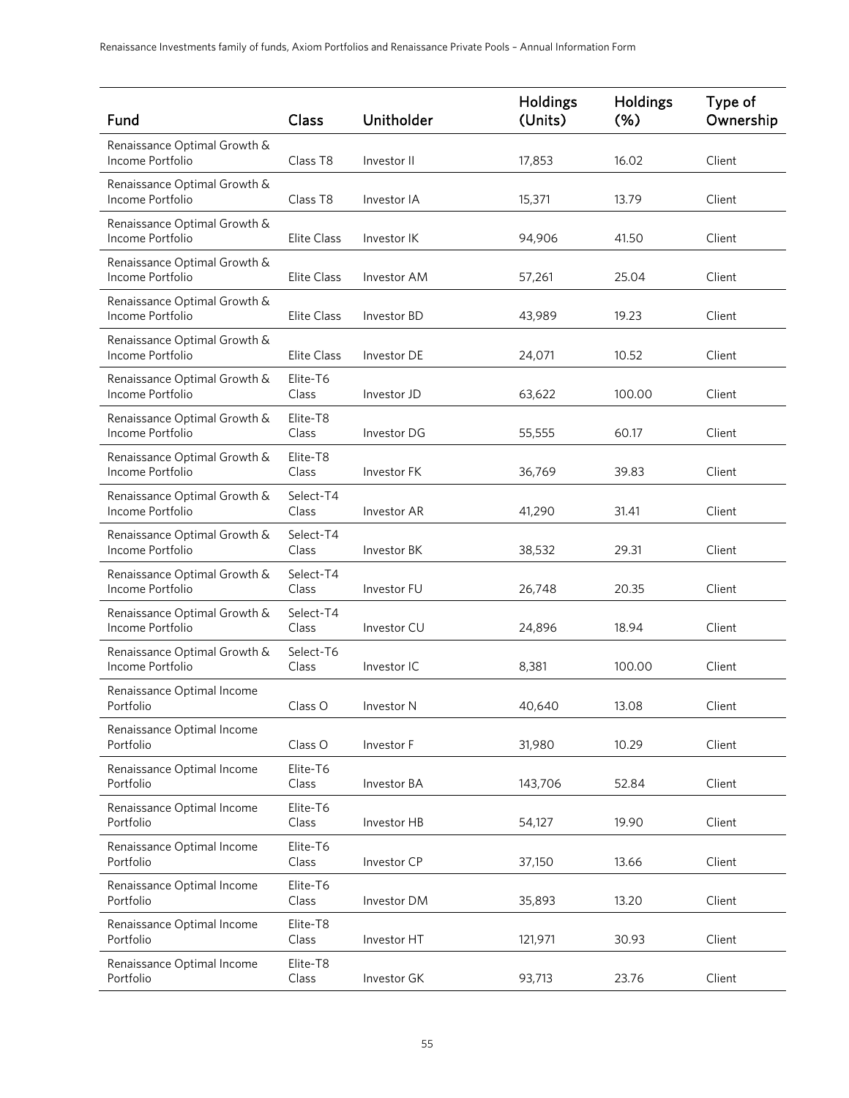| Fund                                             | Class              | Unitholder  | Holdings<br>(Units) | <b>Holdings</b><br>$(\%)$ | Type of<br>Ownership |
|--------------------------------------------------|--------------------|-------------|---------------------|---------------------------|----------------------|
| Renaissance Optimal Growth &<br>Income Portfolio | Class T8           | Investor II | 17,853              | 16.02                     | Client               |
| Renaissance Optimal Growth &<br>Income Portfolio | Class T8           | Investor IA | 15,371              | 13.79                     | Client               |
| Renaissance Optimal Growth &<br>Income Portfolio | <b>Elite Class</b> | Investor IK | 94,906              | 41.50                     | Client               |
| Renaissance Optimal Growth &<br>Income Portfolio | <b>Elite Class</b> | Investor AM | 57,261              | 25.04                     | Client               |
| Renaissance Optimal Growth &<br>Income Portfolio | Elite Class        | Investor BD | 43,989              | 19.23                     | Client               |
| Renaissance Optimal Growth &<br>Income Portfolio | <b>Elite Class</b> | Investor DE | 24,071              | 10.52                     | Client               |
| Renaissance Optimal Growth &<br>Income Portfolio | Elite-T6<br>Class  | Investor JD | 63,622              | 100.00                    | Client               |
| Renaissance Optimal Growth &<br>Income Portfolio | Elite-T8<br>Class  | Investor DG | 55,555              | 60.17                     | Client               |
| Renaissance Optimal Growth &<br>Income Portfolio | Elite-T8<br>Class  | Investor FK | 36,769              | 39.83                     | Client               |
| Renaissance Optimal Growth &<br>Income Portfolio | Select-T4<br>Class | Investor AR | 41,290              | 31.41                     | Client               |
| Renaissance Optimal Growth &<br>Income Portfolio | Select-T4<br>Class | Investor BK | 38,532              | 29.31                     | Client               |
| Renaissance Optimal Growth &<br>Income Portfolio | Select-T4<br>Class | Investor FU | 26,748              | 20.35                     | Client               |
| Renaissance Optimal Growth &<br>Income Portfolio | Select-T4<br>Class | Investor CU | 24,896              | 18.94                     | Client               |
| Renaissance Optimal Growth &<br>Income Portfolio | Select-T6<br>Class | Investor IC | 8,381               | 100.00                    | Client               |
| Renaissance Optimal Income<br>Portfolio          | Class O            | Investor N  | 40,640              | 13.08                     | Client               |
| Renaissance Optimal Income<br>Portfolio          | Class O            | Investor F  | 31,980              | 10.29                     | Client               |
| Renaissance Optimal Income<br>Portfolio          | Elite-T6<br>Class  | Investor BA | 143,706             | 52.84                     | Client               |
| Renaissance Optimal Income<br>Portfolio          | Elite-T6<br>Class  | Investor HB | 54,127              | 19.90                     | Client               |
| Renaissance Optimal Income<br>Portfolio          | Elite-T6<br>Class  | Investor CP | 37,150              | 13.66                     | Client               |
| Renaissance Optimal Income<br>Portfolio          | Elite-T6<br>Class  | Investor DM | 35,893              | 13.20                     | Client               |
| Renaissance Optimal Income<br>Portfolio          | Elite-T8<br>Class  | Investor HT | 121,971             | 30.93                     | Client               |
| Renaissance Optimal Income<br>Portfolio          | Elite-T8<br>Class  | Investor GK | 93,713              | 23.76                     | Client               |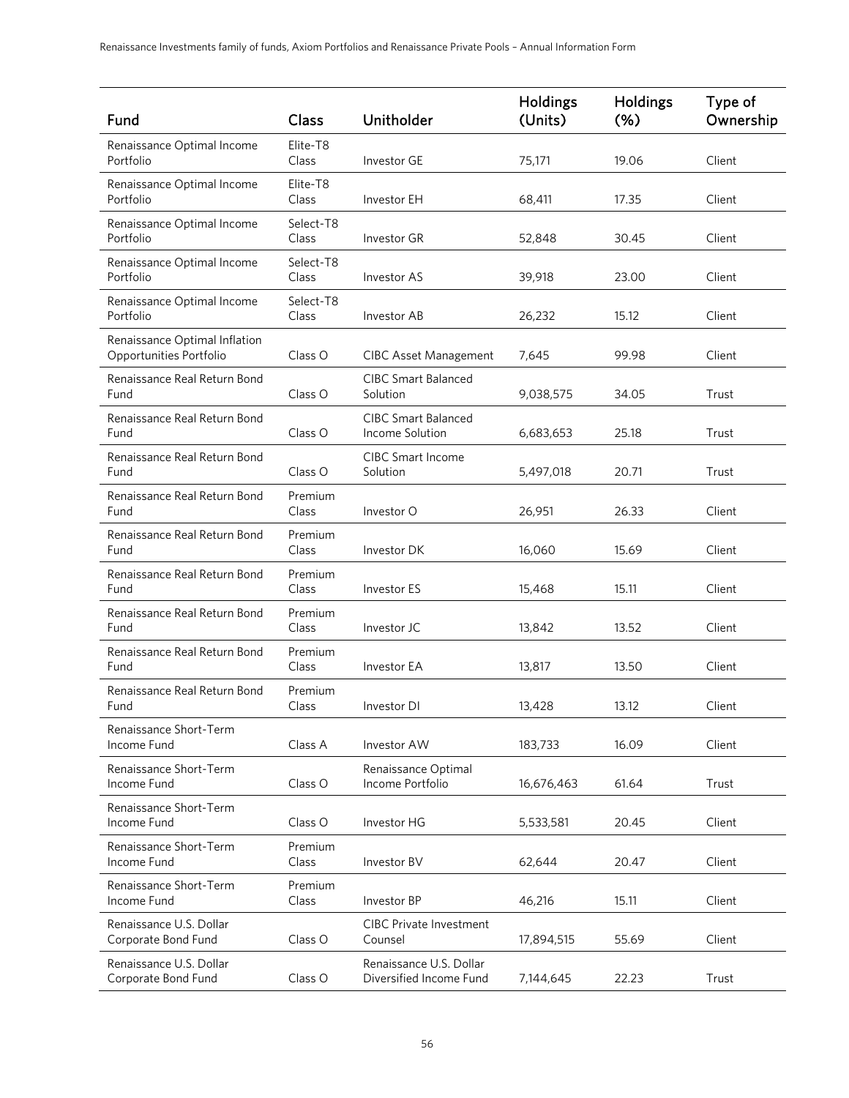| Fund                                                     | Class              | Unitholder                                         | <b>Holdings</b><br>(Units) | <b>Holdings</b><br>$(\%)$ | Type of<br>Ownership |
|----------------------------------------------------------|--------------------|----------------------------------------------------|----------------------------|---------------------------|----------------------|
| Renaissance Optimal Income<br>Portfolio                  | Elite-T8<br>Class  | Investor GE                                        | 75,171                     | 19.06                     | Client               |
| Renaissance Optimal Income<br>Portfolio                  | Elite-T8<br>Class  | Investor EH                                        | 68,411                     | 17.35                     | Client               |
| Renaissance Optimal Income<br>Portfolio                  | Select-T8<br>Class | <b>Investor GR</b>                                 | 52,848                     | 30.45                     | Client               |
| Renaissance Optimal Income<br>Portfolio                  | Select-T8<br>Class | <b>Investor AS</b>                                 | 39,918                     | 23.00                     | Client               |
| Renaissance Optimal Income<br>Portfolio                  | Select-T8<br>Class | Investor AB                                        | 26,232                     | 15.12                     | Client               |
| Renaissance Optimal Inflation<br>Opportunities Portfolio | Class O            | <b>CIBC Asset Management</b>                       | 7,645                      | 99.98                     | Client               |
| Renaissance Real Return Bond<br>Fund                     | Class O            | <b>CIBC Smart Balanced</b><br>Solution             | 9,038,575                  | 34.05                     | Trust                |
| Renaissance Real Return Bond<br>Fund                     | Class O            | <b>CIBC Smart Balanced</b><br>Income Solution      | 6,683,653                  | 25.18                     | Trust                |
| Renaissance Real Return Bond<br>Fund                     | Class O            | <b>CIBC Smart Income</b><br>Solution               | 5,497,018                  | 20.71                     | Trust                |
| Renaissance Real Return Bond<br>Fund                     | Premium<br>Class   | Investor O                                         | 26,951                     | 26.33                     | Client               |
| Renaissance Real Return Bond<br>Fund                     | Premium<br>Class   | Investor DK                                        | 16,060                     | 15.69                     | Client               |
| Renaissance Real Return Bond<br>Fund                     | Premium<br>Class   | Investor ES                                        | 15,468                     | 15.11                     | Client               |
| Renaissance Real Return Bond<br>Fund                     | Premium<br>Class   | Investor JC                                        | 13,842                     | 13.52                     | Client               |
| Renaissance Real Return Bond<br>Fund                     | Premium<br>Class   | <b>Investor EA</b>                                 | 13,817                     | 13.50                     | Client               |
| Renaissance Real Return Bond<br>Fund                     | Premium<br>Class   | Investor DI                                        | 13,428                     | 13.12                     | Client               |
| Renaissance Short-Term<br>Income Fund                    | Class A            | Investor AW                                        | 183,733                    | 16.09                     | Client               |
| Renaissance Short-Term<br>Income Fund                    | Class O            | Renaissance Optimal<br>Income Portfolio            | 16,676,463                 | 61.64                     | Trust                |
| Renaissance Short-Term<br>Income Fund                    | Class O            | Investor HG                                        | 5,533,581                  | 20.45                     | Client               |
| Renaissance Short-Term<br>Income Fund                    | Premium<br>Class   | Investor BV                                        | 62,644                     | 20.47                     | Client               |
| Renaissance Short-Term<br>Income Fund                    | Premium<br>Class   | Investor BP                                        | 46,216                     | 15.11                     | Client               |
| Renaissance U.S. Dollar<br>Corporate Bond Fund           | Class O            | <b>CIBC Private Investment</b><br>Counsel          | 17,894,515                 | 55.69                     | Client               |
| Renaissance U.S. Dollar<br>Corporate Bond Fund           | Class O            | Renaissance U.S. Dollar<br>Diversified Income Fund | 7,144,645                  | 22.23                     | Trust                |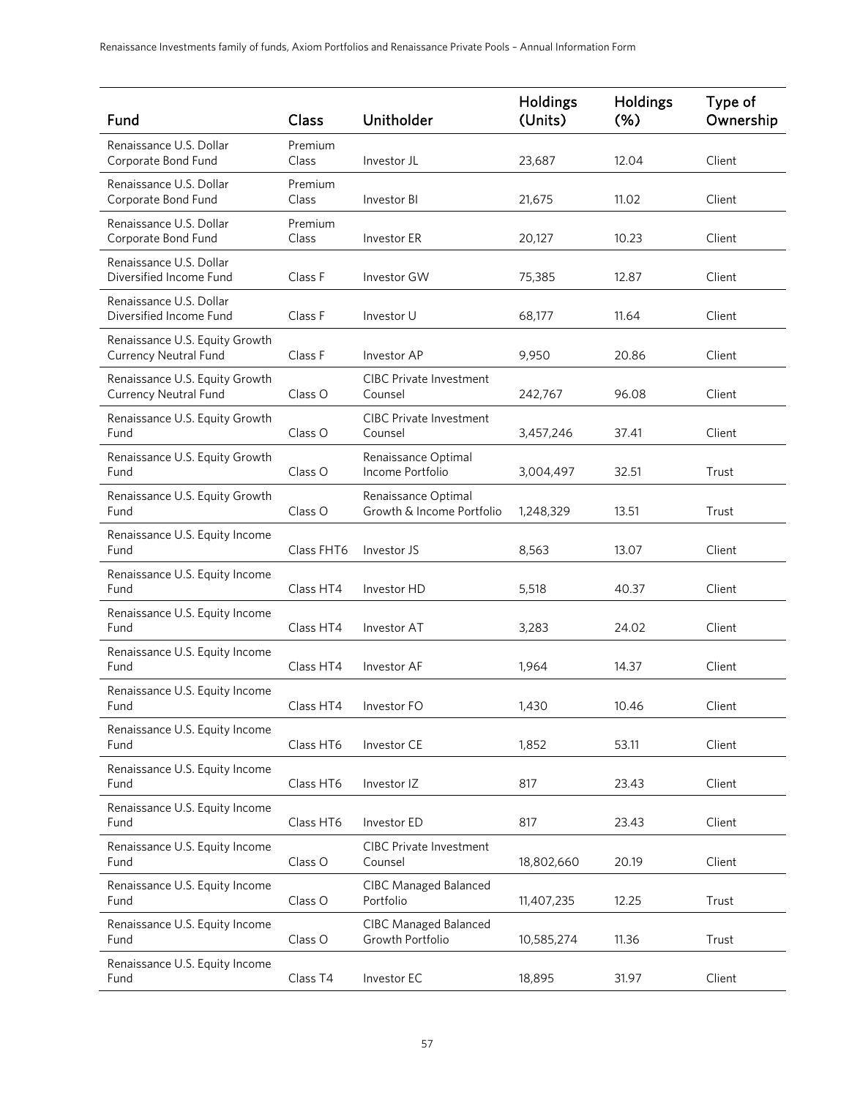| Fund                                                           | Class            | Unitholder                                       | <b>Holdings</b><br>(Units) | Holdings<br>(% ) | Type of<br>Ownership |
|----------------------------------------------------------------|------------------|--------------------------------------------------|----------------------------|------------------|----------------------|
| Renaissance U.S. Dollar<br>Corporate Bond Fund                 | Premium<br>Class | Investor JL                                      | 23,687                     | 12.04            | Client               |
| Renaissance U.S. Dollar<br>Corporate Bond Fund                 | Premium<br>Class | Investor BI                                      | 21,675                     | 11.02            | Client               |
| Renaissance U.S. Dollar<br>Corporate Bond Fund                 | Premium<br>Class | Investor ER                                      | 20,127                     | 10.23            | Client               |
| Renaissance U.S. Dollar<br>Diversified Income Fund             | Class F          | Investor GW                                      | 75,385                     | 12.87            | Client               |
| Renaissance U.S. Dollar<br>Diversified Income Fund             | Class F          | Investor U                                       | 68,177                     | 11.64            | Client               |
| Renaissance U.S. Equity Growth<br><b>Currency Neutral Fund</b> | Class F          | Investor AP                                      | 9,950                      | 20.86            | Client               |
| Renaissance U.S. Equity Growth<br><b>Currency Neutral Fund</b> | Class O          | <b>CIBC Private Investment</b><br>Counsel        | 242,767                    | 96.08            | Client               |
| Renaissance U.S. Equity Growth<br>Fund                         | Class O          | <b>CIBC Private Investment</b><br>Counsel        | 3,457,246                  | 37.41            | Client               |
| Renaissance U.S. Equity Growth<br>Fund                         | Class O          | Renaissance Optimal<br>Income Portfolio          | 3,004,497                  | 32.51            | Trust                |
| Renaissance U.S. Equity Growth<br>Fund                         | Class O          | Renaissance Optimal<br>Growth & Income Portfolio | 1,248,329                  | 13.51            | Trust                |
| Renaissance U.S. Equity Income<br>Fund                         | Class FHT6       | Investor JS                                      | 8,563                      | 13.07            | Client               |
| Renaissance U.S. Equity Income<br>Fund                         | Class HT4        | Investor HD                                      | 5,518                      | 40.37            | Client               |
| Renaissance U.S. Equity Income<br>Fund                         | Class HT4        | Investor AT                                      | 3,283                      | 24.02            | Client               |
| Renaissance U.S. Equity Income<br>Fund                         | Class HT4        | Investor AF                                      | 1,964                      | 14.37            | Client               |
| Renaissance U.S. Equity Income<br>Fund                         | Class HT4        | Investor FO                                      | 1,430                      | 10.46            | Client               |
| Renaissance U.S. Equity Income<br>Fund                         | Class HT6        | Investor CE                                      | 1,852                      | 53.11            | Client               |
| Renaissance U.S. Equity Income<br>Fund                         | Class HT6        | Investor IZ                                      | 817                        | 23.43            | Client               |
| Renaissance U.S. Equity Income<br>Fund                         | Class HT6        | Investor ED                                      | 817                        | 23.43            | Client               |
| Renaissance U.S. Equity Income<br>Fund                         | Class O          | <b>CIBC Private Investment</b><br>Counsel        | 18,802,660                 | 20.19            | Client               |
| Renaissance U.S. Equity Income<br>Fund                         | Class O          | <b>CIBC Managed Balanced</b><br>Portfolio        | 11,407,235                 | 12.25            | Trust                |
| Renaissance U.S. Equity Income<br>Fund                         | Class O          | <b>CIBC Managed Balanced</b><br>Growth Portfolio | 10,585,274                 | 11.36            | Trust                |
| Renaissance U.S. Equity Income<br>Fund                         | Class T4         | Investor EC                                      | 18,895                     | 31.97            | Client               |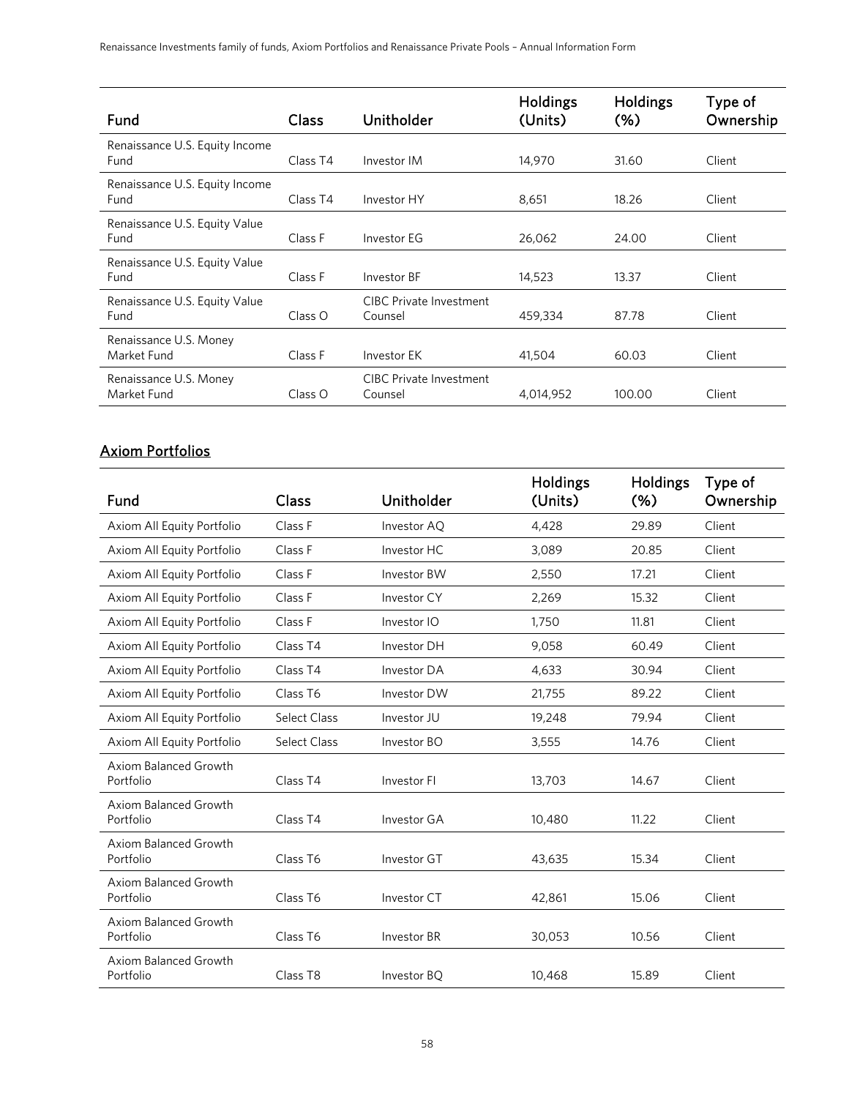| Fund                                   | Class    | Unitholder                                | Holdings<br>(Units) | Holdings<br>$(\%)$ | Type of<br>Ownership |
|----------------------------------------|----------|-------------------------------------------|---------------------|--------------------|----------------------|
| Renaissance U.S. Equity Income<br>Fund | Class T4 | Investor IM                               | 14,970              | 31.60              | Client               |
| Renaissance U.S. Equity Income<br>Fund | Class T4 | Investor HY                               | 8,651               | 18.26              | Client               |
| Renaissance U.S. Equity Value<br>Fund  | Class F  | Investor EG                               | 26,062              | 24.00              | Client               |
| Renaissance U.S. Equity Value<br>Fund  | Class F  | Investor BF                               | 14,523              | 13.37              | Client               |
| Renaissance U.S. Equity Value<br>Fund  | Class O  | CIBC Private Investment<br>Counsel        | 459,334             | 87.78              | Client               |
| Renaissance U.S. Money<br>Market Fund  | Class F  | Investor EK                               | 41,504              | 60.03              | Client               |
| Renaissance U.S. Money<br>Market Fund  | Class O  | <b>CIBC Private Investment</b><br>Counsel | 4,014,952           | 100.00             | Client               |

# Axiom Portfolios

| Fund                               | Class               | Unitholder         | Holdings<br>(Units) | <b>Holdings</b><br>$(\%)$ | Type of<br>Ownership |
|------------------------------------|---------------------|--------------------|---------------------|---------------------------|----------------------|
| Axiom All Equity Portfolio         | Class F             | Investor AQ        | 4,428               | 29.89                     | Client               |
| Axiom All Equity Portfolio         | Class F             | Investor HC        | 3,089               | 20.85                     | Client               |
| Axiom All Equity Portfolio         | Class F             | <b>Investor BW</b> | 2,550               | 17.21                     | Client               |
| Axiom All Equity Portfolio         | Class F             | Investor CY        | 2,269               | 15.32                     | Client               |
| Axiom All Equity Portfolio         | Class F             | Investor IO        | 1,750               | 11.81                     | Client               |
| Axiom All Equity Portfolio         | Class <sub>T4</sub> | Investor DH        | 9,058               | 60.49                     | Client               |
| Axiom All Equity Portfolio         | Class T4            | Investor DA        | 4,633               | 30.94                     | Client               |
| Axiom All Equity Portfolio         | Class T6            | Investor DW        | 21,755              | 89.22                     | Client               |
| Axiom All Equity Portfolio         | <b>Select Class</b> | Investor JU        | 19,248              | 79.94                     | Client               |
| Axiom All Equity Portfolio         | <b>Select Class</b> | Investor BO        | 3,555               | 14.76                     | Client               |
| Axiom Balanced Growth<br>Portfolio | Class <sub>T4</sub> | Investor FI        | 13,703              | 14.67                     | Client               |
| Axiom Balanced Growth<br>Portfolio | Class T4            | Investor GA        | 10,480              | 11.22                     | Client               |
| Axiom Balanced Growth<br>Portfolio | Class T6            | Investor GT        | 43,635              | 15.34                     | Client               |
| Axiom Balanced Growth<br>Portfolio | Class T6            | Investor CT        | 42,861              | 15.06                     | Client               |
| Axiom Balanced Growth<br>Portfolio | Class T6            | Investor BR        | 30,053              | 10.56                     | Client               |
| Axiom Balanced Growth<br>Portfolio | Class T8            | Investor BQ        | 10,468              | 15.89                     | Client               |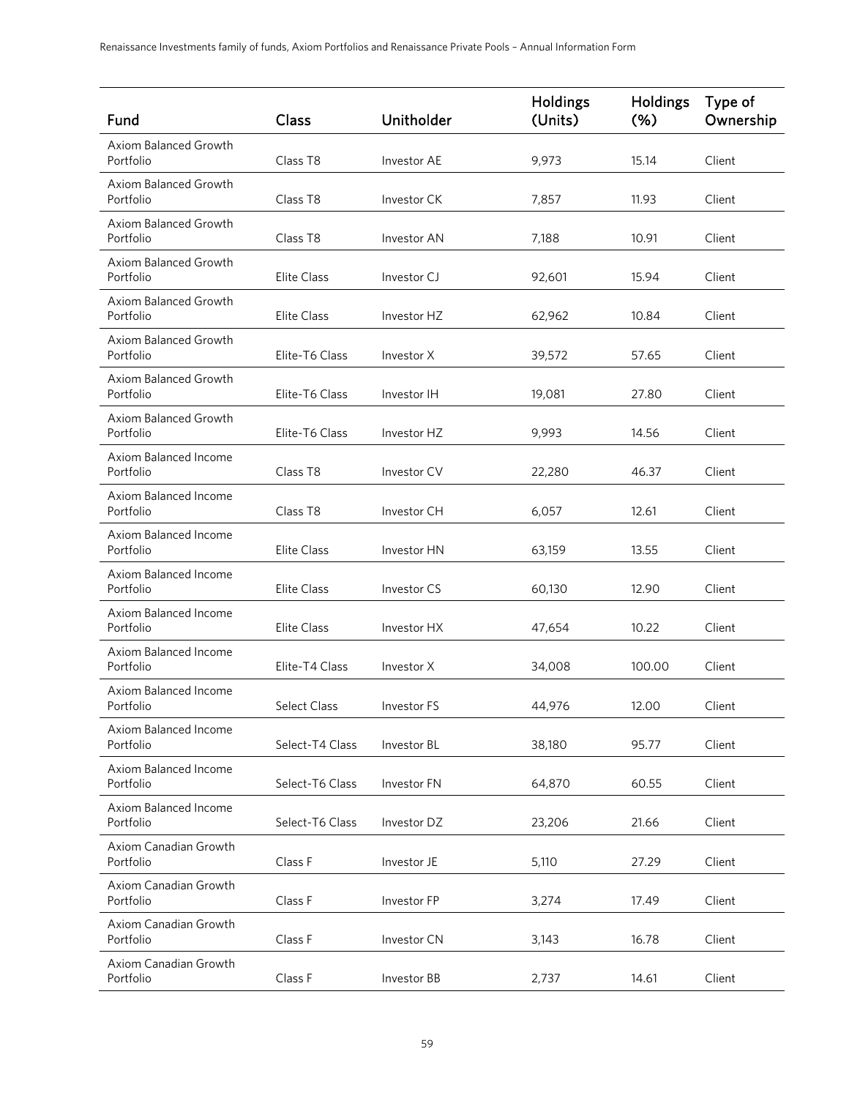| Fund                                      | Class              | Unitholder         | Holdings<br>(Units) | <b>Holdings</b><br>$(\%)$ | Type of<br>Ownership |
|-------------------------------------------|--------------------|--------------------|---------------------|---------------------------|----------------------|
| Axiom Balanced Growth<br>Portfolio        | Class T8           | <b>Investor AE</b> | 9.973               | 15.14                     | Client               |
| Axiom Balanced Growth<br>Portfolio        | Class T8           | Investor CK        | 7,857               | 11.93                     | Client               |
| Axiom Balanced Growth<br>Portfolio        | Class T8           | Investor AN        | 7,188               | 10.91                     | Client               |
| <b>Axiom Balanced Growth</b><br>Portfolio | <b>Elite Class</b> | Investor CJ        | 92,601              | 15.94                     | Client               |
| Axiom Balanced Growth<br>Portfolio        | <b>Elite Class</b> | Investor HZ        | 62,962              | 10.84                     | Client               |
| Axiom Balanced Growth<br>Portfolio        | Elite-T6 Class     | Investor X         | 39,572              | 57.65                     | Client               |
| Axiom Balanced Growth<br>Portfolio        | Elite-T6 Class     | Investor IH        | 19,081              | 27.80                     | Client               |
| Axiom Balanced Growth<br>Portfolio        | Elite-T6 Class     | Investor HZ        | 9,993               | 14.56                     | Client               |
| Axiom Balanced Income<br>Portfolio        | Class T8           | Investor CV        | 22,280              | 46.37                     | Client               |
| Axiom Balanced Income<br>Portfolio        | Class T8           | Investor CH        | 6,057               | 12.61                     | Client               |
| Axiom Balanced Income<br>Portfolio        | <b>Elite Class</b> | Investor HN        | 63,159              | 13.55                     | Client               |
| Axiom Balanced Income<br>Portfolio        | Elite Class        | Investor CS        | 60,130              | 12.90                     | Client               |
| Axiom Balanced Income<br>Portfolio        | <b>Elite Class</b> | Investor HX        | 47,654              | 10.22                     | Client               |
| Axiom Balanced Income<br>Portfolio        | Elite-T4 Class     | Investor X         | 34,008              | 100.00                    | Client               |
| Axiom Balanced Income<br>Portfolio        | Select Class       | Investor FS        | 44,976              | 12.00                     | Client               |
| Axiom Balanced Income<br>Portfolio        | Select-T4 Class    | Investor BL        | 38,180              | 95.77                     | Client               |
| Axiom Balanced Income<br>Portfolio        | Select-T6 Class    | Investor FN        | 64,870              | 60.55                     | Client               |
| Axiom Balanced Income<br>Portfolio        | Select-T6 Class    | Investor DZ        | 23,206              | 21.66                     | Client               |
| Axiom Canadian Growth<br>Portfolio        | Class F            | Investor JE        | 5,110               | 27.29                     | Client               |
| Axiom Canadian Growth<br>Portfolio        | Class F            | Investor FP        | 3,274               | 17.49                     | Client               |
| Axiom Canadian Growth<br>Portfolio        | Class F            | Investor CN        | 3,143               | 16.78                     | Client               |
| Axiom Canadian Growth<br>Portfolio        | Class F            | Investor BB        | 2,737               | 14.61                     | Client               |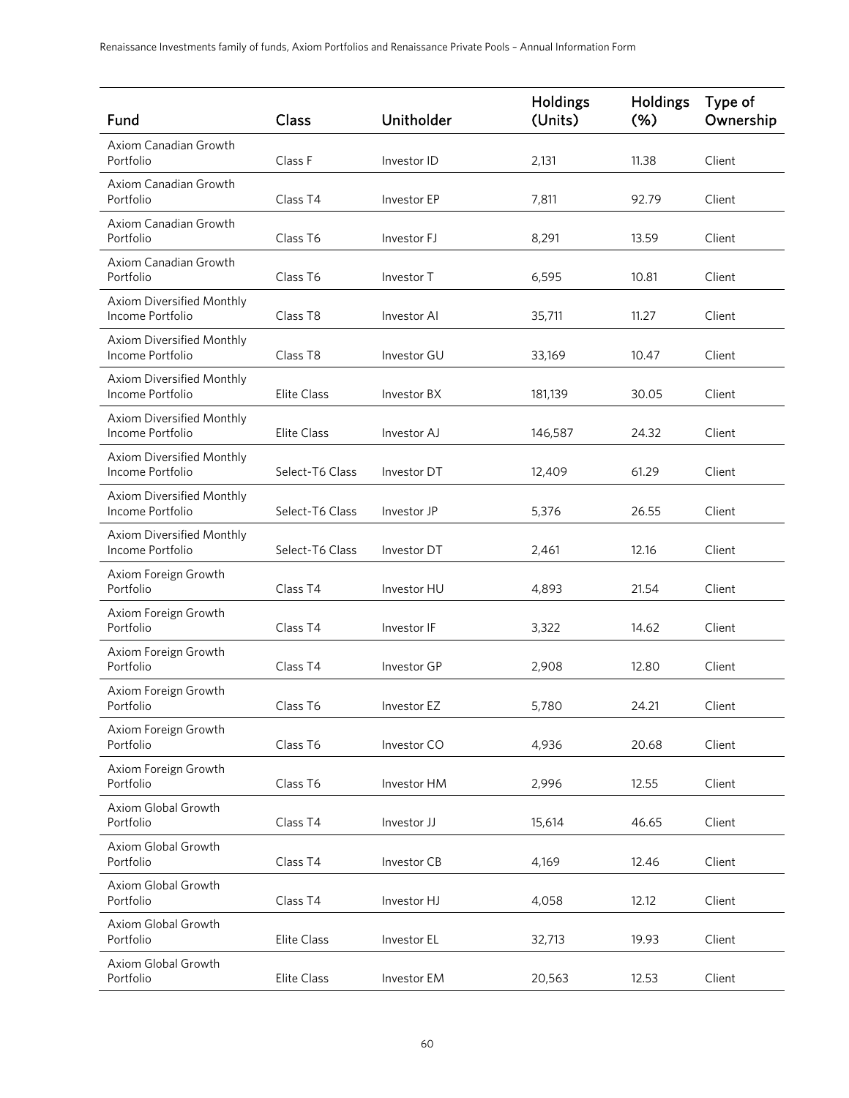| Fund                                          | Class                | Unitholder  | Holdings<br>(Units) | <b>Holdings</b><br>$(\% )$ | Type of<br>Ownership |
|-----------------------------------------------|----------------------|-------------|---------------------|----------------------------|----------------------|
| Axiom Canadian Growth<br>Portfolio            | Class F              | Investor ID | 2,131               | 11.38                      | Client               |
| Axiom Canadian Growth<br>Portfolio            | Class T4             | Investor EP | 7,811               | 92.79                      | Client               |
| Axiom Canadian Growth<br>Portfolio            | Class T6             | Investor FJ | 8,291               | 13.59                      | Client               |
| Axiom Canadian Growth<br>Portfolio            | Class T6             | Investor T  | 6,595               | 10.81                      | Client               |
| Axiom Diversified Monthly<br>Income Portfolio | Class T <sub>8</sub> | Investor AI | 35,711              | 11.27                      | Client               |
| Axiom Diversified Monthly<br>Income Portfolio | Class T8             | Investor GU | 33,169              | 10.47                      | Client               |
| Axiom Diversified Monthly<br>Income Portfolio | <b>Elite Class</b>   | Investor BX | 181,139             | 30.05                      | Client               |
| Axiom Diversified Monthly<br>Income Portfolio | <b>Elite Class</b>   | Investor AJ | 146,587             | 24.32                      | Client               |
| Axiom Diversified Monthly<br>Income Portfolio | Select-T6 Class      | Investor DT | 12,409              | 61.29                      | Client               |
| Axiom Diversified Monthly<br>Income Portfolio | Select-T6 Class      | Investor JP | 5,376               | 26.55                      | Client               |
| Axiom Diversified Monthly<br>Income Portfolio | Select-T6 Class      | Investor DT | 2,461               | 12.16                      | Client               |
| Axiom Foreign Growth<br>Portfolio             | Class <sub>T4</sub>  | Investor HU | 4,893               | 21.54                      | Client               |
| Axiom Foreign Growth<br>Portfolio             | Class T4             | Investor IF | 3,322               | 14.62                      | Client               |
| Axiom Foreign Growth<br>Portfolio             | Class <sub>T4</sub>  | Investor GP | 2,908               | 12.80                      | Client               |
| Axiom Foreign Growth<br>Portfolio             | Class T6             | Investor EZ | 5,780               | 24.21                      | Client               |
| Axiom Foreign Growth<br>Portfolio             | Class T6             | Investor CO | 4,936               | 20.68                      | Client               |
| Axiom Foreign Growth<br>Portfolio             | Class T6             | Investor HM | 2,996               | 12.55                      | Client               |
| Axiom Global Growth<br>Portfolio              | Class <sub>T4</sub>  | Investor JJ | 15,614              | 46.65                      | Client               |
| Axiom Global Growth<br>Portfolio              | Class <sub>T4</sub>  | Investor CB | 4,169               | 12.46                      | Client               |
| Axiom Global Growth<br>Portfolio              | Class T4             | Investor HJ | 4,058               | 12.12                      | Client               |
| Axiom Global Growth<br>Portfolio              | <b>Elite Class</b>   | Investor EL | 32,713              | 19.93                      | Client               |
| Axiom Global Growth<br>Portfolio              | Elite Class          | Investor EM | 20,563              | 12.53                      | Client               |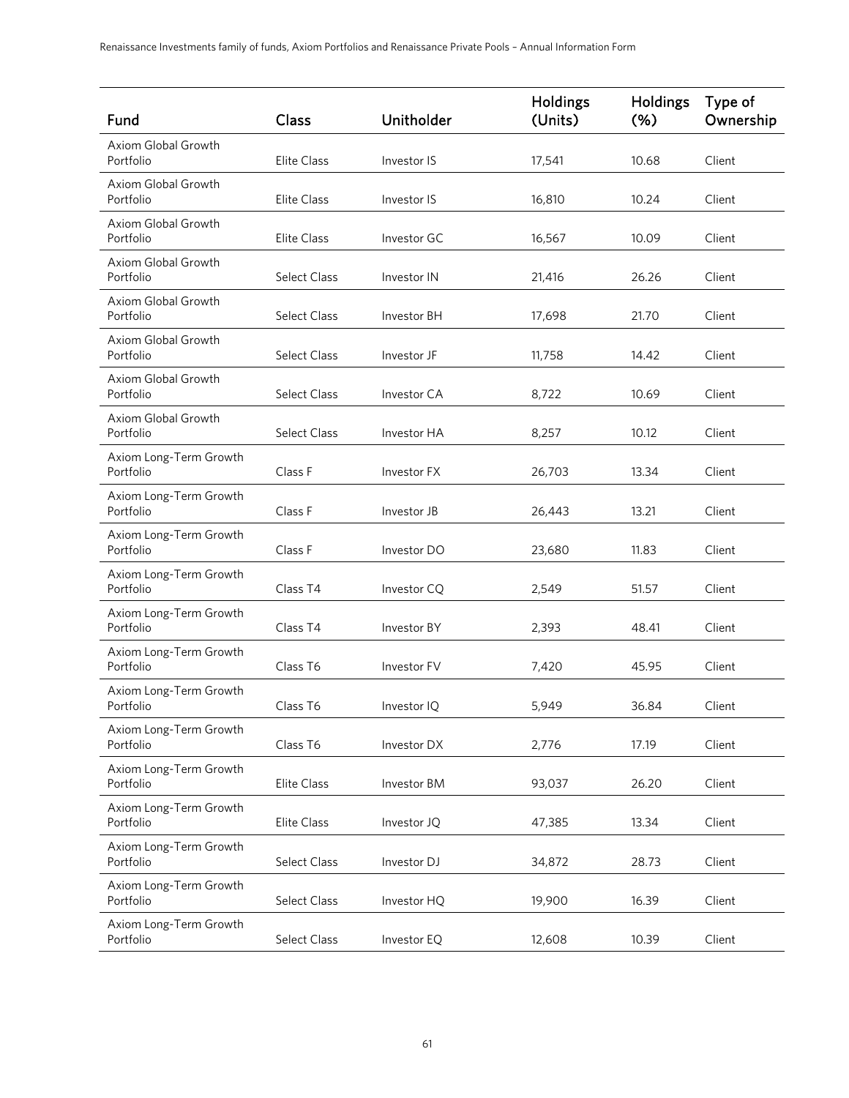| Fund                                | Class               | Unitholder  | <b>Holdings</b><br>(Units) | <b>Holdings</b><br>$(\%)$ | Type of<br>Ownership |
|-------------------------------------|---------------------|-------------|----------------------------|---------------------------|----------------------|
| Axiom Global Growth<br>Portfolio    | <b>Elite Class</b>  | Investor IS | 17,541                     | 10.68                     | Client               |
| Axiom Global Growth<br>Portfolio    | <b>Elite Class</b>  | Investor IS | 16,810                     | 10.24                     | Client               |
| Axiom Global Growth<br>Portfolio    | <b>Elite Class</b>  | Investor GC | 16,567                     | 10.09                     | Client               |
| Axiom Global Growth<br>Portfolio    | <b>Select Class</b> | Investor IN | 21,416                     | 26.26                     | Client               |
| Axiom Global Growth<br>Portfolio    | <b>Select Class</b> | Investor BH | 17,698                     | 21.70                     | Client               |
| Axiom Global Growth<br>Portfolio    | <b>Select Class</b> | Investor JF | 11,758                     | 14.42                     | Client               |
| Axiom Global Growth<br>Portfolio    | <b>Select Class</b> | Investor CA | 8,722                      | 10.69                     | Client               |
| Axiom Global Growth<br>Portfolio    | <b>Select Class</b> | Investor HA | 8,257                      | 10.12                     | Client               |
| Axiom Long-Term Growth<br>Portfolio | Class F             | Investor FX | 26,703                     | 13.34                     | Client               |
| Axiom Long-Term Growth<br>Portfolio | Class F             | Investor JB | 26,443                     | 13.21                     | Client               |
| Axiom Long-Term Growth<br>Portfolio | Class F             | Investor DO | 23,680                     | 11.83                     | Client               |
| Axiom Long-Term Growth<br>Portfolio | Class T4            | Investor CQ | 2,549                      | 51.57                     | Client               |
| Axiom Long-Term Growth<br>Portfolio | Class T4            | Investor BY | 2,393                      | 48.41                     | Client               |
| Axiom Long-Term Growth<br>Portfolio | Class T6            | Investor FV | 7,420                      | 45.95                     | Client               |
| Axiom Long-Term Growth<br>Portfolio | Class T6            | Investor IQ | 5,949                      | 36.84                     | Client               |
| Axiom Long-Term Growth<br>Portfolio | Class T6            | Investor DX | 2,776                      | 17.19                     | Client               |
| Axiom Long-Term Growth<br>Portfolio | Elite Class         | Investor BM | 93,037                     | 26.20                     | Client               |
| Axiom Long-Term Growth<br>Portfolio | Elite Class         | Investor JQ | 47,385                     | 13.34                     | Client               |
| Axiom Long-Term Growth<br>Portfolio | <b>Select Class</b> | Investor DJ | 34,872                     | 28.73                     | Client               |
| Axiom Long-Term Growth<br>Portfolio | Select Class        | Investor HQ | 19,900                     | 16.39                     | Client               |
| Axiom Long-Term Growth<br>Portfolio | Select Class        | Investor EQ | 12,608                     | 10.39                     | Client               |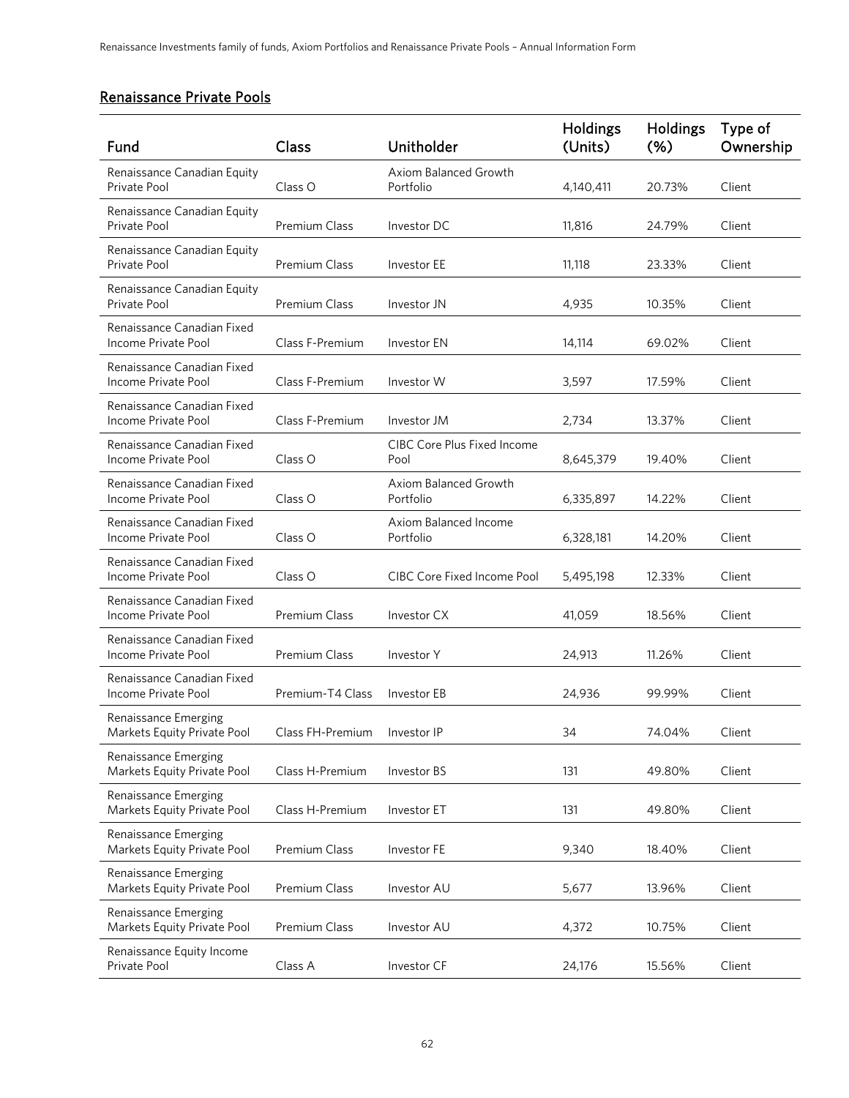# Renaissance Private Pools

| Fund                                                | Class                | Unitholder                                 | <b>Holdings</b><br>(Units) | <b>Holdings</b><br>$(\%)$ | Type of<br>Ownership |
|-----------------------------------------------------|----------------------|--------------------------------------------|----------------------------|---------------------------|----------------------|
| Renaissance Canadian Equity<br>Private Pool         | Class O              | Axiom Balanced Growth<br>Portfolio         | 4,140,411                  | 20.73%                    | Client               |
| Renaissance Canadian Equity<br>Private Pool         | <b>Premium Class</b> | Investor DC                                | 11,816                     | 24.79%                    | Client               |
| Renaissance Canadian Equity<br>Private Pool         | <b>Premium Class</b> | Investor EE                                | 11,118                     | 23.33%                    | Client               |
| Renaissance Canadian Equity<br>Private Pool         | Premium Class        | Investor JN                                | 4,935                      | 10.35%                    | Client               |
| Renaissance Canadian Fixed<br>Income Private Pool   | Class F-Premium      | Investor EN                                | 14,114                     | 69.02%                    | Client               |
| Renaissance Canadian Fixed<br>Income Private Pool   | Class F-Premium      | Investor W                                 | 3,597                      | 17.59%                    | Client               |
| Renaissance Canadian Fixed<br>Income Private Pool   | Class F-Premium      | Investor JM                                | 2,734                      | 13.37%                    | Client               |
| Renaissance Canadian Fixed<br>Income Private Pool   | Class O              | <b>CIBC Core Plus Fixed Income</b><br>Pool | 8,645,379                  | 19.40%                    | Client               |
| Renaissance Canadian Fixed<br>Income Private Pool   | Class O              | Axiom Balanced Growth<br>Portfolio         | 6,335,897                  | 14.22%                    | Client               |
| Renaissance Canadian Fixed<br>Income Private Pool   | Class O              | Axiom Balanced Income<br>Portfolio         | 6,328,181                  | 14.20%                    | Client               |
| Renaissance Canadian Fixed<br>Income Private Pool   | Class O              | <b>CIBC Core Fixed Income Pool</b>         | 5,495,198                  | 12.33%                    | Client               |
| Renaissance Canadian Fixed<br>Income Private Pool   | Premium Class        | Investor CX                                | 41,059                     | 18.56%                    | Client               |
| Renaissance Canadian Fixed<br>Income Private Pool   | <b>Premium Class</b> | Investor Y                                 | 24,913                     | 11.26%                    | Client               |
| Renaissance Canadian Fixed<br>Income Private Pool   | Premium-T4 Class     | Investor EB                                | 24,936                     | 99.99%                    | Client               |
| Renaissance Emerging<br>Markets Equity Private Pool | Class FH-Premium     | Investor IP                                | 34                         | 74.04%                    | Client               |
| Renaissance Emerging<br>Markets Equity Private Pool | Class H-Premium      | Investor BS                                | 131                        | 49.80%                    | Client               |
| Renaissance Emerging<br>Markets Equity Private Pool | Class H-Premium      | Investor ET                                | 131                        | 49.80%                    | Client               |
| Renaissance Emerging<br>Markets Equity Private Pool | Premium Class        | Investor FE                                | 9,340                      | 18.40%                    | Client               |
| Renaissance Emerging<br>Markets Equity Private Pool | Premium Class        | Investor AU                                | 5,677                      | 13.96%                    | Client               |
| Renaissance Emerging<br>Markets Equity Private Pool | Premium Class        | Investor AU                                | 4,372                      | 10.75%                    | Client               |
| Renaissance Equity Income<br>Private Pool           | Class A              | Investor CF                                | 24,176                     | 15.56%                    | Client               |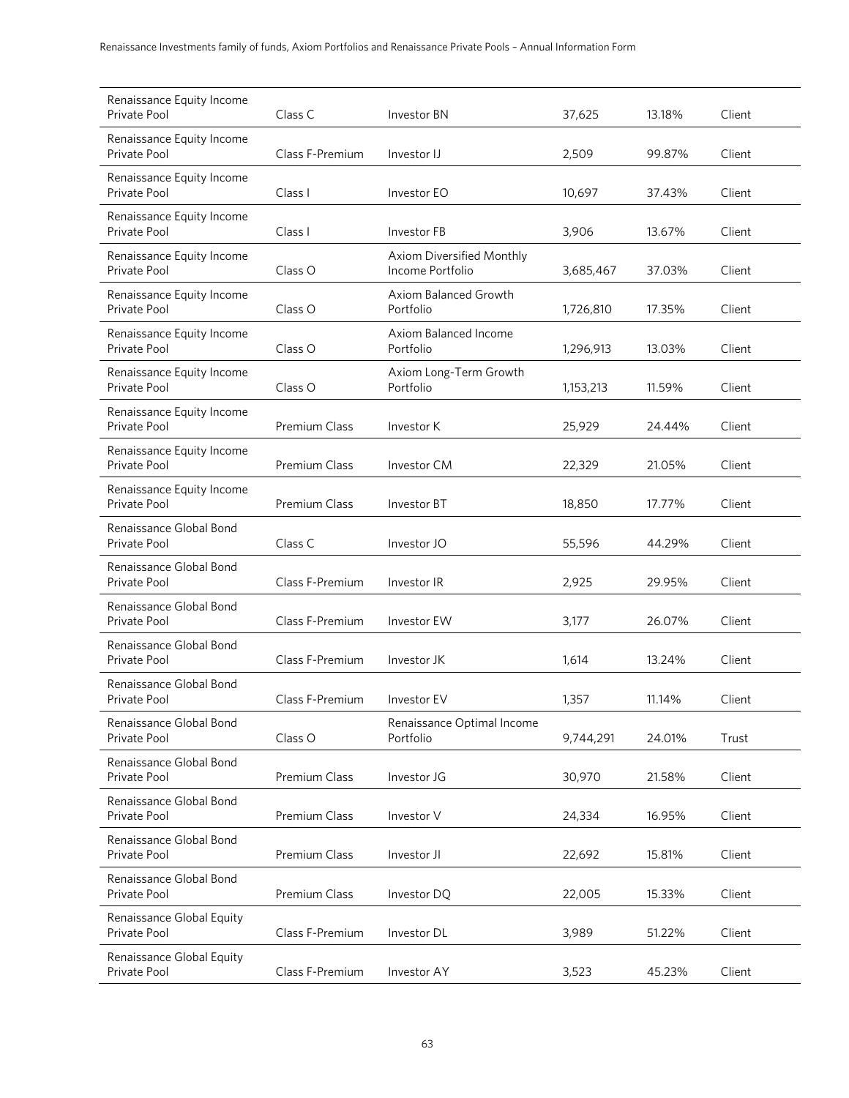| Renaissance Equity Income<br>Private Pool | Class C              | Investor BN                                   | 37,625    | 13.18% | Client |
|-------------------------------------------|----------------------|-----------------------------------------------|-----------|--------|--------|
| Renaissance Equity Income<br>Private Pool | Class F-Premium      | Investor IJ                                   | 2,509     | 99.87% | Client |
| Renaissance Equity Income<br>Private Pool | Class I              | Investor EO                                   | 10,697    | 37.43% | Client |
| Renaissance Equity Income<br>Private Pool | Class I              | Investor FB                                   | 3,906     | 13.67% | Client |
| Renaissance Equity Income<br>Private Pool | Class O              | Axiom Diversified Monthly<br>Income Portfolio | 3,685,467 | 37.03% | Client |
| Renaissance Equity Income<br>Private Pool | Class O              | Axiom Balanced Growth<br>Portfolio            | 1,726,810 | 17.35% | Client |
| Renaissance Equity Income<br>Private Pool | Class O              | Axiom Balanced Income<br>Portfolio            | 1,296,913 | 13.03% | Client |
| Renaissance Equity Income<br>Private Pool | Class O              | Axiom Long-Term Growth<br>Portfolio           | 1,153,213 | 11.59% | Client |
| Renaissance Equity Income<br>Private Pool | <b>Premium Class</b> | Investor K                                    | 25,929    | 24.44% | Client |
| Renaissance Equity Income<br>Private Pool | <b>Premium Class</b> | Investor CM                                   | 22,329    | 21.05% | Client |
| Renaissance Equity Income<br>Private Pool | <b>Premium Class</b> | Investor BT                                   | 18,850    | 17.77% | Client |
| Renaissance Global Bond<br>Private Pool   | Class C              | Investor JO                                   | 55,596    | 44.29% | Client |
| Renaissance Global Bond<br>Private Pool   | Class F-Premium      | Investor IR                                   | 2,925     | 29.95% | Client |
| Renaissance Global Bond<br>Private Pool   | Class F-Premium      | Investor EW                                   | 3,177     | 26.07% | Client |
| Renaissance Global Bond<br>Private Pool   | Class F-Premium      | Investor JK                                   | 1,614     | 13.24% | Client |
| Renaissance Global Bond<br>Private Pool   | Class F-Premium      | Investor EV                                   | 1,357     | 11.14% | Client |
| Renaissance Global Bond<br>Private Pool   | Class O              | Renaissance Optimal Income<br>Portfolio       | 9,744,291 | 24.01% | Trust  |
| Renaissance Global Bond<br>Private Pool   | Premium Class        | Investor JG                                   | 30,970    | 21.58% | Client |
| Renaissance Global Bond<br>Private Pool   | <b>Premium Class</b> | Investor V                                    | 24,334    | 16.95% | Client |
| Renaissance Global Bond<br>Private Pool   | Premium Class        | Investor JI                                   | 22,692    | 15.81% | Client |
| Renaissance Global Bond<br>Private Pool   | Premium Class        | Investor DQ                                   | 22,005    | 15.33% | Client |
| Renaissance Global Equity<br>Private Pool | Class F-Premium      | Investor DL                                   | 3,989     | 51.22% | Client |
| Renaissance Global Equity<br>Private Pool | Class F-Premium      | Investor AY                                   | 3,523     | 45.23% | Client |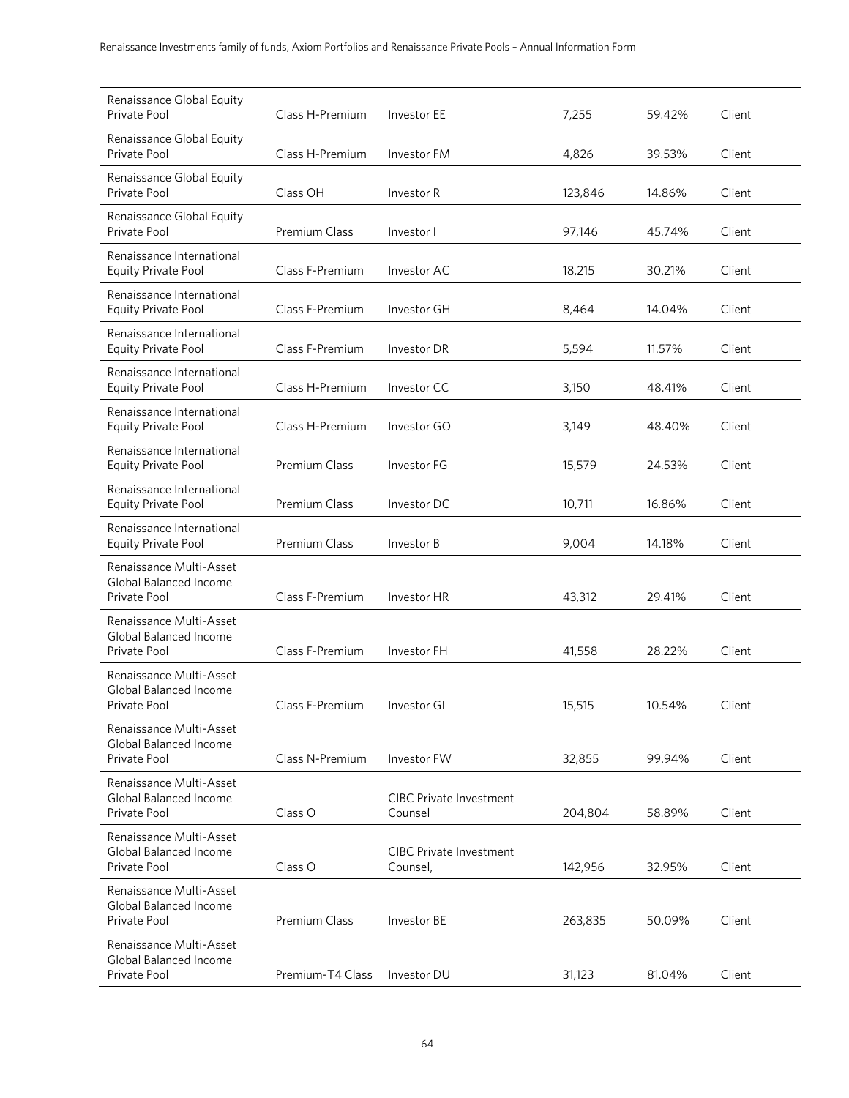| Renaissance Global Equity<br>Private Pool                         | Class H-Premium      | <b>Investor EE</b>                         | 7,255   | 59.42% | Client |
|-------------------------------------------------------------------|----------------------|--------------------------------------------|---------|--------|--------|
| Renaissance Global Equity<br>Private Pool                         | Class H-Premium      | Investor FM                                | 4,826   | 39.53% | Client |
| Renaissance Global Equity<br>Private Pool                         | Class OH             | Investor R                                 | 123,846 | 14.86% | Client |
| Renaissance Global Equity<br>Private Pool                         | <b>Premium Class</b> | Investor I                                 | 97,146  | 45.74% | Client |
| Renaissance International<br>Equity Private Pool                  | Class F-Premium      | Investor AC                                | 18,215  | 30.21% | Client |
| Renaissance International<br><b>Equity Private Pool</b>           | Class F-Premium      | Investor GH                                | 8,464   | 14.04% | Client |
| Renaissance International<br><b>Equity Private Pool</b>           | Class F-Premium      | Investor DR                                | 5,594   | 11.57% | Client |
| Renaissance International<br>Equity Private Pool                  | Class H-Premium      | Investor CC                                | 3,150   | 48.41% | Client |
| Renaissance International<br><b>Equity Private Pool</b>           | Class H-Premium      | Investor GO                                | 3,149   | 48.40% | Client |
| Renaissance International<br><b>Equity Private Pool</b>           | Premium Class        | Investor FG                                | 15,579  | 24.53% | Client |
| Renaissance International<br><b>Equity Private Pool</b>           | Premium Class        | Investor DC                                | 10,711  | 16.86% | Client |
| Renaissance International<br><b>Equity Private Pool</b>           | <b>Premium Class</b> | Investor B                                 | 9,004   | 14.18% | Client |
| Renaissance Multi-Asset<br>Global Balanced Income<br>Private Pool | Class F-Premium      | Investor HR                                | 43,312  | 29.41% | Client |
| Renaissance Multi-Asset<br>Global Balanced Income<br>Private Pool | Class F-Premium      | Investor FH                                | 41,558  | 28.22% | Client |
| Renaissance Multi-Asset<br>Global Balanced Income<br>Private Pool | Class F-Premium      | Investor GI                                | 15,515  | 10.54% | Client |
| Renaissance Multi-Asset<br>Global Balanced Income<br>Private Pool | Class N-Premium      | Investor FW                                | 32,855  | 99.94% | Client |
| Renaissance Multi-Asset<br>Global Balanced Income<br>Private Pool | Class O              | <b>CIBC Private Investment</b><br>Counsel  | 204,804 | 58.89% | Client |
| Renaissance Multi-Asset<br>Global Balanced Income<br>Private Pool | Class O              | <b>CIBC Private Investment</b><br>Counsel, | 142,956 | 32.95% | Client |
| Renaissance Multi-Asset<br>Global Balanced Income<br>Private Pool | <b>Premium Class</b> | Investor BE                                | 263,835 | 50.09% | Client |
| Renaissance Multi-Asset<br>Global Balanced Income<br>Private Pool | Premium-T4 Class     | Investor DU                                | 31,123  | 81.04% | Client |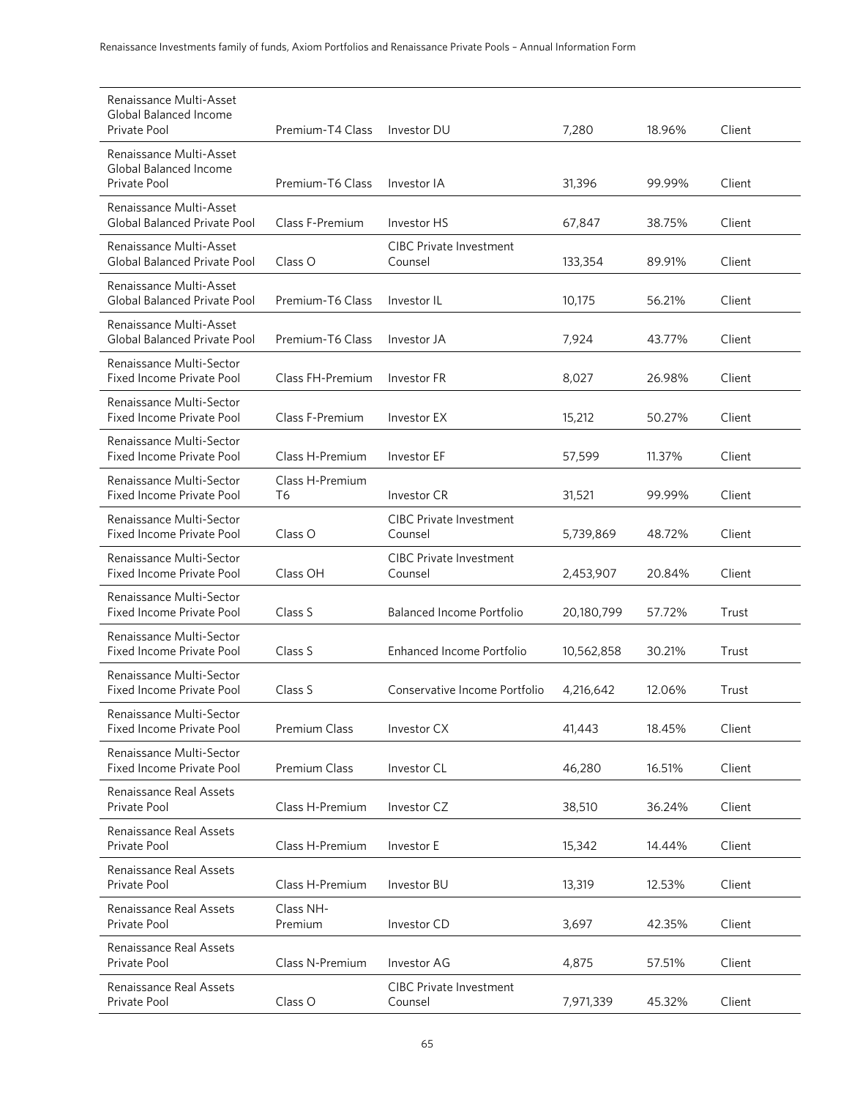| Renaissance Multi-Asset<br>Global Balanced Income<br><b>Private Pool</b> | Premium-T4 Class      | Investor DU                               | 7,280      | 18.96% | Client |
|--------------------------------------------------------------------------|-----------------------|-------------------------------------------|------------|--------|--------|
| Renaissance Multi-Asset<br>Global Balanced Income<br><b>Private Pool</b> | Premium-T6 Class      | Investor IA                               | 31,396     | 99.99% | Client |
| Renaissance Multi-Asset<br>Global Balanced Private Pool                  | Class F-Premium       | Investor HS                               | 67,847     | 38.75% | Client |
| Renaissance Multi-Asset<br>Global Balanced Private Pool                  | Class O               | CIBC Private Investment<br>Counsel        | 133,354    | 89.91% | Client |
| Renaissance Multi-Asset<br>Global Balanced Private Pool                  | Premium-T6 Class      | Investor IL                               | 10,175     | 56.21% | Client |
| Renaissance Multi-Asset<br>Global Balanced Private Pool                  | Premium-T6 Class      | Investor JA                               | 7,924      | 43.77% | Client |
| Renaissance Multi-Sector<br>Fixed Income Private Pool                    | Class FH-Premium      | Investor FR                               | 8,027      | 26.98% | Client |
| Renaissance Multi-Sector<br><b>Fixed Income Private Pool</b>             | Class F-Premium       | Investor EX                               | 15,212     | 50.27% | Client |
| Renaissance Multi-Sector<br>Fixed Income Private Pool                    | Class H-Premium       | Investor EF                               | 57,599     | 11.37% | Client |
| Renaissance Multi-Sector<br>Fixed Income Private Pool                    | Class H-Premium<br>T6 | Investor CR                               | 31,521     | 99.99% | Client |
| Renaissance Multi-Sector<br>Fixed Income Private Pool                    | Class O               | <b>CIBC Private Investment</b><br>Counsel | 5,739,869  | 48.72% | Client |
| Renaissance Multi-Sector<br>Fixed Income Private Pool                    | Class OH              | <b>CIBC Private Investment</b><br>Counsel | 2,453,907  | 20.84% | Client |
| Renaissance Multi-Sector<br>Fixed Income Private Pool                    | Class S               | <b>Balanced Income Portfolio</b>          | 20,180,799 | 57.72% | Trust  |
| Renaissance Multi-Sector<br>Fixed Income Private Pool                    | Class S               | Enhanced Income Portfolio                 | 10,562,858 | 30.21% | Trust  |
| Renaissance Multi-Sector<br>Fixed Income Private Pool                    | Class S               | Conservative Income Portfolio             | 4,216,642  | 12.06% | Trust  |
| Renaissance Multi-Sector<br>Fixed Income Private Pool                    | Premium Class         | Investor CX                               | 41,443     | 18.45% | Client |
| Renaissance Multi-Sector<br><b>Fixed Income Private Pool</b>             | <b>Premium Class</b>  | Investor CL                               | 46,280     | 16.51% | Client |
| Renaissance Real Assets<br>Private Pool                                  | Class H-Premium       | Investor CZ                               | 38,510     | 36.24% | Client |
| Renaissance Real Assets<br>Private Pool                                  | Class H-Premium       | Investor E                                | 15,342     | 14.44% | Client |
| <b>Renaissance Real Assets</b><br>Private Pool                           | Class H-Premium       | Investor BU                               | 13,319     | 12.53% | Client |
| Renaissance Real Assets<br>Private Pool                                  | Class NH-<br>Premium  | Investor CD                               | 3,697      | 42.35% | Client |
| Renaissance Real Assets<br>Private Pool                                  | Class N-Premium       | Investor AG                               | 4,875      | 57.51% | Client |
| Renaissance Real Assets<br>Private Pool                                  | Class O               | <b>CIBC Private Investment</b><br>Counsel | 7,971,339  | 45.32% | Client |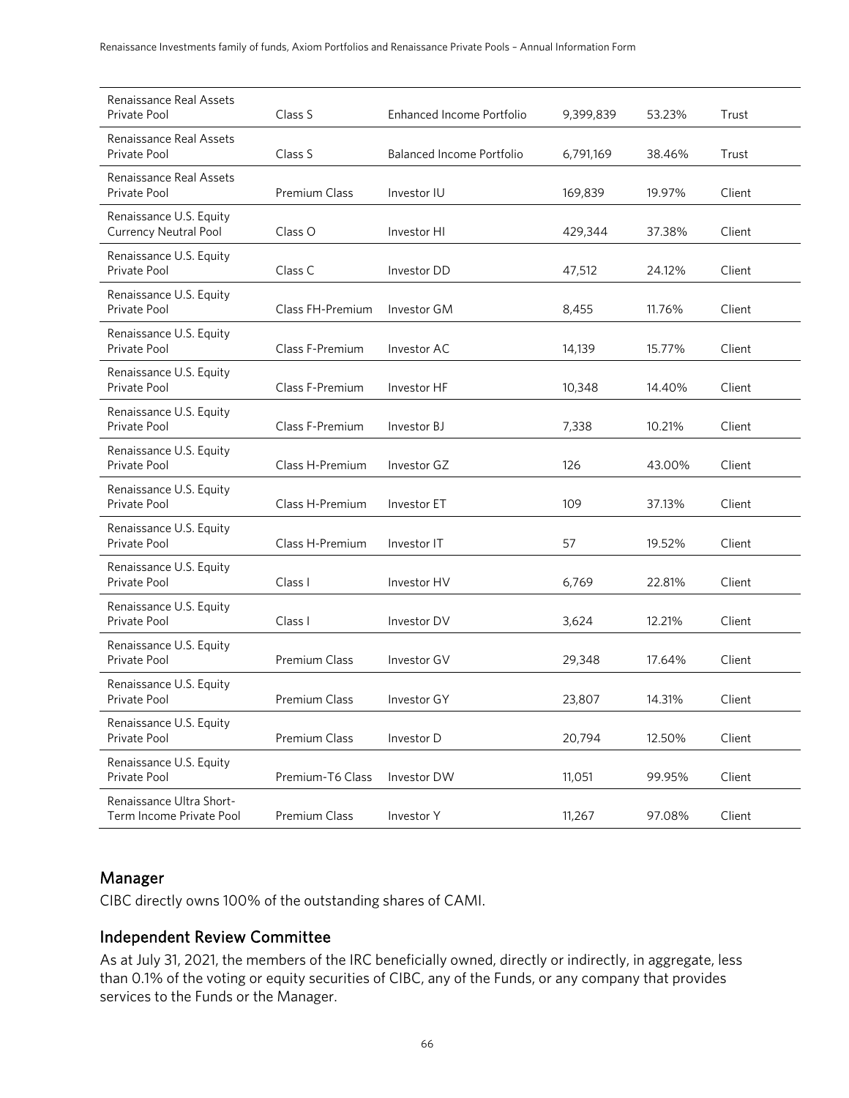| Renaissance Real Assets<br>Private Pool                 | Class S              | Enhanced Income Portfolio | 9,399,839 | 53.23% | Trust  |
|---------------------------------------------------------|----------------------|---------------------------|-----------|--------|--------|
| <b>Renaissance Real Assets</b><br>Private Pool          | Class S              | Balanced Income Portfolio | 6,791,169 | 38.46% | Trust  |
| Renaissance Real Assets<br>Private Pool                 | <b>Premium Class</b> | Investor IU               | 169,839   | 19.97% | Client |
| Renaissance U.S. Equity<br><b>Currency Neutral Pool</b> | Class O              | Investor HI               | 429,344   | 37.38% | Client |
| Renaissance U.S. Equity<br>Private Pool                 | Class C              | Investor DD               | 47,512    | 24.12% | Client |
| Renaissance U.S. Equity<br>Private Pool                 | Class FH-Premium     | Investor GM               | 8,455     | 11.76% | Client |
| Renaissance U.S. Equity<br>Private Pool                 | Class F-Premium      | Investor AC               | 14,139    | 15.77% | Client |
| Renaissance U.S. Equity<br>Private Pool                 | Class F-Premium      | Investor HF               | 10,348    | 14.40% | Client |
| Renaissance U.S. Equity<br>Private Pool                 | Class F-Premium      | Investor BJ               | 7,338     | 10.21% | Client |
| Renaissance U.S. Equity<br>Private Pool                 | Class H-Premium      | Investor GZ               | 126       | 43.00% | Client |
| Renaissance U.S. Equity<br>Private Pool                 | Class H-Premium      | Investor ET               | 109       | 37.13% | Client |
| Renaissance U.S. Equity<br>Private Pool                 | Class H-Premium      | Investor IT               | 57        | 19.52% | Client |
| Renaissance U.S. Equity<br>Private Pool                 | Class I              | Investor HV               | 6,769     | 22.81% | Client |
| Renaissance U.S. Equity<br>Private Pool                 | Class I              | Investor DV               | 3,624     | 12.21% | Client |
| Renaissance U.S. Equity<br>Private Pool                 | Premium Class        | Investor GV               | 29,348    | 17.64% | Client |
| Renaissance U.S. Equity<br>Private Pool                 | Premium Class        | Investor GY               | 23,807    | 14.31% | Client |
| Renaissance U.S. Equity<br>Private Pool                 | Premium Class        | Investor D                | 20,794    | 12.50% | Client |
| Renaissance U.S. Equity<br>Private Pool                 | Premium-T6 Class     | Investor DW               | 11,051    | 99.95% | Client |
| Renaissance Ultra Short-<br>Term Income Private Pool    | Premium Class        | Investor Y                | 11,267    | 97.08% | Client |

### Manager

CIBC directly owns 100% of the outstanding shares of CAMI.

# Independent Review Committee

As at July 31, 2021, the members of the IRC beneficially owned, directly or indirectly, in aggregate, less than 0.1% of the voting or equity securities of CIBC, any of the Funds, or any company that provides services to the Funds or the Manager.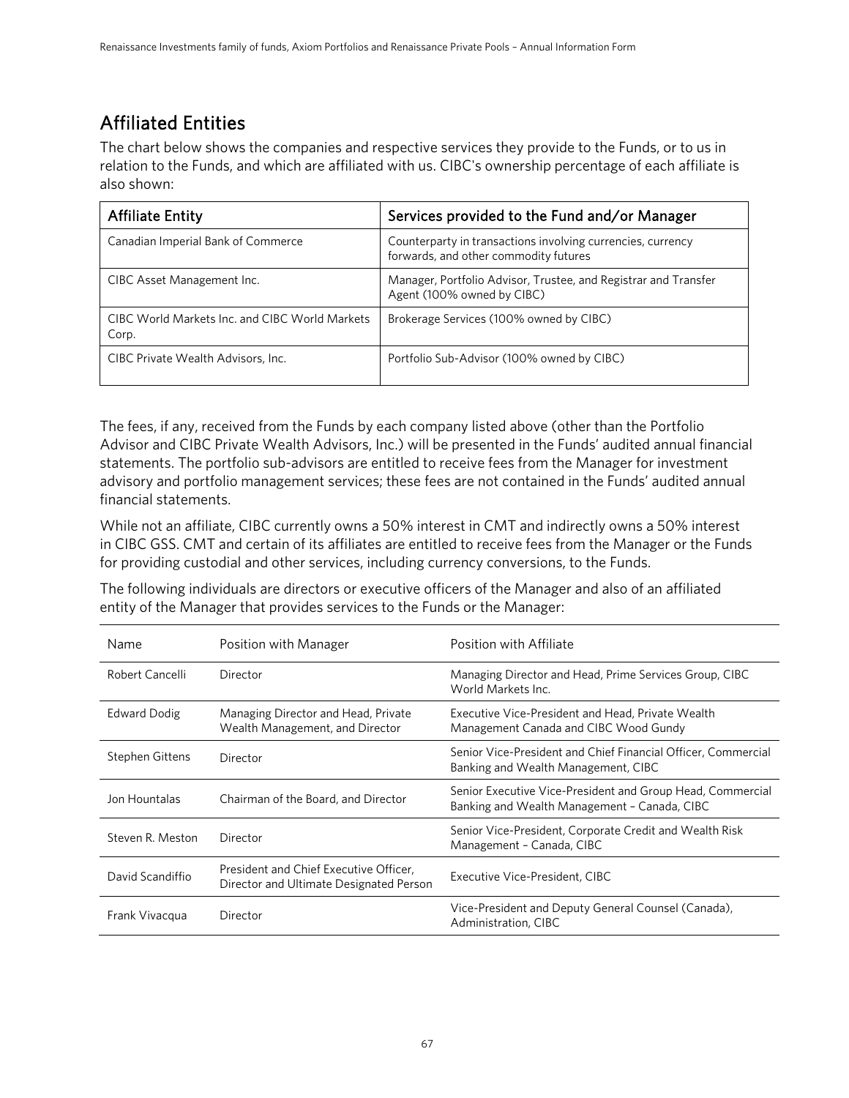# Affiliated Entities

The chart below shows the companies and respective services they provide to the Funds, or to us in relation to the Funds, and which are affiliated with us. CIBC's ownership percentage of each affiliate is also shown:

| <b>Affiliate Entity</b>                                 | Services provided to the Fund and/or Manager                                                         |
|---------------------------------------------------------|------------------------------------------------------------------------------------------------------|
| Canadian Imperial Bank of Commerce                      | Counterparty in transactions involving currencies, currency<br>forwards, and other commodity futures |
| CIBC Asset Management Inc.                              | Manager, Portfolio Advisor, Trustee, and Registrar and Transfer<br>Agent (100% owned by CIBC)        |
| CIBC World Markets Inc. and CIBC World Markets<br>Corp. | Brokerage Services (100% owned by CIBC)                                                              |
| CIBC Private Wealth Advisors, Inc.                      | Portfolio Sub-Advisor (100% owned by CIBC)                                                           |

The fees, if any, received from the Funds by each company listed above (other than the Portfolio Advisor and CIBC Private Wealth Advisors, Inc.) will be presented in the Funds' audited annual financial statements. The portfolio sub-advisors are entitled to receive fees from the Manager for investment advisory and portfolio management services; these fees are not contained in the Funds' audited annual financial statements.

While not an affiliate, CIBC currently owns a 50% interest in CMT and indirectly owns a 50% interest in CIBC GSS. CMT and certain of its affiliates are entitled to receive fees from the Manager or the Funds for providing custodial and other services, including currency conversions, to the Funds.

The following individuals are directors or executive officers of the Manager and also of an affiliated entity of the Manager that provides services to the Funds or the Manager:

| Name                | Position with Manager                                                             | Position with Affiliate                                                                                    |
|---------------------|-----------------------------------------------------------------------------------|------------------------------------------------------------------------------------------------------------|
| Robert Cancelli     | Director                                                                          | Managing Director and Head, Prime Services Group, CIBC<br>World Markets Inc.                               |
| <b>Edward Dodig</b> | Managing Director and Head, Private<br>Wealth Management, and Director            | Executive Vice-President and Head, Private Wealth<br>Management Canada and CIBC Wood Gundy                 |
| Stephen Gittens     | Director                                                                          | Senior Vice-President and Chief Financial Officer, Commercial<br>Banking and Wealth Management, CIBC       |
| Jon Hountalas       | Chairman of the Board, and Director                                               | Senior Executive Vice-President and Group Head, Commercial<br>Banking and Wealth Management - Canada, CIBC |
| Steven R. Meston    | Director                                                                          | Senior Vice-President, Corporate Credit and Wealth Risk<br>Management - Canada, CIBC                       |
| David Scandiffio    | President and Chief Executive Officer,<br>Director and Ultimate Designated Person | Executive Vice-President, CIBC                                                                             |
| Frank Vivacqua      | Director                                                                          | Vice-President and Deputy General Counsel (Canada),<br>Administration, CIBC                                |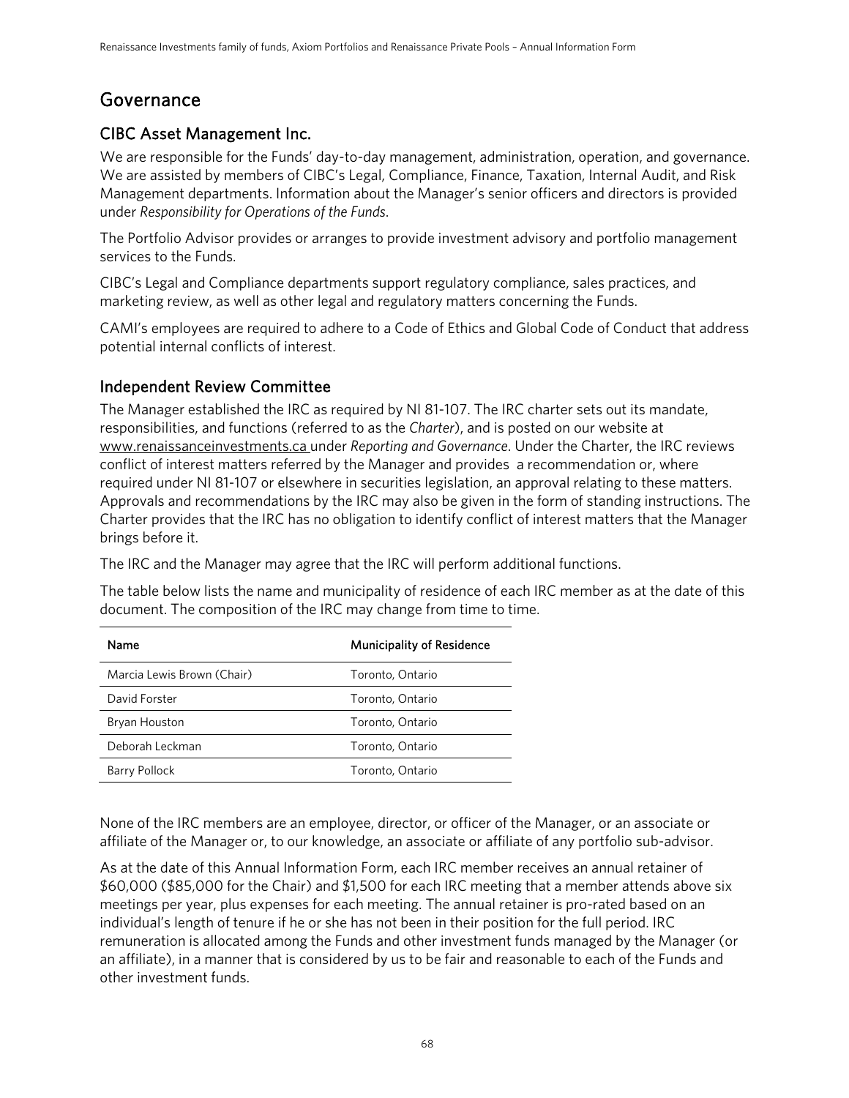# Governance

# CIBC Asset Management Inc.

We are responsible for the Funds' day-to-day management, administration, operation, and governance. We are assisted by members of CIBC's Legal, Compliance, Finance, Taxation, Internal Audit, and Risk Management departments. Information about the Manager's senior officers and directors is provided under *Responsibility for Operations of the Funds*.

The Portfolio Advisor provides or arranges to provide investment advisory and portfolio management services to the Funds.

CIBC's Legal and Compliance departments support regulatory compliance, sales practices, and marketing review, as well as other legal and regulatory matters concerning the Funds.

CAMI's employees are required to adhere to a Code of Ethics and Global Code of Conduct that address potential internal conflicts of interest.

# Independent Review Committee

The Manager established the IRC as required by NI 81-107. The IRC charter sets out its mandate, responsibilities, and functions (referred to as the *Charter*), and is posted on our website at www.renaissanceinvestments.ca under *Reporting and Governance*. Under the Charter, the IRC reviews conflict of interest matters referred by the Manager and provides a recommendation or, where required under NI 81-107 or elsewhere in securities legislation, an approval relating to these matters. Approvals and recommendations by the IRC may also be given in the form of standing instructions. The Charter provides that the IRC has no obligation to identify conflict of interest matters that the Manager brings before it.

The IRC and the Manager may agree that the IRC will perform additional functions.

The table below lists the name and municipality of residence of each IRC member as at the date of this document. The composition of the IRC may change from time to time.

| Name                       | <b>Municipality of Residence</b> |
|----------------------------|----------------------------------|
| Marcia Lewis Brown (Chair) | Toronto, Ontario                 |
| David Forster              | Toronto, Ontario                 |
| Bryan Houston              | Toronto, Ontario                 |
| Deborah Leckman            | Toronto, Ontario                 |
| Barry Pollock              | Toronto, Ontario                 |

None of the IRC members are an employee, director, or officer of the Manager, or an associate or affiliate of the Manager or, to our knowledge, an associate or affiliate of any portfolio sub-advisor.

As at the date of this Annual Information Form, each IRC member receives an annual retainer of \$60,000 (\$85,000 for the Chair) and \$1,500 for each IRC meeting that a member attends above six meetings per year, plus expenses for each meeting. The annual retainer is pro-rated based on an individual's length of tenure if he or she has not been in their position for the full period. IRC remuneration is allocated among the Funds and other investment funds managed by the Manager (or an affiliate), in a manner that is considered by us to be fair and reasonable to each of the Funds and other investment funds.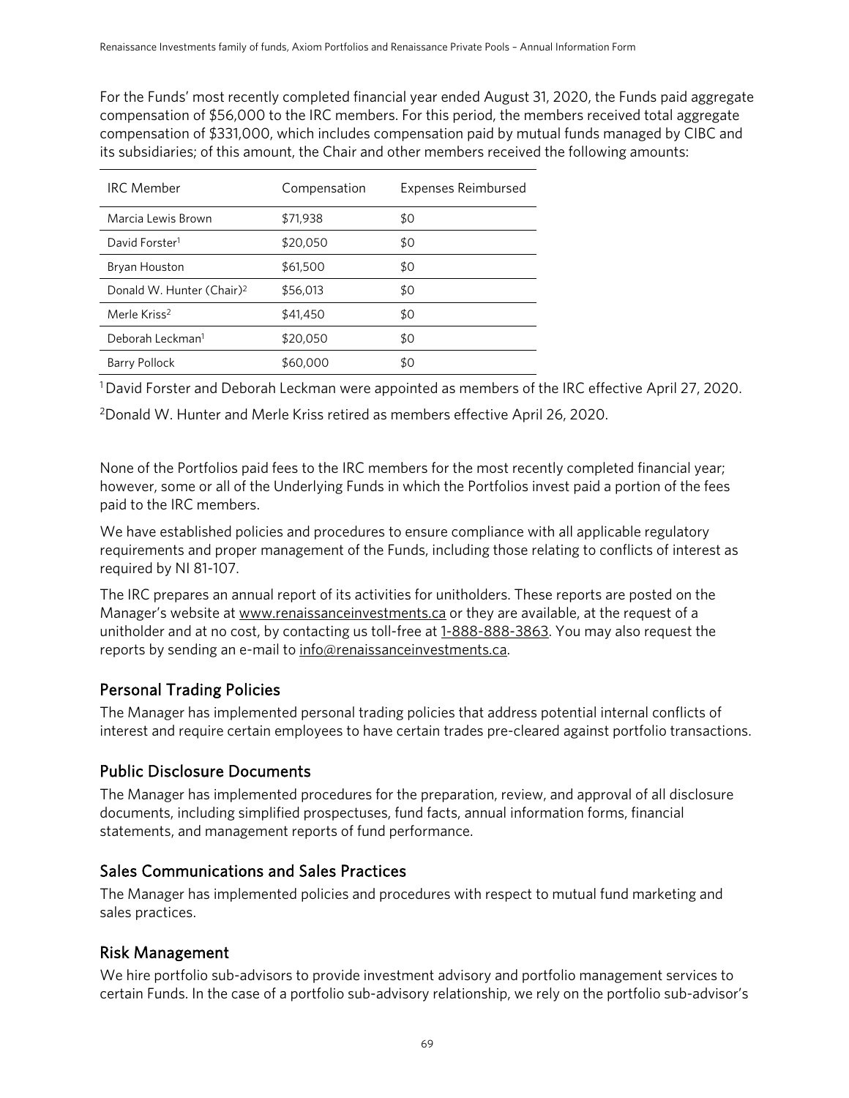For the Funds' most recently completed financial year ended August 31, 2020, the Funds paid aggregate compensation of \$56,000 to the IRC members. For this period, the members received total aggregate compensation of \$331,000, which includes compensation paid by mutual funds managed by CIBC and its subsidiaries; of this amount, the Chair and other members received the following amounts:

| <b>IRC</b> Member                     | Compensation | Expenses Reimbursed |
|---------------------------------------|--------------|---------------------|
| Marcia Lewis Brown                    | \$71,938     | \$0                 |
| David Forster <sup>1</sup>            | \$20,050     | \$0                 |
| Bryan Houston                         | \$61,500     | \$0                 |
| Donald W. Hunter (Chair) <sup>2</sup> | \$56,013     | \$0                 |
| Merle Kriss <sup>2</sup>              | \$41,450     | \$0                 |
| Deborah Leckman <sup>1</sup>          | \$20,050     | \$0                 |
| <b>Barry Pollock</b>                  | \$60,000     | \$0                 |

<sup>1</sup> David Forster and Deborah Leckman were appointed as members of the IRC effective April 27, 2020.

2 Donald W. Hunter and Merle Kriss retired as members effective April 26, 2020.

None of the Portfolios paid fees to the IRC members for the most recently completed financial year; however, some or all of the Underlying Funds in which the Portfolios invest paid a portion of the fees paid to the IRC members.

We have established policies and procedures to ensure compliance with all applicable regulatory requirements and proper management of the Funds, including those relating to conflicts of interest as required by NI 81-107.

The IRC prepares an annual report of its activities for unitholders. These reports are posted on the Manager's website at www.renaissanceinvestments.ca or they are available, at the request of a unitholder and at no cost, by contacting us toll-free at  $1-888-888-3863$ . You may also request the reports by sending an e-mail to info@renaissanceinvestments.ca.

# Personal Trading Policies

The Manager has implemented personal trading policies that address potential internal conflicts of interest and require certain employees to have certain trades pre-cleared against portfolio transactions.

# Public Disclosure Documents

The Manager has implemented procedures for the preparation, review, and approval of all disclosure documents, including simplified prospectuses, fund facts, annual information forms, financial statements, and management reports of fund performance.

# Sales Communications and Sales Practices

The Manager has implemented policies and procedures with respect to mutual fund marketing and sales practices.

# Risk Management

We hire portfolio sub-advisors to provide investment advisory and portfolio management services to certain Funds. In the case of a portfolio sub-advisory relationship, we rely on the portfolio sub-advisor's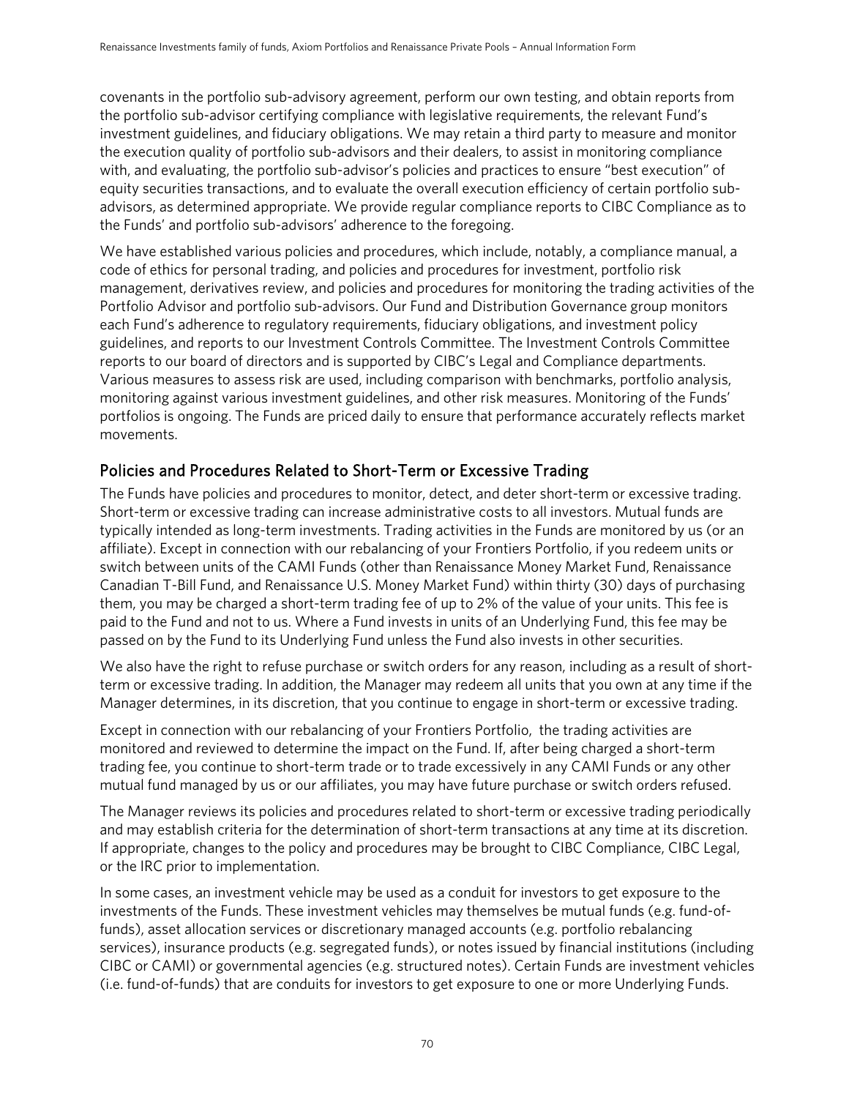covenants in the portfolio sub-advisory agreement, perform our own testing, and obtain reports from the portfolio sub-advisor certifying compliance with legislative requirements, the relevant Fund's investment guidelines, and fiduciary obligations. We may retain a third party to measure and monitor the execution quality of portfolio sub-advisors and their dealers, to assist in monitoring compliance with, and evaluating, the portfolio sub-advisor's policies and practices to ensure "best execution" of equity securities transactions, and to evaluate the overall execution efficiency of certain portfolio subadvisors, as determined appropriate. We provide regular compliance reports to CIBC Compliance as to the Funds' and portfolio sub-advisors' adherence to the foregoing.

We have established various policies and procedures, which include, notably, a compliance manual, a code of ethics for personal trading, and policies and procedures for investment, portfolio risk management, derivatives review, and policies and procedures for monitoring the trading activities of the Portfolio Advisor and portfolio sub-advisors. Our Fund and Distribution Governance group monitors each Fund's adherence to regulatory requirements, fiduciary obligations, and investment policy guidelines, and reports to our Investment Controls Committee. The Investment Controls Committee reports to our board of directors and is supported by CIBC's Legal and Compliance departments. Various measures to assess risk are used, including comparison with benchmarks, portfolio analysis, monitoring against various investment guidelines, and other risk measures. Monitoring of the Funds' portfolios is ongoing. The Funds are priced daily to ensure that performance accurately reflects market movements.

# Policies and Procedures Related to Short-Term or Excessive Trading

The Funds have policies and procedures to monitor, detect, and deter short-term or excessive trading. Short-term or excessive trading can increase administrative costs to all investors. Mutual funds are typically intended as long-term investments. Trading activities in the Funds are monitored by us (or an affiliate). Except in connection with our rebalancing of your Frontiers Portfolio, if you redeem units or switch between units of the CAMI Funds (other than Renaissance Money Market Fund, Renaissance Canadian T-Bill Fund, and Renaissance U.S. Money Market Fund) within thirty (30) days of purchasing them, you may be charged a short-term trading fee of up to 2% of the value of your units. This fee is paid to the Fund and not to us. Where a Fund invests in units of an Underlying Fund, this fee may be passed on by the Fund to its Underlying Fund unless the Fund also invests in other securities.

We also have the right to refuse purchase or switch orders for any reason, including as a result of shortterm or excessive trading. In addition, the Manager may redeem all units that you own at any time if the Manager determines, in its discretion, that you continue to engage in short-term or excessive trading.

Except in connection with our rebalancing of your Frontiers Portfolio, the trading activities are monitored and reviewed to determine the impact on the Fund. If, after being charged a short-term trading fee, you continue to short-term trade or to trade excessively in any CAMI Funds or any other mutual fund managed by us or our affiliates, you may have future purchase or switch orders refused.

The Manager reviews its policies and procedures related to short-term or excessive trading periodically and may establish criteria for the determination of short-term transactions at any time at its discretion. If appropriate, changes to the policy and procedures may be brought to CIBC Compliance, CIBC Legal, or the IRC prior to implementation.

In some cases, an investment vehicle may be used as a conduit for investors to get exposure to the investments of the Funds. These investment vehicles may themselves be mutual funds (e.g. fund-offunds), asset allocation services or discretionary managed accounts (e.g. portfolio rebalancing services), insurance products (e.g. segregated funds), or notes issued by financial institutions (including CIBC or CAMI) or governmental agencies (e.g. structured notes). Certain Funds are investment vehicles (i.e. fund-of-funds) that are conduits for investors to get exposure to one or more Underlying Funds.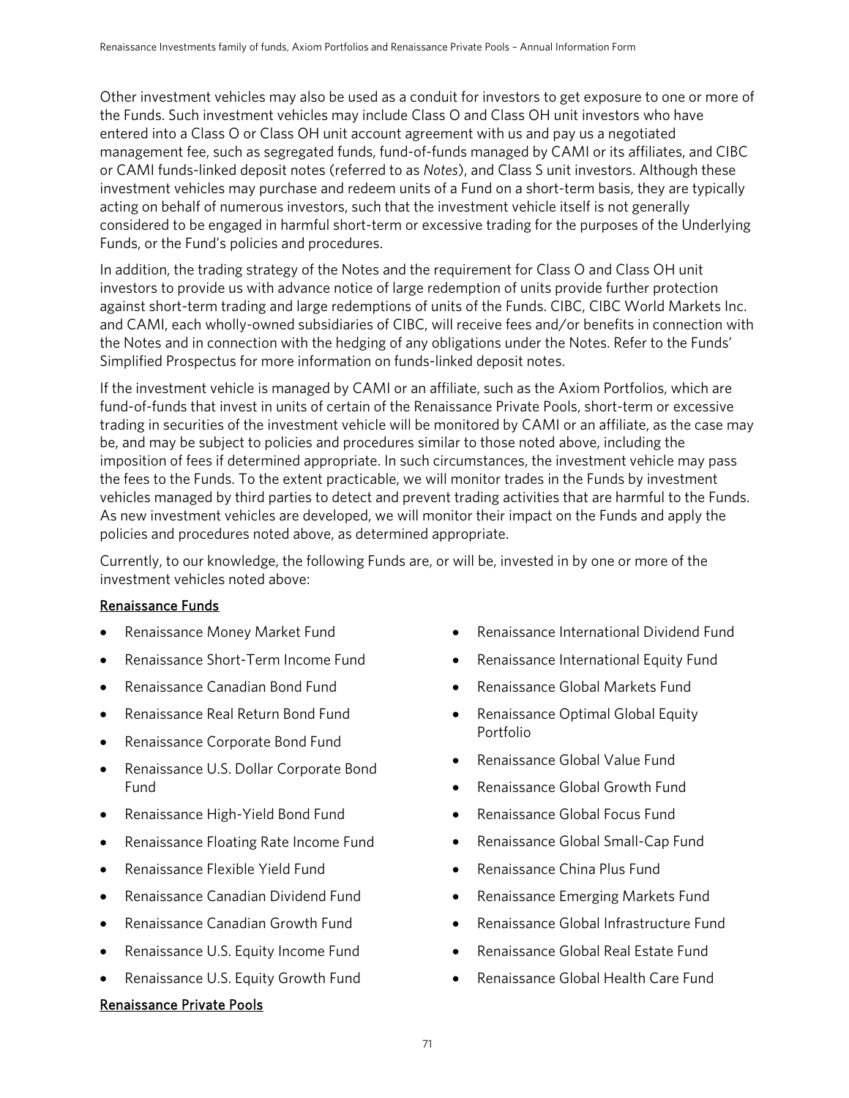Other investment vehicles may also be used as a conduit for investors to get exposure to one or more of the Funds. Such investment vehicles may include Class O and Class OH unit investors who have entered into a Class O or Class OH unit account agreement with us and pay us a negotiated management fee, such as segregated funds, fund-of-funds managed by CAMI or its affiliates, and CIBC or CAMI funds-linked deposit notes (referred to as *Notes*), and Class S unit investors. Although these investment vehicles may purchase and redeem units of a Fund on a short-term basis, they are typically acting on behalf of numerous investors, such that the investment vehicle itself is not generally considered to be engaged in harmful short-term or excessive trading for the purposes of the Underlying Funds, or the Fund's policies and procedures.

In addition, the trading strategy of the Notes and the requirement for Class O and Class OH unit investors to provide us with advance notice of large redemption of units provide further protection against short-term trading and large redemptions of units of the Funds. CIBC, CIBC World Markets Inc. and CAMI, each wholly-owned subsidiaries of CIBC, will receive fees and/or benefits in connection with the Notes and in connection with the hedging of any obligations under the Notes. Refer to the Funds' Simplified Prospectus for more information on funds-linked deposit notes.

If the investment vehicle is managed by CAMI or an affiliate, such as the Axiom Portfolios, which are fund-of-funds that invest in units of certain of the Renaissance Private Pools, short-term or excessive trading in securities of the investment vehicle will be monitored by CAMI or an affiliate, as the case may be, and may be subject to policies and procedures similar to those noted above, including the imposition of fees if determined appropriate. In such circumstances, the investment vehicle may pass the fees to the Funds. To the extent practicable, we will monitor trades in the Funds by investment vehicles managed by third parties to detect and prevent trading activities that are harmful to the Funds. As new investment vehicles are developed, we will monitor their impact on the Funds and apply the policies and procedures noted above, as determined appropriate.

Currently, to our knowledge, the following Funds are, or will be, invested in by one or more of the investment vehicles noted above:

#### Renaissance Funds

- Renaissance Money Market Fund
- Renaissance Short-Term Income Fund
- Renaissance Canadian Bond Fund
- Renaissance Real Return Bond Fund
- Renaissance Corporate Bond Fund
- Renaissance U.S. Dollar Corporate Bond Fund
- Renaissance High-Yield Bond Fund
- Renaissance Floating Rate Income Fund
- Renaissance Flexible Yield Fund
- Renaissance Canadian Dividend Fund
- Renaissance Canadian Growth Fund
- Renaissance U.S. Equity Income Fund
- Renaissance U.S. Equity Growth Fund

#### Renaissance Private Pools

- Renaissance International Dividend Fund
- Renaissance International Equity Fund
- Renaissance Global Markets Fund
- Renaissance Optimal Global Equity Portfolio
- Renaissance Global Value Fund
- Renaissance Global Growth Fund
- Renaissance Global Focus Fund
- Renaissance Global Small-Cap Fund
- Renaissance China Plus Fund
- Renaissance Emerging Markets Fund
- Renaissance Global Infrastructure Fund
- Renaissance Global Real Estate Fund
- Renaissance Global Health Care Fund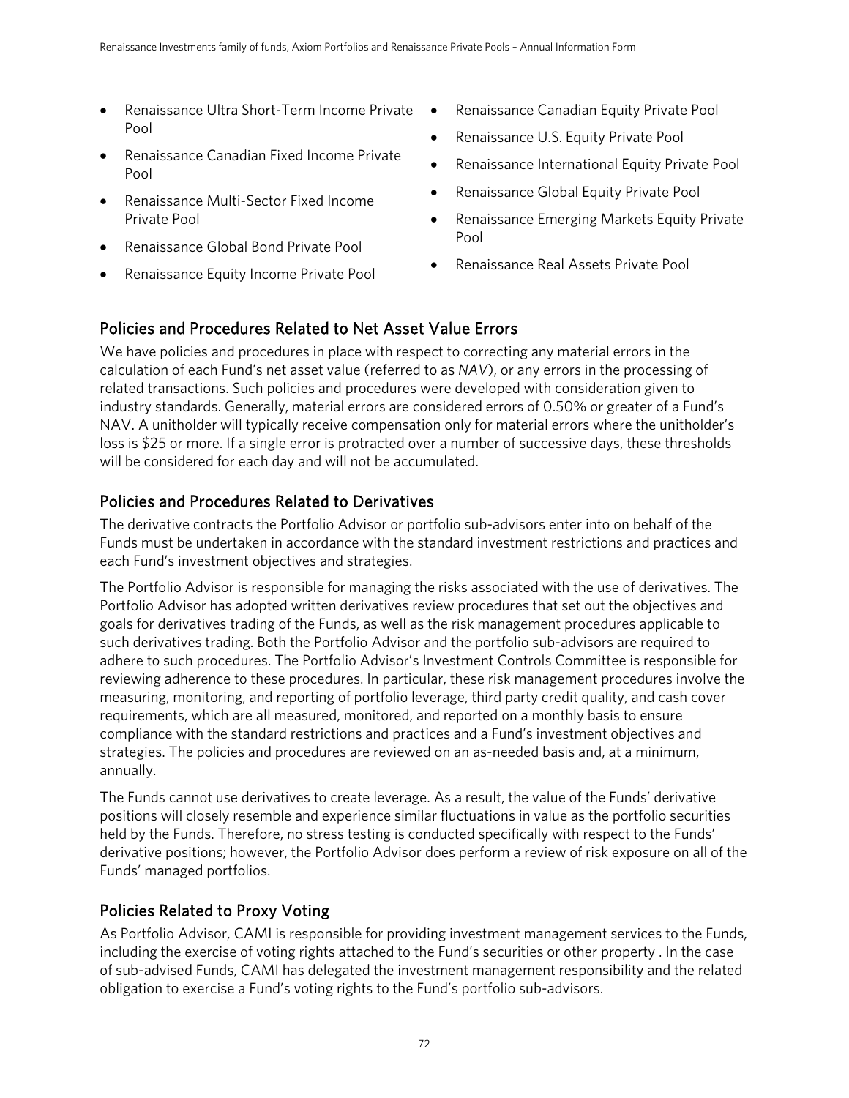- Renaissance Ultra Short-Term Income Private Pool
- Renaissance Canadian Fixed Income Private Pool
- Renaissance Multi-Sector Fixed Income Private Pool
- Renaissance Global Bond Private Pool
- Renaissance Equity Income Private Pool
- Renaissance Canadian Equity Private Pool
- Renaissance U.S. Equity Private Pool
- Renaissance International Equity Private Pool
- Renaissance Global Equity Private Pool
- Renaissance Emerging Markets Equity Private Pool
- Renaissance Real Assets Private Pool

# Policies and Procedures Related to Net Asset Value Errors

We have policies and procedures in place with respect to correcting any material errors in the calculation of each Fund's net asset value (referred to as *NAV*), or any errors in the processing of related transactions. Such policies and procedures were developed with consideration given to industry standards. Generally, material errors are considered errors of 0.50% or greater of a Fund's NAV. A unitholder will typically receive compensation only for material errors where the unitholder's loss is \$25 or more. If a single error is protracted over a number of successive days, these thresholds will be considered for each day and will not be accumulated.

### Policies and Procedures Related to Derivatives

The derivative contracts the Portfolio Advisor or portfolio sub-advisors enter into on behalf of the Funds must be undertaken in accordance with the standard investment restrictions and practices and each Fund's investment objectives and strategies.

The Portfolio Advisor is responsible for managing the risks associated with the use of derivatives. The Portfolio Advisor has adopted written derivatives review procedures that set out the objectives and goals for derivatives trading of the Funds, as well as the risk management procedures applicable to such derivatives trading. Both the Portfolio Advisor and the portfolio sub-advisors are required to adhere to such procedures. The Portfolio Advisor's Investment Controls Committee is responsible for reviewing adherence to these procedures. In particular, these risk management procedures involve the measuring, monitoring, and reporting of portfolio leverage, third party credit quality, and cash cover requirements, which are all measured, monitored, and reported on a monthly basis to ensure compliance with the standard restrictions and practices and a Fund's investment objectives and strategies. The policies and procedures are reviewed on an as-needed basis and, at a minimum, annually.

The Funds cannot use derivatives to create leverage. As a result, the value of the Funds' derivative positions will closely resemble and experience similar fluctuations in value as the portfolio securities held by the Funds. Therefore, no stress testing is conducted specifically with respect to the Funds' derivative positions; however, the Portfolio Advisor does perform a review of risk exposure on all of the Funds' managed portfolios.

### Policies Related to Proxy Voting

As Portfolio Advisor, CAMI is responsible for providing investment management services to the Funds, including the exercise of voting rights attached to the Fund's securities or other property . In the case of sub-advised Funds, CAMI has delegated the investment management responsibility and the related obligation to exercise a Fund's voting rights to the Fund's portfolio sub-advisors.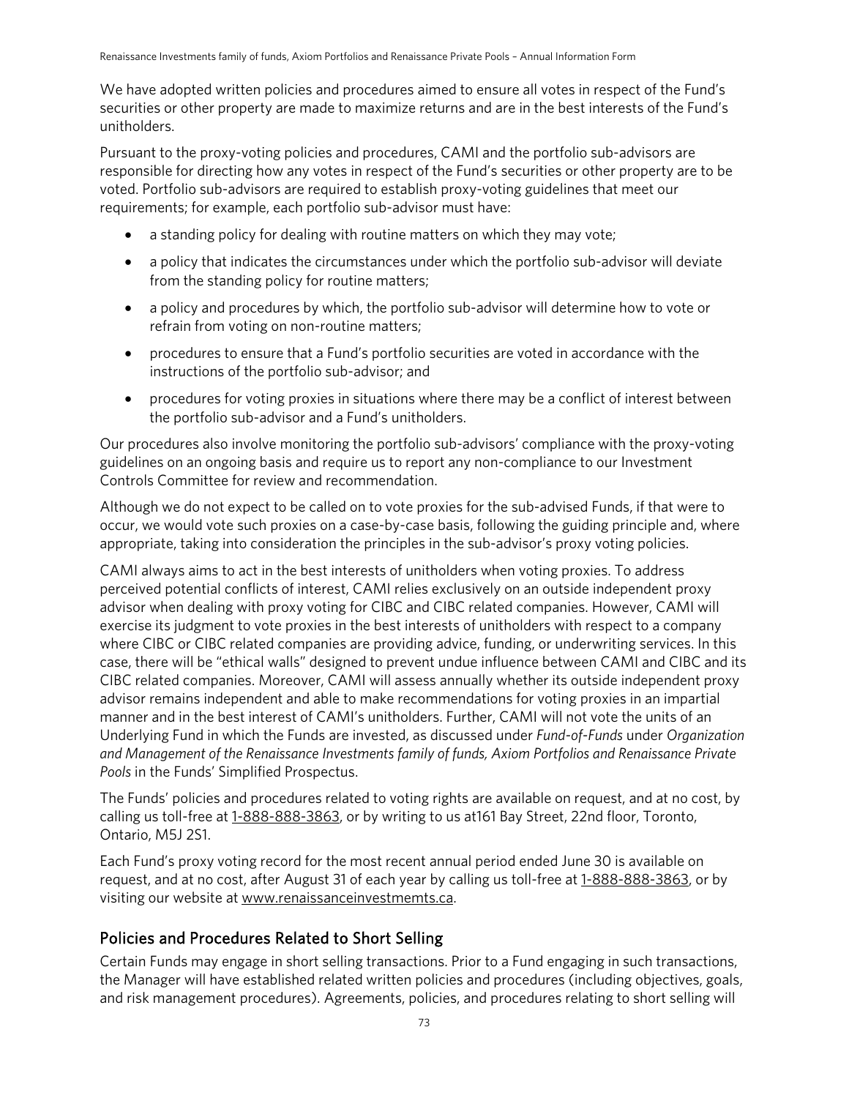We have adopted written policies and procedures aimed to ensure all votes in respect of the Fund's securities or other property are made to maximize returns and are in the best interests of the Fund's unitholders.

Pursuant to the proxy-voting policies and procedures, CAMI and the portfolio sub-advisors are responsible for directing how any votes in respect of the Fund's securities or other property are to be voted. Portfolio sub-advisors are required to establish proxy-voting guidelines that meet our requirements; for example, each portfolio sub-advisor must have:

- a standing policy for dealing with routine matters on which they may vote;
- a policy that indicates the circumstances under which the portfolio sub-advisor will deviate from the standing policy for routine matters;
- a policy and procedures by which, the portfolio sub-advisor will determine how to vote or refrain from voting on non-routine matters;
- procedures to ensure that a Fund's portfolio securities are voted in accordance with the instructions of the portfolio sub-advisor; and
- procedures for voting proxies in situations where there may be a conflict of interest between the portfolio sub-advisor and a Fund's unitholders.

Our procedures also involve monitoring the portfolio sub-advisors' compliance with the proxy-voting guidelines on an ongoing basis and require us to report any non-compliance to our Investment Controls Committee for review and recommendation.

Although we do not expect to be called on to vote proxies for the sub-advised Funds, if that were to occur, we would vote such proxies on a case-by-case basis, following the guiding principle and, where appropriate, taking into consideration the principles in the sub-advisor's proxy voting policies.

CAMI always aims to act in the best interests of unitholders when voting proxies. To address perceived potential conflicts of interest, CAMI relies exclusively on an outside independent proxy advisor when dealing with proxy voting for CIBC and CIBC related companies. However, CAMI will exercise its judgment to vote proxies in the best interests of unitholders with respect to a company where CIBC or CIBC related companies are providing advice, funding, or underwriting services. In this case, there will be "ethical walls" designed to prevent undue influence between CAMI and CIBC and its CIBC related companies. Moreover, CAMI will assess annually whether its outside independent proxy advisor remains independent and able to make recommendations for voting proxies in an impartial manner and in the best interest of CAMI's unitholders. Further, CAMI will not vote the units of an Underlying Fund in which the Funds are invested, as discussed under *Fund-of-Funds* under *Organization and Management of the Renaissance Investments family of funds, Axiom Portfolios and Renaissance Private Pools* in the Funds' Simplified Prospectus.

The Funds' policies and procedures related to voting rights are available on request, and at no cost, by calling us toll-free at [1-888-888-3863,](tel:1-888-888-3863) or by writing to us at 161 Bay Street, 22nd floor, Toronto, Ontario, M5J 2S1.

Each Fund's proxy voting record for the most recent annual period ended June 30 is available on request, and at no cost, after August 31 of each year by calling us toll-free at [1-888-888-3863,](tel:1-888-888-3863) or by visiting our website at www.renaissanceinvestmemts.ca.

#### Policies and Procedures Related to Short Selling

Certain Funds may engage in short selling transactions. Prior to a Fund engaging in such transactions, the Manager will have established related written policies and procedures (including objectives, goals, and risk management procedures). Agreements, policies, and procedures relating to short selling will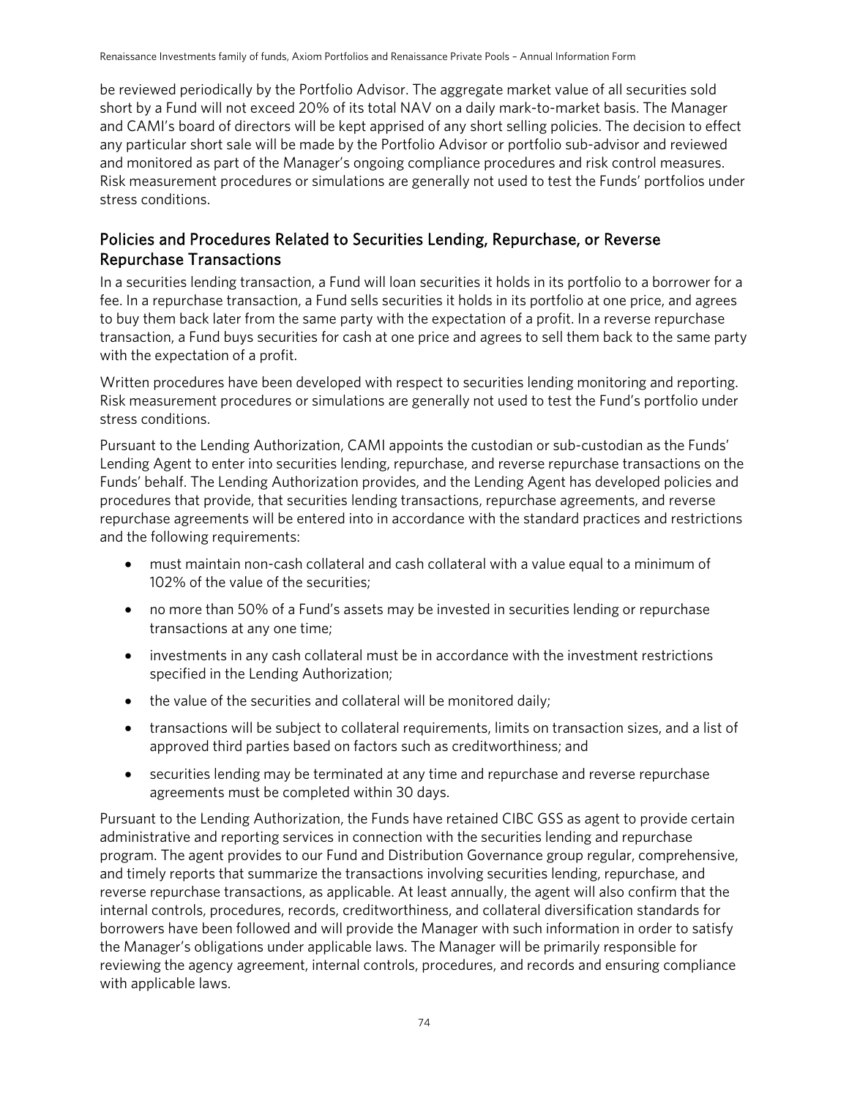be reviewed periodically by the Portfolio Advisor. The aggregate market value of all securities sold short by a Fund will not exceed 20% of its total NAV on a daily mark-to-market basis. The Manager and CAMI's board of directors will be kept apprised of any short selling policies. The decision to effect any particular short sale will be made by the Portfolio Advisor or portfolio sub-advisor and reviewed and monitored as part of the Manager's ongoing compliance procedures and risk control measures. Risk measurement procedures or simulations are generally not used to test the Funds' portfolios under stress conditions.

#### Policies and Procedures Related to Securities Lending, Repurchase, or Reverse Repurchase Transactions

In a securities lending transaction, a Fund will loan securities it holds in its portfolio to a borrower for a fee. In a repurchase transaction, a Fund sells securities it holds in its portfolio at one price, and agrees to buy them back later from the same party with the expectation of a profit. In a reverse repurchase transaction, a Fund buys securities for cash at one price and agrees to sell them back to the same party with the expectation of a profit.

Written procedures have been developed with respect to securities lending monitoring and reporting. Risk measurement procedures or simulations are generally not used to test the Fund's portfolio under stress conditions.

Pursuant to the Lending Authorization, CAMI appoints the custodian or sub-custodian as the Funds' Lending Agent to enter into securities lending, repurchase, and reverse repurchase transactions on the Funds' behalf. The Lending Authorization provides, and the Lending Agent has developed policies and procedures that provide, that securities lending transactions, repurchase agreements, and reverse repurchase agreements will be entered into in accordance with the standard practices and restrictions and the following requirements:

- must maintain non-cash collateral and cash collateral with a value equal to a minimum of 102% of the value of the securities;
- no more than 50% of a Fund's assets may be invested in securities lending or repurchase transactions at any one time;
- investments in any cash collateral must be in accordance with the investment restrictions specified in the Lending Authorization;
- the value of the securities and collateral will be monitored daily;
- transactions will be subject to collateral requirements, limits on transaction sizes, and a list of approved third parties based on factors such as creditworthiness; and
- securities lending may be terminated at any time and repurchase and reverse repurchase agreements must be completed within 30 days.

Pursuant to the Lending Authorization, the Funds have retained CIBC GSS as agent to provide certain administrative and reporting services in connection with the securities lending and repurchase program. The agent provides to our Fund and Distribution Governance group regular, comprehensive, and timely reports that summarize the transactions involving securities lending, repurchase, and reverse repurchase transactions, as applicable. At least annually, the agent will also confirm that the internal controls, procedures, records, creditworthiness, and collateral diversification standards for borrowers have been followed and will provide the Manager with such information in order to satisfy the Manager's obligations under applicable laws. The Manager will be primarily responsible for reviewing the agency agreement, internal controls, procedures, and records and ensuring compliance with applicable laws.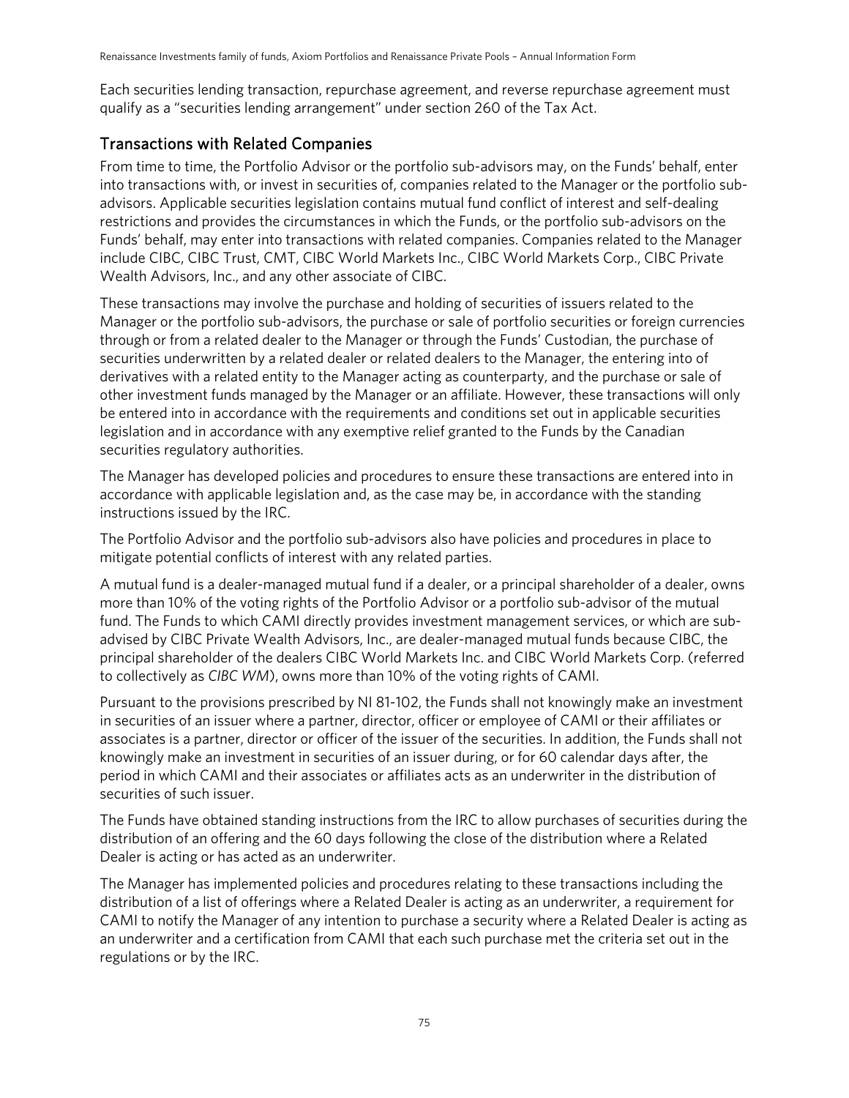Each securities lending transaction, repurchase agreement, and reverse repurchase agreement must qualify as a "securities lending arrangement" under section 260 of the Tax Act.

### Transactions with Related Companies

From time to time, the Portfolio Advisor or the portfolio sub-advisors may, on the Funds' behalf, enter into transactions with, or invest in securities of, companies related to the Manager or the portfolio subadvisors. Applicable securities legislation contains mutual fund conflict of interest and self-dealing restrictions and provides the circumstances in which the Funds, or the portfolio sub-advisors on the Funds' behalf, may enter into transactions with related companies. Companies related to the Manager include CIBC, CIBC Trust, CMT, CIBC World Markets Inc., CIBC World Markets Corp., CIBC Private Wealth Advisors, Inc., and any other associate of CIBC.

These transactions may involve the purchase and holding of securities of issuers related to the Manager or the portfolio sub-advisors, the purchase or sale of portfolio securities or foreign currencies through or from a related dealer to the Manager or through the Funds' Custodian, the purchase of securities underwritten by a related dealer or related dealers to the Manager, the entering into of derivatives with a related entity to the Manager acting as counterparty, and the purchase or sale of other investment funds managed by the Manager or an affiliate. However, these transactions will only be entered into in accordance with the requirements and conditions set out in applicable securities legislation and in accordance with any exemptive relief granted to the Funds by the Canadian securities regulatory authorities.

The Manager has developed policies and procedures to ensure these transactions are entered into in accordance with applicable legislation and, as the case may be, in accordance with the standing instructions issued by the IRC.

The Portfolio Advisor and the portfolio sub-advisors also have policies and procedures in place to mitigate potential conflicts of interest with any related parties.

A mutual fund is a dealer-managed mutual fund if a dealer, or a principal shareholder of a dealer, owns more than 10% of the voting rights of the Portfolio Advisor or a portfolio sub-advisor of the mutual fund. The Funds to which CAMI directly provides investment management services, or which are subadvised by CIBC Private Wealth Advisors, Inc., are dealer-managed mutual funds because CIBC, the principal shareholder of the dealers CIBC World Markets Inc. and CIBC World Markets Corp. (referred to collectively as *CIBC WM*), owns more than 10% of the voting rights of CAMI.

Pursuant to the provisions prescribed by NI 81-102, the Funds shall not knowingly make an investment in securities of an issuer where a partner, director, officer or employee of CAMI or their affiliates or associates is a partner, director or officer of the issuer of the securities. In addition, the Funds shall not knowingly make an investment in securities of an issuer during, or for 60 calendar days after, the period in which CAMI and their associates or affiliates acts as an underwriter in the distribution of securities of such issuer.

The Funds have obtained standing instructions from the IRC to allow purchases of securities during the distribution of an offering and the 60 days following the close of the distribution where a Related Dealer is acting or has acted as an underwriter.

The Manager has implemented policies and procedures relating to these transactions including the distribution of a list of offerings where a Related Dealer is acting as an underwriter, a requirement for CAMI to notify the Manager of any intention to purchase a security where a Related Dealer is acting as an underwriter and a certification from CAMI that each such purchase met the criteria set out in the regulations or by the IRC.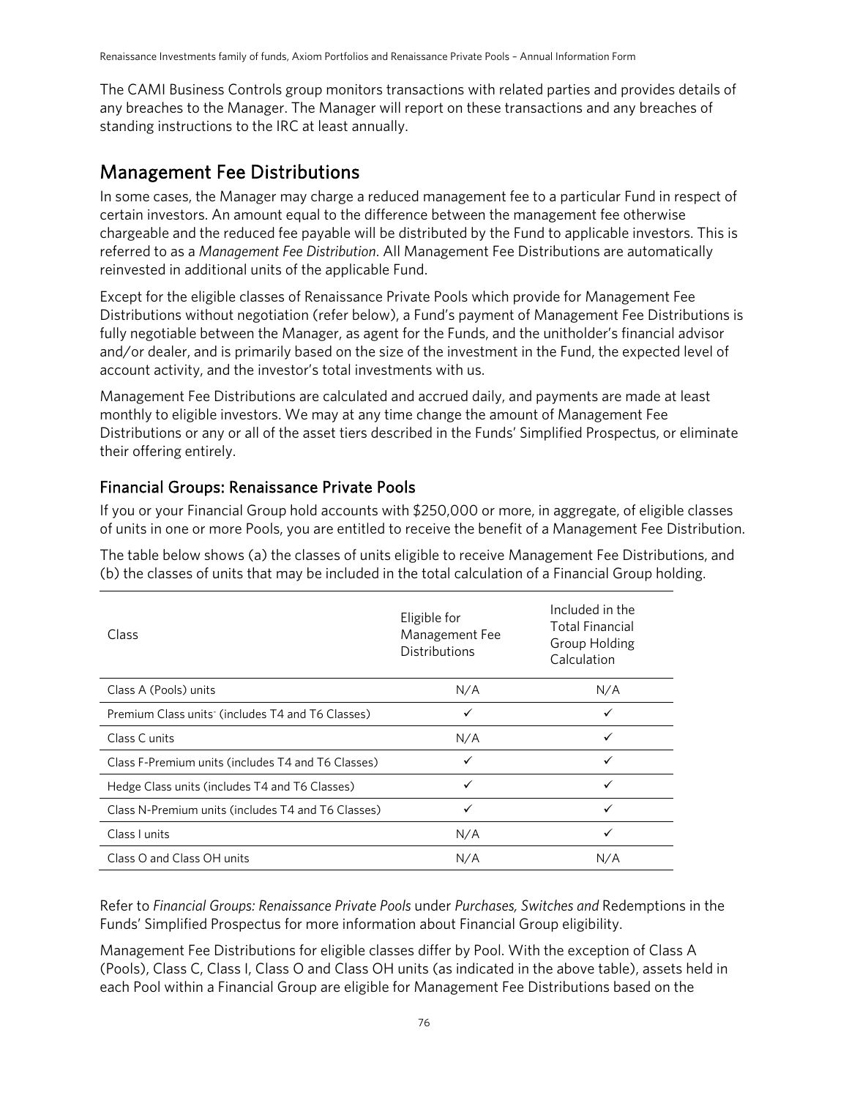The CAMI Business Controls group monitors transactions with related parties and provides details of any breaches to the Manager. The Manager will report on these transactions and any breaches of standing instructions to the IRC at least annually.

### Management Fee Distributions

In some cases, the Manager may charge a reduced management fee to a particular Fund in respect of certain investors. An amount equal to the difference between the management fee otherwise chargeable and the reduced fee payable will be distributed by the Fund to applicable investors. This is referred to as a *Management Fee Distribution*. All Management Fee Distributions are automatically reinvested in additional units of the applicable Fund.

Except for the eligible classes of Renaissance Private Pools which provide for Management Fee Distributions without negotiation (refer below), a Fund's payment of Management Fee Distributions is fully negotiable between the Manager, as agent for the Funds, and the unitholder's financial advisor and/or dealer, and is primarily based on the size of the investment in the Fund, the expected level of account activity, and the investor's total investments with us.

Management Fee Distributions are calculated and accrued daily, and payments are made at least monthly to eligible investors. We may at any time change the amount of Management Fee Distributions or any or all of the asset tiers described in the Funds' Simplified Prospectus, or eliminate their offering entirely.

#### Financial Groups: Renaissance Private Pools

If you or your Financial Group hold accounts with \$250,000 or more, in aggregate, of eligible classes of units in one or more Pools, you are entitled to receive the benefit of a Management Fee Distribution.

The table below shows (a) the classes of units eligible to receive Management Fee Distributions, and (b) the classes of units that may be included in the total calculation of a Financial Group holding.

| Class                                              | Eligible for<br>Management Fee<br><b>Distributions</b> | Included in the<br><b>Total Financial</b><br>Group Holding<br>Calculation |
|----------------------------------------------------|--------------------------------------------------------|---------------------------------------------------------------------------|
| Class A (Pools) units                              | N/A                                                    | N/A                                                                       |
| Premium Class units (includes T4 and T6 Classes)   | ✓                                                      | ✓                                                                         |
| Class C units                                      | N/A                                                    | ✓                                                                         |
| Class F-Premium units (includes T4 and T6 Classes) | ✓                                                      | ✓                                                                         |
| Hedge Class units (includes T4 and T6 Classes)     | ✓                                                      | ✓                                                                         |
| Class N-Premium units (includes T4 and T6 Classes) | ✓                                                      | ✓                                                                         |
| Class I units                                      | N/A                                                    | ✓                                                                         |
| Class O and Class OH units                         | N/A                                                    | N/A                                                                       |

Refer to *Financial Groups: Renaissance Private Pools* under *Purchases, Switches and* Redemptions in the Funds' Simplified Prospectus for more information about Financial Group eligibility.

Management Fee Distributions for eligible classes differ by Pool. With the exception of Class A (Pools), Class C, Class I, Class O and Class OH units (as indicated in the above table), assets held in each Pool within a Financial Group are eligible for Management Fee Distributions based on the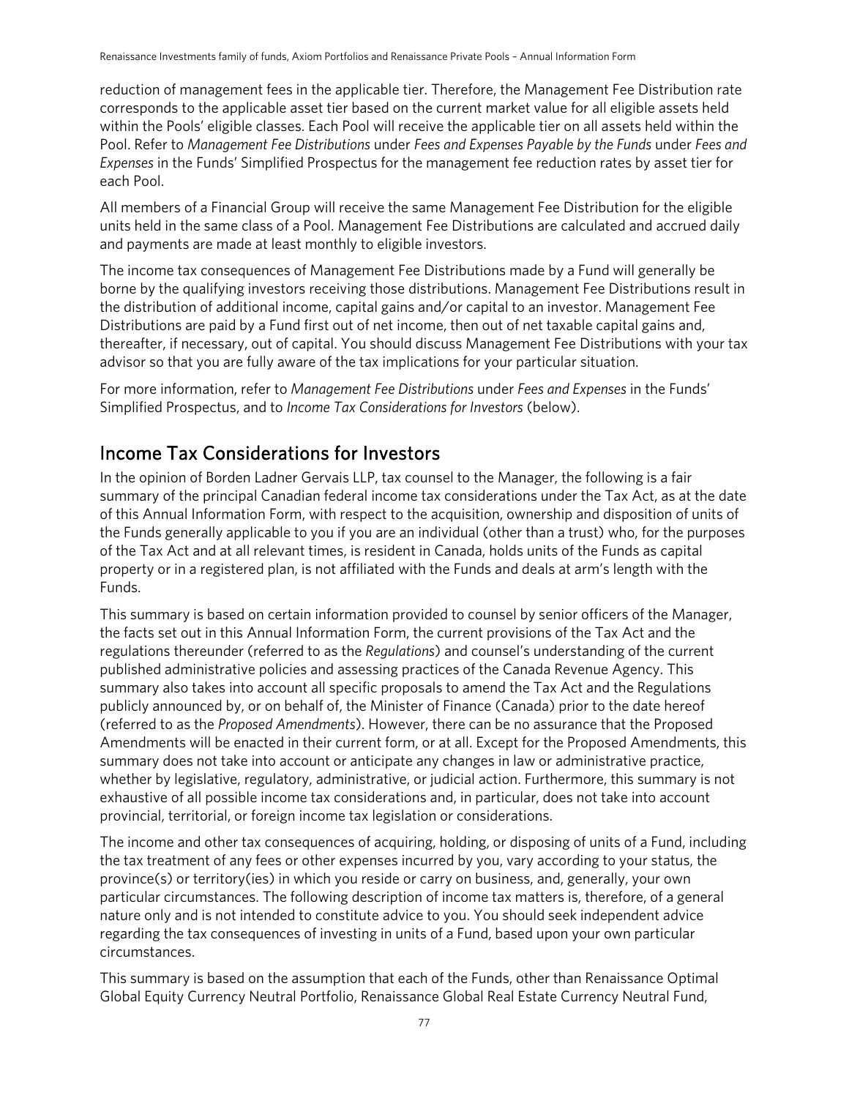reduction of management fees in the applicable tier. Therefore, the Management Fee Distribution rate corresponds to the applicable asset tier based on the current market value for all eligible assets held within the Pools' eligible classes. Each Pool will receive the applicable tier on all assets held within the Pool. Refer to *Management Fee Distributions* under *Fees and Expenses Payable by the Funds* under *Fees and Expenses* in the Funds' Simplified Prospectus for the management fee reduction rates by asset tier for each Pool.

All members of a Financial Group will receive the same Management Fee Distribution for the eligible units held in the same class of a Pool. Management Fee Distributions are calculated and accrued daily and payments are made at least monthly to eligible investors.

The income tax consequences of Management Fee Distributions made by a Fund will generally be borne by the qualifying investors receiving those distributions. Management Fee Distributions result in the distribution of additional income, capital gains and/or capital to an investor. Management Fee Distributions are paid by a Fund first out of net income, then out of net taxable capital gains and, thereafter, if necessary, out of capital. You should discuss Management Fee Distributions with your tax advisor so that you are fully aware of the tax implications for your particular situation.

For more information, refer to *Management Fee Distributions* under *Fees and Expenses* in the Funds' Simplified Prospectus, and to *Income Tax Considerations for Investors* (below).

# Income Tax Considerations for Investors

In the opinion of Borden Ladner Gervais LLP, tax counsel to the Manager, the following is a fair summary of the principal Canadian federal income tax considerations under the Tax Act, as at the date of this Annual Information Form, with respect to the acquisition, ownership and disposition of units of the Funds generally applicable to you if you are an individual (other than a trust) who, for the purposes of the Tax Act and at all relevant times, is resident in Canada, holds units of the Funds as capital property or in a registered plan, is not affiliated with the Funds and deals at arm's length with the Funds.

This summary is based on certain information provided to counsel by senior officers of the Manager, the facts set out in this Annual Information Form, the current provisions of the Tax Act and the regulations thereunder (referred to as the *Regulations*) and counsel's understanding of the current published administrative policies and assessing practices of the Canada Revenue Agency. This summary also takes into account all specific proposals to amend the Tax Act and the Regulations publicly announced by, or on behalf of, the Minister of Finance (Canada) prior to the date hereof (referred to as the *Proposed Amendments*). However, there can be no assurance that the Proposed Amendments will be enacted in their current form, or at all. Except for the Proposed Amendments, this summary does not take into account or anticipate any changes in law or administrative practice, whether by legislative, regulatory, administrative, or judicial action. Furthermore, this summary is not exhaustive of all possible income tax considerations and, in particular, does not take into account provincial, territorial, or foreign income tax legislation or considerations.

The income and other tax consequences of acquiring, holding, or disposing of units of a Fund, including the tax treatment of any fees or other expenses incurred by you, vary according to your status, the province(s) or territory(ies) in which you reside or carry on business, and, generally, your own particular circumstances. The following description of income tax matters is, therefore, of a general nature only and is not intended to constitute advice to you. You should seek independent advice regarding the tax consequences of investing in units of a Fund, based upon your own particular circumstances.

This summary is based on the assumption that each of the Funds, other than Renaissance Optimal Global Equity Currency Neutral Portfolio, Renaissance Global Real Estate Currency Neutral Fund,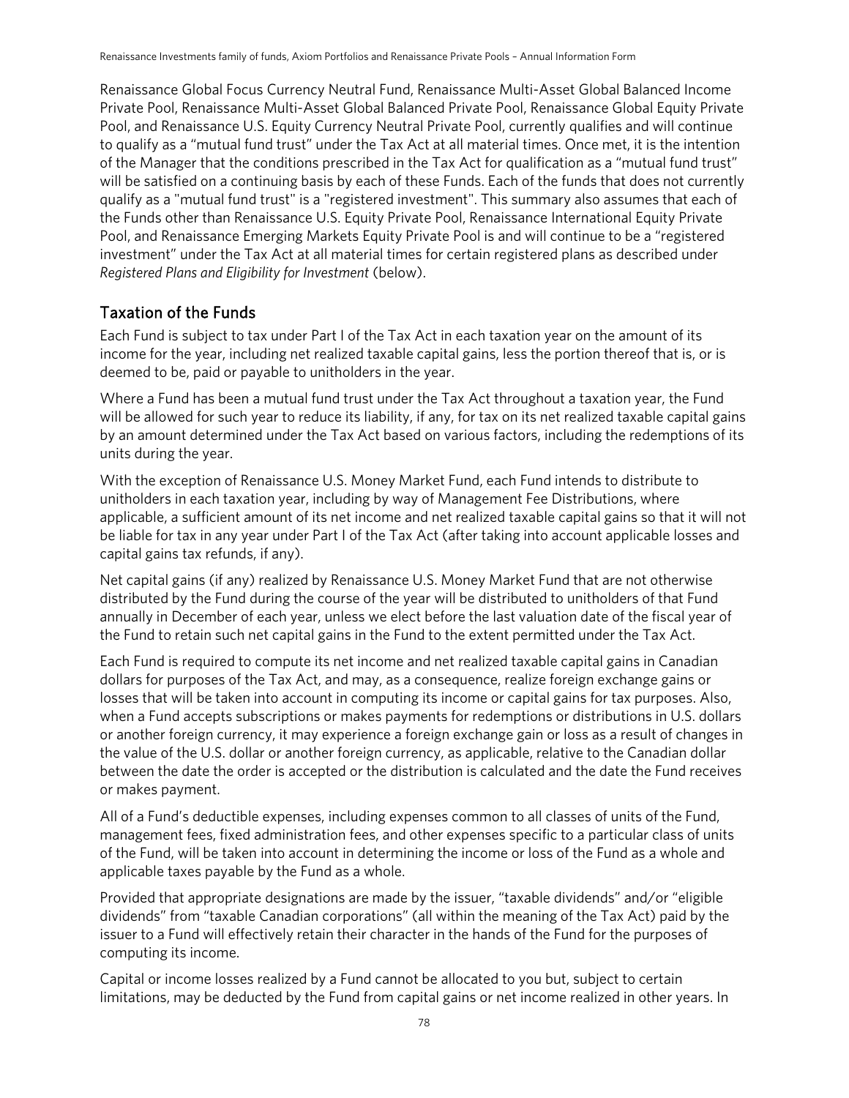Renaissance Global Focus Currency Neutral Fund, Renaissance Multi-Asset Global Balanced Income Private Pool, Renaissance Multi-Asset Global Balanced Private Pool, Renaissance Global Equity Private Pool, and Renaissance U.S. Equity Currency Neutral Private Pool, currently qualifies and will continue to qualify as a "mutual fund trust" under the Tax Act at all material times. Once met, it is the intention of the Manager that the conditions prescribed in the Tax Act for qualification as a "mutual fund trust" will be satisfied on a continuing basis by each of these Funds. Each of the funds that does not currently qualify as a "mutual fund trust" is a "registered investment". This summary also assumes that each of the Funds other than Renaissance U.S. Equity Private Pool, Renaissance International Equity Private Pool, and Renaissance Emerging Markets Equity Private Pool is and will continue to be a "registered investment" under the Tax Act at all material times for certain registered plans as described under *Registered Plans and Eligibility for Investment* (below).

#### Taxation of the Funds

Each Fund is subject to tax under Part I of the Tax Act in each taxation year on the amount of its income for the year, including net realized taxable capital gains, less the portion thereof that is, or is deemed to be, paid or payable to unitholders in the year.

Where a Fund has been a mutual fund trust under the Tax Act throughout a taxation year, the Fund will be allowed for such year to reduce its liability, if any, for tax on its net realized taxable capital gains by an amount determined under the Tax Act based on various factors, including the redemptions of its units during the year.

With the exception of Renaissance U.S. Money Market Fund, each Fund intends to distribute to unitholders in each taxation year, including by way of Management Fee Distributions, where applicable, a sufficient amount of its net income and net realized taxable capital gains so that it will not be liable for tax in any year under Part I of the Tax Act (after taking into account applicable losses and capital gains tax refunds, if any).

Net capital gains (if any) realized by Renaissance U.S. Money Market Fund that are not otherwise distributed by the Fund during the course of the year will be distributed to unitholders of that Fund annually in December of each year, unless we elect before the last valuation date of the fiscal year of the Fund to retain such net capital gains in the Fund to the extent permitted under the Tax Act.

Each Fund is required to compute its net income and net realized taxable capital gains in Canadian dollars for purposes of the Tax Act, and may, as a consequence, realize foreign exchange gains or losses that will be taken into account in computing its income or capital gains for tax purposes. Also, when a Fund accepts subscriptions or makes payments for redemptions or distributions in U.S. dollars or another foreign currency, it may experience a foreign exchange gain or loss as a result of changes in the value of the U.S. dollar or another foreign currency, as applicable, relative to the Canadian dollar between the date the order is accepted or the distribution is calculated and the date the Fund receives or makes payment.

All of a Fund's deductible expenses, including expenses common to all classes of units of the Fund, management fees, fixed administration fees, and other expenses specific to a particular class of units of the Fund, will be taken into account in determining the income or loss of the Fund as a whole and applicable taxes payable by the Fund as a whole.

Provided that appropriate designations are made by the issuer, "taxable dividends" and/or "eligible dividends" from "taxable Canadian corporations" (all within the meaning of the Tax Act) paid by the issuer to a Fund will effectively retain their character in the hands of the Fund for the purposes of computing its income.

Capital or income losses realized by a Fund cannot be allocated to you but, subject to certain limitations, may be deducted by the Fund from capital gains or net income realized in other years. In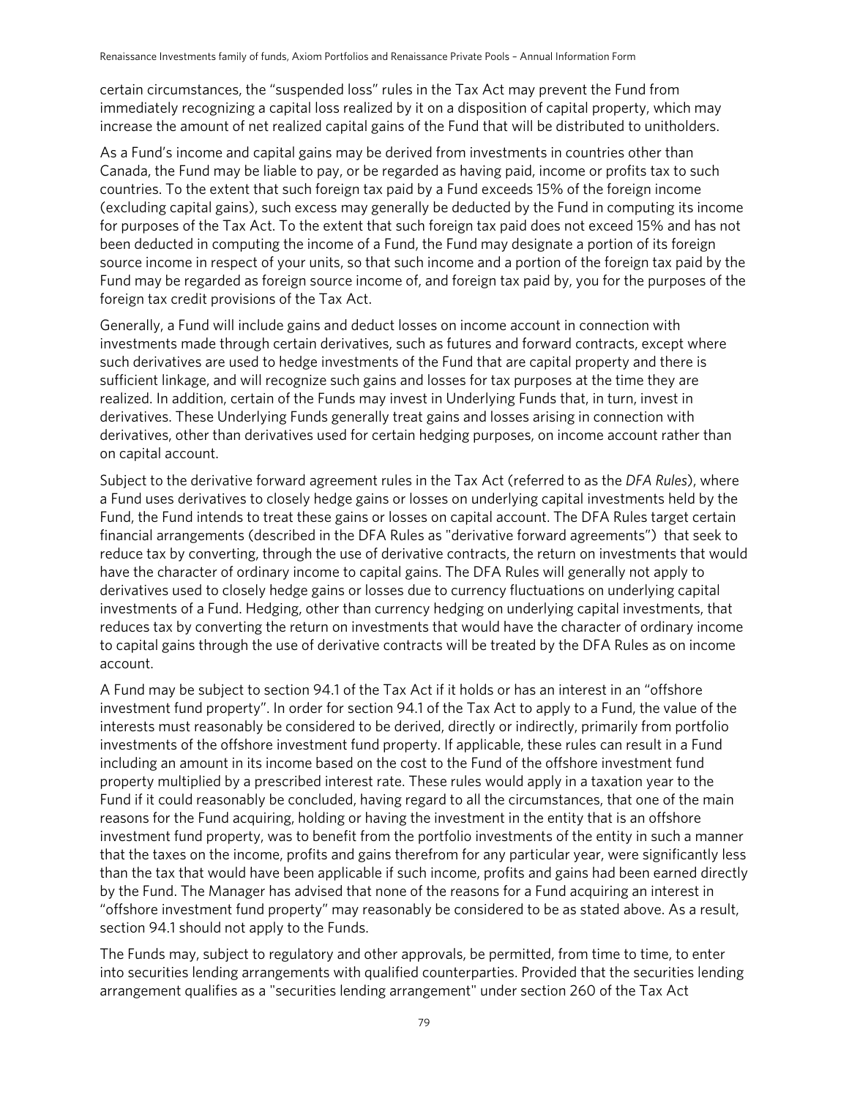certain circumstances, the "suspended loss" rules in the Tax Act may prevent the Fund from immediately recognizing a capital loss realized by it on a disposition of capital property, which may increase the amount of net realized capital gains of the Fund that will be distributed to unitholders.

As a Fund's income and capital gains may be derived from investments in countries other than Canada, the Fund may be liable to pay, or be regarded as having paid, income or profits tax to such countries. To the extent that such foreign tax paid by a Fund exceeds 15% of the foreign income (excluding capital gains), such excess may generally be deducted by the Fund in computing its income for purposes of the Tax Act. To the extent that such foreign tax paid does not exceed 15% and has not been deducted in computing the income of a Fund, the Fund may designate a portion of its foreign source income in respect of your units, so that such income and a portion of the foreign tax paid by the Fund may be regarded as foreign source income of, and foreign tax paid by, you for the purposes of the foreign tax credit provisions of the Tax Act.

Generally, a Fund will include gains and deduct losses on income account in connection with investments made through certain derivatives, such as futures and forward contracts, except where such derivatives are used to hedge investments of the Fund that are capital property and there is sufficient linkage, and will recognize such gains and losses for tax purposes at the time they are realized. In addition, certain of the Funds may invest in Underlying Funds that, in turn, invest in derivatives. These Underlying Funds generally treat gains and losses arising in connection with derivatives, other than derivatives used for certain hedging purposes, on income account rather than on capital account.

Subject to the derivative forward agreement rules in the Tax Act (referred to as the *DFA Rules*), where a Fund uses derivatives to closely hedge gains or losses on underlying capital investments held by the Fund, the Fund intends to treat these gains or losses on capital account. The DFA Rules target certain financial arrangements (described in the DFA Rules as "derivative forward agreements") that seek to reduce tax by converting, through the use of derivative contracts, the return on investments that would have the character of ordinary income to capital gains. The DFA Rules will generally not apply to derivatives used to closely hedge gains or losses due to currency fluctuations on underlying capital investments of a Fund. Hedging, other than currency hedging on underlying capital investments, that reduces tax by converting the return on investments that would have the character of ordinary income to capital gains through the use of derivative contracts will be treated by the DFA Rules as on income account.

A Fund may be subject to section 94.1 of the Tax Act if it holds or has an interest in an "offshore investment fund property". In order for section 94.1 of the Tax Act to apply to a Fund, the value of the interests must reasonably be considered to be derived, directly or indirectly, primarily from portfolio investments of the offshore investment fund property. If applicable, these rules can result in a Fund including an amount in its income based on the cost to the Fund of the offshore investment fund property multiplied by a prescribed interest rate. These rules would apply in a taxation year to the Fund if it could reasonably be concluded, having regard to all the circumstances, that one of the main reasons for the Fund acquiring, holding or having the investment in the entity that is an offshore investment fund property, was to benefit from the portfolio investments of the entity in such a manner that the taxes on the income, profits and gains therefrom for any particular year, were significantly less than the tax that would have been applicable if such income, profits and gains had been earned directly by the Fund. The Manager has advised that none of the reasons for a Fund acquiring an interest in "offshore investment fund property" may reasonably be considered to be as stated above. As a result, section 94.1 should not apply to the Funds.

The Funds may, subject to regulatory and other approvals, be permitted, from time to time, to enter into securities lending arrangements with qualified counterparties. Provided that the securities lending arrangement qualifies as a "securities lending arrangement" under section 260 of the Tax Act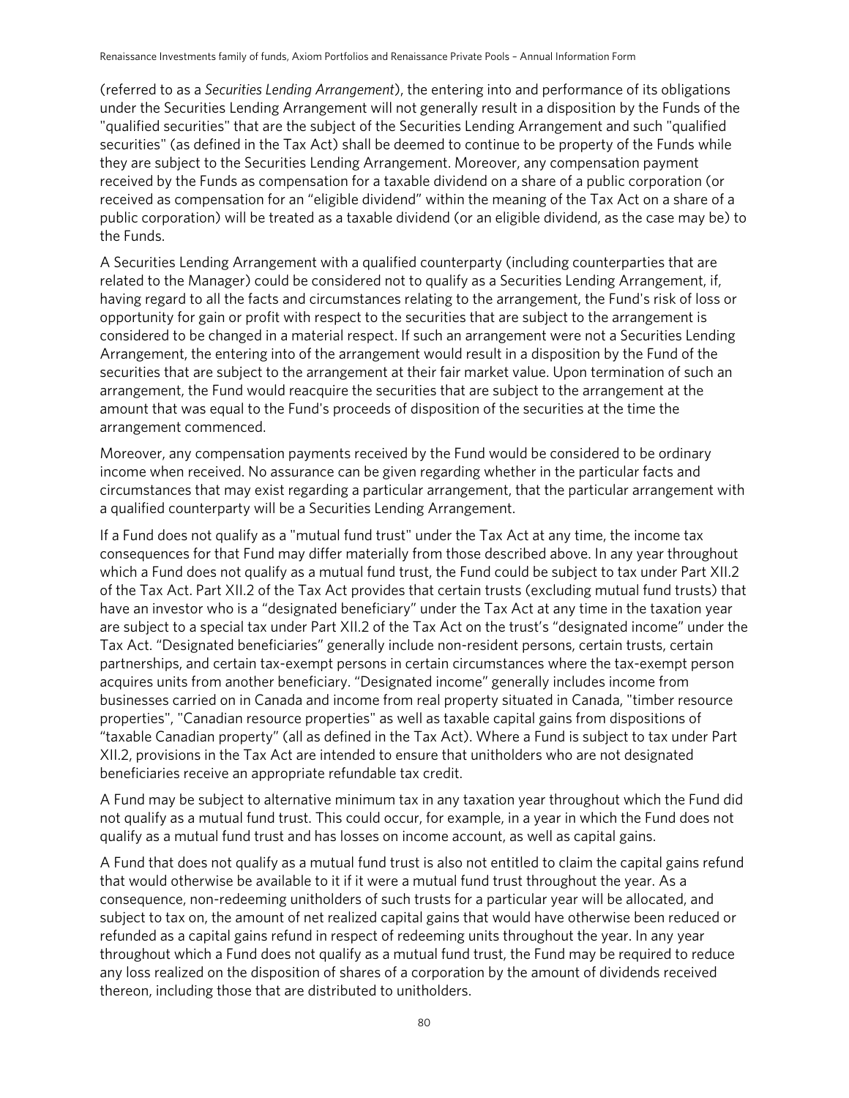(referred to as a *Securities Lending Arrangement*), the entering into and performance of its obligations under the Securities Lending Arrangement will not generally result in a disposition by the Funds of the "qualified securities" that are the subject of the Securities Lending Arrangement and such "qualified securities" (as defined in the Tax Act) shall be deemed to continue to be property of the Funds while they are subject to the Securities Lending Arrangement. Moreover, any compensation payment received by the Funds as compensation for a taxable dividend on a share of a public corporation (or received as compensation for an "eligible dividend" within the meaning of the Tax Act on a share of a public corporation) will be treated as a taxable dividend (or an eligible dividend, as the case may be) to the Funds.

A Securities Lending Arrangement with a qualified counterparty (including counterparties that are related to the Manager) could be considered not to qualify as a Securities Lending Arrangement, if, having regard to all the facts and circumstances relating to the arrangement, the Fund's risk of loss or opportunity for gain or profit with respect to the securities that are subject to the arrangement is considered to be changed in a material respect. If such an arrangement were not a Securities Lending Arrangement, the entering into of the arrangement would result in a disposition by the Fund of the securities that are subject to the arrangement at their fair market value. Upon termination of such an arrangement, the Fund would reacquire the securities that are subject to the arrangement at the amount that was equal to the Fund's proceeds of disposition of the securities at the time the arrangement commenced.

Moreover, any compensation payments received by the Fund would be considered to be ordinary income when received. No assurance can be given regarding whether in the particular facts and circumstances that may exist regarding a particular arrangement, that the particular arrangement with a qualified counterparty will be a Securities Lending Arrangement.

If a Fund does not qualify as a "mutual fund trust" under the Tax Act at any time, the income tax consequences for that Fund may differ materially from those described above. In any year throughout which a Fund does not qualify as a mutual fund trust, the Fund could be subject to tax under Part XII.2 of the Tax Act. Part XII.2 of the Tax Act provides that certain trusts (excluding mutual fund trusts) that have an investor who is a "designated beneficiary" under the Tax Act at any time in the taxation year are subject to a special tax under Part XII.2 of the Tax Act on the trust's "designated income" under the Tax Act. "Designated beneficiaries" generally include non-resident persons, certain trusts, certain partnerships, and certain tax-exempt persons in certain circumstances where the tax-exempt person acquires units from another beneficiary. "Designated income" generally includes income from businesses carried on in Canada and income from real property situated in Canada, "timber resource properties", "Canadian resource properties" as well as taxable capital gains from dispositions of "taxable Canadian property" (all as defined in the Tax Act). Where a Fund is subject to tax under Part XII.2, provisions in the Tax Act are intended to ensure that unitholders who are not designated beneficiaries receive an appropriate refundable tax credit.

A Fund may be subject to alternative minimum tax in any taxation year throughout which the Fund did not qualify as a mutual fund trust. This could occur, for example, in a year in which the Fund does not qualify as a mutual fund trust and has losses on income account, as well as capital gains.

A Fund that does not qualify as a mutual fund trust is also not entitled to claim the capital gains refund that would otherwise be available to it if it were a mutual fund trust throughout the year. As a consequence, non-redeeming unitholders of such trusts for a particular year will be allocated, and subject to tax on, the amount of net realized capital gains that would have otherwise been reduced or refunded as a capital gains refund in respect of redeeming units throughout the year. In any year throughout which a Fund does not qualify as a mutual fund trust, the Fund may be required to reduce any loss realized on the disposition of shares of a corporation by the amount of dividends received thereon, including those that are distributed to unitholders.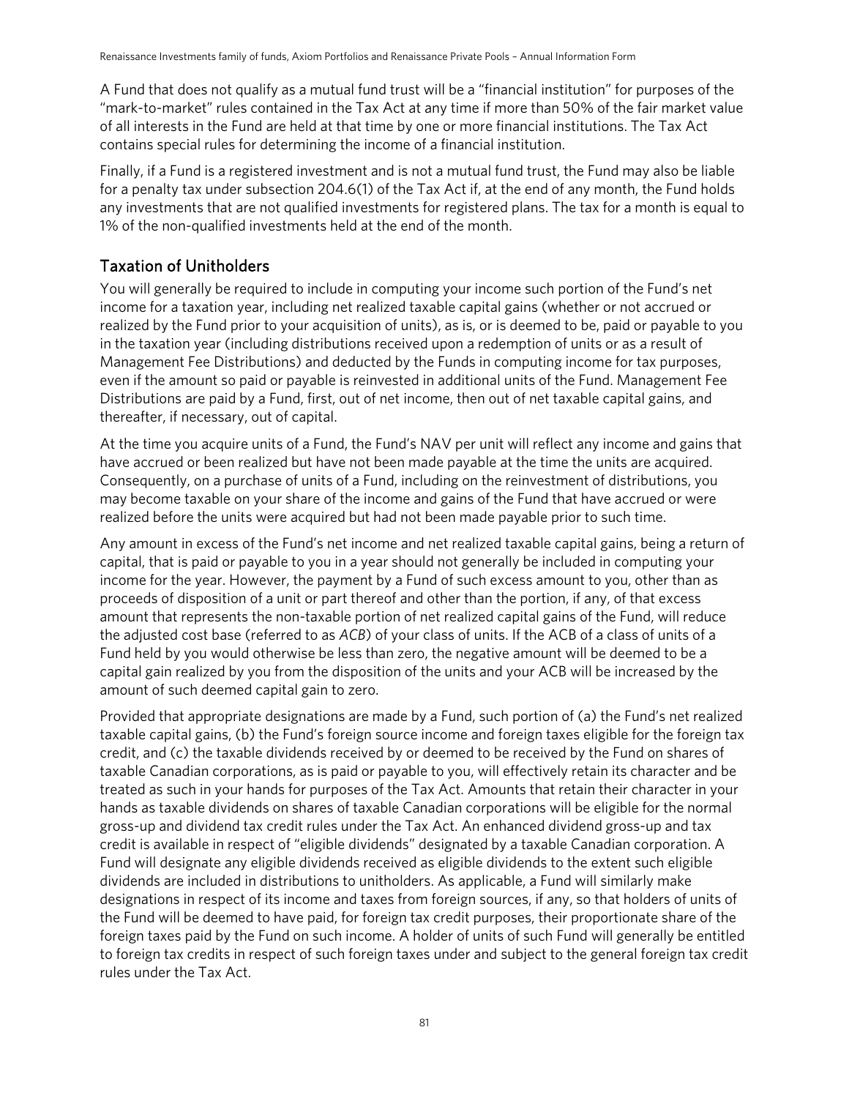A Fund that does not qualify as a mutual fund trust will be a "financial institution" for purposes of the "mark-to-market" rules contained in the Tax Act at any time if more than 50% of the fair market value of all interests in the Fund are held at that time by one or more financial institutions. The Tax Act contains special rules for determining the income of a financial institution.

Finally, if a Fund is a registered investment and is not a mutual fund trust, the Fund may also be liable for a penalty tax under subsection 204.6(1) of the Tax Act if, at the end of any month, the Fund holds any investments that are not qualified investments for registered plans. The tax for a month is equal to 1% of the non-qualified investments held at the end of the month.

### Taxation of Unitholders

You will generally be required to include in computing your income such portion of the Fund's net income for a taxation year, including net realized taxable capital gains (whether or not accrued or realized by the Fund prior to your acquisition of units), as is, or is deemed to be, paid or payable to you in the taxation year (including distributions received upon a redemption of units or as a result of Management Fee Distributions) and deducted by the Funds in computing income for tax purposes, even if the amount so paid or payable is reinvested in additional units of the Fund. Management Fee Distributions are paid by a Fund, first, out of net income, then out of net taxable capital gains, and thereafter, if necessary, out of capital.

At the time you acquire units of a Fund, the Fund's NAV per unit will reflect any income and gains that have accrued or been realized but have not been made payable at the time the units are acquired. Consequently, on a purchase of units of a Fund, including on the reinvestment of distributions, you may become taxable on your share of the income and gains of the Fund that have accrued or were realized before the units were acquired but had not been made payable prior to such time.

Any amount in excess of the Fund's net income and net realized taxable capital gains, being a return of capital, that is paid or payable to you in a year should not generally be included in computing your income for the year. However, the payment by a Fund of such excess amount to you, other than as proceeds of disposition of a unit or part thereof and other than the portion, if any, of that excess amount that represents the non-taxable portion of net realized capital gains of the Fund, will reduce the adjusted cost base (referred to as *ACB*) of your class of units. If the ACB of a class of units of a Fund held by you would otherwise be less than zero, the negative amount will be deemed to be a capital gain realized by you from the disposition of the units and your ACB will be increased by the amount of such deemed capital gain to zero.

Provided that appropriate designations are made by a Fund, such portion of (a) the Fund's net realized taxable capital gains, (b) the Fund's foreign source income and foreign taxes eligible for the foreign tax credit, and (c) the taxable dividends received by or deemed to be received by the Fund on shares of taxable Canadian corporations, as is paid or payable to you, will effectively retain its character and be treated as such in your hands for purposes of the Tax Act. Amounts that retain their character in your hands as taxable dividends on shares of taxable Canadian corporations will be eligible for the normal gross-up and dividend tax credit rules under the Tax Act. An enhanced dividend gross-up and tax credit is available in respect of "eligible dividends" designated by a taxable Canadian corporation. A Fund will designate any eligible dividends received as eligible dividends to the extent such eligible dividends are included in distributions to unitholders. As applicable, a Fund will similarly make designations in respect of its income and taxes from foreign sources, if any, so that holders of units of the Fund will be deemed to have paid, for foreign tax credit purposes, their proportionate share of the foreign taxes paid by the Fund on such income. A holder of units of such Fund will generally be entitled to foreign tax credits in respect of such foreign taxes under and subject to the general foreign tax credit rules under the Tax Act.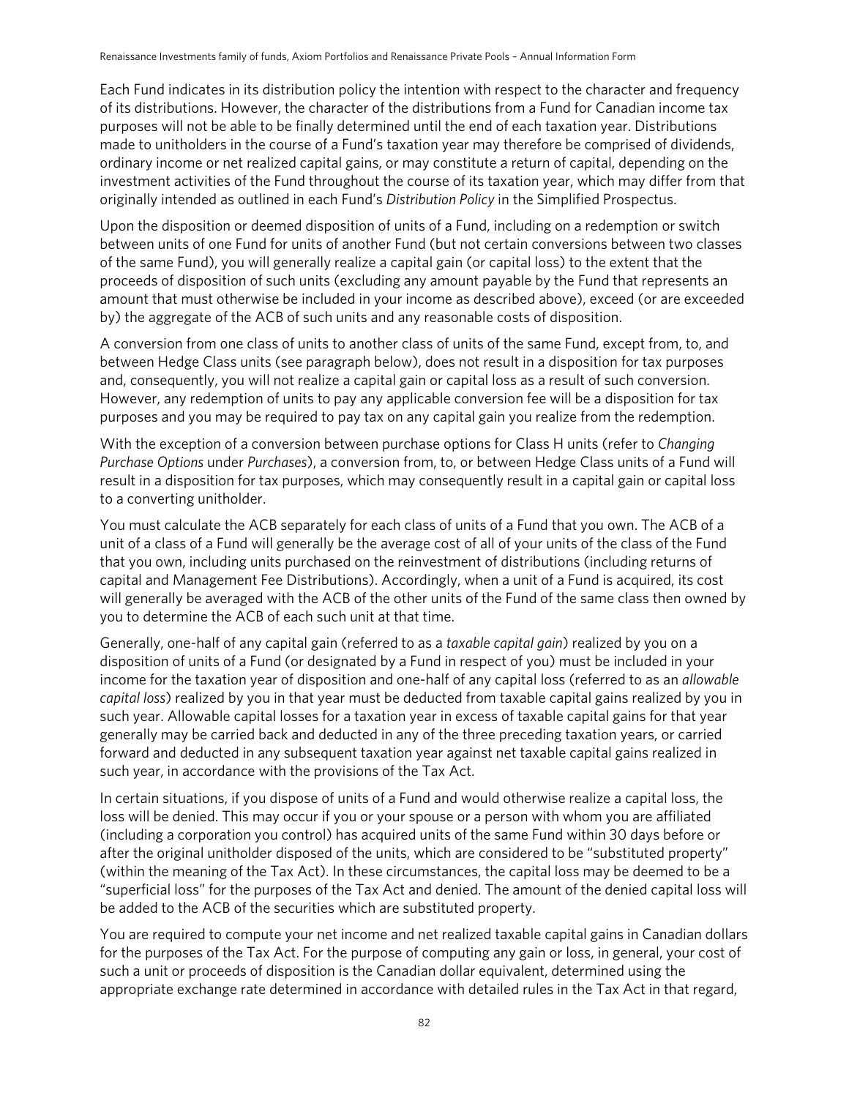Each Fund indicates in its distribution policy the intention with respect to the character and frequency of its distributions. However, the character of the distributions from a Fund for Canadian income tax purposes will not be able to be finally determined until the end of each taxation year. Distributions made to unitholders in the course of a Fund's taxation year may therefore be comprised of dividends, ordinary income or net realized capital gains, or may constitute a return of capital, depending on the investment activities of the Fund throughout the course of its taxation year, which may differ from that originally intended as outlined in each Fund's *Distribution Policy* in the Simplified Prospectus.

Upon the disposition or deemed disposition of units of a Fund, including on a redemption or switch between units of one Fund for units of another Fund (but not certain conversions between two classes of the same Fund), you will generally realize a capital gain (or capital loss) to the extent that the proceeds of disposition of such units (excluding any amount payable by the Fund that represents an amount that must otherwise be included in your income as described above), exceed (or are exceeded by) the aggregate of the ACB of such units and any reasonable costs of disposition.

A conversion from one class of units to another class of units of the same Fund, except from, to, and between Hedge Class units (see paragraph below), does not result in a disposition for tax purposes and, consequently, you will not realize a capital gain or capital loss as a result of such conversion. However, any redemption of units to pay any applicable conversion fee will be a disposition for tax purposes and you may be required to pay tax on any capital gain you realize from the redemption.

With the exception of a conversion between purchase options for Class H units (refer to *Changing Purchase Options* under *Purchases*), a conversion from, to, or between Hedge Class units of a Fund will result in a disposition for tax purposes, which may consequently result in a capital gain or capital loss to a converting unitholder.

You must calculate the ACB separately for each class of units of a Fund that you own. The ACB of a unit of a class of a Fund will generally be the average cost of all of your units of the class of the Fund that you own, including units purchased on the reinvestment of distributions (including returns of capital and Management Fee Distributions). Accordingly, when a unit of a Fund is acquired, its cost will generally be averaged with the ACB of the other units of the Fund of the same class then owned by you to determine the ACB of each such unit at that time.

Generally, one-half of any capital gain (referred to as a *taxable capital gain*) realized by you on a disposition of units of a Fund (or designated by a Fund in respect of you) must be included in your income for the taxation year of disposition and one-half of any capital loss (referred to as an *allowable capital loss*) realized by you in that year must be deducted from taxable capital gains realized by you in such year. Allowable capital losses for a taxation year in excess of taxable capital gains for that year generally may be carried back and deducted in any of the three preceding taxation years, or carried forward and deducted in any subsequent taxation year against net taxable capital gains realized in such year, in accordance with the provisions of the Tax Act.

In certain situations, if you dispose of units of a Fund and would otherwise realize a capital loss, the loss will be denied. This may occur if you or your spouse or a person with whom you are affiliated (including a corporation you control) has acquired units of the same Fund within 30 days before or after the original unitholder disposed of the units, which are considered to be "substituted property" (within the meaning of the Tax Act). In these circumstances, the capital loss may be deemed to be a "superficial loss" for the purposes of the Tax Act and denied. The amount of the denied capital loss will be added to the ACB of the securities which are substituted property.

You are required to compute your net income and net realized taxable capital gains in Canadian dollars for the purposes of the Tax Act. For the purpose of computing any gain or loss, in general, your cost of such a unit or proceeds of disposition is the Canadian dollar equivalent, determined using the appropriate exchange rate determined in accordance with detailed rules in the Tax Act in that regard,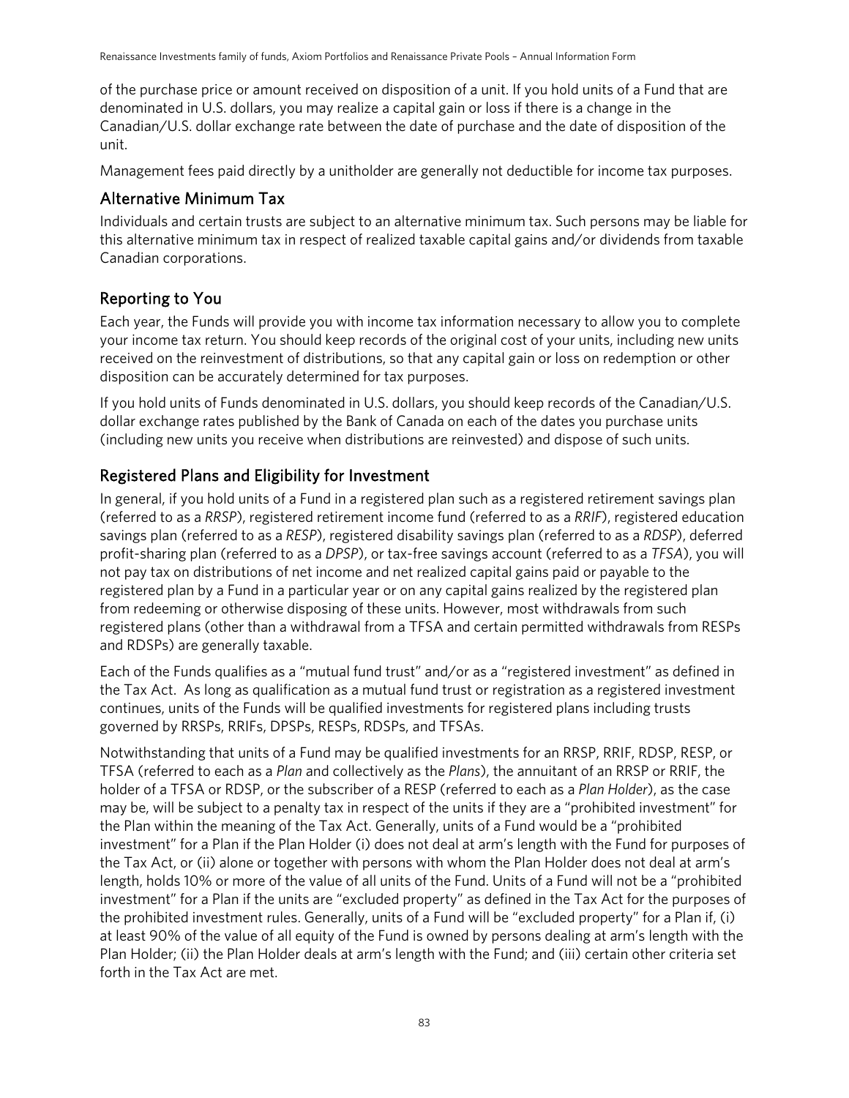of the purchase price or amount received on disposition of a unit. If you hold units of a Fund that are denominated in U.S. dollars, you may realize a capital gain or loss if there is a change in the Canadian/U.S. dollar exchange rate between the date of purchase and the date of disposition of the unit.

Management fees paid directly by a unitholder are generally not deductible for income tax purposes.

#### Alternative Minimum Tax

Individuals and certain trusts are subject to an alternative minimum tax. Such persons may be liable for this alternative minimum tax in respect of realized taxable capital gains and/or dividends from taxable Canadian corporations.

#### Reporting to You

Each year, the Funds will provide you with income tax information necessary to allow you to complete your income tax return. You should keep records of the original cost of your units, including new units received on the reinvestment of distributions, so that any capital gain or loss on redemption or other disposition can be accurately determined for tax purposes.

If you hold units of Funds denominated in U.S. dollars, you should keep records of the Canadian/U.S. dollar exchange rates published by the Bank of Canada on each of the dates you purchase units (including new units you receive when distributions are reinvested) and dispose of such units.

### Registered Plans and Eligibility for Investment

In general, if you hold units of a Fund in a registered plan such as a registered retirement savings plan (referred to as a *RRSP*), registered retirement income fund (referred to as a *RRIF*), registered education savings plan (referred to as a *RESP*), registered disability savings plan (referred to as a *RDSP*), deferred profit-sharing plan (referred to as a *DPSP*), or tax-free savings account (referred to as a *TFSA*), you will not pay tax on distributions of net income and net realized capital gains paid or payable to the registered plan by a Fund in a particular year or on any capital gains realized by the registered plan from redeeming or otherwise disposing of these units. However, most withdrawals from such registered plans (other than a withdrawal from a TFSA and certain permitted withdrawals from RESPs and RDSPs) are generally taxable.

Each of the Funds qualifies as a "mutual fund trust" and/or as a "registered investment" as defined in the Tax Act. As long as qualification as a mutual fund trust or registration as a registered investment continues, units of the Funds will be qualified investments for registered plans including trusts governed by RRSPs, RRIFs, DPSPs, RESPs, RDSPs, and TFSAs.

Notwithstanding that units of a Fund may be qualified investments for an RRSP, RRIF, RDSP, RESP, or TFSA (referred to each as a *Plan* and collectively as the *Plans*), the annuitant of an RRSP or RRIF, the holder of a TFSA or RDSP, or the subscriber of a RESP (referred to each as a *Plan Holder*), as the case may be, will be subject to a penalty tax in respect of the units if they are a "prohibited investment" for the Plan within the meaning of the Tax Act. Generally, units of a Fund would be a "prohibited investment" for a Plan if the Plan Holder (i) does not deal at arm's length with the Fund for purposes of the Tax Act, or (ii) alone or together with persons with whom the Plan Holder does not deal at arm's length, holds 10% or more of the value of all units of the Fund. Units of a Fund will not be a "prohibited investment" for a Plan if the units are "excluded property" as defined in the Tax Act for the purposes of the prohibited investment rules. Generally, units of a Fund will be "excluded property" for a Plan if, (i) at least 90% of the value of all equity of the Fund is owned by persons dealing at arm's length with the Plan Holder; (ii) the Plan Holder deals at arm's length with the Fund; and (iii) certain other criteria set forth in the Tax Act are met.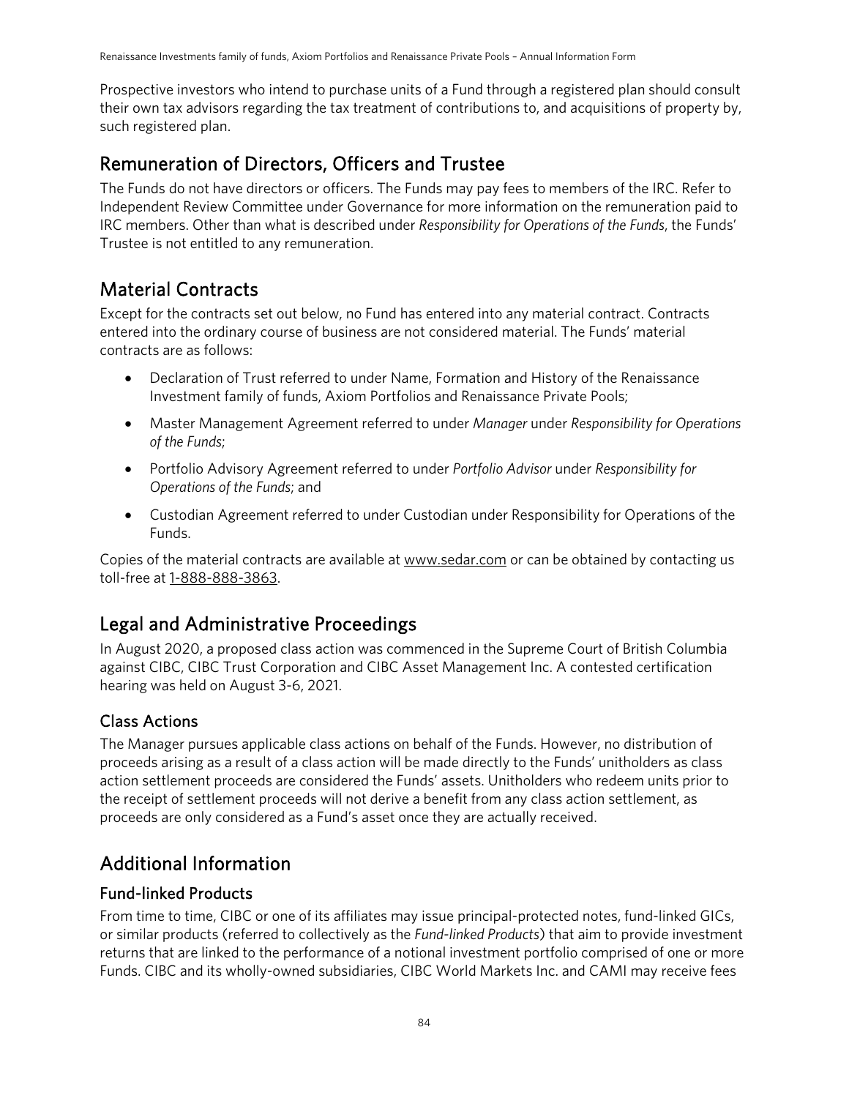Prospective investors who intend to purchase units of a Fund through a registered plan should consult their own tax advisors regarding the tax treatment of contributions to, and acquisitions of property by, such registered plan.

## Remuneration of Directors, Officers and Trustee

The Funds do not have directors or officers. The Funds may pay fees to members of the IRC. Refer to Independent Review Committee under Governance for more information on the remuneration paid to IRC members. Other than what is described under *Responsibility for Operations of the Funds*, the Funds' Trustee is not entitled to any remuneration.

# Material Contracts

Except for the contracts set out below, no Fund has entered into any material contract. Contracts entered into the ordinary course of business are not considered material. The Funds' material contracts are as follows:

- Declaration of Trust referred to under Name, Formation and History of the Renaissance Investment family of funds, Axiom Portfolios and Renaissance Private Pools;
- Master Management Agreement referred to under *Manager* under *Responsibility for Operations of the Funds*;
- Portfolio Advisory Agreement referred to under *Portfolio Advisor* under *Responsibility for Operations of the Funds*; and
- Custodian Agreement referred to under Custodian under Responsibility for Operations of the Funds.

Copies of the material contracts are available at www.sedar.com or can be obtained by contacting us toll-free at [1-888-888-3863.](tel:1-888-888-3863)

## Legal and Administrative Proceedings

In August 2020, a proposed class action was commenced in the Supreme Court of British Columbia against CIBC, CIBC Trust Corporation and CIBC Asset Management Inc. A contested certification hearing was held on August 3-6, 2021.

### Class Actions

The Manager pursues applicable class actions on behalf of the Funds. However, no distribution of proceeds arising as a result of a class action will be made directly to the Funds' unitholders as class action settlement proceeds are considered the Funds' assets. Unitholders who redeem units prior to the receipt of settlement proceeds will not derive a benefit from any class action settlement, as proceeds are only considered as a Fund's asset once they are actually received.

## Additional Information

#### Fund-linked Products

From time to time, CIBC or one of its affiliates may issue principal-protected notes, fund-linked GICs, or similar products (referred to collectively as the *Fund-linked Products*) that aim to provide investment returns that are linked to the performance of a notional investment portfolio comprised of one or more Funds. CIBC and its wholly-owned subsidiaries, CIBC World Markets Inc. and CAMI may receive fees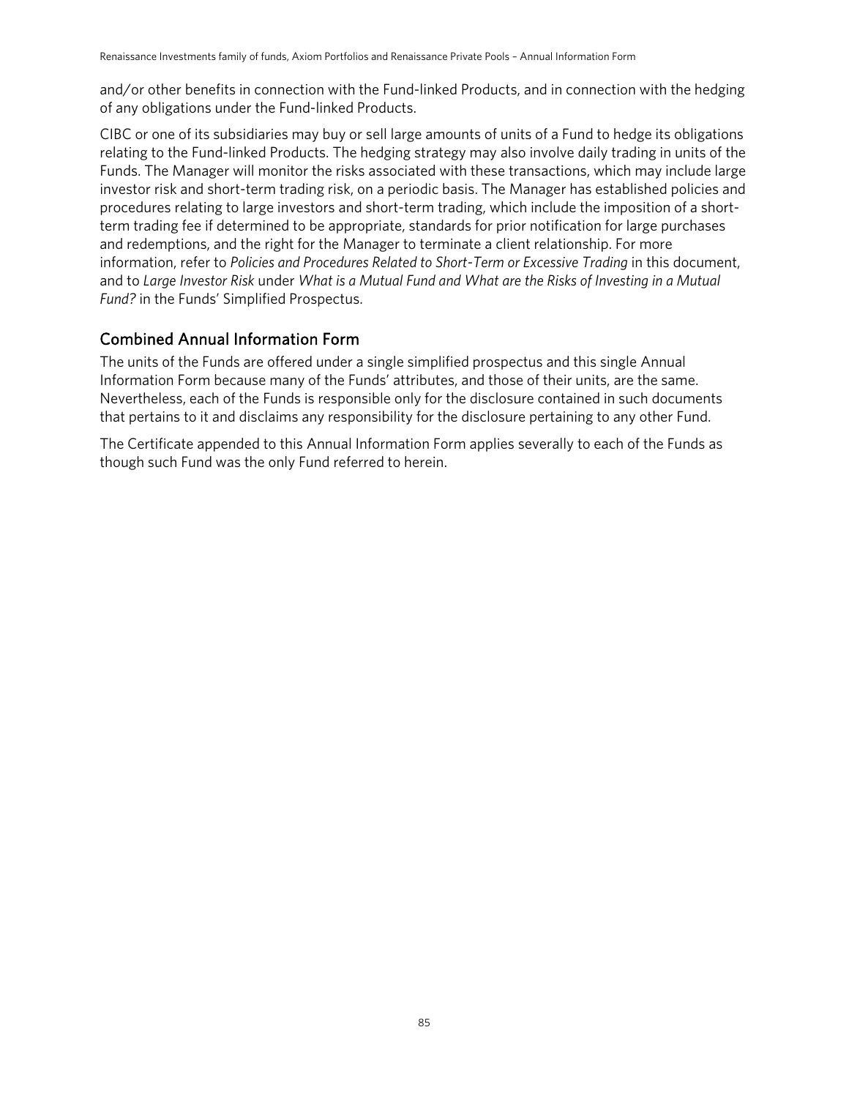and/or other benefits in connection with the Fund-linked Products, and in connection with the hedging of any obligations under the Fund-linked Products.

CIBC or one of its subsidiaries may buy or sell large amounts of units of a Fund to hedge its obligations relating to the Fund-linked Products. The hedging strategy may also involve daily trading in units of the Funds. The Manager will monitor the risks associated with these transactions, which may include large investor risk and short-term trading risk, on a periodic basis. The Manager has established policies and procedures relating to large investors and short-term trading, which include the imposition of a shortterm trading fee if determined to be appropriate, standards for prior notification for large purchases and redemptions, and the right for the Manager to terminate a client relationship. For more information, refer to Policies and Procedures Related to Short-Term or Excessive Trading in this document, and to *Large Investor Risk* under *What is a Mutual Fund and What are the Risks of Investing in a Mutual Fund?* in the Funds' Simplified Prospectus.

#### Combined Annual Information Form

The units of the Funds are offered under a single simplified prospectus and this single Annual Information Form because many of the Funds' attributes, and those of their units, are the same. Nevertheless, each of the Funds is responsible only for the disclosure contained in such documents that pertains to it and disclaims any responsibility for the disclosure pertaining to any other Fund.

The Certificate appended to this Annual Information Form applies severally to each of the Funds as though such Fund was the only Fund referred to herein.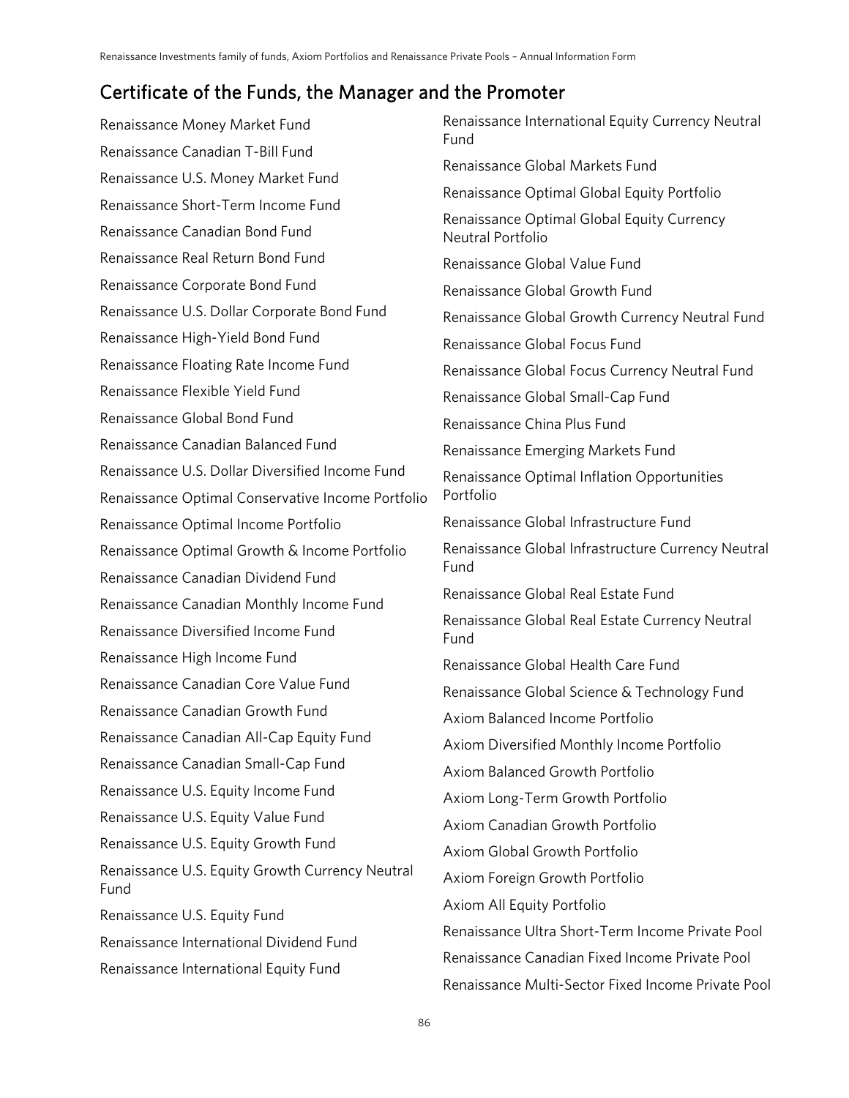### Certificate of the Funds, the Manager and the Promoter

Renaissance Money Market Fund Renaissance Canadian T-Bill Fund Renaissance U.S. Money Market Fund Renaissance Short-Term Income Fund Renaissance Canadian Bond Fund Renaissance Real Return Bond Fund Renaissance Corporate Bond Fund Renaissance U.S. Dollar Corporate Bond Fund Renaissance High-Yield Bond Fund Renaissance Floating Rate Income Fund Renaissance Flexible Yield Fund Renaissance Global Bond Fund Renaissance Canadian Balanced Fund Renaissance U.S. Dollar Diversified Income Fund Renaissance Optimal Conservative Income Portfolio Renaissance Optimal Income Portfolio Renaissance Optimal Growth & Income Portfolio Renaissance Canadian Dividend Fund Renaissance Canadian Monthly Income Fund Renaissance Diversified Income Fund Renaissance High Income Fund Renaissance Canadian Core Value Fund Renaissance Canadian Growth Fund Renaissance Canadian All-Cap Equity Fund Renaissance Canadian Small-Cap Fund Renaissance U.S. Equity Income Fund Renaissance U.S. Equity Value Fund Renaissance U.S. Equity Growth Fund Renaissance U.S. Equity Growth Currency Neutral Fund Renaissance U.S. Equity Fund Renaissance International Dividend Fund Renaissance International Equity Fund Renaissance International Equity Currency Neutral Fund Renaissance Global Markets Fund Renaissance Optimal Global Equity Portfolio Renaissance Optimal Global Equity Currency Neutral Portfolio Renaissance Global Value Fund Renaissance Global Growth Fund Renaissance Global Growth Currency Neutral Fund Renaissance Global Focus Fund Renaissance Global Focus Currency Neutral Fund Renaissance Global Small-Cap Fund Renaissance China Plus Fund Renaissance Emerging Markets Fund Renaissance Optimal Inflation Opportunities Portfolio Renaissance Global Infrastructure Fund Renaissance Global Infrastructure Currency Neutral Fund Renaissance Global Real Estate Fund Renaissance Global Real Estate Currency Neutral Fund Renaissance Global Health Care Fund Renaissance Global Science & Technology Fund Axiom Balanced Income Portfolio Axiom Diversified Monthly Income Portfolio Axiom Balanced Growth Portfolio Axiom Long-Term Growth Portfolio Axiom Canadian Growth Portfolio Axiom Global Growth Portfolio Axiom Foreign Growth Portfolio Axiom All Equity Portfolio Renaissance Ultra Short-Term Income Private Pool Renaissance Canadian Fixed Income Private Pool Renaissance Multi-Sector Fixed Income Private Pool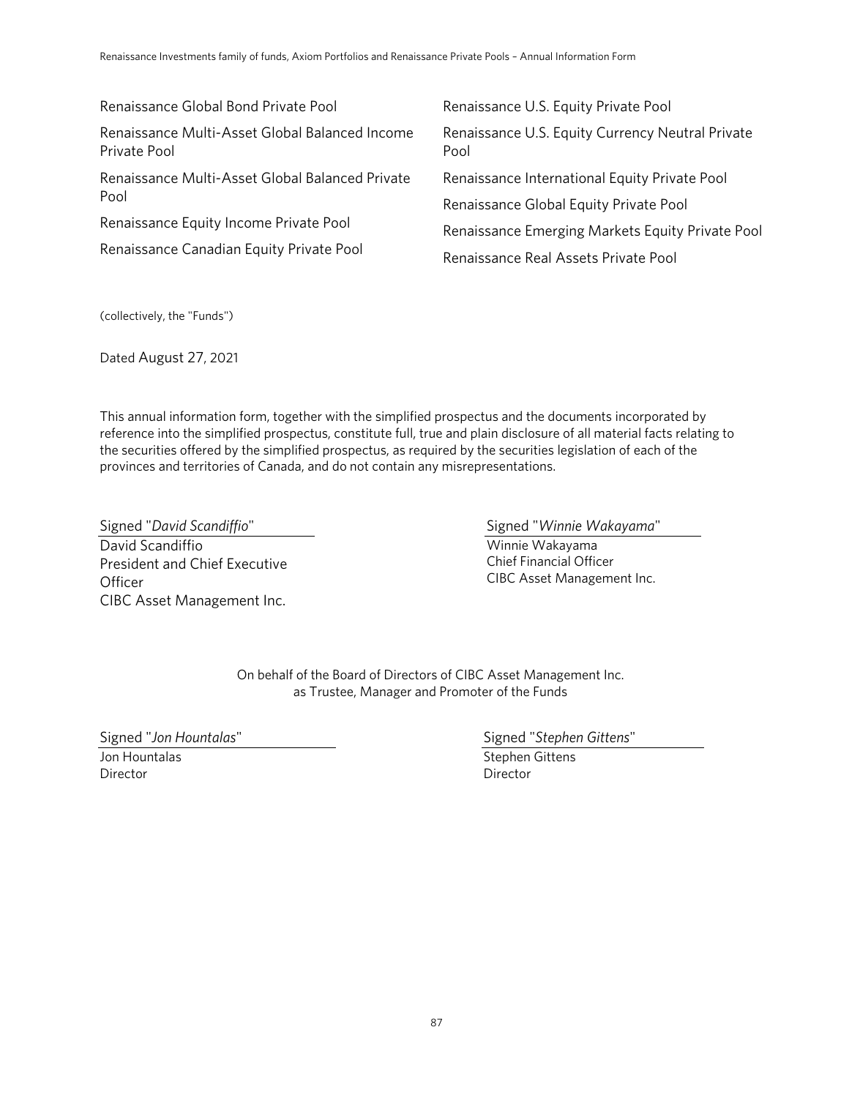Renaissance Global Bond Private Pool Renaissance Multi-Asset Global Balanced Income Private Pool Renaissance Multi-Asset Global Balanced Private Pool Renaissance Equity Income Private Pool Renaissance Canadian Equity Private Pool Renaissance U.S. Equity Private Pool Renaissance U.S. Equity Currency Neutral Private Pool Renaissance International Equity Private Pool Renaissance Global Equity Private Pool Renaissance Emerging Markets Equity Private Pool Renaissance Real Assets Private Pool

(collectively, the "Funds")

Dated August 27, 2021

This annual information form, together with the simplified prospectus and the documents incorporated by reference into the simplified prospectus, constitute full, true and plain disclosure of all material facts relating to the securities offered by the simplified prospectus, as required by the securities legislation of each of the provinces and territories of Canada, and do not contain any misrepresentations.

Signed "*David Scandiffio*" David Scandiffio President and Chief Executive **Officer** CIBC Asset Management Inc. Signed "*Winnie Wakayama*"

Winnie Wakayama Chief Financial Officer CIBC Asset Management Inc.

On behalf of the Board of Directors of CIBC Asset Management Inc. as Trustee, Manager and Promoter of the Funds

Signed "*Jon Hountalas*"

Jon Hountalas Director

Signed "*Stephen Gittens*" Stephen Gittens Director